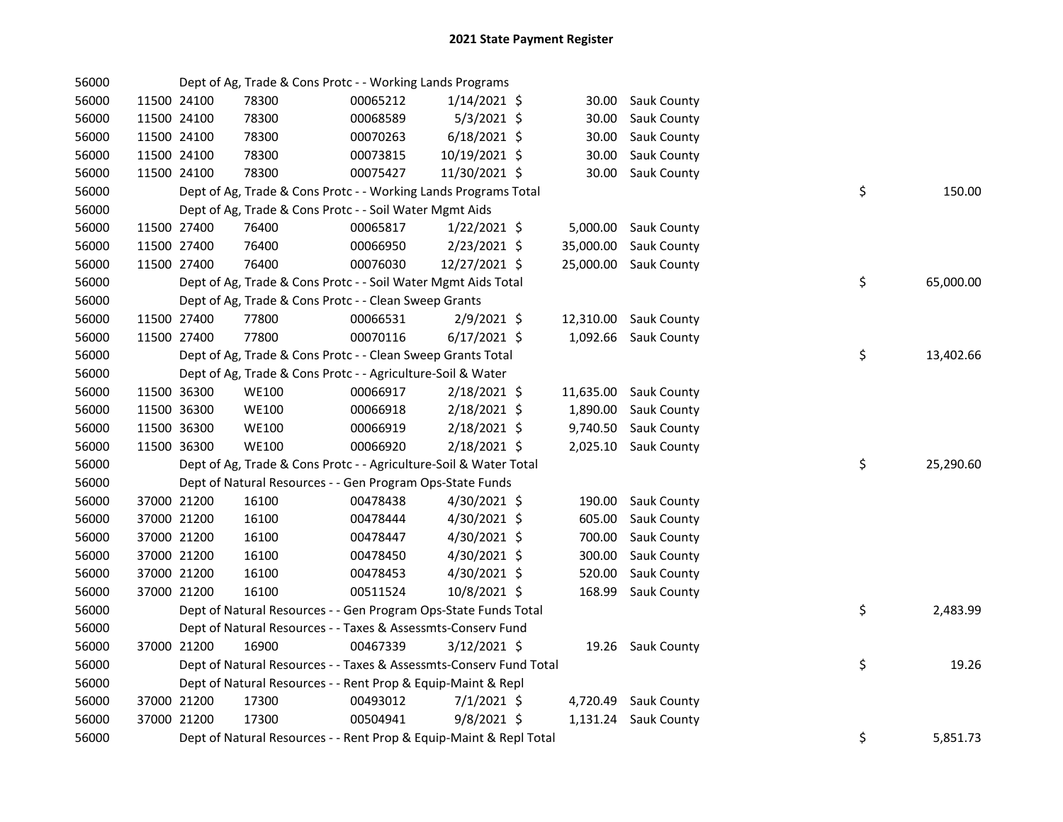| 56000 |             | Dept of Ag, Trade & Cons Protc - - Working Lands Programs          |          |                |           |                       |    |           |
|-------|-------------|--------------------------------------------------------------------|----------|----------------|-----------|-----------------------|----|-----------|
| 56000 | 11500 24100 | 78300                                                              | 00065212 | $1/14/2021$ \$ | 30.00     | Sauk County           |    |           |
| 56000 | 11500 24100 | 78300                                                              | 00068589 | $5/3/2021$ \$  | 30.00     | Sauk County           |    |           |
| 56000 | 11500 24100 | 78300                                                              | 00070263 | $6/18/2021$ \$ | 30.00     | Sauk County           |    |           |
| 56000 | 11500 24100 | 78300                                                              | 00073815 | 10/19/2021 \$  | 30.00     | Sauk County           |    |           |
| 56000 | 11500 24100 | 78300                                                              | 00075427 | 11/30/2021 \$  | 30.00     | Sauk County           |    |           |
| 56000 |             | Dept of Ag, Trade & Cons Protc - - Working Lands Programs Total    |          |                |           |                       | \$ | 150.00    |
| 56000 |             | Dept of Ag, Trade & Cons Protc - - Soil Water Mgmt Aids            |          |                |           |                       |    |           |
| 56000 | 11500 27400 | 76400                                                              | 00065817 | $1/22/2021$ \$ |           | 5,000.00 Sauk County  |    |           |
| 56000 | 11500 27400 | 76400                                                              | 00066950 | 2/23/2021 \$   | 35,000.00 | Sauk County           |    |           |
| 56000 | 11500 27400 | 76400                                                              | 00076030 | 12/27/2021 \$  |           | 25,000.00 Sauk County |    |           |
| 56000 |             | Dept of Ag, Trade & Cons Protc - - Soil Water Mgmt Aids Total      |          |                |           |                       | \$ | 65,000.00 |
| 56000 |             | Dept of Ag, Trade & Cons Protc - - Clean Sweep Grants              |          |                |           |                       |    |           |
| 56000 | 11500 27400 | 77800                                                              | 00066531 | $2/9/2021$ \$  |           | 12,310.00 Sauk County |    |           |
| 56000 | 11500 27400 | 77800                                                              | 00070116 | $6/17/2021$ \$ |           | 1,092.66 Sauk County  |    |           |
| 56000 |             | Dept of Ag, Trade & Cons Protc - - Clean Sweep Grants Total        |          |                |           |                       | \$ | 13,402.66 |
| 56000 |             | Dept of Ag, Trade & Cons Protc - - Agriculture-Soil & Water        |          |                |           |                       |    |           |
| 56000 | 11500 36300 | <b>WE100</b>                                                       | 00066917 | $2/18/2021$ \$ |           | 11,635.00 Sauk County |    |           |
| 56000 | 11500 36300 | <b>WE100</b>                                                       | 00066918 | 2/18/2021 \$   |           | 1,890.00 Sauk County  |    |           |
| 56000 | 11500 36300 | <b>WE100</b>                                                       | 00066919 | 2/18/2021 \$   |           | 9,740.50 Sauk County  |    |           |
| 56000 | 11500 36300 | <b>WE100</b>                                                       | 00066920 | 2/18/2021 \$   |           | 2,025.10 Sauk County  |    |           |
| 56000 |             | Dept of Ag, Trade & Cons Protc - - Agriculture-Soil & Water Total  |          |                |           |                       | \$ | 25,290.60 |
| 56000 |             | Dept of Natural Resources - - Gen Program Ops-State Funds          |          |                |           |                       |    |           |
| 56000 | 37000 21200 | 16100                                                              | 00478438 | 4/30/2021 \$   |           | 190.00 Sauk County    |    |           |
| 56000 | 37000 21200 | 16100                                                              | 00478444 | 4/30/2021 \$   | 605.00    | Sauk County           |    |           |
| 56000 | 37000 21200 | 16100                                                              | 00478447 | 4/30/2021 \$   | 700.00    | Sauk County           |    |           |
| 56000 | 37000 21200 | 16100                                                              | 00478450 | 4/30/2021 \$   | 300.00    | Sauk County           |    |           |
| 56000 | 37000 21200 | 16100                                                              | 00478453 | 4/30/2021 \$   | 520.00    | Sauk County           |    |           |
| 56000 | 37000 21200 | 16100                                                              | 00511524 | 10/8/2021 \$   |           | 168.99 Sauk County    |    |           |
| 56000 |             | Dept of Natural Resources - - Gen Program Ops-State Funds Total    |          |                |           |                       | \$ | 2,483.99  |
| 56000 |             | Dept of Natural Resources - - Taxes & Assessmts-Conserv Fund       |          |                |           |                       |    |           |
| 56000 | 37000 21200 | 16900                                                              | 00467339 | $3/12/2021$ \$ |           | 19.26 Sauk County     |    |           |
| 56000 |             | Dept of Natural Resources - - Taxes & Assessmts-Conserv Fund Total |          |                |           |                       | \$ | 19.26     |
| 56000 |             | Dept of Natural Resources - - Rent Prop & Equip-Maint & Repl       |          |                |           |                       |    |           |
| 56000 | 37000 21200 | 17300                                                              | 00493012 | $7/1/2021$ \$  |           | 4,720.49 Sauk County  |    |           |
| 56000 | 37000 21200 | 17300                                                              | 00504941 | $9/8/2021$ \$  |           | 1,131.24 Sauk County  |    |           |
| 56000 |             | Dept of Natural Resources - - Rent Prop & Equip-Maint & Repl Total |          |                |           |                       | \$ | 5,851.73  |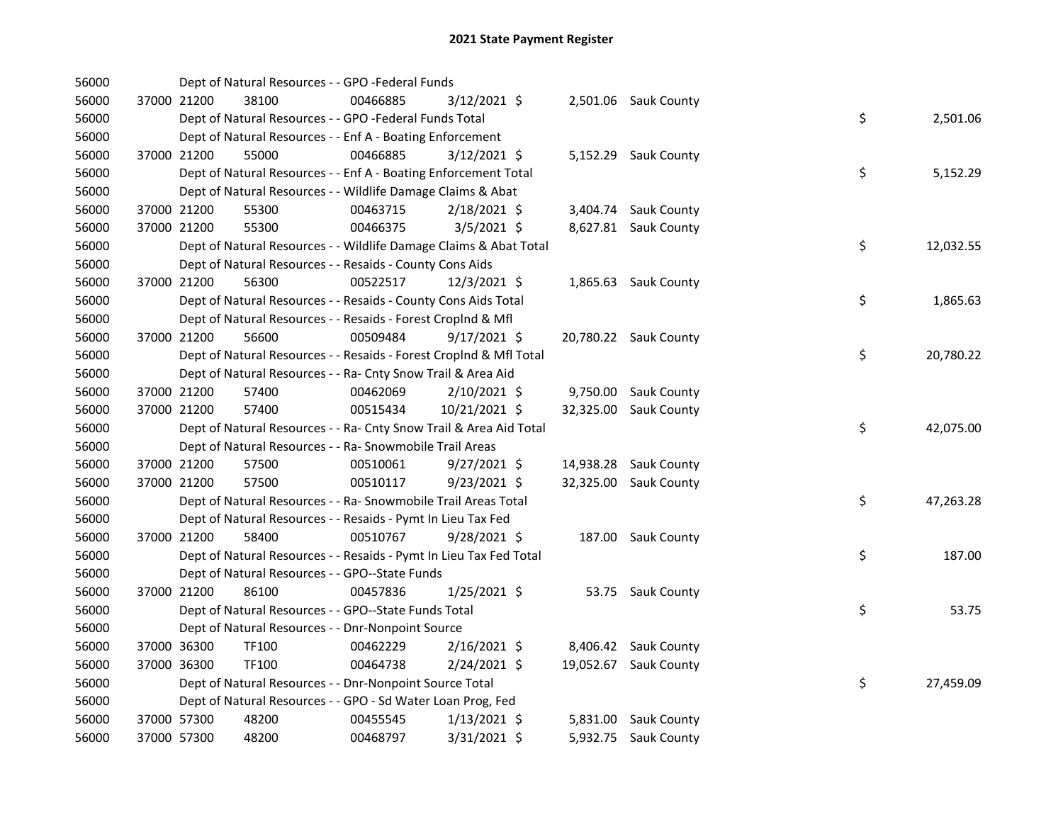| 56000 |             | Dept of Natural Resources - - GPO -Federal Funds                   |          |                |  |                       |    |           |
|-------|-------------|--------------------------------------------------------------------|----------|----------------|--|-----------------------|----|-----------|
| 56000 | 37000 21200 | 38100                                                              | 00466885 | $3/12/2021$ \$ |  | 2,501.06 Sauk County  |    |           |
| 56000 |             | Dept of Natural Resources - - GPO -Federal Funds Total             |          |                |  |                       | \$ | 2,501.06  |
| 56000 |             | Dept of Natural Resources - - Enf A - Boating Enforcement          |          |                |  |                       |    |           |
| 56000 | 37000 21200 | 55000                                                              | 00466885 | $3/12/2021$ \$ |  | 5,152.29 Sauk County  |    |           |
| 56000 |             | Dept of Natural Resources - - Enf A - Boating Enforcement Total    |          |                |  |                       | \$ | 5,152.29  |
| 56000 |             | Dept of Natural Resources - - Wildlife Damage Claims & Abat        |          |                |  |                       |    |           |
| 56000 | 37000 21200 | 55300                                                              | 00463715 | $2/18/2021$ \$ |  | 3,404.74 Sauk County  |    |           |
| 56000 | 37000 21200 | 55300                                                              | 00466375 | $3/5/2021$ \$  |  | 8,627.81 Sauk County  |    |           |
| 56000 |             | Dept of Natural Resources - - Wildlife Damage Claims & Abat Total  |          |                |  |                       | \$ | 12,032.55 |
| 56000 |             | Dept of Natural Resources - - Resaids - County Cons Aids           |          |                |  |                       |    |           |
| 56000 | 37000 21200 | 56300                                                              | 00522517 | 12/3/2021 \$   |  | 1,865.63 Sauk County  |    |           |
| 56000 |             | Dept of Natural Resources - - Resaids - County Cons Aids Total     |          |                |  |                       | \$ | 1,865.63  |
| 56000 |             | Dept of Natural Resources - - Resaids - Forest Croplnd & Mfl       |          |                |  |                       |    |           |
| 56000 | 37000 21200 | 56600                                                              | 00509484 | $9/17/2021$ \$ |  | 20,780.22 Sauk County |    |           |
| 56000 |             | Dept of Natural Resources - - Resaids - Forest CropInd & Mfl Total |          |                |  |                       | \$ | 20,780.22 |
| 56000 |             | Dept of Natural Resources - - Ra- Cnty Snow Trail & Area Aid       |          |                |  |                       |    |           |
| 56000 | 37000 21200 | 57400                                                              | 00462069 | $2/10/2021$ \$ |  | 9,750.00 Sauk County  |    |           |
| 56000 | 37000 21200 | 57400                                                              | 00515434 | 10/21/2021 \$  |  | 32,325.00 Sauk County |    |           |
| 56000 |             | Dept of Natural Resources - - Ra- Cnty Snow Trail & Area Aid Total |          |                |  |                       | \$ | 42,075.00 |
| 56000 |             | Dept of Natural Resources - - Ra- Snowmobile Trail Areas           |          |                |  |                       |    |           |
| 56000 | 37000 21200 | 57500                                                              | 00510061 | $9/27/2021$ \$ |  | 14,938.28 Sauk County |    |           |
| 56000 | 37000 21200 | 57500                                                              | 00510117 | $9/23/2021$ \$ |  | 32,325.00 Sauk County |    |           |
| 56000 |             | Dept of Natural Resources - - Ra- Snowmobile Trail Areas Total     |          |                |  |                       | \$ | 47,263.28 |
| 56000 |             | Dept of Natural Resources - - Resaids - Pymt In Lieu Tax Fed       |          |                |  |                       |    |           |
| 56000 | 37000 21200 | 58400                                                              | 00510767 | $9/28/2021$ \$ |  | 187.00 Sauk County    |    |           |
| 56000 |             | Dept of Natural Resources - - Resaids - Pymt In Lieu Tax Fed Total |          |                |  |                       | \$ | 187.00    |
| 56000 |             | Dept of Natural Resources - - GPO--State Funds                     |          |                |  |                       |    |           |
| 56000 | 37000 21200 | 86100                                                              | 00457836 | $1/25/2021$ \$ |  | 53.75 Sauk County     |    |           |
| 56000 |             | Dept of Natural Resources - - GPO--State Funds Total               |          |                |  |                       | \$ | 53.75     |
| 56000 |             | Dept of Natural Resources - - Dnr-Nonpoint Source                  |          |                |  |                       |    |           |
| 56000 | 37000 36300 | TF100                                                              | 00462229 | $2/16/2021$ \$ |  | 8,406.42 Sauk County  |    |           |
| 56000 | 37000 36300 | TF100                                                              | 00464738 | $2/24/2021$ \$ |  | 19,052.67 Sauk County |    |           |
| 56000 |             | Dept of Natural Resources - - Dnr-Nonpoint Source Total            |          |                |  |                       | \$ | 27,459.09 |
| 56000 |             | Dept of Natural Resources - - GPO - Sd Water Loan Prog, Fed        |          |                |  |                       |    |           |
| 56000 | 37000 57300 | 48200                                                              | 00455545 | $1/13/2021$ \$ |  | 5,831.00 Sauk County  |    |           |
| 56000 | 37000 57300 | 48200                                                              | 00468797 | 3/31/2021 \$   |  | 5,932.75 Sauk County  |    |           |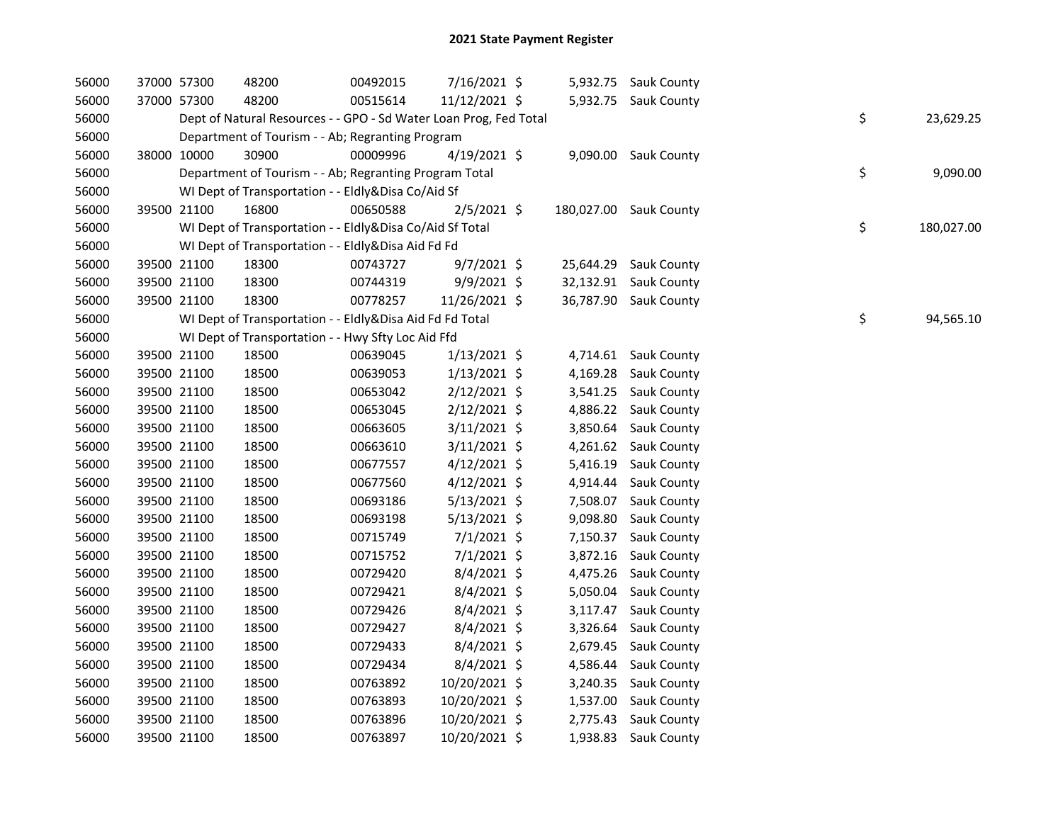| 56000 | 37000 57300 |             | 48200                                                             | 00492015 | 7/16/2021 \$   |          | 5,932.75 Sauk County   |    |            |
|-------|-------------|-------------|-------------------------------------------------------------------|----------|----------------|----------|------------------------|----|------------|
| 56000 | 37000 57300 |             | 48200                                                             | 00515614 | 11/12/2021 \$  |          | 5,932.75 Sauk County   |    |            |
| 56000 |             |             | Dept of Natural Resources - - GPO - Sd Water Loan Prog, Fed Total |          |                |          |                        | \$ | 23,629.25  |
| 56000 |             |             | Department of Tourism - - Ab; Regranting Program                  |          |                |          |                        |    |            |
| 56000 |             | 38000 10000 | 30900                                                             | 00009996 | $4/19/2021$ \$ |          | 9,090.00 Sauk County   |    |            |
| 56000 |             |             | Department of Tourism - - Ab; Regranting Program Total            |          |                |          |                        | \$ | 9,090.00   |
| 56000 |             |             | WI Dept of Transportation - - Eldly&Disa Co/Aid Sf                |          |                |          |                        |    |            |
| 56000 | 39500 21100 |             | 16800                                                             | 00650588 | $2/5/2021$ \$  |          | 180,027.00 Sauk County |    |            |
| 56000 |             |             | WI Dept of Transportation - - Eldly&Disa Co/Aid Sf Total          |          |                |          |                        | \$ | 180,027.00 |
| 56000 |             |             | WI Dept of Transportation - - Eldly&Disa Aid Fd Fd                |          |                |          |                        |    |            |
| 56000 | 39500 21100 |             | 18300                                                             | 00743727 | $9/7/2021$ \$  |          | 25,644.29 Sauk County  |    |            |
| 56000 | 39500 21100 |             | 18300                                                             | 00744319 | 9/9/2021 \$    |          | 32,132.91 Sauk County  |    |            |
| 56000 | 39500 21100 |             | 18300                                                             | 00778257 | 11/26/2021 \$  |          | 36,787.90 Sauk County  |    |            |
| 56000 |             |             | WI Dept of Transportation - - Eldly&Disa Aid Fd Fd Total          |          |                |          |                        | \$ | 94,565.10  |
| 56000 |             |             | WI Dept of Transportation - - Hwy Sfty Loc Aid Ffd                |          |                |          |                        |    |            |
| 56000 | 39500 21100 |             | 18500                                                             | 00639045 | $1/13/2021$ \$ |          | 4,714.61 Sauk County   |    |            |
| 56000 | 39500 21100 |             | 18500                                                             | 00639053 | $1/13/2021$ \$ |          | 4,169.28 Sauk County   |    |            |
| 56000 | 39500 21100 |             | 18500                                                             | 00653042 | $2/12/2021$ \$ |          | 3,541.25 Sauk County   |    |            |
| 56000 | 39500 21100 |             | 18500                                                             | 00653045 | 2/12/2021 \$   |          | 4,886.22 Sauk County   |    |            |
| 56000 | 39500 21100 |             | 18500                                                             | 00663605 | 3/11/2021 \$   |          | 3,850.64 Sauk County   |    |            |
| 56000 | 39500 21100 |             | 18500                                                             | 00663610 | 3/11/2021 \$   |          | 4,261.62 Sauk County   |    |            |
| 56000 | 39500 21100 |             | 18500                                                             | 00677557 | $4/12/2021$ \$ |          | 5,416.19 Sauk County   |    |            |
| 56000 | 39500 21100 |             | 18500                                                             | 00677560 | 4/12/2021 \$   |          | 4,914.44 Sauk County   |    |            |
| 56000 | 39500 21100 |             | 18500                                                             | 00693186 | $5/13/2021$ \$ |          | 7,508.07 Sauk County   |    |            |
| 56000 | 39500 21100 |             | 18500                                                             | 00693198 | $5/13/2021$ \$ |          | 9,098.80 Sauk County   |    |            |
| 56000 | 39500 21100 |             | 18500                                                             | 00715749 | $7/1/2021$ \$  |          | 7,150.37 Sauk County   |    |            |
| 56000 | 39500 21100 |             | 18500                                                             | 00715752 | 7/1/2021 \$    |          | 3,872.16 Sauk County   |    |            |
| 56000 | 39500 21100 |             | 18500                                                             | 00729420 | 8/4/2021 \$    |          | 4,475.26 Sauk County   |    |            |
| 56000 | 39500 21100 |             | 18500                                                             | 00729421 | $8/4/2021$ \$  |          | 5,050.04 Sauk County   |    |            |
| 56000 | 39500 21100 |             | 18500                                                             | 00729426 | $8/4/2021$ \$  | 3,117.47 | Sauk County            |    |            |
| 56000 | 39500 21100 |             | 18500                                                             | 00729427 | $8/4/2021$ \$  |          | 3,326.64 Sauk County   |    |            |
| 56000 | 39500 21100 |             | 18500                                                             | 00729433 | 8/4/2021 \$    |          | 2,679.45 Sauk County   |    |            |
| 56000 | 39500 21100 |             | 18500                                                             | 00729434 | 8/4/2021 \$    |          | 4,586.44 Sauk County   |    |            |
| 56000 | 39500 21100 |             | 18500                                                             | 00763892 | 10/20/2021 \$  |          | 3,240.35 Sauk County   |    |            |
| 56000 | 39500 21100 |             | 18500                                                             | 00763893 | 10/20/2021 \$  |          | 1,537.00 Sauk County   |    |            |
| 56000 | 39500 21100 |             | 18500                                                             | 00763896 | 10/20/2021 \$  |          | 2,775.43 Sauk County   |    |            |
| 56000 |             | 39500 21100 | 18500                                                             | 00763897 | 10/20/2021 \$  |          | 1,938.83 Sauk County   |    |            |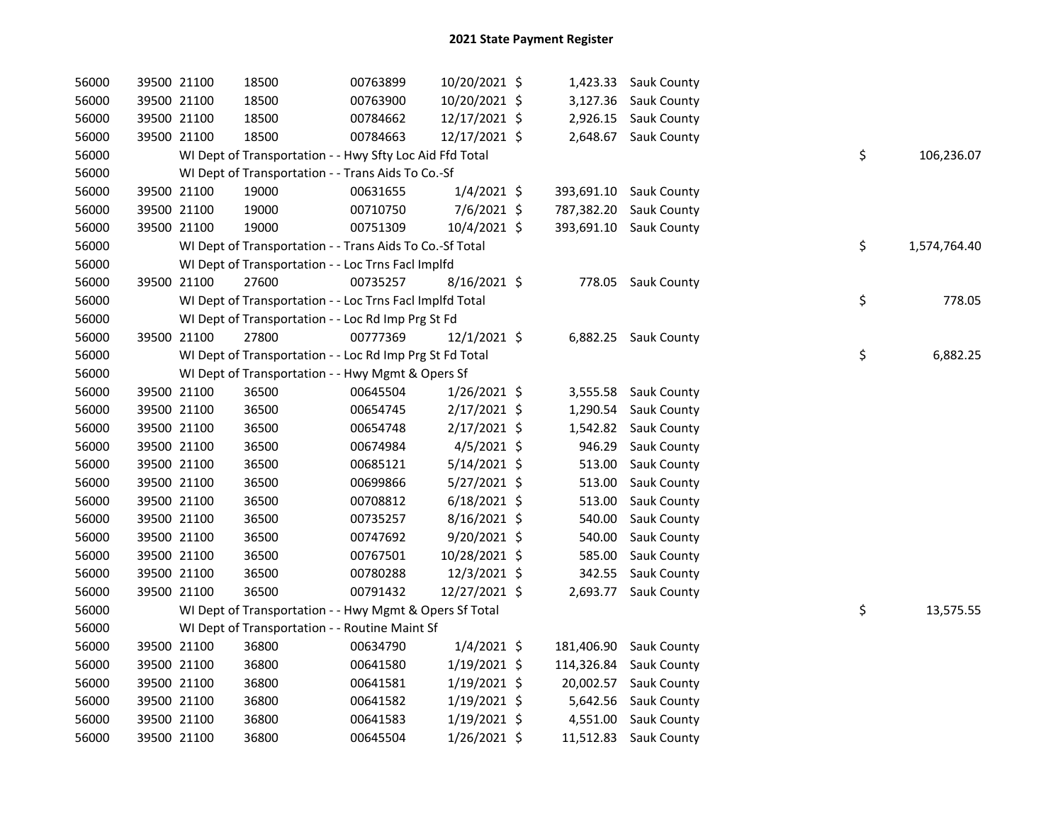| 56000 | 39500 21100 | 18500                                                    | 00763899 | 10/20/2021 \$  |            | 1,423.33 Sauk County   |    |              |
|-------|-------------|----------------------------------------------------------|----------|----------------|------------|------------------------|----|--------------|
| 56000 | 39500 21100 | 18500                                                    | 00763900 | 10/20/2021 \$  |            | 3,127.36 Sauk County   |    |              |
| 56000 | 39500 21100 | 18500                                                    | 00784662 | 12/17/2021 \$  |            | 2,926.15 Sauk County   |    |              |
| 56000 | 39500 21100 | 18500                                                    | 00784663 | 12/17/2021 \$  |            | 2,648.67 Sauk County   |    |              |
| 56000 |             | WI Dept of Transportation - - Hwy Sfty Loc Aid Ffd Total |          |                |            |                        | \$ | 106,236.07   |
| 56000 |             | WI Dept of Transportation - - Trans Aids To Co.-Sf       |          |                |            |                        |    |              |
| 56000 | 39500 21100 | 19000                                                    | 00631655 | $1/4/2021$ \$  |            | 393,691.10 Sauk County |    |              |
| 56000 | 39500 21100 | 19000                                                    | 00710750 | $7/6/2021$ \$  |            | 787,382.20 Sauk County |    |              |
| 56000 | 39500 21100 | 19000                                                    | 00751309 | 10/4/2021 \$   |            | 393,691.10 Sauk County |    |              |
| 56000 |             | WI Dept of Transportation - - Trans Aids To Co.-Sf Total |          |                |            |                        | \$ | 1,574,764.40 |
| 56000 |             | WI Dept of Transportation - - Loc Trns Facl Implfd       |          |                |            |                        |    |              |
| 56000 | 39500 21100 | 27600                                                    | 00735257 | 8/16/2021 \$   |            | 778.05 Sauk County     |    |              |
| 56000 |             | WI Dept of Transportation - - Loc Trns Facl Implfd Total |          |                |            |                        | \$ | 778.05       |
| 56000 |             | WI Dept of Transportation - - Loc Rd Imp Prg St Fd       |          |                |            |                        |    |              |
| 56000 | 39500 21100 | 27800                                                    | 00777369 | 12/1/2021 \$   |            | 6,882.25 Sauk County   |    |              |
| 56000 |             | WI Dept of Transportation - - Loc Rd Imp Prg St Fd Total |          |                |            |                        | \$ | 6,882.25     |
| 56000 |             | WI Dept of Transportation - - Hwy Mgmt & Opers Sf        |          |                |            |                        |    |              |
| 56000 | 39500 21100 | 36500                                                    | 00645504 | $1/26/2021$ \$ |            | 3,555.58 Sauk County   |    |              |
| 56000 | 39500 21100 | 36500                                                    | 00654745 | $2/17/2021$ \$ |            | 1,290.54 Sauk County   |    |              |
| 56000 | 39500 21100 | 36500                                                    | 00654748 | $2/17/2021$ \$ |            | 1,542.82 Sauk County   |    |              |
| 56000 | 39500 21100 | 36500                                                    | 00674984 | $4/5/2021$ \$  | 946.29     | <b>Sauk County</b>     |    |              |
| 56000 | 39500 21100 | 36500                                                    | 00685121 | 5/14/2021 \$   |            | 513.00 Sauk County     |    |              |
| 56000 | 39500 21100 | 36500                                                    | 00699866 | 5/27/2021 \$   |            | 513.00 Sauk County     |    |              |
| 56000 | 39500 21100 | 36500                                                    | 00708812 | $6/18/2021$ \$ |            | 513.00 Sauk County     |    |              |
| 56000 | 39500 21100 | 36500                                                    | 00735257 | 8/16/2021 \$   |            | 540.00 Sauk County     |    |              |
| 56000 | 39500 21100 | 36500                                                    | 00747692 | $9/20/2021$ \$ |            | 540.00 Sauk County     |    |              |
| 56000 | 39500 21100 | 36500                                                    | 00767501 | 10/28/2021 \$  | 585.00     | <b>Sauk County</b>     |    |              |
| 56000 | 39500 21100 | 36500                                                    | 00780288 | 12/3/2021 \$   |            | 342.55 Sauk County     |    |              |
| 56000 | 39500 21100 | 36500                                                    | 00791432 | 12/27/2021 \$  |            | 2,693.77 Sauk County   |    |              |
| 56000 |             | WI Dept of Transportation - - Hwy Mgmt & Opers Sf Total  |          |                |            |                        | \$ | 13,575.55    |
| 56000 |             | WI Dept of Transportation - - Routine Maint Sf           |          |                |            |                        |    |              |
| 56000 | 39500 21100 | 36800                                                    | 00634790 | $1/4/2021$ \$  |            | 181,406.90 Sauk County |    |              |
| 56000 | 39500 21100 | 36800                                                    | 00641580 | 1/19/2021 \$   | 114,326.84 | Sauk County            |    |              |
| 56000 | 39500 21100 | 36800                                                    | 00641581 | $1/19/2021$ \$ | 20,002.57  | <b>Sauk County</b>     |    |              |
| 56000 | 39500 21100 | 36800                                                    | 00641582 | $1/19/2021$ \$ |            | 5,642.56 Sauk County   |    |              |
| 56000 | 39500 21100 | 36800                                                    | 00641583 | $1/19/2021$ \$ | 4,551.00   | Sauk County            |    |              |
| 56000 | 39500 21100 | 36800                                                    | 00645504 | $1/26/2021$ \$ |            | 11,512.83 Sauk County  |    |              |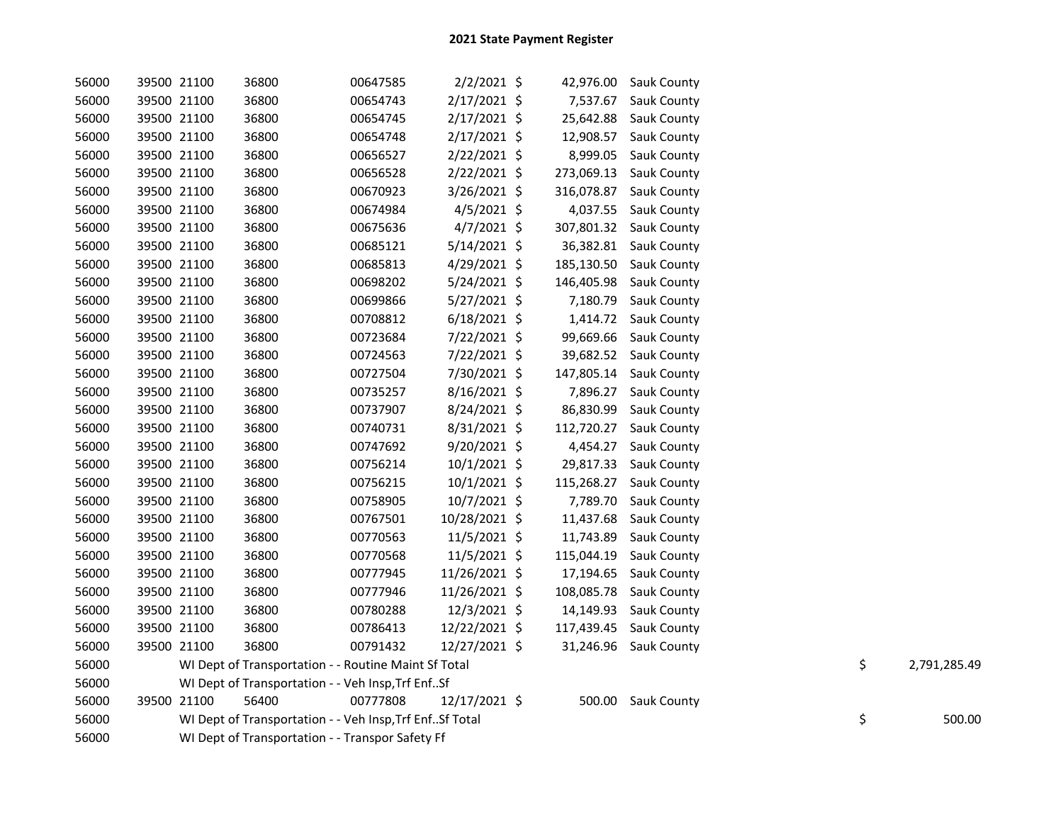|  | 36800                                                                                                                                                                                                                                                                                                                                                                                                                                                                                                       | 00647585 |                                                                                                                                                                                                                          |                                                                                                                                                                                                                                                                                                                                                                                                                                                                                                                                                                       |                    |                                                                                                                                                                                                    |                    |
|--|-------------------------------------------------------------------------------------------------------------------------------------------------------------------------------------------------------------------------------------------------------------------------------------------------------------------------------------------------------------------------------------------------------------------------------------------------------------------------------------------------------------|----------|--------------------------------------------------------------------------------------------------------------------------------------------------------------------------------------------------------------------------|-----------------------------------------------------------------------------------------------------------------------------------------------------------------------------------------------------------------------------------------------------------------------------------------------------------------------------------------------------------------------------------------------------------------------------------------------------------------------------------------------------------------------------------------------------------------------|--------------------|----------------------------------------------------------------------------------------------------------------------------------------------------------------------------------------------------|--------------------|
|  | 36800                                                                                                                                                                                                                                                                                                                                                                                                                                                                                                       | 00654743 |                                                                                                                                                                                                                          |                                                                                                                                                                                                                                                                                                                                                                                                                                                                                                                                                                       |                    |                                                                                                                                                                                                    |                    |
|  | 36800                                                                                                                                                                                                                                                                                                                                                                                                                                                                                                       | 00654745 |                                                                                                                                                                                                                          | 25,642.88                                                                                                                                                                                                                                                                                                                                                                                                                                                                                                                                                             | Sauk County        |                                                                                                                                                                                                    |                    |
|  | 36800                                                                                                                                                                                                                                                                                                                                                                                                                                                                                                       | 00654748 |                                                                                                                                                                                                                          | 12,908.57                                                                                                                                                                                                                                                                                                                                                                                                                                                                                                                                                             | Sauk County        |                                                                                                                                                                                                    |                    |
|  | 36800                                                                                                                                                                                                                                                                                                                                                                                                                                                                                                       | 00656527 |                                                                                                                                                                                                                          | 8,999.05                                                                                                                                                                                                                                                                                                                                                                                                                                                                                                                                                              | <b>Sauk County</b> |                                                                                                                                                                                                    |                    |
|  | 36800                                                                                                                                                                                                                                                                                                                                                                                                                                                                                                       | 00656528 |                                                                                                                                                                                                                          | 273,069.13                                                                                                                                                                                                                                                                                                                                                                                                                                                                                                                                                            | <b>Sauk County</b> |                                                                                                                                                                                                    |                    |
|  | 36800                                                                                                                                                                                                                                                                                                                                                                                                                                                                                                       | 00670923 |                                                                                                                                                                                                                          |                                                                                                                                                                                                                                                                                                                                                                                                                                                                                                                                                                       | <b>Sauk County</b> |                                                                                                                                                                                                    |                    |
|  | 36800                                                                                                                                                                                                                                                                                                                                                                                                                                                                                                       | 00674984 |                                                                                                                                                                                                                          |                                                                                                                                                                                                                                                                                                                                                                                                                                                                                                                                                                       | Sauk County        |                                                                                                                                                                                                    |                    |
|  | 36800                                                                                                                                                                                                                                                                                                                                                                                                                                                                                                       | 00675636 |                                                                                                                                                                                                                          | 307,801.32                                                                                                                                                                                                                                                                                                                                                                                                                                                                                                                                                            | <b>Sauk County</b> |                                                                                                                                                                                                    |                    |
|  | 36800                                                                                                                                                                                                                                                                                                                                                                                                                                                                                                       | 00685121 |                                                                                                                                                                                                                          | 36,382.81                                                                                                                                                                                                                                                                                                                                                                                                                                                                                                                                                             | Sauk County        |                                                                                                                                                                                                    |                    |
|  | 36800                                                                                                                                                                                                                                                                                                                                                                                                                                                                                                       | 00685813 |                                                                                                                                                                                                                          | 185,130.50                                                                                                                                                                                                                                                                                                                                                                                                                                                                                                                                                            | <b>Sauk County</b> |                                                                                                                                                                                                    |                    |
|  | 36800                                                                                                                                                                                                                                                                                                                                                                                                                                                                                                       | 00698202 |                                                                                                                                                                                                                          | 146,405.98                                                                                                                                                                                                                                                                                                                                                                                                                                                                                                                                                            | <b>Sauk County</b> |                                                                                                                                                                                                    |                    |
|  | 36800                                                                                                                                                                                                                                                                                                                                                                                                                                                                                                       | 00699866 |                                                                                                                                                                                                                          | 7,180.79                                                                                                                                                                                                                                                                                                                                                                                                                                                                                                                                                              | Sauk County        |                                                                                                                                                                                                    |                    |
|  | 36800                                                                                                                                                                                                                                                                                                                                                                                                                                                                                                       | 00708812 |                                                                                                                                                                                                                          |                                                                                                                                                                                                                                                                                                                                                                                                                                                                                                                                                                       | Sauk County        |                                                                                                                                                                                                    |                    |
|  | 36800                                                                                                                                                                                                                                                                                                                                                                                                                                                                                                       | 00723684 |                                                                                                                                                                                                                          | 99,669.66                                                                                                                                                                                                                                                                                                                                                                                                                                                                                                                                                             | Sauk County        |                                                                                                                                                                                                    |                    |
|  | 36800                                                                                                                                                                                                                                                                                                                                                                                                                                                                                                       | 00724563 |                                                                                                                                                                                                                          |                                                                                                                                                                                                                                                                                                                                                                                                                                                                                                                                                                       | <b>Sauk County</b> |                                                                                                                                                                                                    |                    |
|  | 36800                                                                                                                                                                                                                                                                                                                                                                                                                                                                                                       | 00727504 |                                                                                                                                                                                                                          | 147,805.14                                                                                                                                                                                                                                                                                                                                                                                                                                                                                                                                                            | <b>Sauk County</b> |                                                                                                                                                                                                    |                    |
|  | 36800                                                                                                                                                                                                                                                                                                                                                                                                                                                                                                       | 00735257 |                                                                                                                                                                                                                          |                                                                                                                                                                                                                                                                                                                                                                                                                                                                                                                                                                       | <b>Sauk County</b> |                                                                                                                                                                                                    |                    |
|  | 36800                                                                                                                                                                                                                                                                                                                                                                                                                                                                                                       | 00737907 |                                                                                                                                                                                                                          | 86,830.99                                                                                                                                                                                                                                                                                                                                                                                                                                                                                                                                                             | Sauk County        |                                                                                                                                                                                                    |                    |
|  | 36800                                                                                                                                                                                                                                                                                                                                                                                                                                                                                                       | 00740731 |                                                                                                                                                                                                                          |                                                                                                                                                                                                                                                                                                                                                                                                                                                                                                                                                                       | Sauk County        |                                                                                                                                                                                                    |                    |
|  | 36800                                                                                                                                                                                                                                                                                                                                                                                                                                                                                                       | 00747692 |                                                                                                                                                                                                                          |                                                                                                                                                                                                                                                                                                                                                                                                                                                                                                                                                                       | Sauk County        |                                                                                                                                                                                                    |                    |
|  | 36800                                                                                                                                                                                                                                                                                                                                                                                                                                                                                                       | 00756214 |                                                                                                                                                                                                                          |                                                                                                                                                                                                                                                                                                                                                                                                                                                                                                                                                                       | <b>Sauk County</b> |                                                                                                                                                                                                    |                    |
|  | 36800                                                                                                                                                                                                                                                                                                                                                                                                                                                                                                       | 00756215 |                                                                                                                                                                                                                          | 115,268.27                                                                                                                                                                                                                                                                                                                                                                                                                                                                                                                                                            | Sauk County        |                                                                                                                                                                                                    |                    |
|  | 36800                                                                                                                                                                                                                                                                                                                                                                                                                                                                                                       | 00758905 |                                                                                                                                                                                                                          | 7,789.70                                                                                                                                                                                                                                                                                                                                                                                                                                                                                                                                                              | Sauk County        |                                                                                                                                                                                                    |                    |
|  | 36800                                                                                                                                                                                                                                                                                                                                                                                                                                                                                                       | 00767501 |                                                                                                                                                                                                                          | 11,437.68                                                                                                                                                                                                                                                                                                                                                                                                                                                                                                                                                             | Sauk County        |                                                                                                                                                                                                    |                    |
|  | 36800                                                                                                                                                                                                                                                                                                                                                                                                                                                                                                       | 00770563 |                                                                                                                                                                                                                          | 11,743.89                                                                                                                                                                                                                                                                                                                                                                                                                                                                                                                                                             | Sauk County        |                                                                                                                                                                                                    |                    |
|  | 36800                                                                                                                                                                                                                                                                                                                                                                                                                                                                                                       | 00770568 |                                                                                                                                                                                                                          | 115,044.19                                                                                                                                                                                                                                                                                                                                                                                                                                                                                                                                                            | Sauk County        |                                                                                                                                                                                                    |                    |
|  | 36800                                                                                                                                                                                                                                                                                                                                                                                                                                                                                                       | 00777945 |                                                                                                                                                                                                                          | 17,194.65                                                                                                                                                                                                                                                                                                                                                                                                                                                                                                                                                             | <b>Sauk County</b> |                                                                                                                                                                                                    |                    |
|  | 36800                                                                                                                                                                                                                                                                                                                                                                                                                                                                                                       | 00777946 |                                                                                                                                                                                                                          | 108,085.78                                                                                                                                                                                                                                                                                                                                                                                                                                                                                                                                                            | <b>Sauk County</b> |                                                                                                                                                                                                    |                    |
|  | 36800                                                                                                                                                                                                                                                                                                                                                                                                                                                                                                       | 00780288 |                                                                                                                                                                                                                          | 14,149.93                                                                                                                                                                                                                                                                                                                                                                                                                                                                                                                                                             | <b>Sauk County</b> |                                                                                                                                                                                                    |                    |
|  | 36800                                                                                                                                                                                                                                                                                                                                                                                                                                                                                                       | 00786413 |                                                                                                                                                                                                                          | 117,439.45                                                                                                                                                                                                                                                                                                                                                                                                                                                                                                                                                            | Sauk County        |                                                                                                                                                                                                    |                    |
|  | 36800                                                                                                                                                                                                                                                                                                                                                                                                                                                                                                       | 00791432 |                                                                                                                                                                                                                          |                                                                                                                                                                                                                                                                                                                                                                                                                                                                                                                                                                       |                    |                                                                                                                                                                                                    |                    |
|  |                                                                                                                                                                                                                                                                                                                                                                                                                                                                                                             |          |                                                                                                                                                                                                                          |                                                                                                                                                                                                                                                                                                                                                                                                                                                                                                                                                                       |                    |                                                                                                                                                                                                    | \$<br>2,791,285.49 |
|  |                                                                                                                                                                                                                                                                                                                                                                                                                                                                                                             |          |                                                                                                                                                                                                                          |                                                                                                                                                                                                                                                                                                                                                                                                                                                                                                                                                                       |                    |                                                                                                                                                                                                    |                    |
|  | 56400                                                                                                                                                                                                                                                                                                                                                                                                                                                                                                       | 00777808 |                                                                                                                                                                                                                          |                                                                                                                                                                                                                                                                                                                                                                                                                                                                                                                                                                       |                    |                                                                                                                                                                                                    |                    |
|  |                                                                                                                                                                                                                                                                                                                                                                                                                                                                                                             |          |                                                                                                                                                                                                                          |                                                                                                                                                                                                                                                                                                                                                                                                                                                                                                                                                                       |                    |                                                                                                                                                                                                    | \$<br>500.00       |
|  |                                                                                                                                                                                                                                                                                                                                                                                                                                                                                                             |          |                                                                                                                                                                                                                          |                                                                                                                                                                                                                                                                                                                                                                                                                                                                                                                                                                       |                    |                                                                                                                                                                                                    |                    |
|  | 39500 21100<br>39500 21100<br>39500 21100<br>39500 21100<br>39500 21100<br>39500 21100<br>39500 21100<br>39500 21100<br>39500 21100<br>39500 21100<br>39500 21100<br>39500 21100<br>39500 21100<br>39500 21100<br>39500 21100<br>39500 21100<br>39500 21100<br>39500 21100<br>39500 21100<br>39500 21100<br>39500 21100<br>39500 21100<br>39500 21100<br>39500 21100<br>39500 21100<br>39500 21100<br>39500 21100<br>39500 21100<br>39500 21100<br>39500 21100<br>39500 21100<br>39500 21100<br>39500 21100 |          | WI Dept of Transportation - - Routine Maint Sf Total<br>WI Dept of Transportation - - Veh Insp, Trf EnfSf<br>WI Dept of Transportation - - Veh Insp, Trf EnfSf Total<br>WI Dept of Transportation - - Transpor Safety Ff | $2/2/2021$ \$<br>2/17/2021 \$<br>2/17/2021 \$<br>2/17/2021 \$<br>2/22/2021 \$<br>$2/22/2021$ \$<br>3/26/2021 \$<br>$4/5/2021$ \$<br>$4/7/2021$ \$<br>$5/14/2021$ \$<br>$4/29/2021$ \$<br>$5/24/2021$ \$<br>5/27/2021 \$<br>$6/18/2021$ \$<br>7/22/2021 \$<br>7/22/2021 \$<br>7/30/2021 \$<br>$8/16/2021$ \$<br>8/24/2021 \$<br>8/31/2021 \$<br>9/20/2021 \$<br>$10/1/2021$ \$<br>$10/1/2021$ \$<br>10/7/2021 \$<br>10/28/2021 \$<br>11/5/2021 \$<br>11/5/2021 \$<br>11/26/2021 \$<br>11/26/2021 \$<br>12/3/2021 \$<br>12/22/2021 \$<br>12/27/2021 \$<br>12/17/2021 \$ |                    | 42,976.00 Sauk County<br>7,537.67 Sauk County<br>316,078.87<br>4,037.55<br>1,414.72<br>39,682.52<br>7,896.27<br>112,720.27<br>4,454.27<br>29,817.33<br>31,246.96 Sauk County<br>500.00 Sauk County |                    |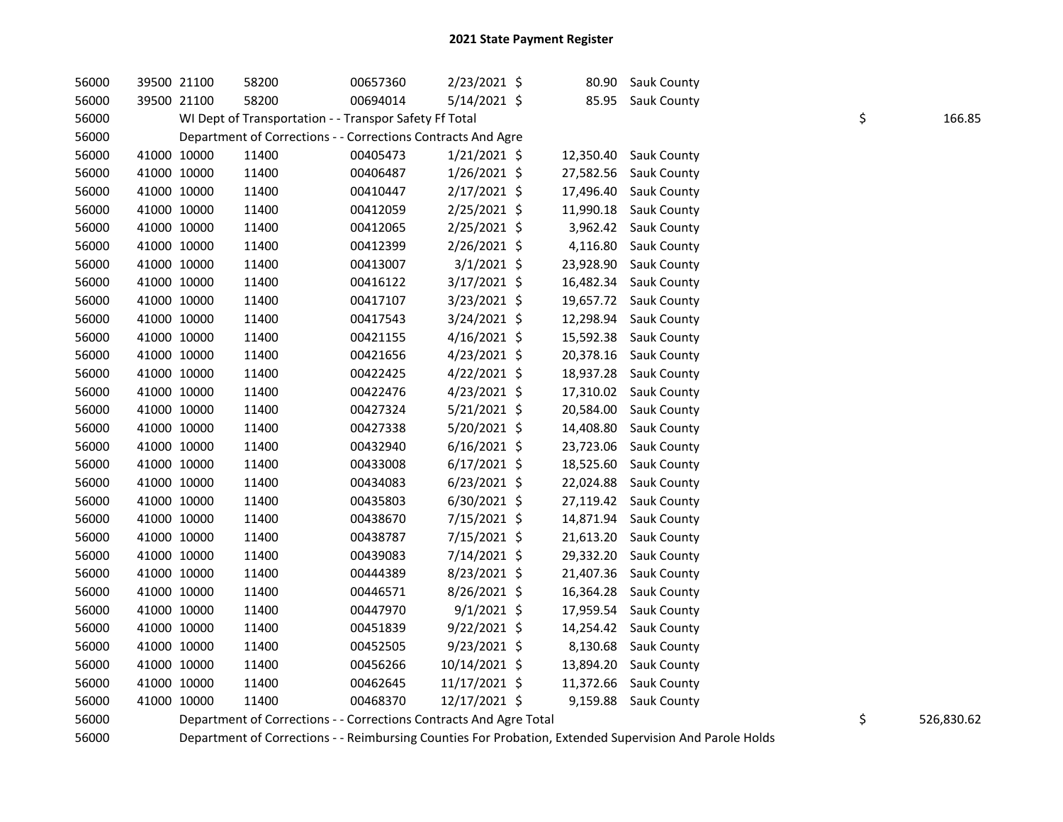| 56000 | 39500 21100 | 58200                                                              | 00657360 | 2/23/2021 \$   | 80.90     | Sauk County           |    |            |
|-------|-------------|--------------------------------------------------------------------|----------|----------------|-----------|-----------------------|----|------------|
| 56000 | 39500 21100 | 58200                                                              | 00694014 | 5/14/2021 \$   |           | 85.95 Sauk County     |    |            |
| 56000 |             | WI Dept of Transportation - - Transpor Safety Ff Total             |          |                |           |                       | \$ | 166.85     |
| 56000 |             | Department of Corrections - - Corrections Contracts And Agre       |          |                |           |                       |    |            |
| 56000 | 41000 10000 | 11400                                                              | 00405473 | 1/21/2021 \$   | 12,350.40 | <b>Sauk County</b>    |    |            |
| 56000 | 41000 10000 | 11400                                                              | 00406487 | $1/26/2021$ \$ | 27,582.56 | Sauk County           |    |            |
| 56000 | 41000 10000 | 11400                                                              | 00410447 | $2/17/2021$ \$ | 17,496.40 | <b>Sauk County</b>    |    |            |
| 56000 | 41000 10000 | 11400                                                              | 00412059 | $2/25/2021$ \$ |           | 11,990.18 Sauk County |    |            |
| 56000 | 41000 10000 | 11400                                                              | 00412065 | $2/25/2021$ \$ |           | 3,962.42 Sauk County  |    |            |
| 56000 | 41000 10000 | 11400                                                              | 00412399 | $2/26/2021$ \$ | 4,116.80  | Sauk County           |    |            |
| 56000 | 41000 10000 | 11400                                                              | 00413007 | $3/1/2021$ \$  | 23,928.90 | <b>Sauk County</b>    |    |            |
| 56000 | 41000 10000 | 11400                                                              | 00416122 | 3/17/2021 \$   |           | 16,482.34 Sauk County |    |            |
| 56000 | 41000 10000 | 11400                                                              | 00417107 | $3/23/2021$ \$ |           | 19,657.72 Sauk County |    |            |
| 56000 | 41000 10000 | 11400                                                              | 00417543 | 3/24/2021 \$   |           | 12,298.94 Sauk County |    |            |
| 56000 | 41000 10000 | 11400                                                              | 00421155 | $4/16/2021$ \$ | 15,592.38 | <b>Sauk County</b>    |    |            |
| 56000 | 41000 10000 | 11400                                                              | 00421656 | $4/23/2021$ \$ | 20,378.16 | <b>Sauk County</b>    |    |            |
| 56000 | 41000 10000 | 11400                                                              | 00422425 | $4/22/2021$ \$ |           | 18,937.28 Sauk County |    |            |
| 56000 | 41000 10000 | 11400                                                              | 00422476 | $4/23/2021$ \$ |           | 17,310.02 Sauk County |    |            |
| 56000 | 41000 10000 | 11400                                                              | 00427324 | $5/21/2021$ \$ | 20,584.00 | <b>Sauk County</b>    |    |            |
| 56000 | 41000 10000 | 11400                                                              | 00427338 | 5/20/2021 \$   | 14,408.80 | <b>Sauk County</b>    |    |            |
| 56000 | 41000 10000 | 11400                                                              | 00432940 | $6/16/2021$ \$ | 23,723.06 | <b>Sauk County</b>    |    |            |
| 56000 | 41000 10000 | 11400                                                              | 00433008 | $6/17/2021$ \$ | 18,525.60 | <b>Sauk County</b>    |    |            |
| 56000 | 41000 10000 | 11400                                                              | 00434083 | $6/23/2021$ \$ | 22,024.88 | <b>Sauk County</b>    |    |            |
| 56000 | 41000 10000 | 11400                                                              | 00435803 | $6/30/2021$ \$ |           | 27,119.42 Sauk County |    |            |
| 56000 | 41000 10000 | 11400                                                              | 00438670 | 7/15/2021 \$   |           | 14,871.94 Sauk County |    |            |
| 56000 | 41000 10000 | 11400                                                              | 00438787 | 7/15/2021 \$   | 21,613.20 | <b>Sauk County</b>    |    |            |
| 56000 | 41000 10000 | 11400                                                              | 00439083 | 7/14/2021 \$   | 29,332.20 | <b>Sauk County</b>    |    |            |
| 56000 | 41000 10000 | 11400                                                              | 00444389 | 8/23/2021 \$   | 21,407.36 | <b>Sauk County</b>    |    |            |
| 56000 | 41000 10000 | 11400                                                              | 00446571 | $8/26/2021$ \$ | 16,364.28 | <b>Sauk County</b>    |    |            |
| 56000 | 41000 10000 | 11400                                                              | 00447970 | $9/1/2021$ \$  | 17,959.54 | Sauk County           |    |            |
| 56000 | 41000 10000 | 11400                                                              | 00451839 | $9/22/2021$ \$ |           | 14,254.42 Sauk County |    |            |
| 56000 | 41000 10000 | 11400                                                              | 00452505 | $9/23/2021$ \$ |           | 8,130.68 Sauk County  |    |            |
| 56000 | 41000 10000 | 11400                                                              | 00456266 | 10/14/2021 \$  | 13,894.20 | <b>Sauk County</b>    |    |            |
| 56000 | 41000 10000 | 11400                                                              | 00462645 | 11/17/2021 \$  |           | 11,372.66 Sauk County |    |            |
| 56000 | 41000 10000 | 11400                                                              | 00468370 | 12/17/2021 \$  |           | 9,159.88 Sauk County  |    |            |
| 56000 |             | Department of Corrections - - Corrections Contracts And Agre Total |          |                |           |                       | \$ | 526,830.62 |

56000 Department of Corrections - - Reimbursing Counties For Probation, Extended Supervision And Parole Holds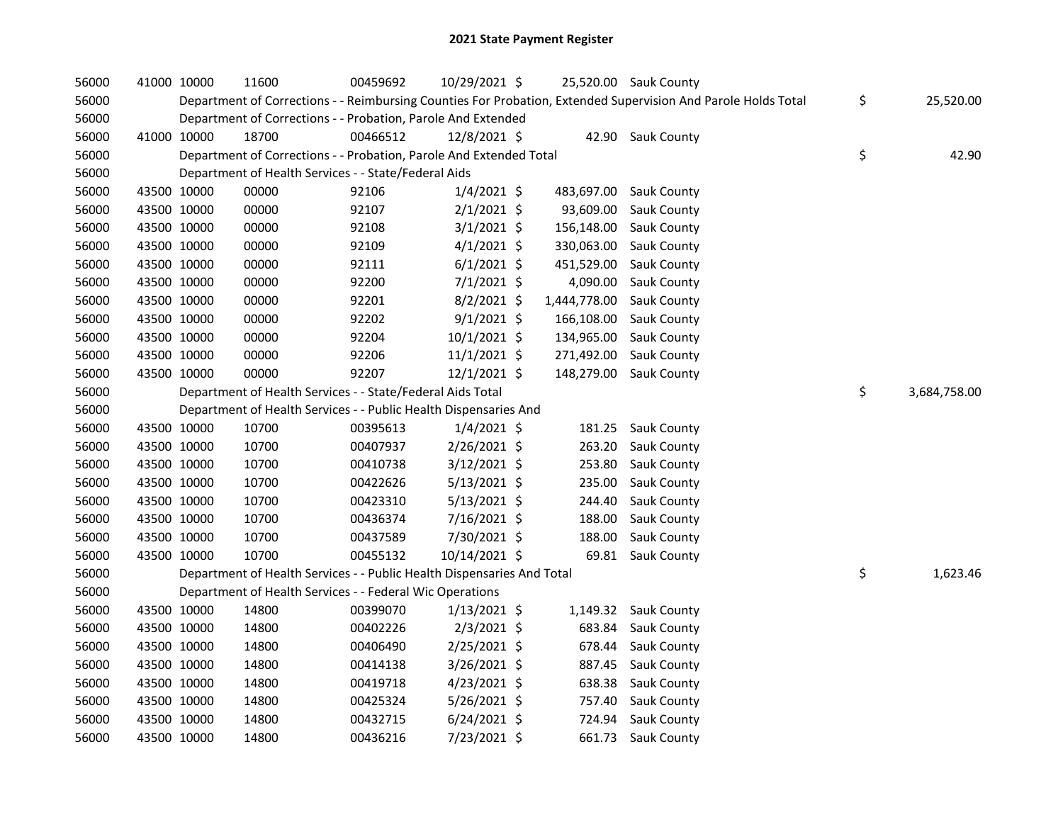| 56000 |             | 41000 10000 | 11600                                                                  | 00459692 | 10/29/2021 \$  |              | 25,520.00 Sauk County                                                                                         |                    |
|-------|-------------|-------------|------------------------------------------------------------------------|----------|----------------|--------------|---------------------------------------------------------------------------------------------------------------|--------------------|
| 56000 |             |             |                                                                        |          |                |              | Department of Corrections - - Reimbursing Counties For Probation, Extended Supervision And Parole Holds Total | \$<br>25,520.00    |
| 56000 |             |             | Department of Corrections - - Probation, Parole And Extended           |          |                |              |                                                                                                               |                    |
| 56000 | 41000 10000 |             | 18700                                                                  | 00466512 | 12/8/2021 \$   |              | 42.90 Sauk County                                                                                             |                    |
| 56000 |             |             | Department of Corrections - - Probation, Parole And Extended Total     |          |                |              |                                                                                                               | \$<br>42.90        |
| 56000 |             |             | Department of Health Services - - State/Federal Aids                   |          |                |              |                                                                                                               |                    |
| 56000 | 43500 10000 |             | 00000                                                                  | 92106    | $1/4/2021$ \$  | 483,697.00   | <b>Sauk County</b>                                                                                            |                    |
| 56000 |             | 43500 10000 | 00000                                                                  | 92107    | $2/1/2021$ \$  | 93,609.00    | Sauk County                                                                                                   |                    |
| 56000 |             | 43500 10000 | 00000                                                                  | 92108    | $3/1/2021$ \$  | 156,148.00   | Sauk County                                                                                                   |                    |
| 56000 |             | 43500 10000 | 00000                                                                  | 92109    | $4/1/2021$ \$  | 330,063.00   | Sauk County                                                                                                   |                    |
| 56000 |             | 43500 10000 | 00000                                                                  | 92111    | $6/1/2021$ \$  | 451,529.00   | <b>Sauk County</b>                                                                                            |                    |
| 56000 |             | 43500 10000 | 00000                                                                  | 92200    | $7/1/2021$ \$  | 4,090.00     | Sauk County                                                                                                   |                    |
| 56000 |             | 43500 10000 | 00000                                                                  | 92201    | $8/2/2021$ \$  | 1,444,778.00 | Sauk County                                                                                                   |                    |
| 56000 |             | 43500 10000 | 00000                                                                  | 92202    | $9/1/2021$ \$  | 166,108.00   | Sauk County                                                                                                   |                    |
| 56000 | 43500 10000 |             | 00000                                                                  | 92204    | 10/1/2021 \$   | 134,965.00   | <b>Sauk County</b>                                                                                            |                    |
| 56000 | 43500 10000 |             | 00000                                                                  | 92206    | $11/1/2021$ \$ | 271,492.00   | Sauk County                                                                                                   |                    |
| 56000 | 43500 10000 |             | 00000                                                                  | 92207    | 12/1/2021 \$   |              | 148,279.00 Sauk County                                                                                        |                    |
| 56000 |             |             | Department of Health Services - - State/Federal Aids Total             |          |                |              |                                                                                                               | \$<br>3,684,758.00 |
| 56000 |             |             | Department of Health Services - - Public Health Dispensaries And       |          |                |              |                                                                                                               |                    |
| 56000 |             | 43500 10000 | 10700                                                                  | 00395613 | $1/4/2021$ \$  |              | 181.25 Sauk County                                                                                            |                    |
| 56000 |             | 43500 10000 | 10700                                                                  | 00407937 | 2/26/2021 \$   | 263.20       | Sauk County                                                                                                   |                    |
| 56000 |             | 43500 10000 | 10700                                                                  | 00410738 | 3/12/2021 \$   | 253.80       | Sauk County                                                                                                   |                    |
| 56000 |             | 43500 10000 | 10700                                                                  | 00422626 | 5/13/2021 \$   | 235.00       | <b>Sauk County</b>                                                                                            |                    |
| 56000 |             | 43500 10000 | 10700                                                                  | 00423310 | $5/13/2021$ \$ | 244.40       | Sauk County                                                                                                   |                    |
| 56000 | 43500 10000 |             | 10700                                                                  | 00436374 | 7/16/2021 \$   | 188.00       | <b>Sauk County</b>                                                                                            |                    |
| 56000 | 43500 10000 |             | 10700                                                                  | 00437589 | 7/30/2021 \$   | 188.00       | <b>Sauk County</b>                                                                                            |                    |
| 56000 |             | 43500 10000 | 10700                                                                  | 00455132 | 10/14/2021 \$  |              | 69.81 Sauk County                                                                                             |                    |
| 56000 |             |             | Department of Health Services - - Public Health Dispensaries And Total |          |                |              |                                                                                                               | \$<br>1,623.46     |
| 56000 |             |             | Department of Health Services - - Federal Wic Operations               |          |                |              |                                                                                                               |                    |
| 56000 |             | 43500 10000 | 14800                                                                  | 00399070 | $1/13/2021$ \$ |              | 1,149.32 Sauk County                                                                                          |                    |
| 56000 |             | 43500 10000 | 14800                                                                  | 00402226 | $2/3/2021$ \$  | 683.84       | Sauk County                                                                                                   |                    |
| 56000 |             | 43500 10000 | 14800                                                                  | 00406490 | 2/25/2021 \$   | 678.44       | <b>Sauk County</b>                                                                                            |                    |
| 56000 | 43500 10000 |             | 14800                                                                  | 00414138 | 3/26/2021 \$   |              | 887.45 Sauk County                                                                                            |                    |
| 56000 | 43500 10000 |             | 14800                                                                  | 00419718 | $4/23/2021$ \$ |              | 638.38 Sauk County                                                                                            |                    |
| 56000 | 43500 10000 |             | 14800                                                                  | 00425324 | 5/26/2021 \$   |              | 757.40 Sauk County                                                                                            |                    |
| 56000 |             | 43500 10000 | 14800                                                                  | 00432715 | $6/24/2021$ \$ | 724.94       | <b>Sauk County</b>                                                                                            |                    |
| 56000 | 43500 10000 |             | 14800                                                                  | 00436216 | 7/23/2021 \$   |              | 661.73 Sauk County                                                                                            |                    |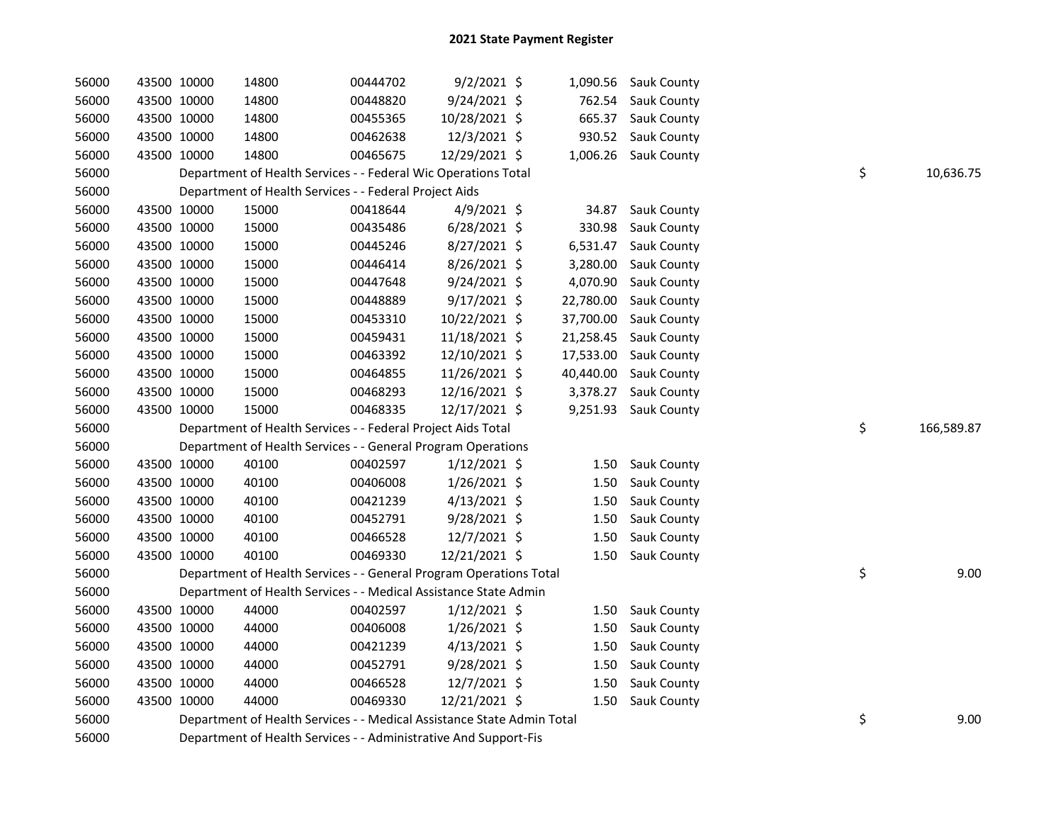| 56000 |             | 43500 10000 | 14800                                                                  | 00444702 | $9/2/2021$ \$  |           | 1,090.56 Sauk County  |    |            |
|-------|-------------|-------------|------------------------------------------------------------------------|----------|----------------|-----------|-----------------------|----|------------|
| 56000 |             | 43500 10000 | 14800                                                                  | 00448820 | 9/24/2021 \$   |           | 762.54 Sauk County    |    |            |
| 56000 |             | 43500 10000 | 14800                                                                  | 00455365 | 10/28/2021 \$  |           | 665.37 Sauk County    |    |            |
| 56000 |             | 43500 10000 | 14800                                                                  | 00462638 | 12/3/2021 \$   |           | 930.52 Sauk County    |    |            |
| 56000 | 43500 10000 |             | 14800                                                                  | 00465675 | 12/29/2021 \$  |           | 1,006.26 Sauk County  |    |            |
| 56000 |             |             | Department of Health Services - - Federal Wic Operations Total         |          |                |           |                       | \$ | 10,636.75  |
| 56000 |             |             | Department of Health Services - - Federal Project Aids                 |          |                |           |                       |    |            |
| 56000 |             | 43500 10000 | 15000                                                                  | 00418644 | $4/9/2021$ \$  | 34.87     | Sauk County           |    |            |
| 56000 |             | 43500 10000 | 15000                                                                  | 00435486 | $6/28/2021$ \$ | 330.98    | Sauk County           |    |            |
| 56000 |             | 43500 10000 | 15000                                                                  | 00445246 | 8/27/2021 \$   | 6,531.47  | <b>Sauk County</b>    |    |            |
| 56000 |             | 43500 10000 | 15000                                                                  | 00446414 | $8/26/2021$ \$ | 3,280.00  | <b>Sauk County</b>    |    |            |
| 56000 |             | 43500 10000 | 15000                                                                  | 00447648 | $9/24/2021$ \$ | 4,070.90  | <b>Sauk County</b>    |    |            |
| 56000 |             | 43500 10000 | 15000                                                                  | 00448889 | 9/17/2021 \$   | 22,780.00 | <b>Sauk County</b>    |    |            |
| 56000 |             | 43500 10000 | 15000                                                                  | 00453310 | 10/22/2021 \$  | 37,700.00 | Sauk County           |    |            |
| 56000 |             | 43500 10000 | 15000                                                                  | 00459431 | 11/18/2021 \$  |           | 21,258.45 Sauk County |    |            |
| 56000 |             | 43500 10000 | 15000                                                                  | 00463392 | 12/10/2021 \$  |           | 17,533.00 Sauk County |    |            |
| 56000 |             | 43500 10000 | 15000                                                                  | 00464855 | 11/26/2021 \$  |           | 40,440.00 Sauk County |    |            |
| 56000 |             | 43500 10000 | 15000                                                                  | 00468293 | 12/16/2021 \$  | 3,378.27  | <b>Sauk County</b>    |    |            |
| 56000 |             | 43500 10000 | 15000                                                                  | 00468335 | 12/17/2021 \$  |           | 9,251.93 Sauk County  |    |            |
| 56000 |             |             | Department of Health Services - - Federal Project Aids Total           |          |                |           |                       | \$ | 166,589.87 |
| 56000 |             |             | Department of Health Services - - General Program Operations           |          |                |           |                       |    |            |
| 56000 |             | 43500 10000 | 40100                                                                  | 00402597 | $1/12/2021$ \$ |           | 1.50 Sauk County      |    |            |
| 56000 |             | 43500 10000 | 40100                                                                  | 00406008 | 1/26/2021 \$   | 1.50      | Sauk County           |    |            |
| 56000 |             | 43500 10000 | 40100                                                                  | 00421239 | $4/13/2021$ \$ | 1.50      | Sauk County           |    |            |
| 56000 |             | 43500 10000 | 40100                                                                  | 00452791 | 9/28/2021 \$   | 1.50      | Sauk County           |    |            |
| 56000 | 43500 10000 |             | 40100                                                                  | 00466528 | 12/7/2021 \$   | 1.50      | Sauk County           |    |            |
| 56000 |             | 43500 10000 | 40100                                                                  | 00469330 | 12/21/2021 \$  | 1.50      | <b>Sauk County</b>    |    |            |
| 56000 |             |             | Department of Health Services - - General Program Operations Total     |          |                |           |                       | \$ | 9.00       |
| 56000 |             |             | Department of Health Services - - Medical Assistance State Admin       |          |                |           |                       |    |            |
| 56000 |             | 43500 10000 | 44000                                                                  | 00402597 | $1/12/2021$ \$ |           | 1.50 Sauk County      |    |            |
| 56000 |             | 43500 10000 | 44000                                                                  | 00406008 | $1/26/2021$ \$ | 1.50      | Sauk County           |    |            |
| 56000 |             | 43500 10000 | 44000                                                                  | 00421239 | $4/13/2021$ \$ | 1.50      | <b>Sauk County</b>    |    |            |
| 56000 | 43500 10000 |             | 44000                                                                  | 00452791 | $9/28/2021$ \$ | 1.50      | <b>Sauk County</b>    |    |            |
| 56000 | 43500 10000 |             | 44000                                                                  | 00466528 | 12/7/2021 \$   | 1.50      | <b>Sauk County</b>    |    |            |
| 56000 | 43500 10000 |             | 44000                                                                  | 00469330 | 12/21/2021 \$  |           | 1.50 Sauk County      |    |            |
| 56000 |             |             |                                                                        |          |                |           |                       |    |            |
|       |             |             | Department of Health Services - - Medical Assistance State Admin Total |          |                |           |                       | \$ | 9.00       |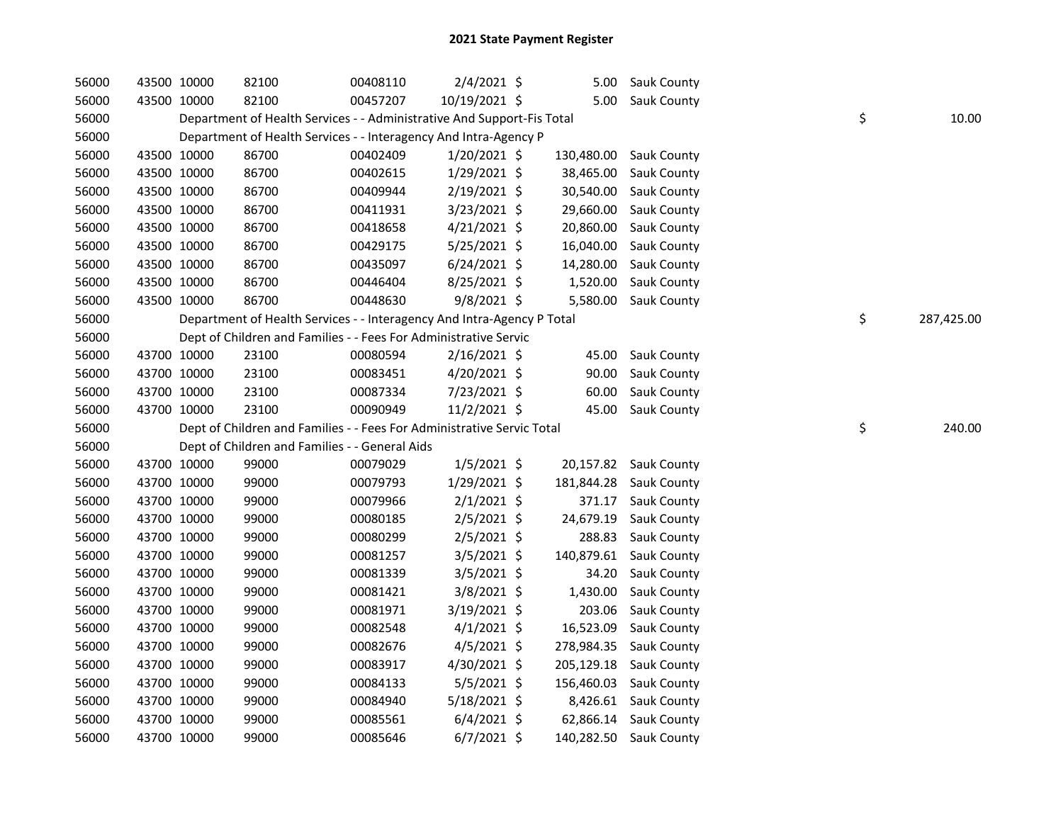| 56000 | 43500 10000 | 82100                                                                  | 00408110 | $2/4/2021$ \$  | 5.00       | Sauk County           |    |            |
|-------|-------------|------------------------------------------------------------------------|----------|----------------|------------|-----------------------|----|------------|
| 56000 | 43500 10000 | 82100                                                                  | 00457207 | 10/19/2021 \$  | 5.00       | Sauk County           |    |            |
| 56000 |             | Department of Health Services - - Administrative And Support-Fis Total |          |                |            |                       | \$ | 10.00      |
| 56000 |             | Department of Health Services - - Interagency And Intra-Agency P       |          |                |            |                       |    |            |
| 56000 | 43500 10000 | 86700                                                                  | 00402409 | $1/20/2021$ \$ | 130,480.00 | Sauk County           |    |            |
| 56000 | 43500 10000 | 86700                                                                  | 00402615 | $1/29/2021$ \$ | 38,465.00  | Sauk County           |    |            |
| 56000 | 43500 10000 | 86700                                                                  | 00409944 | 2/19/2021 \$   | 30,540.00  | Sauk County           |    |            |
| 56000 | 43500 10000 | 86700                                                                  | 00411931 | 3/23/2021 \$   | 29,660.00  | Sauk County           |    |            |
| 56000 | 43500 10000 | 86700                                                                  | 00418658 | $4/21/2021$ \$ | 20,860.00  | Sauk County           |    |            |
| 56000 | 43500 10000 | 86700                                                                  | 00429175 | 5/25/2021 \$   | 16,040.00  | Sauk County           |    |            |
| 56000 | 43500 10000 | 86700                                                                  | 00435097 | $6/24/2021$ \$ | 14,280.00  | Sauk County           |    |            |
| 56000 | 43500 10000 | 86700                                                                  | 00446404 | 8/25/2021 \$   | 1,520.00   | Sauk County           |    |            |
| 56000 | 43500 10000 | 86700                                                                  | 00448630 | $9/8/2021$ \$  | 5,580.00   | Sauk County           |    |            |
| 56000 |             | Department of Health Services - - Interagency And Intra-Agency P Total |          |                |            |                       | \$ | 287,425.00 |
| 56000 |             | Dept of Children and Families - - Fees For Administrative Servic       |          |                |            |                       |    |            |
| 56000 | 43700 10000 | 23100                                                                  | 00080594 | $2/16/2021$ \$ | 45.00      | Sauk County           |    |            |
| 56000 | 43700 10000 | 23100                                                                  | 00083451 | 4/20/2021 \$   | 90.00      | Sauk County           |    |            |
| 56000 | 43700 10000 | 23100                                                                  | 00087334 | 7/23/2021 \$   | 60.00      | Sauk County           |    |            |
| 56000 | 43700 10000 | 23100                                                                  | 00090949 | 11/2/2021 \$   | 45.00      | Sauk County           |    |            |
| 56000 |             | Dept of Children and Families - - Fees For Administrative Servic Total |          |                |            |                       | \$ | 240.00     |
| 56000 |             | Dept of Children and Families - - General Aids                         |          |                |            |                       |    |            |
| 56000 | 43700 10000 | 99000                                                                  | 00079029 | $1/5/2021$ \$  |            | 20,157.82 Sauk County |    |            |
| 56000 | 43700 10000 | 99000                                                                  | 00079793 | 1/29/2021 \$   | 181,844.28 | Sauk County           |    |            |
| 56000 | 43700 10000 | 99000                                                                  | 00079966 | $2/1/2021$ \$  | 371.17     | Sauk County           |    |            |
| 56000 | 43700 10000 | 99000                                                                  | 00080185 | $2/5/2021$ \$  | 24,679.19  | Sauk County           |    |            |
| 56000 | 43700 10000 | 99000                                                                  | 00080299 | $2/5/2021$ \$  | 288.83     | Sauk County           |    |            |
| 56000 | 43700 10000 | 99000                                                                  | 00081257 | $3/5/2021$ \$  | 140,879.61 | Sauk County           |    |            |
| 56000 | 43700 10000 | 99000                                                                  | 00081339 | $3/5/2021$ \$  | 34.20      | Sauk County           |    |            |
| 56000 | 43700 10000 | 99000                                                                  | 00081421 | $3/8/2021$ \$  | 1,430.00   | Sauk County           |    |            |
| 56000 | 43700 10000 | 99000                                                                  | 00081971 | 3/19/2021 \$   | 203.06     | Sauk County           |    |            |
| 56000 | 43700 10000 | 99000                                                                  | 00082548 | $4/1/2021$ \$  | 16,523.09  | <b>Sauk County</b>    |    |            |
|       |             |                                                                        |          |                |            |                       |    |            |
| 56000 | 43700 10000 | 99000                                                                  | 00082676 | $4/5/2021$ \$  | 278,984.35 | Sauk County           |    |            |
| 56000 | 43700 10000 | 99000                                                                  | 00083917 | 4/30/2021 \$   | 205,129.18 | Sauk County           |    |            |
| 56000 | 43700 10000 | 99000                                                                  | 00084133 | $5/5/2021$ \$  | 156,460.03 | Sauk County           |    |            |
| 56000 | 43700 10000 | 99000                                                                  | 00084940 | $5/18/2021$ \$ | 8,426.61   | Sauk County           |    |            |
| 56000 | 43700 10000 | 99000                                                                  | 00085561 | $6/4/2021$ \$  | 62,866.14  | Sauk County           |    |            |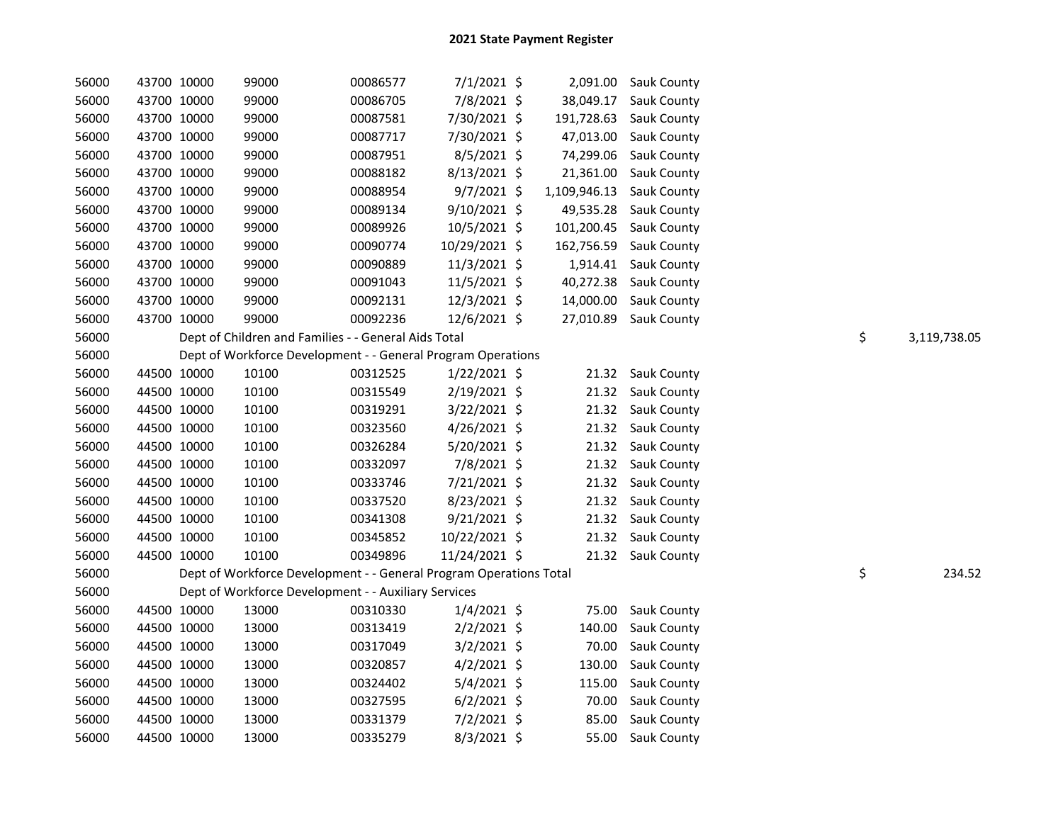| 56000 | 43700 10000 | 99000                                                              | 00086577 | $7/1/2021$ \$  |              | 2,091.00 Sauk County  |    |              |
|-------|-------------|--------------------------------------------------------------------|----------|----------------|--------------|-----------------------|----|--------------|
| 56000 | 43700 10000 | 99000                                                              | 00086705 | 7/8/2021 \$    | 38,049.17    | <b>Sauk County</b>    |    |              |
| 56000 | 43700 10000 | 99000                                                              | 00087581 | 7/30/2021 \$   | 191,728.63   | <b>Sauk County</b>    |    |              |
| 56000 | 43700 10000 | 99000                                                              | 00087717 | 7/30/2021 \$   | 47,013.00    | <b>Sauk County</b>    |    |              |
| 56000 | 43700 10000 | 99000                                                              | 00087951 | 8/5/2021 \$    | 74,299.06    | Sauk County           |    |              |
| 56000 | 43700 10000 | 99000                                                              | 00088182 | 8/13/2021 \$   | 21,361.00    | Sauk County           |    |              |
| 56000 | 43700 10000 | 99000                                                              | 00088954 | $9/7/2021$ \$  | 1,109,946.13 | Sauk County           |    |              |
| 56000 | 43700 10000 | 99000                                                              | 00089134 | $9/10/2021$ \$ | 49,535.28    | <b>Sauk County</b>    |    |              |
| 56000 | 43700 10000 | 99000                                                              | 00089926 | $10/5/2021$ \$ | 101,200.45   | Sauk County           |    |              |
| 56000 | 43700 10000 | 99000                                                              | 00090774 | 10/29/2021 \$  | 162,756.59   | <b>Sauk County</b>    |    |              |
| 56000 | 43700 10000 | 99000                                                              | 00090889 | 11/3/2021 \$   | 1,914.41     | Sauk County           |    |              |
| 56000 | 43700 10000 | 99000                                                              | 00091043 | 11/5/2021 \$   | 40,272.38    | <b>Sauk County</b>    |    |              |
| 56000 | 43700 10000 | 99000                                                              | 00092131 | 12/3/2021 \$   | 14,000.00    | <b>Sauk County</b>    |    |              |
| 56000 | 43700 10000 | 99000                                                              | 00092236 | 12/6/2021 \$   |              | 27,010.89 Sauk County |    |              |
| 56000 |             | Dept of Children and Families - - General Aids Total               |          |                |              |                       | \$ | 3,119,738.05 |
| 56000 |             | Dept of Workforce Development - - General Program Operations       |          |                |              |                       |    |              |
| 56000 | 44500 10000 | 10100                                                              | 00312525 | 1/22/2021 \$   |              | 21.32 Sauk County     |    |              |
| 56000 | 44500 10000 | 10100                                                              | 00315549 | 2/19/2021 \$   |              | 21.32 Sauk County     |    |              |
| 56000 | 44500 10000 | 10100                                                              | 00319291 | 3/22/2021 \$   |              | 21.32 Sauk County     |    |              |
| 56000 | 44500 10000 | 10100                                                              | 00323560 | 4/26/2021 \$   |              | 21.32 Sauk County     |    |              |
| 56000 | 44500 10000 | 10100                                                              | 00326284 | 5/20/2021 \$   | 21.32        | Sauk County           |    |              |
| 56000 | 44500 10000 | 10100                                                              | 00332097 | 7/8/2021 \$    |              | 21.32 Sauk County     |    |              |
| 56000 | 44500 10000 | 10100                                                              | 00333746 | 7/21/2021 \$   |              | 21.32 Sauk County     |    |              |
| 56000 | 44500 10000 | 10100                                                              | 00337520 | 8/23/2021 \$   |              | 21.32 Sauk County     |    |              |
| 56000 | 44500 10000 | 10100                                                              | 00341308 | 9/21/2021 \$   |              | 21.32 Sauk County     |    |              |
| 56000 | 44500 10000 | 10100                                                              | 00345852 | 10/22/2021 \$  |              | 21.32 Sauk County     |    |              |
| 56000 | 44500 10000 | 10100                                                              | 00349896 | 11/24/2021 \$  |              | 21.32 Sauk County     |    |              |
| 56000 |             | Dept of Workforce Development - - General Program Operations Total |          |                |              |                       | \$ | 234.52       |
| 56000 |             | Dept of Workforce Development - - Auxiliary Services               |          |                |              |                       |    |              |
| 56000 | 44500 10000 | 13000                                                              | 00310330 | $1/4/2021$ \$  | 75.00        | Sauk County           |    |              |
| 56000 | 44500 10000 | 13000                                                              | 00313419 | $2/2/2021$ \$  | 140.00       | Sauk County           |    |              |
| 56000 | 44500 10000 | 13000                                                              | 00317049 | $3/2/2021$ \$  | 70.00        | Sauk County           |    |              |
| 56000 | 44500 10000 | 13000                                                              | 00320857 | $4/2/2021$ \$  | 130.00       | Sauk County           |    |              |
| 56000 | 44500 10000 | 13000                                                              | 00324402 | $5/4/2021$ \$  | 115.00       | Sauk County           |    |              |
| 56000 | 44500 10000 | 13000                                                              | 00327595 | $6/2/2021$ \$  | 70.00        | Sauk County           |    |              |
| 56000 | 44500 10000 | 13000                                                              | 00331379 | $7/2/2021$ \$  | 85.00        | Sauk County           |    |              |
| 56000 | 44500 10000 | 13000                                                              | 00335279 | 8/3/2021 \$    | 55.00        | Sauk County           |    |              |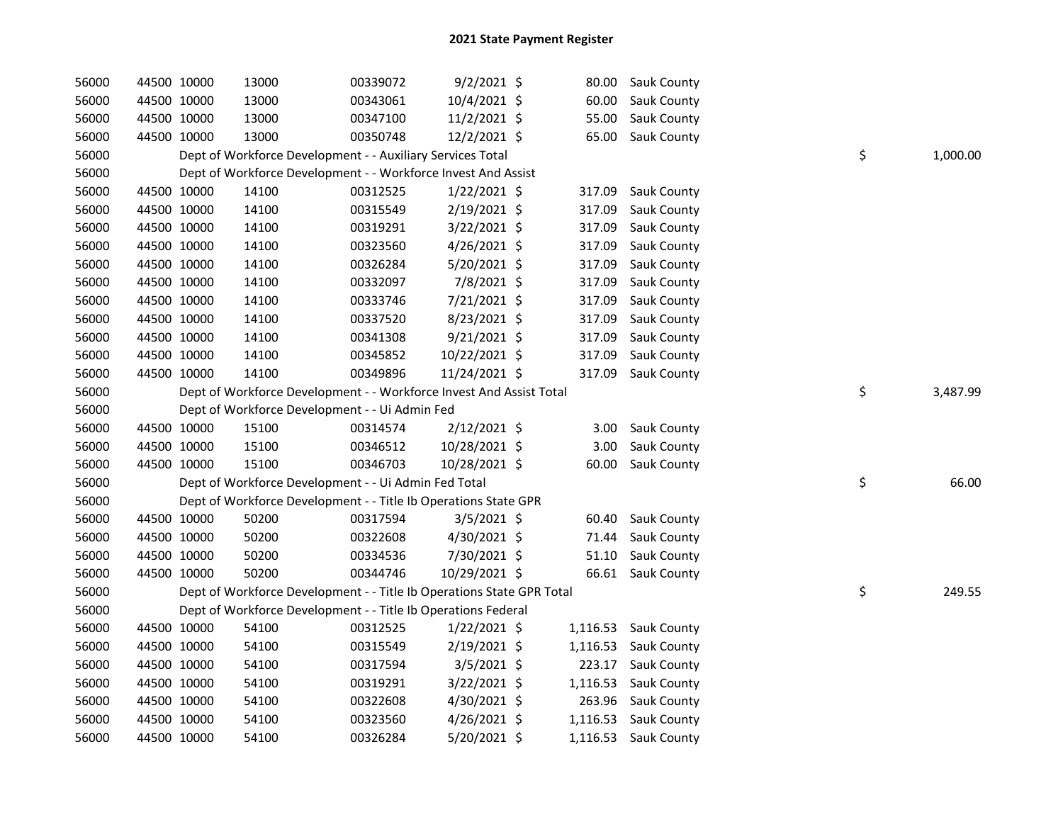| 56000 | 44500 10000 |             | 13000                                                                 | 00339072 | $9/2/2021$ \$  | 80.00    | Sauk County          |    |          |
|-------|-------------|-------------|-----------------------------------------------------------------------|----------|----------------|----------|----------------------|----|----------|
| 56000 | 44500 10000 |             | 13000                                                                 | 00343061 | 10/4/2021 \$   | 60.00    | Sauk County          |    |          |
| 56000 | 44500 10000 |             | 13000                                                                 | 00347100 | 11/2/2021 \$   | 55.00    | Sauk County          |    |          |
| 56000 | 44500 10000 |             | 13000                                                                 | 00350748 | 12/2/2021 \$   | 65.00    | Sauk County          |    |          |
| 56000 |             |             | Dept of Workforce Development - - Auxiliary Services Total            |          |                |          |                      | \$ | 1,000.00 |
| 56000 |             |             | Dept of Workforce Development - - Workforce Invest And Assist         |          |                |          |                      |    |          |
| 56000 |             | 44500 10000 | 14100                                                                 | 00312525 | $1/22/2021$ \$ | 317.09   | Sauk County          |    |          |
| 56000 |             | 44500 10000 | 14100                                                                 | 00315549 | 2/19/2021 \$   | 317.09   | Sauk County          |    |          |
| 56000 | 44500 10000 |             | 14100                                                                 | 00319291 | 3/22/2021 \$   | 317.09   | Sauk County          |    |          |
| 56000 | 44500 10000 |             | 14100                                                                 | 00323560 | $4/26/2021$ \$ | 317.09   | Sauk County          |    |          |
| 56000 | 44500 10000 |             | 14100                                                                 | 00326284 | 5/20/2021 \$   | 317.09   | Sauk County          |    |          |
| 56000 | 44500 10000 |             | 14100                                                                 | 00332097 | 7/8/2021 \$    | 317.09   | Sauk County          |    |          |
| 56000 | 44500 10000 |             | 14100                                                                 | 00333746 | 7/21/2021 \$   | 317.09   | Sauk County          |    |          |
| 56000 | 44500 10000 |             | 14100                                                                 | 00337520 | 8/23/2021 \$   | 317.09   | Sauk County          |    |          |
| 56000 | 44500 10000 |             | 14100                                                                 | 00341308 | $9/21/2021$ \$ | 317.09   | Sauk County          |    |          |
| 56000 | 44500 10000 |             | 14100                                                                 | 00345852 | 10/22/2021 \$  | 317.09   | Sauk County          |    |          |
| 56000 | 44500 10000 |             | 14100                                                                 | 00349896 | 11/24/2021 \$  | 317.09   | Sauk County          |    |          |
| 56000 |             |             | Dept of Workforce Development - - Workforce Invest And Assist Total   |          |                |          |                      | \$ | 3,487.99 |
| 56000 |             |             | Dept of Workforce Development - - Ui Admin Fed                        |          |                |          |                      |    |          |
| 56000 | 44500 10000 |             | 15100                                                                 | 00314574 | 2/12/2021 \$   | 3.00     | Sauk County          |    |          |
| 56000 | 44500 10000 |             | 15100                                                                 | 00346512 | 10/28/2021 \$  | 3.00     | Sauk County          |    |          |
| 56000 | 44500 10000 |             | 15100                                                                 | 00346703 | 10/28/2021 \$  | 60.00    | Sauk County          |    |          |
| 56000 |             |             | Dept of Workforce Development - - Ui Admin Fed Total                  |          |                |          |                      | \$ | 66.00    |
| 56000 |             |             | Dept of Workforce Development - - Title Ib Operations State GPR       |          |                |          |                      |    |          |
| 56000 |             | 44500 10000 | 50200                                                                 | 00317594 | 3/5/2021 \$    | 60.40    | Sauk County          |    |          |
| 56000 |             | 44500 10000 | 50200                                                                 | 00322608 | $4/30/2021$ \$ | 71.44    | Sauk County          |    |          |
| 56000 | 44500 10000 |             | 50200                                                                 | 00334536 | 7/30/2021 \$   | 51.10    | Sauk County          |    |          |
| 56000 | 44500 10000 |             | 50200                                                                 | 00344746 | 10/29/2021 \$  |          | 66.61 Sauk County    |    |          |
| 56000 |             |             | Dept of Workforce Development - - Title Ib Operations State GPR Total |          |                |          |                      | \$ | 249.55   |
| 56000 |             |             | Dept of Workforce Development - - Title Ib Operations Federal         |          |                |          |                      |    |          |
| 56000 |             | 44500 10000 | 54100                                                                 | 00312525 | $1/22/2021$ \$ |          | 1,116.53 Sauk County |    |          |
| 56000 | 44500 10000 |             | 54100                                                                 | 00315549 | $2/19/2021$ \$ | 1,116.53 | <b>Sauk County</b>   |    |          |
| 56000 | 44500 10000 |             | 54100                                                                 | 00317594 | $3/5/2021$ \$  | 223.17   | <b>Sauk County</b>   |    |          |
| 56000 | 44500 10000 |             | 54100                                                                 | 00319291 | 3/22/2021 \$   | 1,116.53 | Sauk County          |    |          |
| 56000 | 44500 10000 |             | 54100                                                                 | 00322608 | 4/30/2021 \$   |          | 263.96 Sauk County   |    |          |
| 56000 | 44500 10000 |             | 54100                                                                 | 00323560 | $4/26/2021$ \$ | 1,116.53 | <b>Sauk County</b>   |    |          |
| 56000 |             | 44500 10000 | 54100                                                                 | 00326284 | 5/20/2021 \$   |          | 1,116.53 Sauk County |    |          |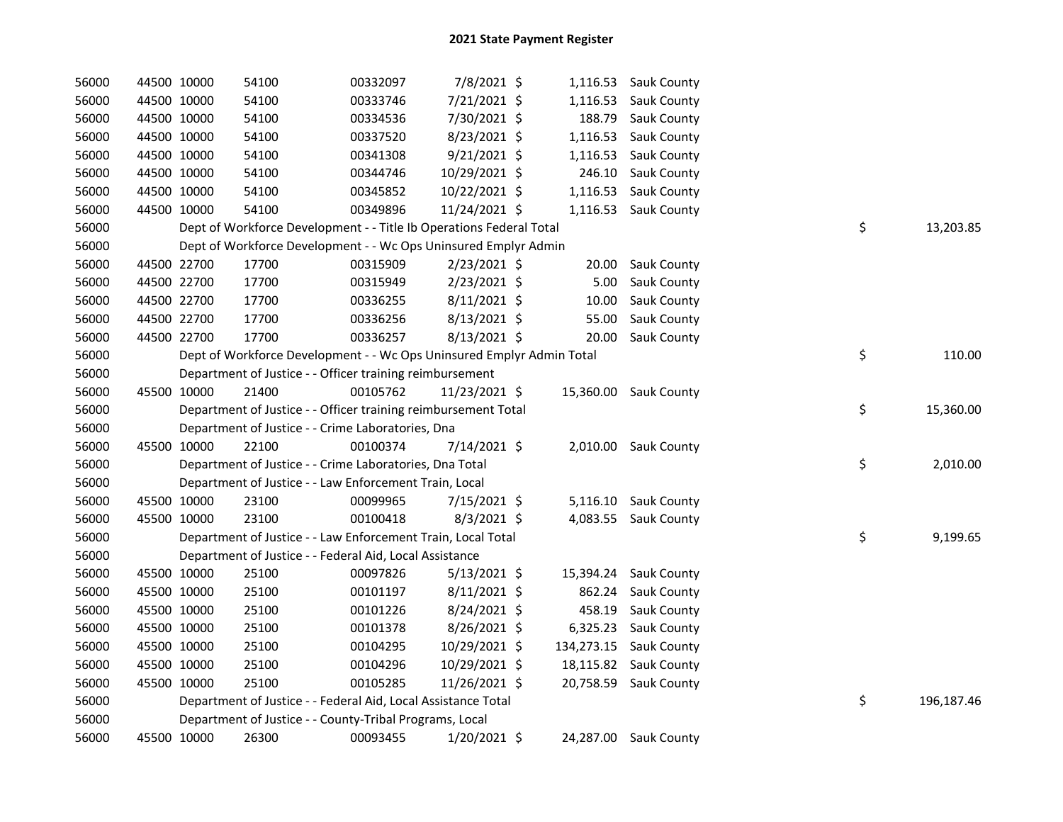| 56000 | 44500 10000 |             | 54100                                                                 | 00332097 | 7/8/2021 \$    | 1,116.53  | Sauk County            |    |            |
|-------|-------------|-------------|-----------------------------------------------------------------------|----------|----------------|-----------|------------------------|----|------------|
| 56000 | 44500 10000 |             | 54100                                                                 | 00333746 | 7/21/2021 \$   | 1,116.53  | Sauk County            |    |            |
| 56000 | 44500 10000 |             | 54100                                                                 | 00334536 | 7/30/2021 \$   | 188.79    | Sauk County            |    |            |
| 56000 | 44500 10000 |             | 54100                                                                 | 00337520 | 8/23/2021 \$   | 1,116.53  | Sauk County            |    |            |
| 56000 | 44500 10000 |             | 54100                                                                 | 00341308 | $9/21/2021$ \$ | 1,116.53  | Sauk County            |    |            |
| 56000 |             | 44500 10000 | 54100                                                                 | 00344746 | 10/29/2021 \$  | 246.10    | Sauk County            |    |            |
| 56000 | 44500 10000 |             | 54100                                                                 | 00345852 | 10/22/2021 \$  | 1,116.53  | <b>Sauk County</b>     |    |            |
| 56000 | 44500 10000 |             | 54100                                                                 | 00349896 | 11/24/2021 \$  | 1,116.53  | Sauk County            |    |            |
| 56000 |             |             | Dept of Workforce Development - - Title Ib Operations Federal Total   |          |                |           |                        | \$ | 13,203.85  |
| 56000 |             |             | Dept of Workforce Development - - Wc Ops Uninsured Emplyr Admin       |          |                |           |                        |    |            |
| 56000 |             | 44500 22700 | 17700                                                                 | 00315909 | $2/23/2021$ \$ | 20.00     | Sauk County            |    |            |
| 56000 |             | 44500 22700 | 17700                                                                 | 00315949 | 2/23/2021 \$   | 5.00      | Sauk County            |    |            |
| 56000 |             | 44500 22700 | 17700                                                                 | 00336255 | $8/11/2021$ \$ | 10.00     | Sauk County            |    |            |
| 56000 | 44500 22700 |             | 17700                                                                 | 00336256 | 8/13/2021 \$   | 55.00     | Sauk County            |    |            |
| 56000 | 44500 22700 |             | 17700                                                                 | 00336257 | 8/13/2021 \$   | 20.00     | Sauk County            |    |            |
| 56000 |             |             | Dept of Workforce Development - - Wc Ops Uninsured Emplyr Admin Total |          |                |           |                        | \$ | 110.00     |
| 56000 |             |             | Department of Justice - - Officer training reimbursement              |          |                |           |                        |    |            |
| 56000 |             | 45500 10000 | 21400                                                                 | 00105762 | 11/23/2021 \$  |           | 15,360.00 Sauk County  |    |            |
| 56000 |             |             | Department of Justice - - Officer training reimbursement Total        |          |                |           |                        | \$ | 15,360.00  |
| 56000 |             |             | Department of Justice - - Crime Laboratories, Dna                     |          |                |           |                        |    |            |
| 56000 |             | 45500 10000 | 22100                                                                 | 00100374 | 7/14/2021 \$   |           | 2,010.00 Sauk County   |    |            |
| 56000 |             |             | Department of Justice - - Crime Laboratories, Dna Total               |          |                |           |                        | \$ | 2,010.00   |
| 56000 |             |             | Department of Justice - - Law Enforcement Train, Local                |          |                |           |                        |    |            |
| 56000 |             | 45500 10000 | 23100                                                                 | 00099965 | 7/15/2021 \$   | 5,116.10  | <b>Sauk County</b>     |    |            |
| 56000 | 45500 10000 |             | 23100                                                                 | 00100418 | $8/3/2021$ \$  |           | 4,083.55 Sauk County   |    |            |
| 56000 |             |             | Department of Justice - - Law Enforcement Train, Local Total          |          |                |           |                        | \$ | 9,199.65   |
| 56000 |             |             | Department of Justice - - Federal Aid, Local Assistance               |          |                |           |                        |    |            |
| 56000 |             | 45500 10000 | 25100                                                                 | 00097826 | $5/13/2021$ \$ | 15,394.24 | <b>Sauk County</b>     |    |            |
| 56000 |             | 45500 10000 | 25100                                                                 | 00101197 | $8/11/2021$ \$ | 862.24    | Sauk County            |    |            |
| 56000 |             | 45500 10000 | 25100                                                                 | 00101226 | 8/24/2021 \$   | 458.19    | <b>Sauk County</b>     |    |            |
| 56000 |             | 45500 10000 | 25100                                                                 | 00101378 | $8/26/2021$ \$ | 6,325.23  | <b>Sauk County</b>     |    |            |
| 56000 | 45500 10000 |             | 25100                                                                 | 00104295 | 10/29/2021 \$  |           | 134,273.15 Sauk County |    |            |
| 56000 | 45500 10000 |             | 25100                                                                 | 00104296 | 10/29/2021 \$  |           | 18,115.82 Sauk County  |    |            |
| 56000 | 45500 10000 |             | 25100                                                                 | 00105285 | 11/26/2021 \$  |           | 20,758.59 Sauk County  |    |            |
| 56000 |             |             | Department of Justice - - Federal Aid, Local Assistance Total         |          |                |           |                        | \$ | 196,187.46 |
| 56000 |             |             | Department of Justice - - County-Tribal Programs, Local               |          |                |           |                        |    |            |
| 56000 | 45500 10000 |             | 26300                                                                 | 00093455 | 1/20/2021 \$   |           | 24,287.00 Sauk County  |    |            |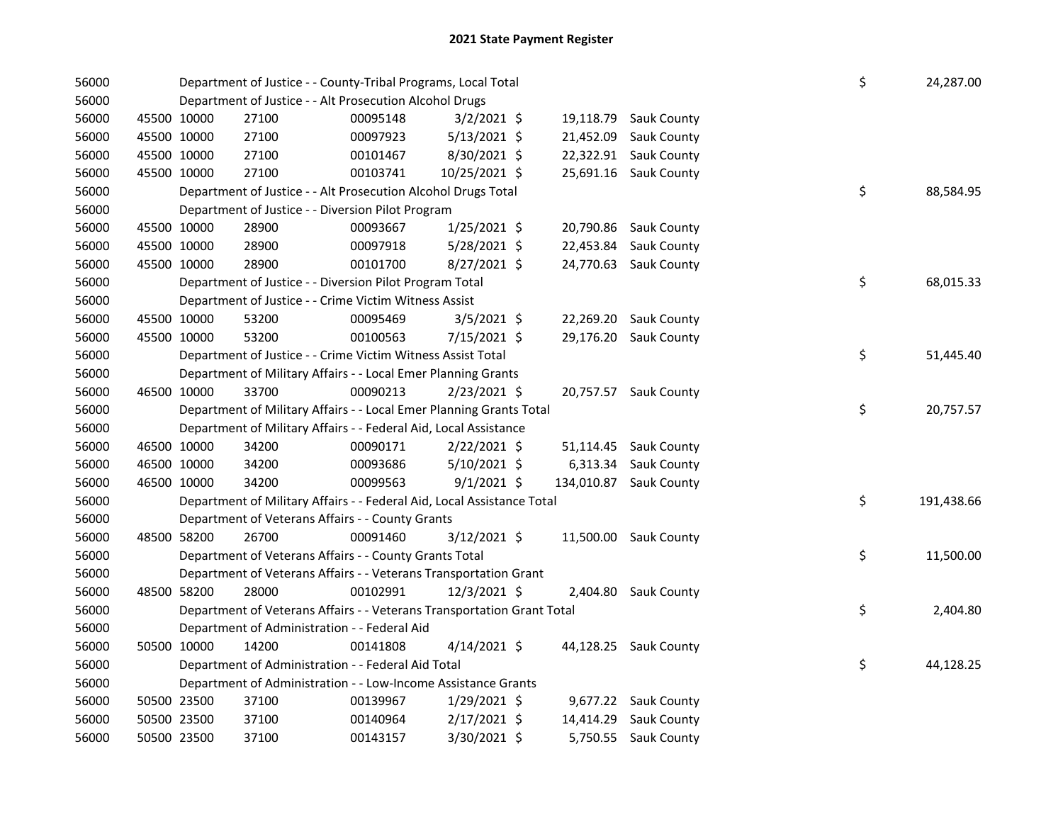| 56000 |             | Department of Justice - - County-Tribal Programs, Local Total          |          |                |           |                        | \$ | 24,287.00  |
|-------|-------------|------------------------------------------------------------------------|----------|----------------|-----------|------------------------|----|------------|
| 56000 |             | Department of Justice - - Alt Prosecution Alcohol Drugs                |          |                |           |                        |    |            |
| 56000 | 45500 10000 | 27100                                                                  | 00095148 | $3/2/2021$ \$  |           | 19,118.79 Sauk County  |    |            |
| 56000 | 45500 10000 | 27100                                                                  | 00097923 | $5/13/2021$ \$ | 21,452.09 | Sauk County            |    |            |
| 56000 | 45500 10000 | 27100                                                                  | 00101467 | 8/30/2021 \$   |           | 22,322.91 Sauk County  |    |            |
| 56000 | 45500 10000 | 27100                                                                  | 00103741 | 10/25/2021 \$  |           | 25,691.16 Sauk County  |    |            |
| 56000 |             | Department of Justice - - Alt Prosecution Alcohol Drugs Total          |          |                |           |                        | \$ | 88,584.95  |
| 56000 |             | Department of Justice - - Diversion Pilot Program                      |          |                |           |                        |    |            |
| 56000 | 45500 10000 | 28900                                                                  | 00093667 | $1/25/2021$ \$ |           | 20,790.86 Sauk County  |    |            |
| 56000 | 45500 10000 | 28900                                                                  | 00097918 | $5/28/2021$ \$ |           | 22,453.84 Sauk County  |    |            |
| 56000 | 45500 10000 | 28900                                                                  | 00101700 | 8/27/2021 \$   |           | 24,770.63 Sauk County  |    |            |
| 56000 |             | Department of Justice - - Diversion Pilot Program Total                |          |                |           |                        | \$ | 68,015.33  |
| 56000 |             | Department of Justice - - Crime Victim Witness Assist                  |          |                |           |                        |    |            |
| 56000 | 45500 10000 | 53200                                                                  | 00095469 | 3/5/2021 \$    |           | 22,269.20 Sauk County  |    |            |
| 56000 | 45500 10000 | 53200                                                                  | 00100563 | 7/15/2021 \$   |           | 29,176.20 Sauk County  |    |            |
| 56000 |             | Department of Justice - - Crime Victim Witness Assist Total            |          |                |           |                        | \$ | 51,445.40  |
| 56000 |             | Department of Military Affairs - - Local Emer Planning Grants          |          |                |           |                        |    |            |
| 56000 | 46500 10000 | 33700                                                                  | 00090213 | $2/23/2021$ \$ |           | 20,757.57 Sauk County  |    |            |
| 56000 |             | Department of Military Affairs - - Local Emer Planning Grants Total    |          |                |           |                        | \$ | 20,757.57  |
| 56000 |             | Department of Military Affairs - - Federal Aid, Local Assistance       |          |                |           |                        |    |            |
| 56000 | 46500 10000 | 34200                                                                  | 00090171 | $2/22/2021$ \$ |           | 51,114.45 Sauk County  |    |            |
| 56000 | 46500 10000 | 34200                                                                  | 00093686 | $5/10/2021$ \$ |           | 6,313.34 Sauk County   |    |            |
| 56000 | 46500 10000 | 34200                                                                  | 00099563 | $9/1/2021$ \$  |           | 134,010.87 Sauk County |    |            |
| 56000 |             | Department of Military Affairs - - Federal Aid, Local Assistance Total |          |                |           |                        | \$ | 191,438.66 |
| 56000 |             | Department of Veterans Affairs - - County Grants                       |          |                |           |                        |    |            |
| 56000 | 48500 58200 | 26700                                                                  | 00091460 | 3/12/2021 \$   |           | 11,500.00 Sauk County  |    |            |
| 56000 |             | Department of Veterans Affairs - - County Grants Total                 |          |                |           |                        | \$ | 11,500.00  |
| 56000 |             | Department of Veterans Affairs - - Veterans Transportation Grant       |          |                |           |                        |    |            |
| 56000 | 48500 58200 | 28000                                                                  | 00102991 | 12/3/2021 \$   |           | 2,404.80 Sauk County   |    |            |
| 56000 |             | Department of Veterans Affairs - - Veterans Transportation Grant Total |          |                |           |                        | \$ | 2,404.80   |
| 56000 |             | Department of Administration - - Federal Aid                           |          |                |           |                        |    |            |
| 56000 | 50500 10000 | 14200                                                                  | 00141808 | $4/14/2021$ \$ |           | 44,128.25 Sauk County  |    |            |
| 56000 |             | Department of Administration - - Federal Aid Total                     |          |                |           |                        | \$ | 44,128.25  |
| 56000 |             | Department of Administration - - Low-Income Assistance Grants          |          |                |           |                        |    |            |
| 56000 | 50500 23500 | 37100                                                                  | 00139967 | $1/29/2021$ \$ |           | 9,677.22 Sauk County   |    |            |
| 56000 | 50500 23500 | 37100                                                                  | 00140964 | $2/17/2021$ \$ |           | 14,414.29 Sauk County  |    |            |
| 56000 | 50500 23500 | 37100                                                                  | 00143157 | 3/30/2021 \$   |           | 5,750.55 Sauk County   |    |            |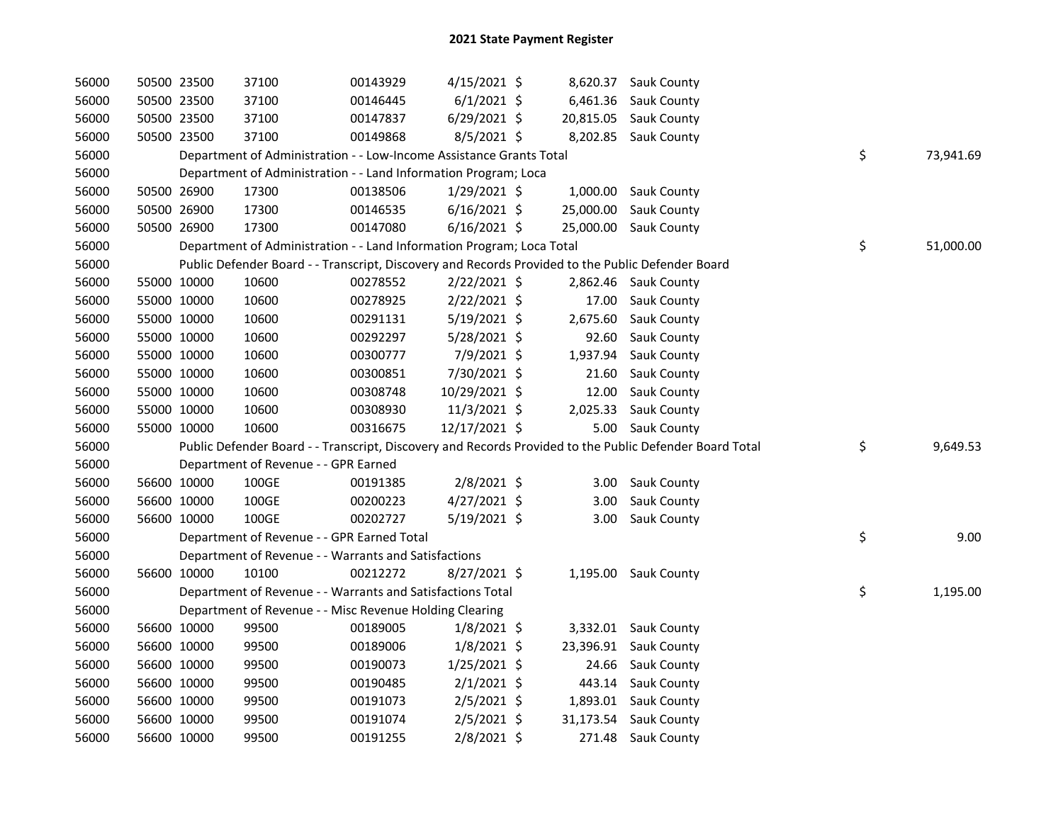| 56000 |             | 50500 23500 | 37100                                                                                             | 00143929 | $4/15/2021$ \$ |           | 8,620.37 Sauk County                                                                                    |                 |
|-------|-------------|-------------|---------------------------------------------------------------------------------------------------|----------|----------------|-----------|---------------------------------------------------------------------------------------------------------|-----------------|
| 56000 |             | 50500 23500 | 37100                                                                                             | 00146445 | $6/1/2021$ \$  |           | 6,461.36 Sauk County                                                                                    |                 |
| 56000 |             | 50500 23500 | 37100                                                                                             | 00147837 | $6/29/2021$ \$ |           | 20,815.05 Sauk County                                                                                   |                 |
| 56000 |             | 50500 23500 | 37100                                                                                             | 00149868 | $8/5/2021$ \$  |           | 8,202.85 Sauk County                                                                                    |                 |
| 56000 |             |             | Department of Administration - - Low-Income Assistance Grants Total                               |          |                |           |                                                                                                         | \$<br>73,941.69 |
| 56000 |             |             | Department of Administration - - Land Information Program; Loca                                   |          |                |           |                                                                                                         |                 |
| 56000 |             | 50500 26900 | 17300                                                                                             | 00138506 | $1/29/2021$ \$ |           | 1,000.00 Sauk County                                                                                    |                 |
| 56000 |             | 50500 26900 | 17300                                                                                             | 00146535 | $6/16/2021$ \$ |           | 25,000.00 Sauk County                                                                                   |                 |
| 56000 |             | 50500 26900 | 17300                                                                                             | 00147080 | $6/16/2021$ \$ |           | 25,000.00 Sauk County                                                                                   |                 |
| 56000 |             |             | Department of Administration - - Land Information Program; Loca Total                             |          |                |           |                                                                                                         | \$<br>51,000.00 |
| 56000 |             |             | Public Defender Board - - Transcript, Discovery and Records Provided to the Public Defender Board |          |                |           |                                                                                                         |                 |
| 56000 |             | 55000 10000 | 10600                                                                                             | 00278552 | 2/22/2021 \$   |           | 2,862.46 Sauk County                                                                                    |                 |
| 56000 |             | 55000 10000 | 10600                                                                                             | 00278925 | 2/22/2021 \$   | 17.00     | <b>Sauk County</b>                                                                                      |                 |
| 56000 |             | 55000 10000 | 10600                                                                                             | 00291131 | $5/19/2021$ \$ | 2,675.60  | Sauk County                                                                                             |                 |
| 56000 |             | 55000 10000 | 10600                                                                                             | 00292297 | 5/28/2021 \$   | 92.60     | <b>Sauk County</b>                                                                                      |                 |
| 56000 |             | 55000 10000 | 10600                                                                                             | 00300777 | 7/9/2021 \$    | 1,937.94  | <b>Sauk County</b>                                                                                      |                 |
| 56000 |             | 55000 10000 | 10600                                                                                             | 00300851 | 7/30/2021 \$   | 21.60     | Sauk County                                                                                             |                 |
| 56000 |             | 55000 10000 | 10600                                                                                             | 00308748 | 10/29/2021 \$  | 12.00     | Sauk County                                                                                             |                 |
| 56000 |             | 55000 10000 | 10600                                                                                             | 00308930 | 11/3/2021 \$   | 2,025.33  | Sauk County                                                                                             |                 |
| 56000 |             | 55000 10000 | 10600                                                                                             | 00316675 | 12/17/2021 \$  |           | 5.00 Sauk County                                                                                        |                 |
| 56000 |             |             |                                                                                                   |          |                |           | Public Defender Board - - Transcript, Discovery and Records Provided to the Public Defender Board Total | \$<br>9,649.53  |
| 56000 |             |             | Department of Revenue - - GPR Earned                                                              |          |                |           |                                                                                                         |                 |
| 56000 |             | 56600 10000 | 100GE                                                                                             | 00191385 | 2/8/2021 \$    |           | 3.00 Sauk County                                                                                        |                 |
| 56000 |             | 56600 10000 | 100GE                                                                                             | 00200223 | 4/27/2021 \$   | 3.00      | Sauk County                                                                                             |                 |
| 56000 |             | 56600 10000 | 100GE                                                                                             | 00202727 | $5/19/2021$ \$ | 3.00      | Sauk County                                                                                             |                 |
| 56000 |             |             | Department of Revenue - - GPR Earned Total                                                        |          |                |           |                                                                                                         | \$<br>9.00      |
| 56000 |             |             | Department of Revenue - - Warrants and Satisfactions                                              |          |                |           |                                                                                                         |                 |
| 56000 |             | 56600 10000 | 10100                                                                                             | 00212272 | 8/27/2021 \$   |           | 1,195.00 Sauk County                                                                                    |                 |
| 56000 |             |             | Department of Revenue - - Warrants and Satisfactions Total                                        |          |                |           |                                                                                                         | \$<br>1,195.00  |
| 56000 |             |             | Department of Revenue - - Misc Revenue Holding Clearing                                           |          |                |           |                                                                                                         |                 |
| 56000 |             | 56600 10000 | 99500                                                                                             | 00189005 | $1/8/2021$ \$  |           | 3,332.01 Sauk County                                                                                    |                 |
| 56000 |             | 56600 10000 | 99500                                                                                             | 00189006 | $1/8/2021$ \$  | 23,396.91 | <b>Sauk County</b>                                                                                      |                 |
| 56000 |             | 56600 10000 | 99500                                                                                             | 00190073 | $1/25/2021$ \$ | 24.66     | <b>Sauk County</b>                                                                                      |                 |
| 56000 |             | 56600 10000 | 99500                                                                                             | 00190485 | $2/1/2021$ \$  | 443.14    | <b>Sauk County</b>                                                                                      |                 |
| 56000 |             | 56600 10000 | 99500                                                                                             | 00191073 | $2/5/2021$ \$  |           | 1,893.01 Sauk County                                                                                    |                 |
|       |             |             |                                                                                                   |          |                |           |                                                                                                         |                 |
| 56000 | 56600 10000 |             | 99500                                                                                             | 00191074 | $2/5/2021$ \$  |           | 31,173.54 Sauk County                                                                                   |                 |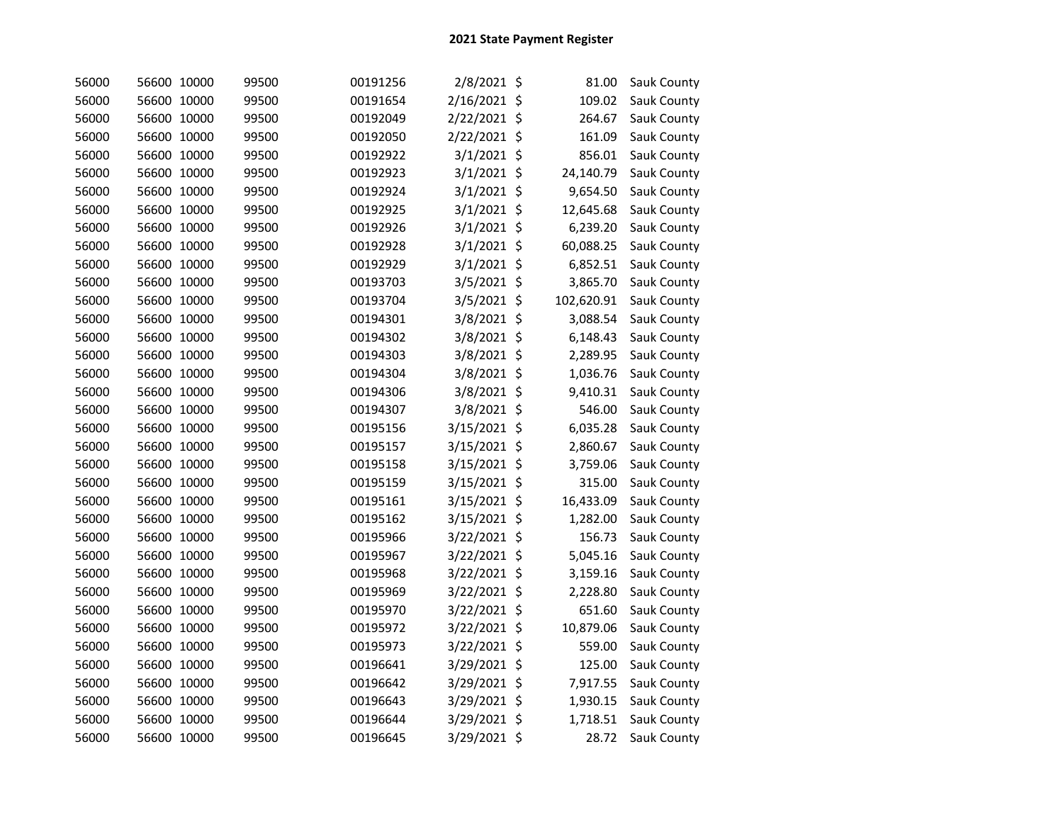| 56000 | 56600 10000 |       | 99500 | 00191256 | 2/8/2021 \$   |         | 81.00      | Sauk County |
|-------|-------------|-------|-------|----------|---------------|---------|------------|-------------|
| 56000 | 56600 10000 |       | 99500 | 00191654 | 2/16/2021 \$  |         | 109.02     | Sauk County |
| 56000 | 56600 10000 |       | 99500 | 00192049 | 2/22/2021 \$  |         | 264.67     | Sauk County |
| 56000 | 56600 10000 |       | 99500 | 00192050 | 2/22/2021 \$  |         | 161.09     | Sauk County |
| 56000 | 56600 10000 |       | 99500 | 00192922 | 3/1/2021 \$   |         | 856.01     | Sauk County |
| 56000 | 56600 10000 |       | 99500 | 00192923 | 3/1/2021 \$   |         | 24,140.79  | Sauk County |
| 56000 | 56600 10000 |       | 99500 | 00192924 | $3/1/2021$ \$ |         | 9,654.50   | Sauk County |
| 56000 | 56600 10000 |       | 99500 | 00192925 | $3/1/2021$ \$ |         | 12,645.68  | Sauk County |
| 56000 | 56600 10000 |       | 99500 | 00192926 | 3/1/2021 \$   |         | 6,239.20   | Sauk County |
| 56000 | 56600 10000 |       | 99500 | 00192928 | $3/1/2021$ \$ |         | 60,088.25  | Sauk County |
| 56000 | 56600 10000 |       | 99500 | 00192929 | 3/1/2021 \$   |         | 6,852.51   | Sauk County |
| 56000 | 56600 10000 |       | 99500 | 00193703 | 3/5/2021 \$   |         | 3,865.70   | Sauk County |
| 56000 | 56600 10000 |       | 99500 | 00193704 | 3/5/2021 \$   |         | 102,620.91 | Sauk County |
| 56000 | 56600 10000 |       | 99500 | 00194301 | 3/8/2021 \$   |         | 3,088.54   | Sauk County |
| 56000 | 56600 10000 |       | 99500 | 00194302 | 3/8/2021 \$   |         | 6,148.43   | Sauk County |
| 56000 | 56600 10000 |       | 99500 | 00194303 | 3/8/2021 \$   |         | 2,289.95   | Sauk County |
| 56000 | 56600 10000 |       | 99500 | 00194304 | 3/8/2021 \$   |         | 1,036.76   | Sauk County |
| 56000 | 56600 10000 |       | 99500 | 00194306 | 3/8/2021 \$   |         | 9,410.31   | Sauk County |
| 56000 | 56600 10000 |       | 99500 | 00194307 | 3/8/2021 \$   |         | 546.00     | Sauk County |
| 56000 | 56600 10000 |       | 99500 | 00195156 | 3/15/2021 \$  |         | 6,035.28   | Sauk County |
| 56000 | 56600 10000 |       | 99500 | 00195157 | 3/15/2021 \$  |         | 2,860.67   | Sauk County |
| 56000 | 56600 10000 |       | 99500 | 00195158 | 3/15/2021 \$  |         | 3,759.06   | Sauk County |
| 56000 | 56600 10000 |       | 99500 | 00195159 | 3/15/2021 \$  |         | 315.00     | Sauk County |
| 56000 | 56600 10000 |       | 99500 | 00195161 | 3/15/2021 \$  |         | 16,433.09  | Sauk County |
| 56000 | 56600 10000 |       | 99500 | 00195162 | 3/15/2021 \$  |         | 1,282.00   | Sauk County |
| 56000 | 56600 10000 |       | 99500 | 00195966 | 3/22/2021 \$  |         | 156.73     | Sauk County |
| 56000 | 56600 10000 |       | 99500 | 00195967 | 3/22/2021 \$  |         | 5,045.16   | Sauk County |
| 56000 | 56600       | 10000 | 99500 | 00195968 | 3/22/2021     | $\zeta$ | 3,159.16   | Sauk County |
| 56000 | 56600       | 10000 | 99500 | 00195969 | 3/22/2021 \$  |         | 2,228.80   | Sauk County |
| 56000 | 56600       | 10000 | 99500 | 00195970 | 3/22/2021 \$  |         | 651.60     | Sauk County |
| 56000 | 56600       | 10000 | 99500 | 00195972 | 3/22/2021 \$  |         | 10,879.06  | Sauk County |
| 56000 | 56600       | 10000 | 99500 | 00195973 | 3/22/2021     | \$      | 559.00     | Sauk County |
| 56000 | 56600 10000 |       | 99500 | 00196641 | 3/29/2021 \$  |         | 125.00     | Sauk County |
| 56000 | 56600 10000 |       | 99500 | 00196642 | 3/29/2021 \$  |         | 7,917.55   | Sauk County |
| 56000 | 56600 10000 |       | 99500 | 00196643 | 3/29/2021 \$  |         | 1,930.15   | Sauk County |
| 56000 | 56600 10000 |       | 99500 | 00196644 | 3/29/2021     | \$      | 1,718.51   | Sauk County |
| 56000 | 56600 10000 |       | 99500 | 00196645 | 3/29/2021 \$  |         | 28.72      | Sauk County |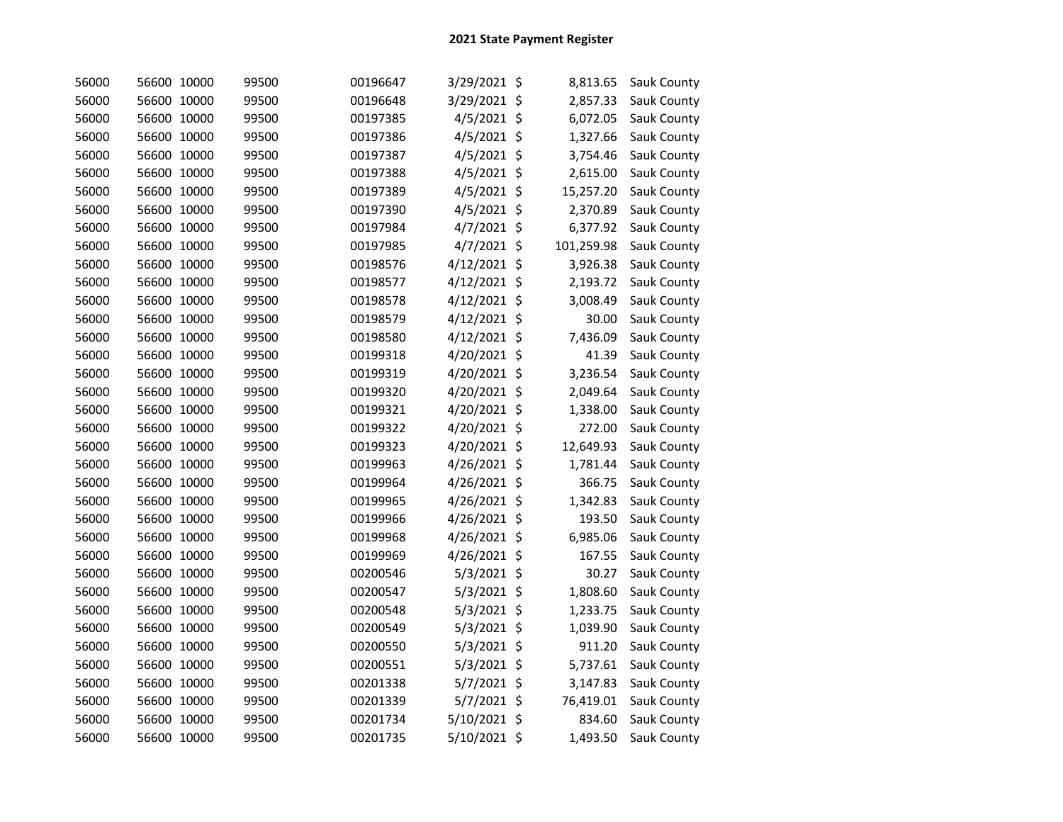| 56000 | 56600 10000 | 99500 | 00196647 | 3/29/2021 \$ | 8,813.65   | Sauk County |
|-------|-------------|-------|----------|--------------|------------|-------------|
| 56000 | 56600 10000 | 99500 | 00196648 | 3/29/2021 \$ | 2,857.33   | Sauk County |
| 56000 | 56600 10000 | 99500 | 00197385 | 4/5/2021 \$  | 6,072.05   | Sauk County |
| 56000 | 56600 10000 | 99500 | 00197386 | 4/5/2021 \$  | 1,327.66   | Sauk County |
| 56000 | 56600 10000 | 99500 | 00197387 | 4/5/2021 \$  | 3,754.46   | Sauk County |
| 56000 | 56600 10000 | 99500 | 00197388 | 4/5/2021 \$  | 2,615.00   | Sauk County |
| 56000 | 56600 10000 | 99500 | 00197389 | 4/5/2021 \$  | 15,257.20  | Sauk County |
| 56000 | 56600 10000 | 99500 | 00197390 | 4/5/2021 \$  | 2,370.89   | Sauk County |
| 56000 | 56600 10000 | 99500 | 00197984 | 4/7/2021 \$  | 6,377.92   | Sauk County |
| 56000 | 56600 10000 | 99500 | 00197985 | 4/7/2021 \$  | 101,259.98 | Sauk County |
| 56000 | 56600 10000 | 99500 | 00198576 | 4/12/2021 \$ | 3,926.38   | Sauk County |
| 56000 | 56600 10000 | 99500 | 00198577 | 4/12/2021 \$ | 2,193.72   | Sauk County |
| 56000 | 56600 10000 | 99500 | 00198578 | 4/12/2021 \$ | 3,008.49   | Sauk County |
| 56000 | 56600 10000 | 99500 | 00198579 | 4/12/2021 \$ | 30.00      | Sauk County |
| 56000 | 56600 10000 | 99500 | 00198580 | 4/12/2021 \$ | 7,436.09   | Sauk County |
| 56000 | 56600 10000 | 99500 | 00199318 | 4/20/2021 \$ | 41.39      | Sauk County |
| 56000 | 56600 10000 | 99500 | 00199319 | 4/20/2021 \$ | 3,236.54   | Sauk County |
| 56000 | 56600 10000 | 99500 | 00199320 | 4/20/2021 \$ | 2,049.64   | Sauk County |
| 56000 | 56600 10000 | 99500 | 00199321 | 4/20/2021 \$ | 1,338.00   | Sauk County |
| 56000 | 56600 10000 | 99500 | 00199322 | 4/20/2021 \$ | 272.00     | Sauk County |
| 56000 | 56600 10000 | 99500 | 00199323 | 4/20/2021 \$ | 12,649.93  | Sauk County |
| 56000 | 56600 10000 | 99500 | 00199963 | 4/26/2021 \$ | 1,781.44   | Sauk County |
| 56000 | 56600 10000 | 99500 | 00199964 | 4/26/2021 \$ | 366.75     | Sauk County |
| 56000 | 56600 10000 | 99500 | 00199965 | 4/26/2021 \$ | 1,342.83   | Sauk County |
| 56000 | 56600 10000 | 99500 | 00199966 | 4/26/2021 \$ | 193.50     | Sauk County |
| 56000 | 56600 10000 | 99500 | 00199968 | 4/26/2021 \$ | 6,985.06   | Sauk County |
| 56000 | 56600 10000 | 99500 | 00199969 | 4/26/2021 \$ | 167.55     | Sauk County |
| 56000 | 56600 10000 | 99500 | 00200546 | 5/3/2021 \$  | 30.27      | Sauk County |
| 56000 | 56600 10000 | 99500 | 00200547 | 5/3/2021 \$  | 1,808.60   | Sauk County |
| 56000 | 56600 10000 | 99500 | 00200548 | 5/3/2021 \$  | 1,233.75   | Sauk County |
| 56000 | 56600 10000 | 99500 | 00200549 | 5/3/2021 \$  | 1,039.90   | Sauk County |
| 56000 | 56600 10000 | 99500 | 00200550 | 5/3/2021 \$  | 911.20     | Sauk County |
| 56000 | 56600 10000 | 99500 | 00200551 | 5/3/2021 \$  | 5,737.61   | Sauk County |
| 56000 | 56600 10000 | 99500 | 00201338 | 5/7/2021 \$  | 3,147.83   | Sauk County |
| 56000 | 56600 10000 | 99500 | 00201339 | 5/7/2021 \$  | 76,419.01  | Sauk County |
| 56000 | 56600 10000 | 99500 | 00201734 | 5/10/2021 \$ | 834.60     | Sauk County |
| 56000 | 56600 10000 | 99500 | 00201735 | 5/10/2021 \$ | 1,493.50   | Sauk County |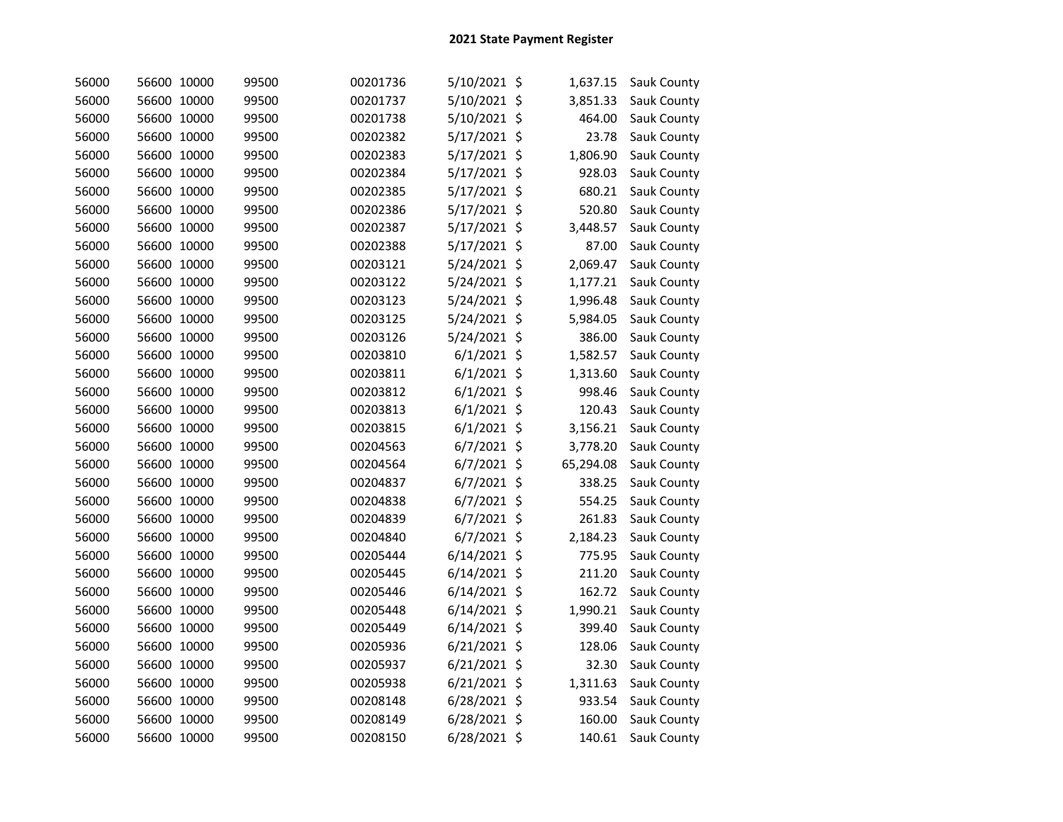| 56000 | 56600 10000 |       | 99500 | 00201736 | 5/10/2021 \$   | 1,637.15  | Sauk County |
|-------|-------------|-------|-------|----------|----------------|-----------|-------------|
| 56000 | 56600 10000 |       | 99500 | 00201737 | 5/10/2021 \$   | 3,851.33  | Sauk County |
| 56000 | 56600 10000 |       | 99500 | 00201738 | 5/10/2021 \$   | 464.00    | Sauk County |
| 56000 | 56600 10000 |       | 99500 | 00202382 | 5/17/2021 \$   | 23.78     | Sauk County |
| 56000 | 56600 10000 |       | 99500 | 00202383 | 5/17/2021 \$   | 1,806.90  | Sauk County |
| 56000 | 56600 10000 |       | 99500 | 00202384 | 5/17/2021 \$   | 928.03    | Sauk County |
| 56000 | 56600 10000 |       | 99500 | 00202385 | 5/17/2021 \$   | 680.21    | Sauk County |
| 56000 | 56600 10000 |       | 99500 | 00202386 | 5/17/2021 \$   | 520.80    | Sauk County |
| 56000 | 56600 10000 |       | 99500 | 00202387 | 5/17/2021 \$   | 3,448.57  | Sauk County |
| 56000 | 56600 10000 |       | 99500 | 00202388 | 5/17/2021 \$   | 87.00     | Sauk County |
| 56000 | 56600 10000 |       | 99500 | 00203121 | 5/24/2021 \$   | 2,069.47  | Sauk County |
| 56000 | 56600 10000 |       | 99500 | 00203122 | 5/24/2021 \$   | 1,177.21  | Sauk County |
| 56000 | 56600 10000 |       | 99500 | 00203123 | 5/24/2021 \$   | 1,996.48  | Sauk County |
| 56000 | 56600 10000 |       | 99500 | 00203125 | 5/24/2021 \$   | 5,984.05  | Sauk County |
| 56000 | 56600 10000 |       | 99500 | 00203126 | 5/24/2021 \$   | 386.00    | Sauk County |
| 56000 | 56600 10000 |       | 99500 | 00203810 | $6/1/2021$ \$  | 1,582.57  | Sauk County |
| 56000 | 56600 10000 |       | 99500 | 00203811 | $6/1/2021$ \$  | 1,313.60  | Sauk County |
| 56000 | 56600 10000 |       | 99500 | 00203812 | $6/1/2021$ \$  | 998.46    | Sauk County |
| 56000 | 56600 10000 |       | 99500 | 00203813 | $6/1/2021$ \$  | 120.43    | Sauk County |
| 56000 | 56600 10000 |       | 99500 | 00203815 | $6/1/2021$ \$  | 3,156.21  | Sauk County |
| 56000 | 56600 10000 |       | 99500 | 00204563 | $6/7/2021$ \$  | 3,778.20  | Sauk County |
| 56000 | 56600 10000 |       | 99500 | 00204564 | $6/7/2021$ \$  | 65,294.08 | Sauk County |
| 56000 | 56600 10000 |       | 99500 | 00204837 | $6/7/2021$ \$  | 338.25    | Sauk County |
| 56000 | 56600 10000 |       | 99500 | 00204838 | 6/7/2021 \$    | 554.25    | Sauk County |
| 56000 | 56600       | 10000 | 99500 | 00204839 | $6/7/2021$ \$  | 261.83    | Sauk County |
| 56000 | 56600       | 10000 | 99500 | 00204840 | $6/7/2021$ \$  | 2,184.23  | Sauk County |
| 56000 | 56600       | 10000 | 99500 | 00205444 | $6/14/2021$ \$ | 775.95    | Sauk County |
| 56000 | 56600       | 10000 | 99500 | 00205445 | 6/14/2021 \$   | 211.20    | Sauk County |
| 56000 | 56600       | 10000 | 99500 | 00205446 | $6/14/2021$ \$ | 162.72    | Sauk County |
| 56000 | 56600       | 10000 | 99500 | 00205448 | 6/14/2021 \$   | 1,990.21  | Sauk County |
| 56000 | 56600       | 10000 | 99500 | 00205449 | 6/14/2021 \$   | 399.40    | Sauk County |
| 56000 | 56600       | 10000 | 99500 | 00205936 | $6/21/2021$ \$ | 128.06    | Sauk County |
| 56000 | 56600 10000 |       | 99500 | 00205937 | $6/21/2021$ \$ | 32.30     | Sauk County |
| 56000 | 56600 10000 |       | 99500 | 00205938 | 6/21/2021 \$   | 1,311.63  | Sauk County |
| 56000 | 56600 10000 |       | 99500 | 00208148 | 6/28/2021 \$   | 933.54    | Sauk County |
| 56000 | 56600 10000 |       | 99500 | 00208149 | 6/28/2021 \$   | 160.00    | Sauk County |
| 56000 | 56600 10000 |       | 99500 | 00208150 | 6/28/2021 \$   | 140.61    | Sauk County |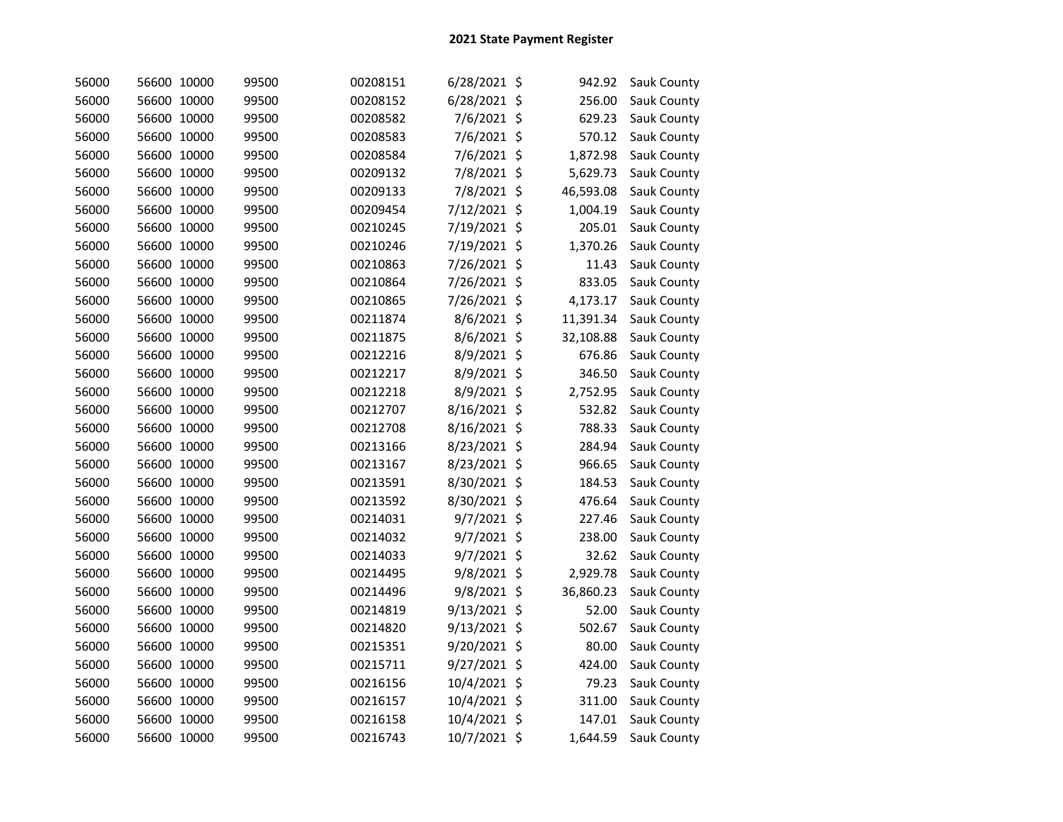| 56000 | 56600 10000 |       | 99500 | 00208151 | 6/28/2021 \$ | 942.92          | Sauk County |
|-------|-------------|-------|-------|----------|--------------|-----------------|-------------|
| 56000 | 56600 10000 |       | 99500 | 00208152 | 6/28/2021 \$ | 256.00          | Sauk County |
| 56000 | 56600 10000 |       | 99500 | 00208582 | 7/6/2021 \$  | 629.23          | Sauk County |
| 56000 | 56600 10000 |       | 99500 | 00208583 | 7/6/2021 \$  | 570.12          | Sauk County |
| 56000 | 56600 10000 |       | 99500 | 00208584 | 7/6/2021 \$  | 1,872.98        | Sauk County |
| 56000 | 56600       | 10000 | 99500 | 00209132 | 7/8/2021 \$  | 5,629.73        | Sauk County |
| 56000 | 56600 10000 |       | 99500 | 00209133 | 7/8/2021 \$  | 46,593.08       | Sauk County |
| 56000 | 56600 10000 |       | 99500 | 00209454 | 7/12/2021 \$ | 1,004.19        | Sauk County |
| 56000 | 56600 10000 |       | 99500 | 00210245 | 7/19/2021 \$ | 205.01          | Sauk County |
| 56000 | 56600 10000 |       | 99500 | 00210246 | 7/19/2021 \$ | 1,370.26        | Sauk County |
| 56000 | 56600 10000 |       | 99500 | 00210863 | 7/26/2021 \$ | 11.43           | Sauk County |
| 56000 | 56600 10000 |       | 99500 | 00210864 | 7/26/2021 \$ | 833.05          | Sauk County |
| 56000 | 56600 10000 |       | 99500 | 00210865 | 7/26/2021 \$ | 4,173.17        | Sauk County |
| 56000 | 56600 10000 |       | 99500 | 00211874 | 8/6/2021 \$  | 11,391.34       | Sauk County |
| 56000 | 56600 10000 |       | 99500 | 00211875 | 8/6/2021 \$  | 32,108.88       | Sauk County |
| 56000 | 56600 10000 |       | 99500 | 00212216 | 8/9/2021 \$  | 676.86          | Sauk County |
| 56000 | 56600 10000 |       | 99500 | 00212217 | 8/9/2021 \$  | 346.50          | Sauk County |
| 56000 | 56600 10000 |       | 99500 | 00212218 | 8/9/2021 \$  | 2,752.95        | Sauk County |
| 56000 | 56600 10000 |       | 99500 | 00212707 | 8/16/2021 \$ | 532.82          | Sauk County |
| 56000 | 56600       | 10000 | 99500 | 00212708 | 8/16/2021 \$ | 788.33          | Sauk County |
| 56000 | 56600       | 10000 | 99500 | 00213166 | 8/23/2021 \$ | 284.94          | Sauk County |
| 56000 | 56600       | 10000 | 99500 | 00213167 | 8/23/2021 \$ | 966.65          | Sauk County |
| 56000 | 56600       | 10000 | 99500 | 00213591 | 8/30/2021 \$ | 184.53          | Sauk County |
| 56000 | 56600       | 10000 | 99500 | 00213592 | 8/30/2021 \$ | 476.64          | Sauk County |
| 56000 | 56600       | 10000 | 99500 | 00214031 | 9/7/2021 \$  | 227.46          | Sauk County |
| 56000 | 56600       | 10000 | 99500 | 00214032 | 9/7/2021     | \$<br>238.00    | Sauk County |
| 56000 | 56600       | 10000 | 99500 | 00214033 | 9/7/2021 \$  | 32.62           | Sauk County |
| 56000 | 56600       | 10000 | 99500 | 00214495 | 9/8/2021     | \$<br>2,929.78  | Sauk County |
| 56000 | 56600       | 10000 | 99500 | 00214496 | 9/8/2021     | \$<br>36,860.23 | Sauk County |
| 56000 | 56600       | 10000 | 99500 | 00214819 | 9/13/2021 \$ | 52.00           | Sauk County |
| 56000 | 56600       | 10000 | 99500 | 00214820 | 9/13/2021 \$ | 502.67          | Sauk County |
| 56000 | 56600       | 10000 | 99500 | 00215351 | 9/20/2021 \$ | 80.00           | Sauk County |
| 56000 | 56600       | 10000 | 99500 | 00215711 | 9/27/2021 \$ | 424.00          | Sauk County |
| 56000 | 56600 10000 |       | 99500 | 00216156 | 10/4/2021 \$ | 79.23           | Sauk County |
| 56000 | 56600 10000 |       | 99500 | 00216157 | 10/4/2021 \$ | 311.00          | Sauk County |
| 56000 | 56600       | 10000 | 99500 | 00216158 | 10/4/2021 \$ | 147.01          | Sauk County |
| 56000 | 56600 10000 |       | 99500 | 00216743 | 10/7/2021 \$ | 1,644.59        | Sauk County |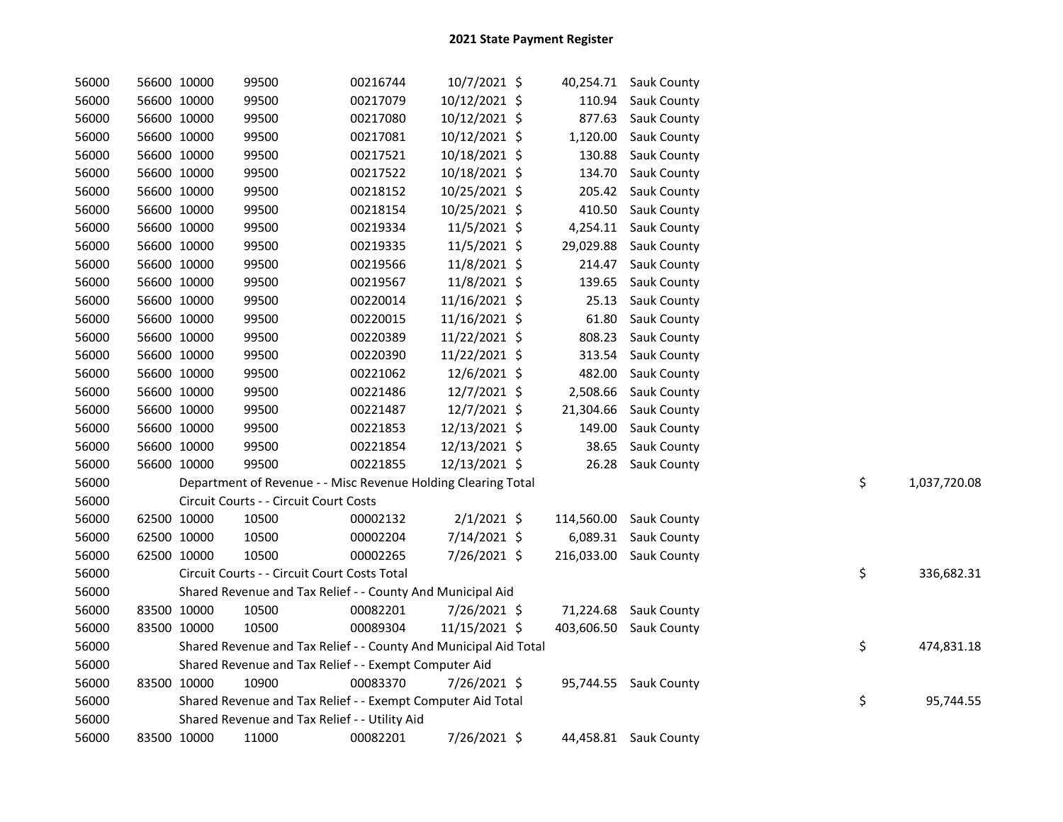| 56000 | 56600 10000 | 99500                                                            | 00216744 | 10/7/2021 \$   |            | 40,254.71 Sauk County  |    |              |
|-------|-------------|------------------------------------------------------------------|----------|----------------|------------|------------------------|----|--------------|
| 56000 | 56600 10000 | 99500                                                            | 00217079 | 10/12/2021 \$  | 110.94     | Sauk County            |    |              |
| 56000 | 56600 10000 | 99500                                                            | 00217080 | 10/12/2021 \$  | 877.63     | Sauk County            |    |              |
| 56000 | 56600 10000 | 99500                                                            | 00217081 | 10/12/2021 \$  | 1,120.00   | <b>Sauk County</b>     |    |              |
| 56000 | 56600 10000 | 99500                                                            | 00217521 | 10/18/2021 \$  | 130.88     | Sauk County            |    |              |
| 56000 | 56600 10000 | 99500                                                            | 00217522 | 10/18/2021 \$  | 134.70     | Sauk County            |    |              |
| 56000 | 56600 10000 | 99500                                                            | 00218152 | 10/25/2021 \$  | 205.42     | Sauk County            |    |              |
| 56000 | 56600 10000 | 99500                                                            | 00218154 | 10/25/2021 \$  | 410.50     | Sauk County            |    |              |
| 56000 | 56600 10000 | 99500                                                            | 00219334 | $11/5/2021$ \$ | 4,254.11   | <b>Sauk County</b>     |    |              |
| 56000 | 56600 10000 | 99500                                                            | 00219335 | 11/5/2021 \$   | 29,029.88  | Sauk County            |    |              |
| 56000 | 56600 10000 | 99500                                                            | 00219566 | 11/8/2021 \$   | 214.47     | Sauk County            |    |              |
| 56000 | 56600 10000 | 99500                                                            | 00219567 | 11/8/2021 \$   | 139.65     | Sauk County            |    |              |
| 56000 | 56600 10000 | 99500                                                            | 00220014 | 11/16/2021 \$  | 25.13      | Sauk County            |    |              |
| 56000 | 56600 10000 | 99500                                                            | 00220015 | 11/16/2021 \$  | 61.80      | Sauk County            |    |              |
| 56000 | 56600 10000 | 99500                                                            | 00220389 | 11/22/2021 \$  | 808.23     | Sauk County            |    |              |
| 56000 | 56600 10000 | 99500                                                            | 00220390 | 11/22/2021 \$  | 313.54     | Sauk County            |    |              |
| 56000 | 56600 10000 | 99500                                                            | 00221062 | 12/6/2021 \$   | 482.00     | Sauk County            |    |              |
| 56000 | 56600 10000 | 99500                                                            | 00221486 | 12/7/2021 \$   | 2,508.66   | Sauk County            |    |              |
| 56000 | 56600 10000 | 99500                                                            | 00221487 | 12/7/2021 \$   | 21,304.66  | Sauk County            |    |              |
| 56000 | 56600 10000 | 99500                                                            | 00221853 | 12/13/2021 \$  | 149.00     | Sauk County            |    |              |
| 56000 | 56600 10000 | 99500                                                            | 00221854 | 12/13/2021 \$  | 38.65      | Sauk County            |    |              |
| 56000 | 56600 10000 | 99500                                                            | 00221855 | 12/13/2021 \$  | 26.28      | Sauk County            |    |              |
| 56000 |             | Department of Revenue - - Misc Revenue Holding Clearing Total    |          |                |            |                        | \$ | 1,037,720.08 |
| 56000 |             | Circuit Courts - - Circuit Court Costs                           |          |                |            |                        |    |              |
| 56000 | 62500 10000 | 10500                                                            | 00002132 | $2/1/2021$ \$  | 114,560.00 | <b>Sauk County</b>     |    |              |
| 56000 | 62500 10000 | 10500                                                            | 00002204 | 7/14/2021 \$   | 6,089.31   | Sauk County            |    |              |
| 56000 | 62500 10000 | 10500                                                            | 00002265 | 7/26/2021 \$   |            | 216,033.00 Sauk County |    |              |
| 56000 |             | Circuit Courts - - Circuit Court Costs Total                     |          |                |            |                        | \$ | 336,682.31   |
| 56000 |             | Shared Revenue and Tax Relief - - County And Municipal Aid       |          |                |            |                        |    |              |
| 56000 | 83500 10000 | 10500                                                            | 00082201 | 7/26/2021 \$   |            | 71,224.68 Sauk County  |    |              |
| 56000 | 83500 10000 | 10500                                                            | 00089304 | 11/15/2021 \$  |            | 403,606.50 Sauk County |    |              |
| 56000 |             | Shared Revenue and Tax Relief - - County And Municipal Aid Total |          |                |            |                        | \$ | 474,831.18   |
| 56000 |             | Shared Revenue and Tax Relief - - Exempt Computer Aid            |          |                |            |                        |    |              |
| 56000 | 83500 10000 | 10900                                                            | 00083370 | 7/26/2021 \$   |            | 95,744.55 Sauk County  |    |              |
| 56000 |             | Shared Revenue and Tax Relief - - Exempt Computer Aid Total      |          |                |            |                        | \$ | 95,744.55    |
| 56000 |             | Shared Revenue and Tax Relief - - Utility Aid                    |          |                |            |                        |    |              |
| 56000 | 83500 10000 | 11000                                                            | 00082201 | 7/26/2021 \$   |            | 44,458.81 Sauk County  |    |              |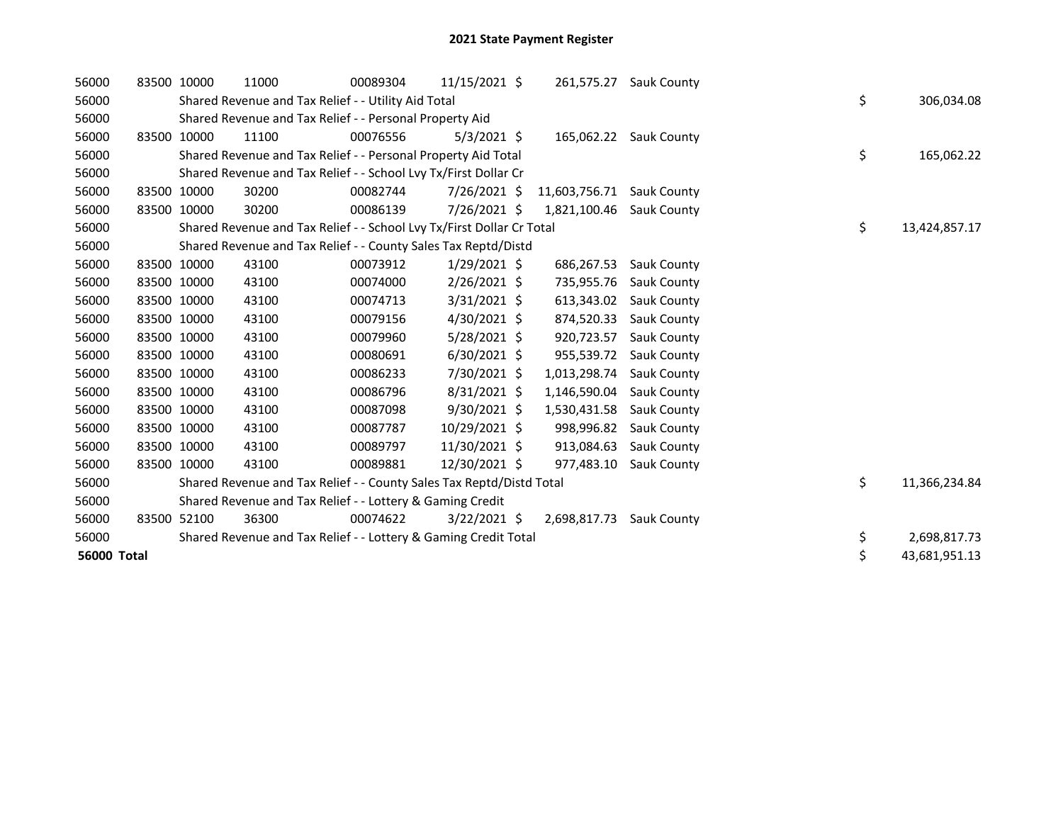| 56000              | 83500 10000 | 11000                                                                 | 00089304 | 11/15/2021 \$  |               | 261,575.27 Sauk County |    |               |
|--------------------|-------------|-----------------------------------------------------------------------|----------|----------------|---------------|------------------------|----|---------------|
| 56000              |             | Shared Revenue and Tax Relief - - Utility Aid Total                   | \$       | 306,034.08     |               |                        |    |               |
| 56000              |             | Shared Revenue and Tax Relief - - Personal Property Aid               |          |                |               |                        |    |               |
| 56000              | 83500 10000 | 11100                                                                 | 00076556 | $5/3/2021$ \$  |               | 165,062.22 Sauk County |    |               |
| 56000              |             | Shared Revenue and Tax Relief - - Personal Property Aid Total         |          |                |               |                        | \$ | 165,062.22    |
| 56000              |             | Shared Revenue and Tax Relief - - School Lvy Tx/First Dollar Cr       |          |                |               |                        |    |               |
| 56000              | 83500 10000 | 30200                                                                 | 00082744 | 7/26/2021 \$   | 11,603,756.71 | <b>Sauk County</b>     |    |               |
| 56000              | 83500 10000 | 30200                                                                 | 00086139 | 7/26/2021 \$   | 1,821,100.46  | <b>Sauk County</b>     |    |               |
| 56000              |             | Shared Revenue and Tax Relief - - School Lvy Tx/First Dollar Cr Total |          |                |               |                        | \$ | 13,424,857.17 |
| 56000              |             | Shared Revenue and Tax Relief - - County Sales Tax Reptd/Distd        |          |                |               |                        |    |               |
| 56000              | 83500 10000 | 43100                                                                 | 00073912 | $1/29/2021$ \$ | 686,267.53    | Sauk County            |    |               |
| 56000              | 83500 10000 | 43100                                                                 | 00074000 | $2/26/2021$ \$ | 735,955.76    | Sauk County            |    |               |
| 56000              | 83500 10000 | 43100                                                                 | 00074713 | $3/31/2021$ \$ | 613,343.02    | Sauk County            |    |               |
| 56000              | 83500 10000 | 43100                                                                 | 00079156 | 4/30/2021 \$   | 874,520.33    | Sauk County            |    |               |
| 56000              | 83500 10000 | 43100                                                                 | 00079960 | $5/28/2021$ \$ | 920,723.57    | Sauk County            |    |               |
| 56000              | 83500 10000 | 43100                                                                 | 00080691 | $6/30/2021$ \$ | 955,539.72    | Sauk County            |    |               |
| 56000              | 83500 10000 | 43100                                                                 | 00086233 | 7/30/2021 \$   | 1,013,298.74  | Sauk County            |    |               |
| 56000              | 83500 10000 | 43100                                                                 | 00086796 | $8/31/2021$ \$ | 1,146,590.04  | <b>Sauk County</b>     |    |               |
| 56000              | 83500 10000 | 43100                                                                 | 00087098 | $9/30/2021$ \$ | 1,530,431.58  | <b>Sauk County</b>     |    |               |
| 56000              | 83500 10000 | 43100                                                                 | 00087787 | 10/29/2021 \$  | 998,996.82    | Sauk County            |    |               |
| 56000              | 83500 10000 | 43100                                                                 | 00089797 | 11/30/2021 \$  | 913,084.63    | <b>Sauk County</b>     |    |               |
| 56000              | 83500 10000 | 43100                                                                 | 00089881 | 12/30/2021 \$  | 977,483.10    | Sauk County            |    |               |
| 56000              |             | Shared Revenue and Tax Relief - - County Sales Tax Reptd/Distd Total  |          |                |               |                        | \$ | 11,366,234.84 |
| 56000              |             | Shared Revenue and Tax Relief - - Lottery & Gaming Credit             |          |                |               |                        |    |               |
| 56000              | 83500 52100 | 36300                                                                 | 00074622 | $3/22/2021$ \$ | 2,698,817.73  | Sauk County            |    |               |
| 56000              |             | Shared Revenue and Tax Relief - - Lottery & Gaming Credit Total       |          |                |               |                        | \$ | 2,698,817.73  |
| <b>56000 Total</b> |             |                                                                       |          |                |               |                        | \$ | 43,681,951.13 |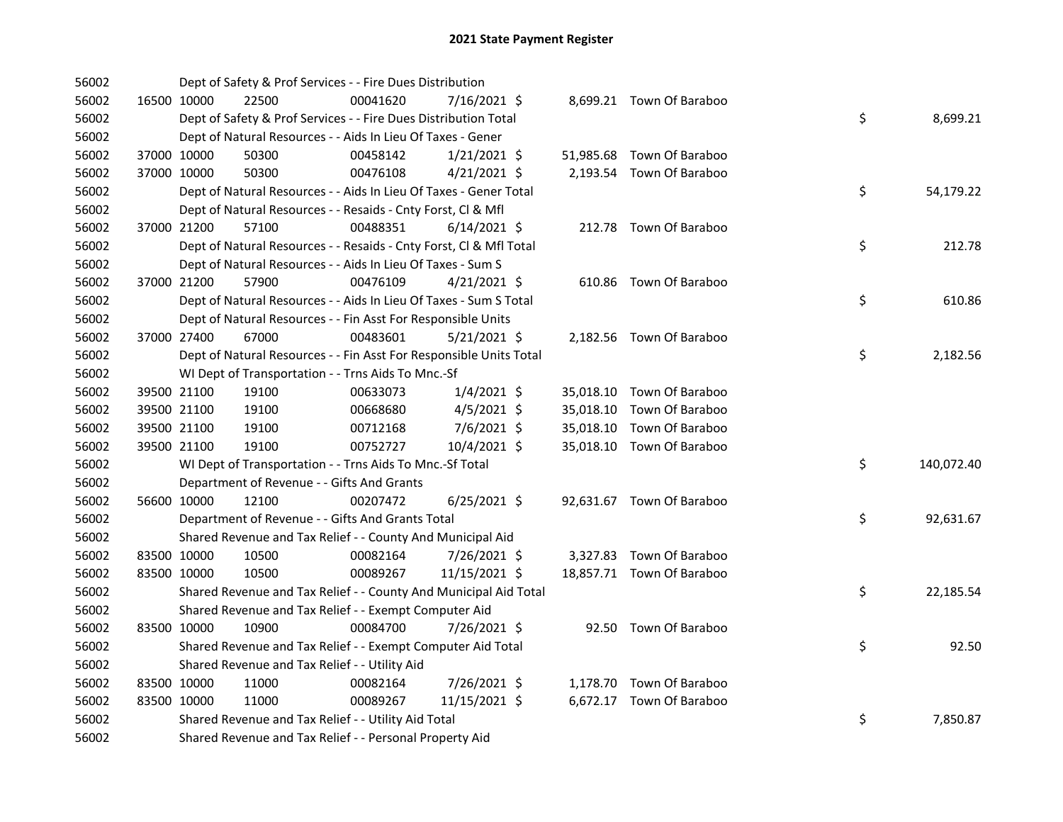| 56002 |             | Dept of Safety & Prof Services - - Fire Dues Distribution          |          |                |  |                           |    |            |
|-------|-------------|--------------------------------------------------------------------|----------|----------------|--|---------------------------|----|------------|
| 56002 | 16500 10000 | 22500                                                              | 00041620 | 7/16/2021 \$   |  | 8,699.21 Town Of Baraboo  |    |            |
| 56002 |             | Dept of Safety & Prof Services - - Fire Dues Distribution Total    |          |                |  |                           | \$ | 8,699.21   |
| 56002 |             | Dept of Natural Resources - - Aids In Lieu Of Taxes - Gener        |          |                |  |                           |    |            |
| 56002 | 37000 10000 | 50300                                                              | 00458142 | $1/21/2021$ \$ |  | 51,985.68 Town Of Baraboo |    |            |
| 56002 | 37000 10000 | 50300                                                              | 00476108 | $4/21/2021$ \$ |  | 2,193.54 Town Of Baraboo  |    |            |
| 56002 |             | Dept of Natural Resources - - Aids In Lieu Of Taxes - Gener Total  |          |                |  |                           | \$ | 54,179.22  |
| 56002 |             | Dept of Natural Resources - - Resaids - Cnty Forst, Cl & Mfl       |          |                |  |                           |    |            |
| 56002 | 37000 21200 | 57100                                                              | 00488351 | $6/14/2021$ \$ |  | 212.78 Town Of Baraboo    |    |            |
| 56002 |             | Dept of Natural Resources - - Resaids - Cnty Forst, Cl & Mfl Total |          |                |  |                           | \$ | 212.78     |
| 56002 |             | Dept of Natural Resources - - Aids In Lieu Of Taxes - Sum S        |          |                |  |                           |    |            |
| 56002 | 37000 21200 | 57900                                                              | 00476109 | $4/21/2021$ \$ |  | 610.86 Town Of Baraboo    |    |            |
| 56002 |             | Dept of Natural Resources - - Aids In Lieu Of Taxes - Sum S Total  |          |                |  |                           | \$ | 610.86     |
| 56002 |             | Dept of Natural Resources - - Fin Asst For Responsible Units       |          |                |  |                           |    |            |
| 56002 | 37000 27400 | 67000                                                              | 00483601 | $5/21/2021$ \$ |  | 2,182.56 Town Of Baraboo  |    |            |
| 56002 |             | Dept of Natural Resources - - Fin Asst For Responsible Units Total |          |                |  |                           | \$ | 2,182.56   |
| 56002 |             | WI Dept of Transportation - - Trns Aids To Mnc.-Sf                 |          |                |  |                           |    |            |
| 56002 | 39500 21100 | 19100                                                              | 00633073 | $1/4/2021$ \$  |  | 35,018.10 Town Of Baraboo |    |            |
| 56002 | 39500 21100 | 19100                                                              | 00668680 | $4/5/2021$ \$  |  | 35,018.10 Town Of Baraboo |    |            |
| 56002 | 39500 21100 | 19100                                                              | 00712168 | $7/6/2021$ \$  |  | 35,018.10 Town Of Baraboo |    |            |
| 56002 | 39500 21100 | 19100                                                              | 00752727 | 10/4/2021 \$   |  | 35,018.10 Town Of Baraboo |    |            |
| 56002 |             | WI Dept of Transportation - - Trns Aids To Mnc.-Sf Total           |          |                |  |                           | \$ | 140,072.40 |
| 56002 |             | Department of Revenue - - Gifts And Grants                         |          |                |  |                           |    |            |
| 56002 | 56600 10000 | 12100                                                              | 00207472 | $6/25/2021$ \$ |  | 92,631.67 Town Of Baraboo |    |            |
| 56002 |             | Department of Revenue - - Gifts And Grants Total                   |          |                |  |                           | \$ | 92,631.67  |
| 56002 |             | Shared Revenue and Tax Relief - - County And Municipal Aid         |          |                |  |                           |    |            |
| 56002 | 83500 10000 | 10500                                                              | 00082164 | 7/26/2021 \$   |  | 3,327.83 Town Of Baraboo  |    |            |
| 56002 | 83500 10000 | 10500                                                              | 00089267 | 11/15/2021 \$  |  | 18,857.71 Town Of Baraboo |    |            |
| 56002 |             | Shared Revenue and Tax Relief - - County And Municipal Aid Total   |          |                |  |                           | \$ | 22,185.54  |
| 56002 |             | Shared Revenue and Tax Relief - - Exempt Computer Aid              |          |                |  |                           |    |            |
| 56002 | 83500 10000 | 10900                                                              | 00084700 | 7/26/2021 \$   |  | 92.50 Town Of Baraboo     |    |            |
| 56002 |             | Shared Revenue and Tax Relief - - Exempt Computer Aid Total        |          |                |  |                           | \$ | 92.50      |
| 56002 |             | Shared Revenue and Tax Relief - - Utility Aid                      |          |                |  |                           |    |            |
| 56002 | 83500 10000 | 11000                                                              | 00082164 | 7/26/2021 \$   |  | 1,178.70 Town Of Baraboo  |    |            |
| 56002 | 83500 10000 | 11000                                                              | 00089267 | 11/15/2021 \$  |  | 6,672.17 Town Of Baraboo  |    |            |
| 56002 |             | Shared Revenue and Tax Relief - - Utility Aid Total                |          |                |  |                           | \$ | 7,850.87   |
| 56002 |             | Shared Revenue and Tax Relief - - Personal Property Aid            |          |                |  |                           |    |            |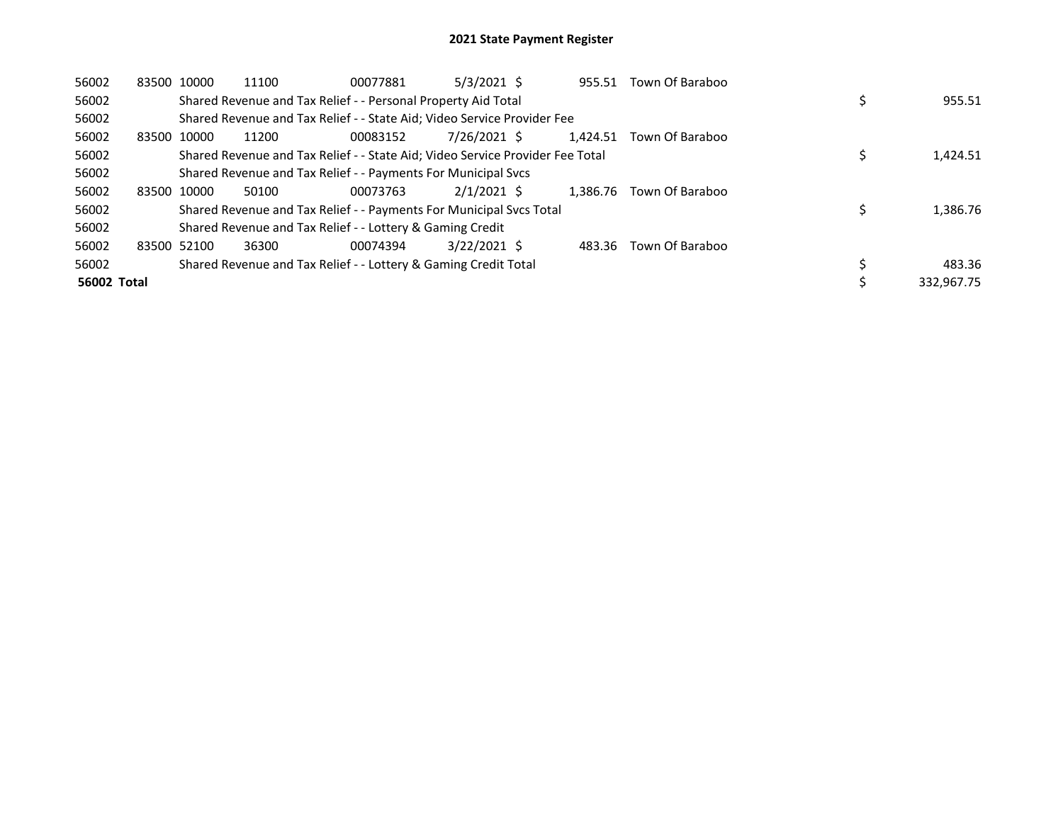| 56002       | 83500 10000 | 11100                                                                         | 00077881 | $5/3/2021$ \$  | 955.51   | Town Of Baraboo |            |
|-------------|-------------|-------------------------------------------------------------------------------|----------|----------------|----------|-----------------|------------|
| 56002       |             | Shared Revenue and Tax Relief - - Personal Property Aid Total                 |          |                |          |                 | 955.51     |
| 56002       |             | Shared Revenue and Tax Relief - - State Aid; Video Service Provider Fee       |          |                |          |                 |            |
| 56002       | 83500 10000 | 11200                                                                         | 00083152 | 7/26/2021 \$   | 1.424.51 | Town Of Baraboo |            |
| 56002       |             | Shared Revenue and Tax Relief - - State Aid; Video Service Provider Fee Total |          |                |          |                 | 1,424.51   |
| 56002       |             | Shared Revenue and Tax Relief - - Payments For Municipal Svcs                 |          |                |          |                 |            |
| 56002       | 83500 10000 | 50100                                                                         | 00073763 | $2/1/2021$ \$  | 1.386.76 | Town Of Baraboo |            |
| 56002       |             | Shared Revenue and Tax Relief - - Payments For Municipal Svcs Total           |          |                |          |                 | 1,386.76   |
| 56002       |             | Shared Revenue and Tax Relief - - Lottery & Gaming Credit                     |          |                |          |                 |            |
| 56002       | 83500 52100 | 36300                                                                         | 00074394 | $3/22/2021$ \$ | 483.36   | Town Of Baraboo |            |
| 56002       |             | Shared Revenue and Tax Relief - - Lottery & Gaming Credit Total               |          |                |          |                 | 483.36     |
| 56002 Total |             |                                                                               |          |                |          |                 | 332.967.75 |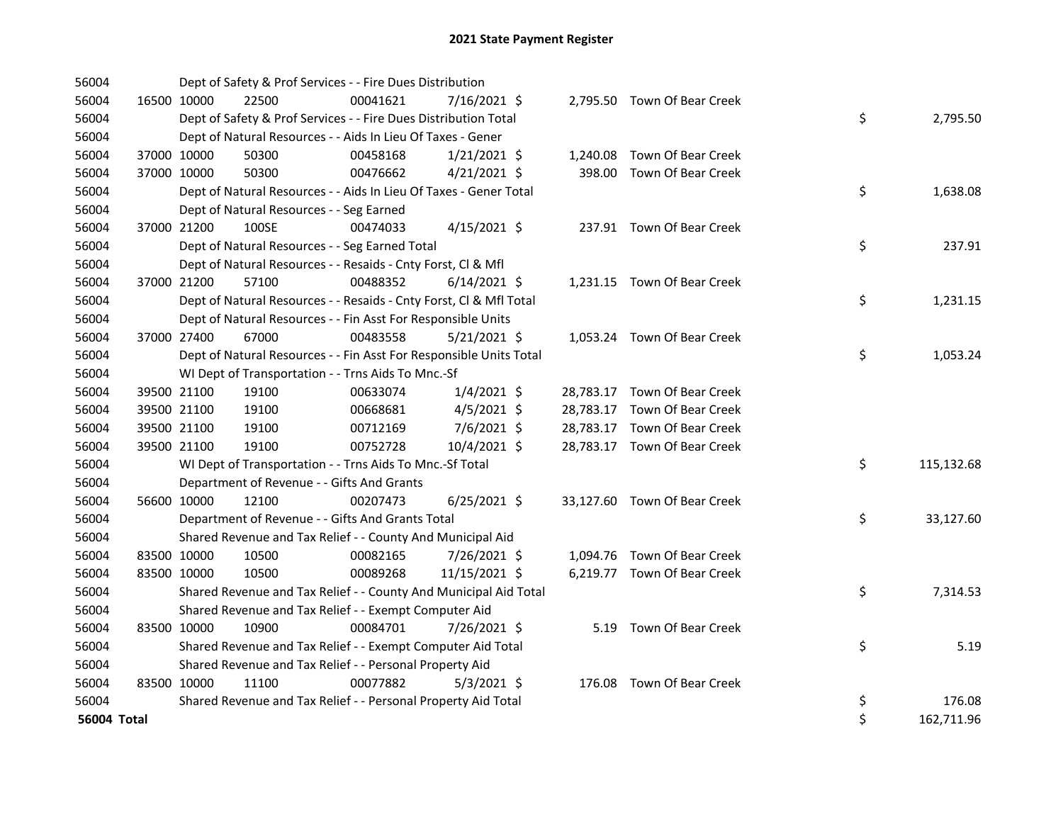| 56004 |             |             | Dept of Safety & Prof Services - - Fire Dues Distribution          |          |                |  |                              |    |            |
|-------|-------------|-------------|--------------------------------------------------------------------|----------|----------------|--|------------------------------|----|------------|
| 56004 |             | 16500 10000 | 22500                                                              | 00041621 | 7/16/2021 \$   |  | 2,795.50 Town Of Bear Creek  |    |            |
| 56004 |             |             | Dept of Safety & Prof Services - - Fire Dues Distribution Total    |          |                |  |                              | \$ | 2,795.50   |
| 56004 |             |             | Dept of Natural Resources - - Aids In Lieu Of Taxes - Gener        |          |                |  |                              |    |            |
| 56004 |             | 37000 10000 | 50300                                                              | 00458168 | $1/21/2021$ \$ |  | 1,240.08 Town Of Bear Creek  |    |            |
| 56004 |             | 37000 10000 | 50300                                                              | 00476662 | $4/21/2021$ \$ |  | 398.00 Town Of Bear Creek    |    |            |
| 56004 |             |             | Dept of Natural Resources - - Aids In Lieu Of Taxes - Gener Total  |          |                |  |                              | \$ | 1,638.08   |
| 56004 |             |             | Dept of Natural Resources - - Seg Earned                           |          |                |  |                              |    |            |
| 56004 |             | 37000 21200 | 100SE                                                              | 00474033 | $4/15/2021$ \$ |  | 237.91 Town Of Bear Creek    |    |            |
| 56004 |             |             | Dept of Natural Resources - - Seg Earned Total                     |          |                |  |                              | \$ | 237.91     |
| 56004 |             |             | Dept of Natural Resources - - Resaids - Cnty Forst, Cl & Mfl       |          |                |  |                              |    |            |
| 56004 |             | 37000 21200 | 57100                                                              | 00488352 | $6/14/2021$ \$ |  | 1,231.15 Town Of Bear Creek  |    |            |
| 56004 |             |             | Dept of Natural Resources - - Resaids - Cnty Forst, CI & Mfl Total |          |                |  |                              | \$ | 1,231.15   |
| 56004 |             |             | Dept of Natural Resources - - Fin Asst For Responsible Units       |          |                |  |                              |    |            |
| 56004 |             | 37000 27400 | 67000                                                              | 00483558 | $5/21/2021$ \$ |  | 1,053.24 Town Of Bear Creek  |    |            |
| 56004 |             |             | Dept of Natural Resources - - Fin Asst For Responsible Units Total |          |                |  |                              | \$ | 1,053.24   |
| 56004 |             |             | WI Dept of Transportation - - Trns Aids To Mnc.-Sf                 |          |                |  |                              |    |            |
| 56004 |             | 39500 21100 | 19100                                                              | 00633074 | $1/4/2021$ \$  |  | 28,783.17 Town Of Bear Creek |    |            |
| 56004 |             | 39500 21100 | 19100                                                              | 00668681 | $4/5/2021$ \$  |  | 28,783.17 Town Of Bear Creek |    |            |
| 56004 |             | 39500 21100 | 19100                                                              | 00712169 | 7/6/2021 \$    |  | 28,783.17 Town Of Bear Creek |    |            |
| 56004 |             | 39500 21100 | 19100                                                              | 00752728 | 10/4/2021 \$   |  | 28,783.17 Town Of Bear Creek |    |            |
| 56004 |             |             | WI Dept of Transportation - - Trns Aids To Mnc.-Sf Total           |          |                |  |                              | \$ | 115,132.68 |
| 56004 |             |             | Department of Revenue - - Gifts And Grants                         |          |                |  |                              |    |            |
| 56004 |             | 56600 10000 | 12100                                                              | 00207473 | $6/25/2021$ \$ |  | 33,127.60 Town Of Bear Creek |    |            |
| 56004 |             |             | Department of Revenue - - Gifts And Grants Total                   |          |                |  |                              | \$ | 33,127.60  |
| 56004 |             |             | Shared Revenue and Tax Relief - - County And Municipal Aid         |          |                |  |                              |    |            |
| 56004 |             | 83500 10000 | 10500                                                              | 00082165 | 7/26/2021 \$   |  | 1,094.76 Town Of Bear Creek  |    |            |
| 56004 |             | 83500 10000 | 10500                                                              | 00089268 | 11/15/2021 \$  |  | 6,219.77 Town Of Bear Creek  |    |            |
| 56004 |             |             | Shared Revenue and Tax Relief - - County And Municipal Aid Total   |          |                |  |                              | \$ | 7,314.53   |
| 56004 |             |             | Shared Revenue and Tax Relief - - Exempt Computer Aid              |          |                |  |                              |    |            |
| 56004 |             | 83500 10000 | 10900                                                              | 00084701 | 7/26/2021 \$   |  | 5.19 Town Of Bear Creek      |    |            |
| 56004 |             |             | Shared Revenue and Tax Relief - - Exempt Computer Aid Total        |          |                |  |                              | \$ | 5.19       |
| 56004 |             |             | Shared Revenue and Tax Relief - - Personal Property Aid            |          |                |  |                              |    |            |
| 56004 |             | 83500 10000 | 11100                                                              | 00077882 | $5/3/2021$ \$  |  | 176.08 Town Of Bear Creek    |    |            |
| 56004 |             |             | Shared Revenue and Tax Relief - - Personal Property Aid Total      |          |                |  |                              | \$ | 176.08     |
|       | 56004 Total |             |                                                                    |          |                |  |                              | \$ | 162,711.96 |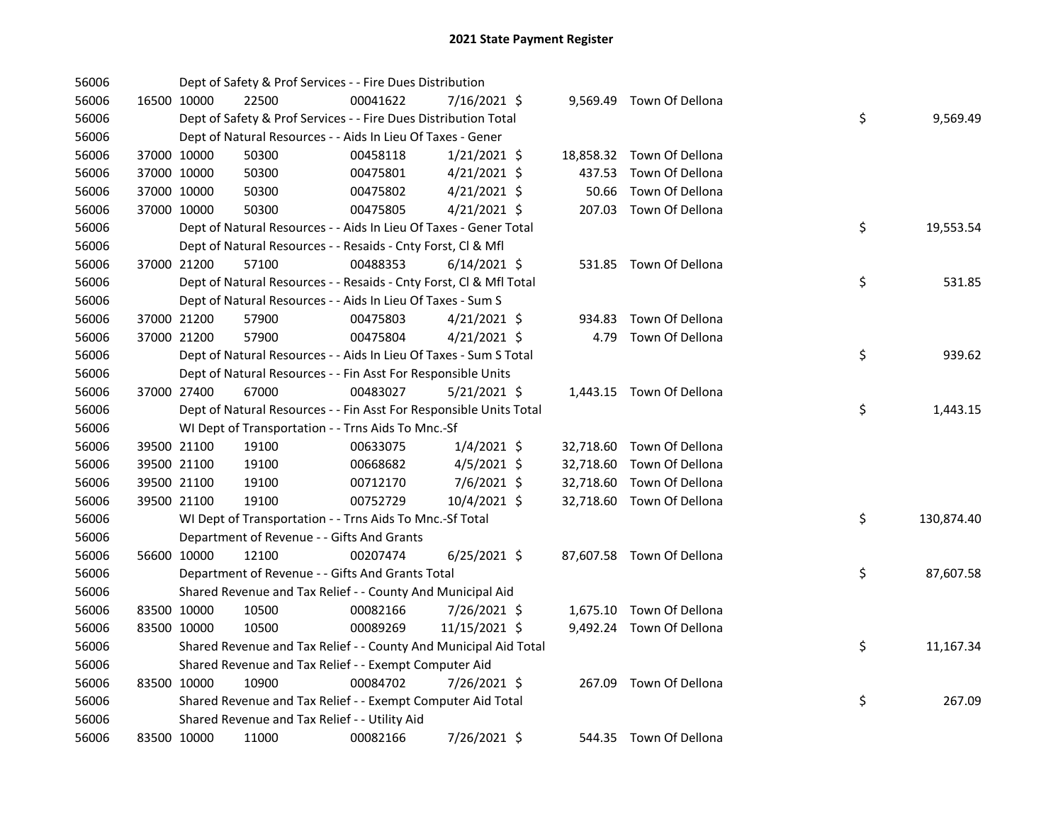| 56006 |             | Dept of Safety & Prof Services - - Fire Dues Distribution          |          |                |        |                           |    |            |
|-------|-------------|--------------------------------------------------------------------|----------|----------------|--------|---------------------------|----|------------|
| 56006 | 16500 10000 | 22500                                                              | 00041622 | 7/16/2021 \$   |        | 9,569.49 Town Of Dellona  |    |            |
| 56006 |             | Dept of Safety & Prof Services - - Fire Dues Distribution Total    |          |                |        |                           | \$ | 9,569.49   |
| 56006 |             | Dept of Natural Resources - - Aids In Lieu Of Taxes - Gener        |          |                |        |                           |    |            |
| 56006 | 37000 10000 | 50300                                                              | 00458118 | $1/21/2021$ \$ |        | 18,858.32 Town Of Dellona |    |            |
| 56006 | 37000 10000 | 50300                                                              | 00475801 | $4/21/2021$ \$ | 437.53 | Town Of Dellona           |    |            |
| 56006 | 37000 10000 | 50300                                                              | 00475802 | $4/21/2021$ \$ | 50.66  | Town Of Dellona           |    |            |
| 56006 | 37000 10000 | 50300                                                              | 00475805 | $4/21/2021$ \$ |        | 207.03 Town Of Dellona    |    |            |
| 56006 |             | Dept of Natural Resources - - Aids In Lieu Of Taxes - Gener Total  |          |                |        |                           | \$ | 19,553.54  |
| 56006 |             | Dept of Natural Resources - - Resaids - Cnty Forst, CI & Mfl       |          |                |        |                           |    |            |
| 56006 | 37000 21200 | 57100                                                              | 00488353 | $6/14/2021$ \$ |        | 531.85 Town Of Dellona    |    |            |
| 56006 |             | Dept of Natural Resources - - Resaids - Cnty Forst, Cl & Mfl Total |          |                |        |                           | \$ | 531.85     |
| 56006 |             | Dept of Natural Resources - - Aids In Lieu Of Taxes - Sum S        |          |                |        |                           |    |            |
| 56006 | 37000 21200 | 57900                                                              | 00475803 | $4/21/2021$ \$ |        | 934.83 Town Of Dellona    |    |            |
| 56006 | 37000 21200 | 57900                                                              | 00475804 | $4/21/2021$ \$ | 4.79   | Town Of Dellona           |    |            |
| 56006 |             | Dept of Natural Resources - - Aids In Lieu Of Taxes - Sum S Total  |          |                |        |                           | \$ | 939.62     |
| 56006 |             | Dept of Natural Resources - - Fin Asst For Responsible Units       |          |                |        |                           |    |            |
| 56006 | 37000 27400 | 67000                                                              | 00483027 | $5/21/2021$ \$ |        | 1,443.15 Town Of Dellona  |    |            |
| 56006 |             | Dept of Natural Resources - - Fin Asst For Responsible Units Total |          |                |        |                           | \$ | 1,443.15   |
| 56006 |             | WI Dept of Transportation - - Trns Aids To Mnc.-Sf                 |          |                |        |                           |    |            |
| 56006 | 39500 21100 | 19100                                                              | 00633075 | $1/4/2021$ \$  |        | 32,718.60 Town Of Dellona |    |            |
| 56006 | 39500 21100 | 19100                                                              | 00668682 | $4/5/2021$ \$  |        | 32,718.60 Town Of Dellona |    |            |
| 56006 | 39500 21100 | 19100                                                              | 00712170 | 7/6/2021 \$    |        | 32,718.60 Town Of Dellona |    |            |
| 56006 | 39500 21100 | 19100                                                              | 00752729 | 10/4/2021 \$   |        | 32,718.60 Town Of Dellona |    |            |
| 56006 |             | WI Dept of Transportation - - Trns Aids To Mnc.-Sf Total           |          |                |        |                           | \$ | 130,874.40 |
| 56006 |             | Department of Revenue - - Gifts And Grants                         |          |                |        |                           |    |            |
| 56006 | 56600 10000 | 12100                                                              | 00207474 | $6/25/2021$ \$ |        | 87,607.58 Town Of Dellona |    |            |
| 56006 |             | Department of Revenue - - Gifts And Grants Total                   |          |                |        |                           | \$ | 87,607.58  |
| 56006 |             | Shared Revenue and Tax Relief - - County And Municipal Aid         |          |                |        |                           |    |            |
| 56006 | 83500 10000 | 10500                                                              | 00082166 | 7/26/2021 \$   |        | 1,675.10 Town Of Dellona  |    |            |
| 56006 | 83500 10000 | 10500                                                              | 00089269 | 11/15/2021 \$  |        | 9,492.24 Town Of Dellona  |    |            |
| 56006 |             | Shared Revenue and Tax Relief - - County And Municipal Aid Total   |          |                |        |                           | \$ | 11,167.34  |
| 56006 |             | Shared Revenue and Tax Relief - - Exempt Computer Aid              |          |                |        |                           |    |            |
| 56006 | 83500 10000 | 10900                                                              | 00084702 | 7/26/2021 \$   |        | 267.09 Town Of Dellona    |    |            |
| 56006 |             | Shared Revenue and Tax Relief - - Exempt Computer Aid Total        |          |                |        |                           | \$ | 267.09     |
| 56006 |             | Shared Revenue and Tax Relief - - Utility Aid                      |          |                |        |                           |    |            |
| 56006 | 83500 10000 | 11000                                                              | 00082166 | 7/26/2021 \$   |        | 544.35 Town Of Dellona    |    |            |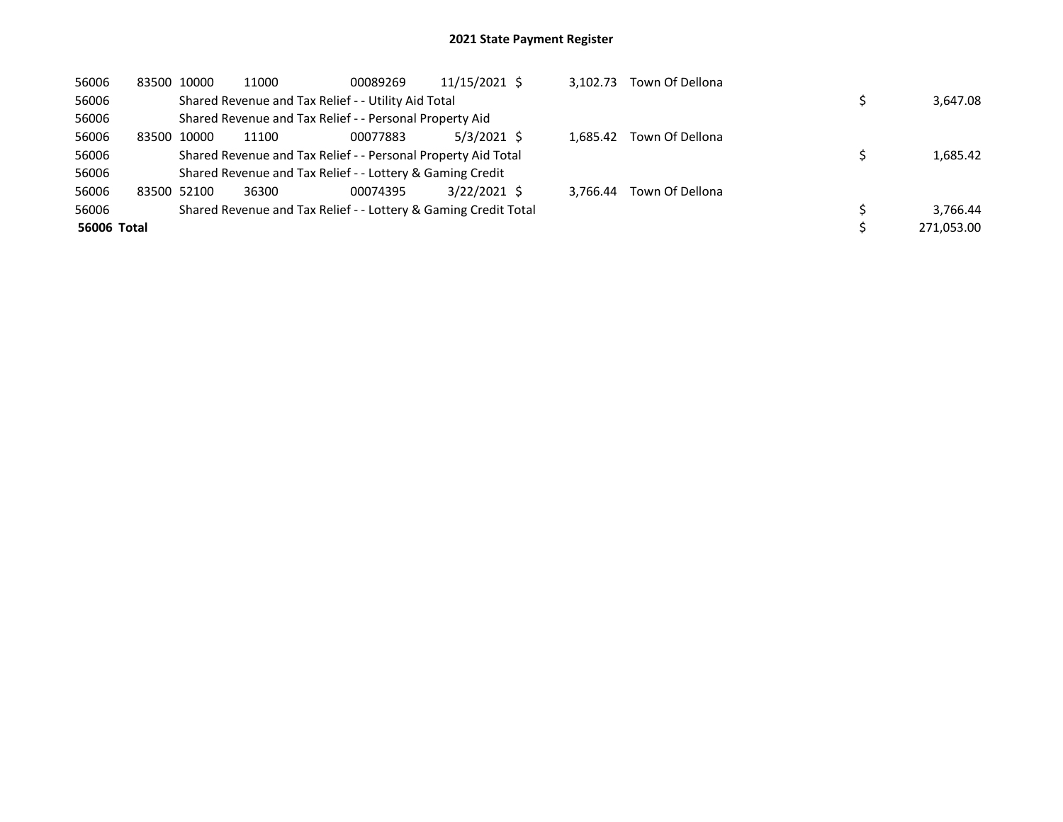| 56006       | 83500 10000 |       | 11000 | 00089269                                                        | 11/15/2021 \$ | 3.102.73 | Town Of Dellona |  |            |
|-------------|-------------|-------|-------|-----------------------------------------------------------------|---------------|----------|-----------------|--|------------|
| 56006       |             |       |       | Shared Revenue and Tax Relief - - Utility Aid Total             |               |          |                 |  | 3,647.08   |
| 56006       |             |       |       | Shared Revenue and Tax Relief - - Personal Property Aid         |               |          |                 |  |            |
| 56006       | 83500       | 10000 | 11100 | 00077883                                                        | 5/3/2021 \$   | 1.685.42 | Town Of Dellona |  |            |
| 56006       |             |       |       | Shared Revenue and Tax Relief - - Personal Property Aid Total   |               |          |                 |  | 1,685.42   |
| 56006       |             |       |       | Shared Revenue and Tax Relief - - Lottery & Gaming Credit       |               |          |                 |  |            |
| 56006       | 83500 52100 |       | 36300 | 00074395                                                        | 3/22/2021 \$  | 3.766.44 | Town Of Dellona |  |            |
| 56006       |             |       |       | Shared Revenue and Tax Relief - - Lottery & Gaming Credit Total |               |          |                 |  | 3,766.44   |
| 56006 Total |             |       |       |                                                                 |               |          |                 |  | 271.053.00 |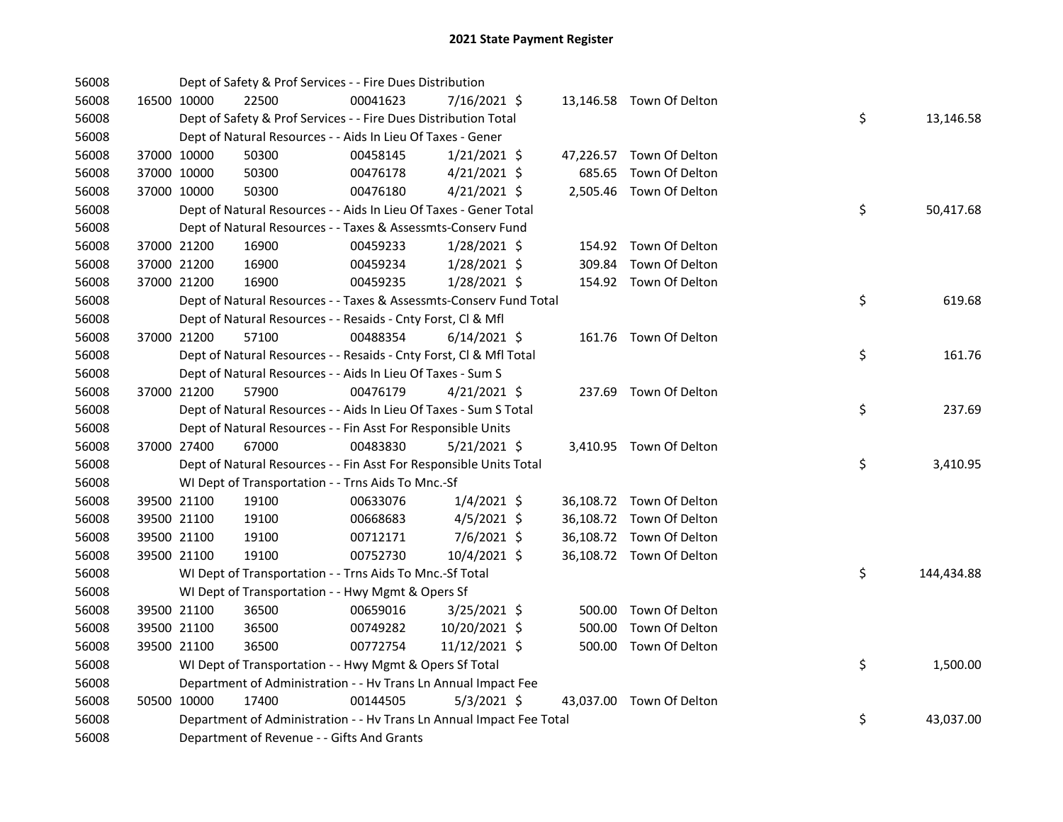| 56008 |             |             | Dept of Safety & Prof Services - - Fire Dues Distribution            |          |                |        |                          |    |            |
|-------|-------------|-------------|----------------------------------------------------------------------|----------|----------------|--------|--------------------------|----|------------|
| 56008 |             | 16500 10000 | 22500                                                                | 00041623 | 7/16/2021 \$   |        | 13,146.58 Town Of Delton |    |            |
| 56008 |             |             | Dept of Safety & Prof Services - - Fire Dues Distribution Total      |          |                |        |                          | \$ | 13,146.58  |
| 56008 |             |             | Dept of Natural Resources - - Aids In Lieu Of Taxes - Gener          |          |                |        |                          |    |            |
| 56008 |             | 37000 10000 | 50300                                                                | 00458145 | $1/21/2021$ \$ |        | 47,226.57 Town Of Delton |    |            |
| 56008 |             | 37000 10000 | 50300                                                                | 00476178 | $4/21/2021$ \$ | 685.65 | Town Of Delton           |    |            |
| 56008 | 37000 10000 |             | 50300                                                                | 00476180 | $4/21/2021$ \$ |        | 2,505.46 Town Of Delton  |    |            |
| 56008 |             |             | Dept of Natural Resources - - Aids In Lieu Of Taxes - Gener Total    |          |                |        |                          | \$ | 50,417.68  |
| 56008 |             |             | Dept of Natural Resources - - Taxes & Assessmts-Conserv Fund         |          |                |        |                          |    |            |
| 56008 |             | 37000 21200 | 16900                                                                | 00459233 | $1/28/2021$ \$ |        | 154.92 Town Of Delton    |    |            |
| 56008 |             | 37000 21200 | 16900                                                                | 00459234 | $1/28/2021$ \$ | 309.84 | Town Of Delton           |    |            |
| 56008 |             | 37000 21200 | 16900                                                                | 00459235 | 1/28/2021 \$   |        | 154.92 Town Of Delton    |    |            |
| 56008 |             |             | Dept of Natural Resources - - Taxes & Assessmts-Conserv Fund Total   |          |                |        |                          | \$ | 619.68     |
| 56008 |             |             | Dept of Natural Resources - - Resaids - Cnty Forst, Cl & Mfl         |          |                |        |                          |    |            |
| 56008 |             | 37000 21200 | 57100                                                                | 00488354 | $6/14/2021$ \$ |        | 161.76 Town Of Delton    |    |            |
| 56008 |             |             | Dept of Natural Resources - - Resaids - Cnty Forst, CI & Mfl Total   |          |                |        |                          | \$ | 161.76     |
| 56008 |             |             | Dept of Natural Resources - - Aids In Lieu Of Taxes - Sum S          |          |                |        |                          |    |            |
| 56008 |             | 37000 21200 | 57900                                                                | 00476179 | $4/21/2021$ \$ |        | 237.69 Town Of Delton    |    |            |
| 56008 |             |             | Dept of Natural Resources - - Aids In Lieu Of Taxes - Sum S Total    |          |                |        |                          | \$ | 237.69     |
| 56008 |             |             | Dept of Natural Resources - - Fin Asst For Responsible Units         |          |                |        |                          |    |            |
| 56008 |             | 37000 27400 | 67000                                                                | 00483830 | $5/21/2021$ \$ |        | 3,410.95 Town Of Delton  |    |            |
| 56008 |             |             | Dept of Natural Resources - - Fin Asst For Responsible Units Total   |          |                |        |                          | \$ | 3,410.95   |
| 56008 |             |             | WI Dept of Transportation - - Trns Aids To Mnc.-Sf                   |          |                |        |                          |    |            |
| 56008 |             | 39500 21100 | 19100                                                                | 00633076 | $1/4/2021$ \$  |        | 36,108.72 Town Of Delton |    |            |
| 56008 |             | 39500 21100 | 19100                                                                | 00668683 | $4/5/2021$ \$  |        | 36,108.72 Town Of Delton |    |            |
| 56008 |             | 39500 21100 | 19100                                                                | 00712171 | $7/6/2021$ \$  |        | 36,108.72 Town Of Delton |    |            |
| 56008 |             | 39500 21100 | 19100                                                                | 00752730 | 10/4/2021 \$   |        | 36,108.72 Town Of Delton |    |            |
| 56008 |             |             | WI Dept of Transportation - - Trns Aids To Mnc.-Sf Total             |          |                |        |                          | \$ | 144,434.88 |
| 56008 |             |             | WI Dept of Transportation - - Hwy Mgmt & Opers Sf                    |          |                |        |                          |    |            |
| 56008 |             | 39500 21100 | 36500                                                                | 00659016 | $3/25/2021$ \$ |        | 500.00 Town Of Delton    |    |            |
| 56008 |             | 39500 21100 | 36500                                                                | 00749282 | 10/20/2021 \$  | 500.00 | Town Of Delton           |    |            |
| 56008 |             | 39500 21100 | 36500                                                                | 00772754 | 11/12/2021 \$  |        | 500.00 Town Of Delton    |    |            |
| 56008 |             |             | WI Dept of Transportation - - Hwy Mgmt & Opers Sf Total              |          |                |        |                          | \$ | 1,500.00   |
| 56008 |             |             | Department of Administration - - Hv Trans Ln Annual Impact Fee       |          |                |        |                          |    |            |
| 56008 |             | 50500 10000 | 17400                                                                | 00144505 | $5/3/2021$ \$  |        | 43,037.00 Town Of Delton |    |            |
| 56008 |             |             | Department of Administration - - Hv Trans Ln Annual Impact Fee Total |          |                |        |                          | \$ | 43,037.00  |
| 56008 |             |             | Department of Revenue - - Gifts And Grants                           |          |                |        |                          |    |            |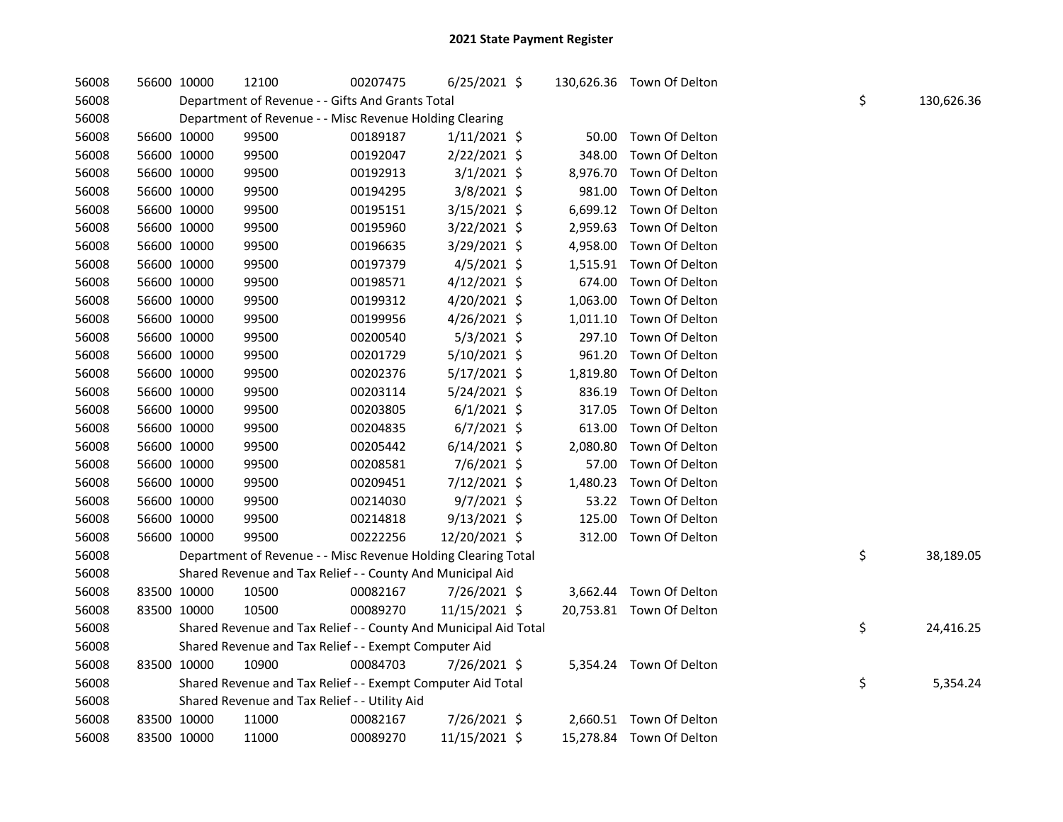| 56008 |             | 56600 10000 | 12100                                                            | 00207475 | $6/25/2021$ \$ |          | 130,626.36 Town Of Delton |    |            |
|-------|-------------|-------------|------------------------------------------------------------------|----------|----------------|----------|---------------------------|----|------------|
| 56008 |             |             | Department of Revenue - - Gifts And Grants Total                 |          |                |          |                           | \$ | 130,626.36 |
| 56008 |             |             | Department of Revenue - - Misc Revenue Holding Clearing          |          |                |          |                           |    |            |
| 56008 |             | 56600 10000 | 99500                                                            | 00189187 | $1/11/2021$ \$ | 50.00    | Town Of Delton            |    |            |
| 56008 |             | 56600 10000 | 99500                                                            | 00192047 | 2/22/2021 \$   | 348.00   | Town Of Delton            |    |            |
| 56008 |             | 56600 10000 | 99500                                                            | 00192913 | $3/1/2021$ \$  | 8,976.70 | Town Of Delton            |    |            |
| 56008 |             | 56600 10000 | 99500                                                            | 00194295 | 3/8/2021 \$    | 981.00   | Town Of Delton            |    |            |
| 56008 |             | 56600 10000 | 99500                                                            | 00195151 | 3/15/2021 \$   | 6,699.12 | Town Of Delton            |    |            |
| 56008 |             | 56600 10000 | 99500                                                            | 00195960 | 3/22/2021 \$   | 2,959.63 | Town Of Delton            |    |            |
| 56008 |             | 56600 10000 | 99500                                                            | 00196635 | 3/29/2021 \$   | 4,958.00 | Town Of Delton            |    |            |
| 56008 |             | 56600 10000 | 99500                                                            | 00197379 | $4/5/2021$ \$  | 1,515.91 | Town Of Delton            |    |            |
| 56008 |             | 56600 10000 | 99500                                                            | 00198571 | $4/12/2021$ \$ | 674.00   | Town Of Delton            |    |            |
| 56008 |             | 56600 10000 | 99500                                                            | 00199312 | 4/20/2021 \$   | 1,063.00 | Town Of Delton            |    |            |
| 56008 |             | 56600 10000 | 99500                                                            | 00199956 | $4/26/2021$ \$ | 1,011.10 | Town Of Delton            |    |            |
| 56008 |             | 56600 10000 | 99500                                                            | 00200540 | $5/3/2021$ \$  | 297.10   | Town Of Delton            |    |            |
| 56008 |             | 56600 10000 | 99500                                                            | 00201729 | 5/10/2021 \$   | 961.20   | Town Of Delton            |    |            |
| 56008 |             | 56600 10000 | 99500                                                            | 00202376 | $5/17/2021$ \$ | 1,819.80 | Town Of Delton            |    |            |
| 56008 |             | 56600 10000 | 99500                                                            | 00203114 | 5/24/2021 \$   | 836.19   | Town Of Delton            |    |            |
| 56008 |             | 56600 10000 | 99500                                                            | 00203805 | $6/1/2021$ \$  | 317.05   | Town Of Delton            |    |            |
| 56008 |             | 56600 10000 | 99500                                                            | 00204835 | $6/7/2021$ \$  | 613.00   | Town Of Delton            |    |            |
| 56008 |             | 56600 10000 | 99500                                                            | 00205442 | $6/14/2021$ \$ | 2,080.80 | Town Of Delton            |    |            |
| 56008 |             | 56600 10000 | 99500                                                            | 00208581 | 7/6/2021 \$    | 57.00    | Town Of Delton            |    |            |
| 56008 |             | 56600 10000 | 99500                                                            | 00209451 | 7/12/2021 \$   | 1,480.23 | Town Of Delton            |    |            |
| 56008 |             | 56600 10000 | 99500                                                            | 00214030 | 9/7/2021 \$    | 53.22    | Town Of Delton            |    |            |
| 56008 |             | 56600 10000 | 99500                                                            | 00214818 | $9/13/2021$ \$ | 125.00   | Town Of Delton            |    |            |
| 56008 |             | 56600 10000 | 99500                                                            | 00222256 | 12/20/2021 \$  | 312.00   | Town Of Delton            |    |            |
| 56008 |             |             | Department of Revenue - - Misc Revenue Holding Clearing Total    |          |                |          |                           | \$ | 38,189.05  |
| 56008 |             |             | Shared Revenue and Tax Relief - - County And Municipal Aid       |          |                |          |                           |    |            |
| 56008 | 83500 10000 |             | 10500                                                            | 00082167 | 7/26/2021 \$   |          | 3,662.44 Town Of Delton   |    |            |
| 56008 |             | 83500 10000 | 10500                                                            | 00089270 | 11/15/2021 \$  |          | 20,753.81 Town Of Delton  |    |            |
| 56008 |             |             | Shared Revenue and Tax Relief - - County And Municipal Aid Total |          |                |          |                           | \$ | 24,416.25  |
| 56008 |             |             | Shared Revenue and Tax Relief - - Exempt Computer Aid            |          |                |          |                           |    |            |
| 56008 | 83500 10000 |             | 10900                                                            | 00084703 | 7/26/2021 \$   |          | 5,354.24 Town Of Delton   |    |            |
| 56008 |             |             | Shared Revenue and Tax Relief - - Exempt Computer Aid Total      |          |                |          |                           | \$ | 5,354.24   |
| 56008 |             |             | Shared Revenue and Tax Relief - - Utility Aid                    |          |                |          |                           |    |            |
| 56008 |             | 83500 10000 | 11000                                                            | 00082167 | 7/26/2021 \$   |          | 2,660.51 Town Of Delton   |    |            |
| 56008 |             | 83500 10000 | 11000                                                            | 00089270 | 11/15/2021 \$  |          | 15,278.84 Town Of Delton  |    |            |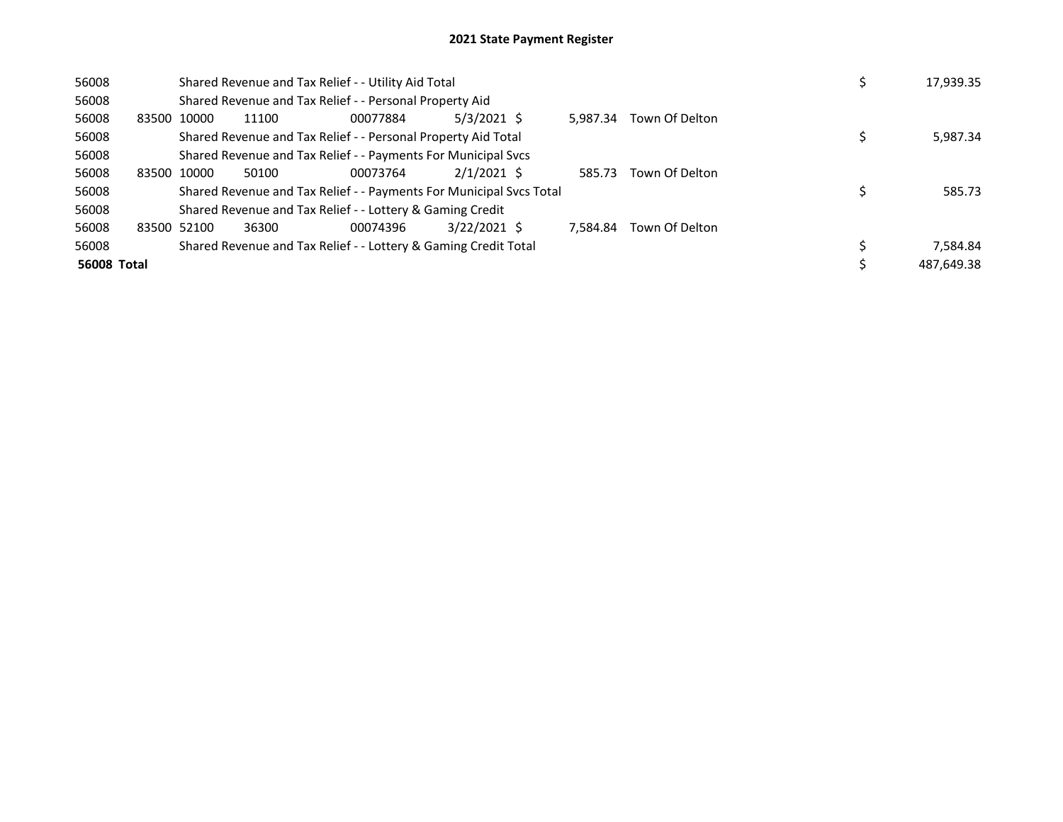| 56008       |             | Shared Revenue and Tax Relief - - Utility Aid Total |       |                                                                     |                |  |          |                | 17,939.35  |
|-------------|-------------|-----------------------------------------------------|-------|---------------------------------------------------------------------|----------------|--|----------|----------------|------------|
| 56008       |             |                                                     |       | Shared Revenue and Tax Relief - - Personal Property Aid             |                |  |          |                |            |
| 56008       | 83500 10000 |                                                     | 11100 | 00077884                                                            | $5/3/2021$ \$  |  | 5.987.34 | Town Of Delton |            |
| 56008       |             |                                                     |       | Shared Revenue and Tax Relief - - Personal Property Aid Total       |                |  |          |                | 5,987.34   |
| 56008       |             |                                                     |       | Shared Revenue and Tax Relief - - Payments For Municipal Svcs       |                |  |          |                |            |
| 56008       | 83500 10000 |                                                     | 50100 | 00073764                                                            | $2/1/2021$ \$  |  | 585.73   | Town Of Delton |            |
| 56008       |             |                                                     |       | Shared Revenue and Tax Relief - - Payments For Municipal Svcs Total |                |  |          |                | 585.73     |
| 56008       |             |                                                     |       | Shared Revenue and Tax Relief - - Lottery & Gaming Credit           |                |  |          |                |            |
| 56008       |             | 83500 52100                                         | 36300 | 00074396                                                            | $3/22/2021$ \$ |  | 7.584.84 | Town Of Delton |            |
| 56008       |             |                                                     |       | Shared Revenue and Tax Relief - - Lottery & Gaming Credit Total     |                |  |          |                | 7,584.84   |
| 56008 Total |             |                                                     |       |                                                                     |                |  |          |                | 487,649.38 |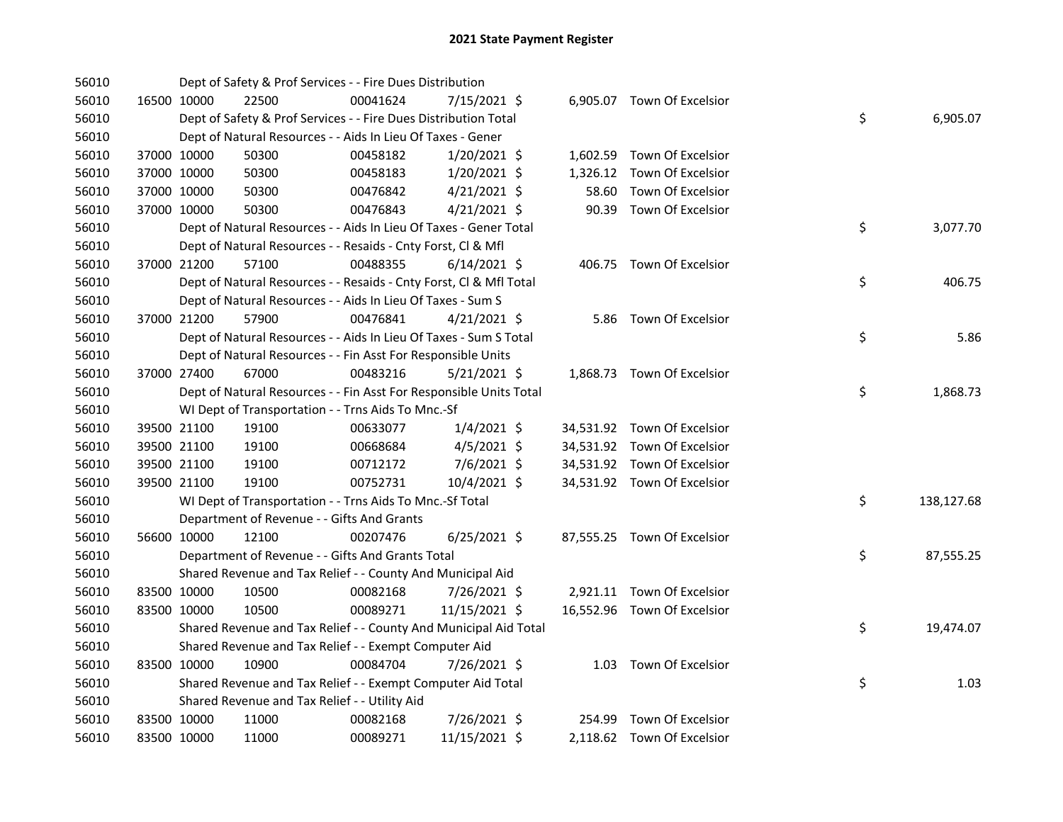| 56010 |             | Dept of Safety & Prof Services - - Fire Dues Distribution          |          |                |       |                             |    |            |
|-------|-------------|--------------------------------------------------------------------|----------|----------------|-------|-----------------------------|----|------------|
| 56010 | 16500 10000 | 22500                                                              | 00041624 | 7/15/2021 \$   |       | 6,905.07 Town Of Excelsior  |    |            |
| 56010 |             | Dept of Safety & Prof Services - - Fire Dues Distribution Total    |          |                |       |                             | \$ | 6,905.07   |
| 56010 |             | Dept of Natural Resources - - Aids In Lieu Of Taxes - Gener        |          |                |       |                             |    |            |
| 56010 | 37000 10000 | 50300                                                              | 00458182 | 1/20/2021 \$   |       | 1,602.59 Town Of Excelsior  |    |            |
| 56010 | 37000 10000 | 50300                                                              | 00458183 | 1/20/2021 \$   |       | 1,326.12 Town Of Excelsior  |    |            |
| 56010 | 37000 10000 | 50300                                                              | 00476842 | $4/21/2021$ \$ | 58.60 | Town Of Excelsior           |    |            |
| 56010 | 37000 10000 | 50300                                                              | 00476843 | $4/21/2021$ \$ | 90.39 | Town Of Excelsior           |    |            |
| 56010 |             | Dept of Natural Resources - - Aids In Lieu Of Taxes - Gener Total  |          |                |       |                             | \$ | 3,077.70   |
| 56010 |             | Dept of Natural Resources - - Resaids - Cnty Forst, CI & Mfl       |          |                |       |                             |    |            |
| 56010 | 37000 21200 | 57100                                                              | 00488355 | $6/14/2021$ \$ |       | 406.75 Town Of Excelsior    |    |            |
| 56010 |             | Dept of Natural Resources - - Resaids - Cnty Forst, Cl & Mfl Total |          |                |       |                             | \$ | 406.75     |
| 56010 |             | Dept of Natural Resources - - Aids In Lieu Of Taxes - Sum S        |          |                |       |                             |    |            |
| 56010 | 37000 21200 | 57900                                                              | 00476841 | $4/21/2021$ \$ |       | 5.86 Town Of Excelsior      |    |            |
| 56010 |             | Dept of Natural Resources - - Aids In Lieu Of Taxes - Sum S Total  |          |                |       |                             | \$ | 5.86       |
| 56010 |             | Dept of Natural Resources - - Fin Asst For Responsible Units       |          |                |       |                             |    |            |
| 56010 | 37000 27400 | 67000                                                              | 00483216 | $5/21/2021$ \$ |       | 1,868.73 Town Of Excelsior  |    |            |
| 56010 |             | Dept of Natural Resources - - Fin Asst For Responsible Units Total |          |                |       |                             | \$ | 1,868.73   |
| 56010 |             | WI Dept of Transportation - - Trns Aids To Mnc.-Sf                 |          |                |       |                             |    |            |
| 56010 | 39500 21100 | 19100                                                              | 00633077 | 1/4/2021 \$    |       | 34,531.92 Town Of Excelsior |    |            |
| 56010 | 39500 21100 | 19100                                                              | 00668684 | $4/5/2021$ \$  |       | 34,531.92 Town Of Excelsior |    |            |
| 56010 | 39500 21100 | 19100                                                              | 00712172 | $7/6/2021$ \$  |       | 34,531.92 Town Of Excelsior |    |            |
| 56010 | 39500 21100 | 19100                                                              | 00752731 | 10/4/2021 \$   |       | 34,531.92 Town Of Excelsior |    |            |
| 56010 |             | WI Dept of Transportation - - Trns Aids To Mnc.-Sf Total           |          |                |       |                             | \$ | 138,127.68 |
| 56010 |             | Department of Revenue - - Gifts And Grants                         |          |                |       |                             |    |            |
| 56010 | 56600 10000 | 12100                                                              | 00207476 | $6/25/2021$ \$ |       | 87,555.25 Town Of Excelsior |    |            |
| 56010 |             | Department of Revenue - - Gifts And Grants Total                   |          |                |       |                             | \$ | 87,555.25  |
| 56010 |             | Shared Revenue and Tax Relief - - County And Municipal Aid         |          |                |       |                             |    |            |
| 56010 | 83500 10000 | 10500                                                              | 00082168 | 7/26/2021 \$   |       | 2,921.11 Town Of Excelsior  |    |            |
| 56010 | 83500 10000 | 10500                                                              | 00089271 | 11/15/2021 \$  |       | 16,552.96 Town Of Excelsior |    |            |
| 56010 |             | Shared Revenue and Tax Relief - - County And Municipal Aid Total   |          |                |       |                             | \$ | 19,474.07  |
| 56010 |             | Shared Revenue and Tax Relief - - Exempt Computer Aid              |          |                |       |                             |    |            |
| 56010 | 83500 10000 | 10900                                                              | 00084704 | 7/26/2021 \$   |       | 1.03 Town Of Excelsior      |    |            |
| 56010 |             | Shared Revenue and Tax Relief - - Exempt Computer Aid Total        |          |                |       |                             | \$ | 1.03       |
| 56010 |             | Shared Revenue and Tax Relief - - Utility Aid                      |          |                |       |                             |    |            |
| 56010 | 83500 10000 | 11000                                                              | 00082168 | 7/26/2021 \$   |       | 254.99 Town Of Excelsior    |    |            |
| 56010 | 83500 10000 | 11000                                                              | 00089271 | 11/15/2021 \$  |       | 2,118.62 Town Of Excelsior  |    |            |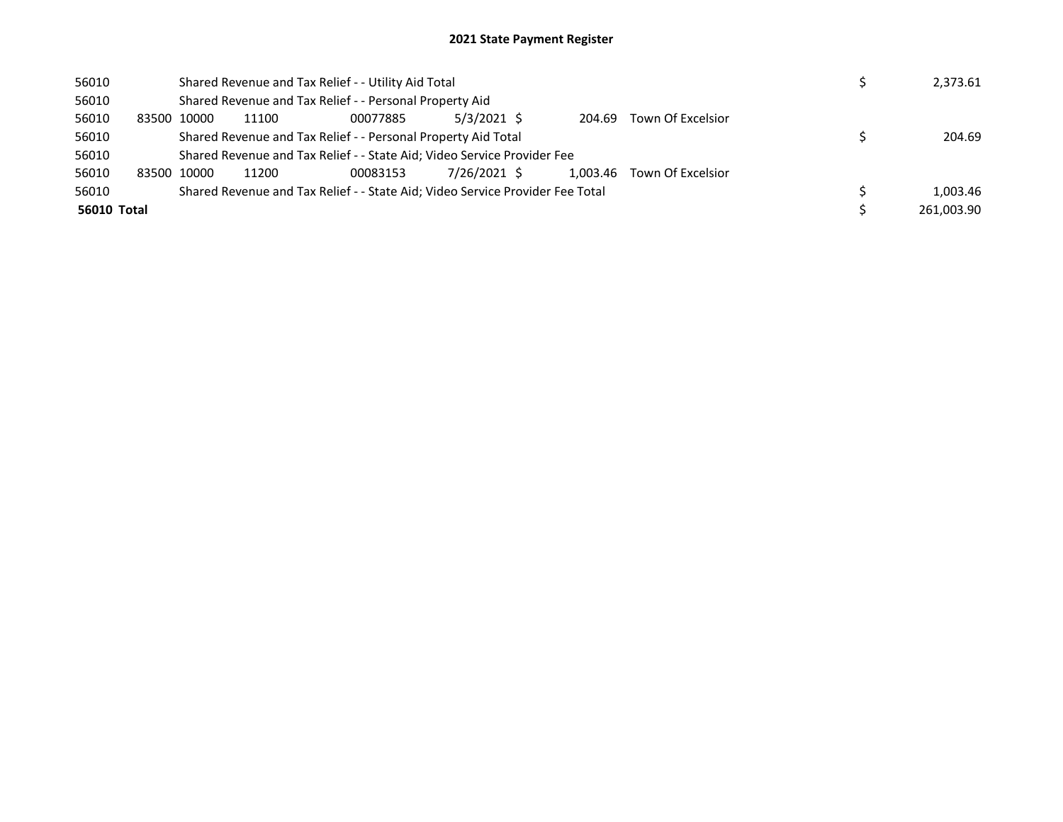## 2021 State Payment Register

| 56010       |       |                                                               | Shared Revenue and Tax Relief - - Utility Aid Total |                                                                               | 2,373.61     |  |        |                            |  |            |
|-------------|-------|---------------------------------------------------------------|-----------------------------------------------------|-------------------------------------------------------------------------------|--------------|--|--------|----------------------------|--|------------|
| 56010       |       |                                                               |                                                     | Shared Revenue and Tax Relief - - Personal Property Aid                       |              |  |        |                            |  |            |
| 56010       | 83500 | 10000                                                         | 11100                                               | 00077885                                                                      | 5/3/2021 \$  |  | 204.69 | Town Of Excelsior          |  |            |
| 56010       |       | Shared Revenue and Tax Relief - - Personal Property Aid Total |                                                     |                                                                               |              |  |        |                            |  | 204.69     |
| 56010       |       |                                                               |                                                     | Shared Revenue and Tax Relief - - State Aid; Video Service Provider Fee       |              |  |        |                            |  |            |
| 56010       |       | 83500 10000                                                   | 11200                                               | 00083153                                                                      | 7/26/2021 \$ |  |        | 1.003.46 Town Of Excelsior |  |            |
| 56010       |       |                                                               |                                                     | Shared Revenue and Tax Relief - - State Aid; Video Service Provider Fee Total |              |  |        |                            |  | 1,003.46   |
| 56010 Total |       |                                                               |                                                     |                                                                               |              |  |        |                            |  | 261.003.90 |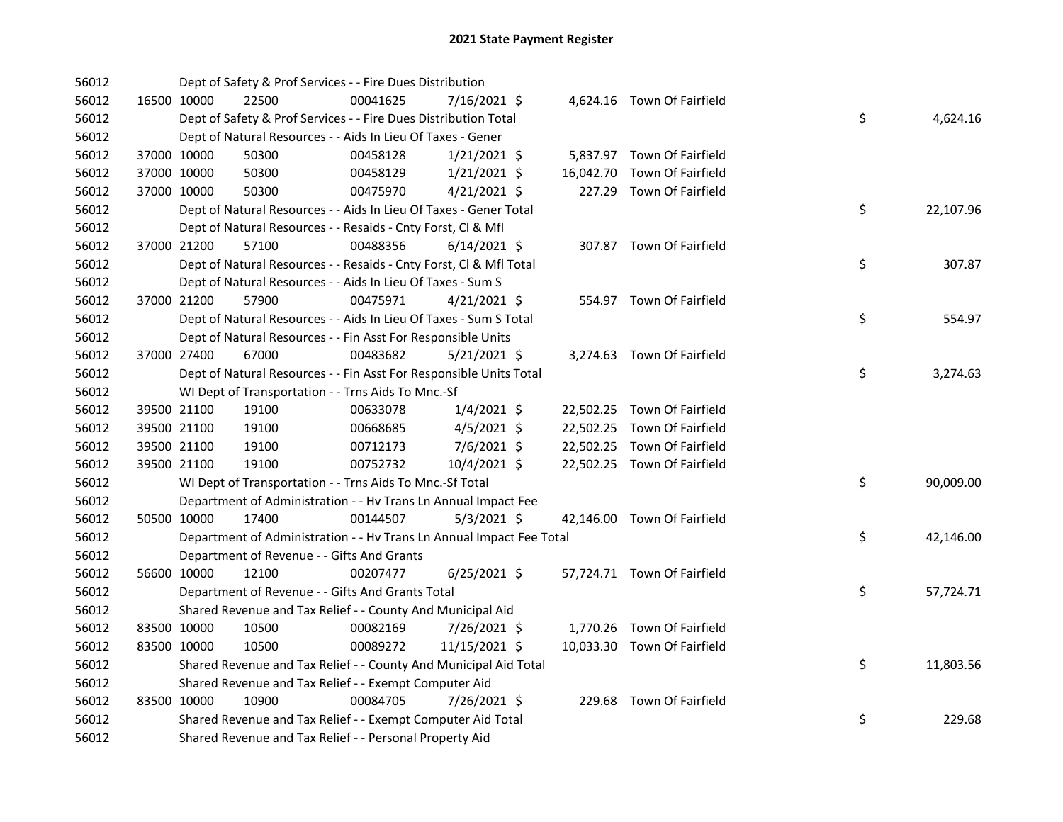| 56012 |             | Dept of Safety & Prof Services - - Fire Dues Distribution            |          |                |  |                             |    |           |
|-------|-------------|----------------------------------------------------------------------|----------|----------------|--|-----------------------------|----|-----------|
| 56012 | 16500 10000 | 22500                                                                | 00041625 | 7/16/2021 \$   |  | 4,624.16 Town Of Fairfield  |    |           |
| 56012 |             | Dept of Safety & Prof Services - - Fire Dues Distribution Total      |          |                |  |                             | \$ | 4,624.16  |
| 56012 |             | Dept of Natural Resources - - Aids In Lieu Of Taxes - Gener          |          |                |  |                             |    |           |
| 56012 | 37000 10000 | 50300                                                                | 00458128 | $1/21/2021$ \$ |  | 5,837.97 Town Of Fairfield  |    |           |
| 56012 | 37000 10000 | 50300                                                                | 00458129 | $1/21/2021$ \$ |  | 16,042.70 Town Of Fairfield |    |           |
| 56012 | 37000 10000 | 50300                                                                | 00475970 | $4/21/2021$ \$ |  | 227.29 Town Of Fairfield    |    |           |
| 56012 |             | Dept of Natural Resources - - Aids In Lieu Of Taxes - Gener Total    |          |                |  |                             | \$ | 22,107.96 |
| 56012 |             | Dept of Natural Resources - - Resaids - Cnty Forst, Cl & Mfl         |          |                |  |                             |    |           |
| 56012 | 37000 21200 | 57100                                                                | 00488356 | $6/14/2021$ \$ |  | 307.87 Town Of Fairfield    |    |           |
| 56012 |             | Dept of Natural Resources - - Resaids - Cnty Forst, CI & Mfl Total   |          |                |  |                             | \$ | 307.87    |
| 56012 |             | Dept of Natural Resources - - Aids In Lieu Of Taxes - Sum S          |          |                |  |                             |    |           |
| 56012 | 37000 21200 | 57900                                                                | 00475971 | $4/21/2021$ \$ |  | 554.97 Town Of Fairfield    |    |           |
| 56012 |             | Dept of Natural Resources - - Aids In Lieu Of Taxes - Sum S Total    |          |                |  |                             | \$ | 554.97    |
| 56012 |             | Dept of Natural Resources - - Fin Asst For Responsible Units         |          |                |  |                             |    |           |
| 56012 | 37000 27400 | 67000                                                                | 00483682 | $5/21/2021$ \$ |  | 3,274.63 Town Of Fairfield  |    |           |
| 56012 |             | Dept of Natural Resources - - Fin Asst For Responsible Units Total   |          |                |  |                             | \$ | 3,274.63  |
| 56012 |             | WI Dept of Transportation - - Trns Aids To Mnc.-Sf                   |          |                |  |                             |    |           |
| 56012 | 39500 21100 | 19100                                                                | 00633078 | $1/4/2021$ \$  |  | 22,502.25 Town Of Fairfield |    |           |
| 56012 | 39500 21100 | 19100                                                                | 00668685 | $4/5/2021$ \$  |  | 22,502.25 Town Of Fairfield |    |           |
| 56012 | 39500 21100 | 19100                                                                | 00712173 | 7/6/2021 \$    |  | 22,502.25 Town Of Fairfield |    |           |
| 56012 | 39500 21100 | 19100                                                                | 00752732 | 10/4/2021 \$   |  | 22,502.25 Town Of Fairfield |    |           |
| 56012 |             | WI Dept of Transportation - - Trns Aids To Mnc.-Sf Total             |          |                |  |                             | \$ | 90,009.00 |
| 56012 |             | Department of Administration - - Hv Trans Ln Annual Impact Fee       |          |                |  |                             |    |           |
| 56012 | 50500 10000 | 17400                                                                | 00144507 | $5/3/2021$ \$  |  | 42,146.00 Town Of Fairfield |    |           |
| 56012 |             | Department of Administration - - Hv Trans Ln Annual Impact Fee Total |          |                |  |                             | \$ | 42,146.00 |
| 56012 |             | Department of Revenue - - Gifts And Grants                           |          |                |  |                             |    |           |
| 56012 | 56600 10000 | 12100                                                                | 00207477 | $6/25/2021$ \$ |  | 57,724.71 Town Of Fairfield |    |           |
| 56012 |             | Department of Revenue - - Gifts And Grants Total                     |          |                |  |                             | \$ | 57,724.71 |
| 56012 |             | Shared Revenue and Tax Relief - - County And Municipal Aid           |          |                |  |                             |    |           |
| 56012 | 83500 10000 | 10500                                                                | 00082169 | 7/26/2021 \$   |  | 1,770.26 Town Of Fairfield  |    |           |
| 56012 | 83500 10000 | 10500                                                                | 00089272 | 11/15/2021 \$  |  | 10,033.30 Town Of Fairfield |    |           |
| 56012 |             | Shared Revenue and Tax Relief - - County And Municipal Aid Total     |          |                |  |                             | \$ | 11,803.56 |
| 56012 |             | Shared Revenue and Tax Relief - - Exempt Computer Aid                |          |                |  |                             |    |           |
| 56012 | 83500 10000 | 10900                                                                | 00084705 | 7/26/2021 \$   |  | 229.68 Town Of Fairfield    |    |           |
| 56012 |             | Shared Revenue and Tax Relief - - Exempt Computer Aid Total          |          |                |  |                             | \$ | 229.68    |
| 56012 |             | Shared Revenue and Tax Relief - - Personal Property Aid              |          |                |  |                             |    |           |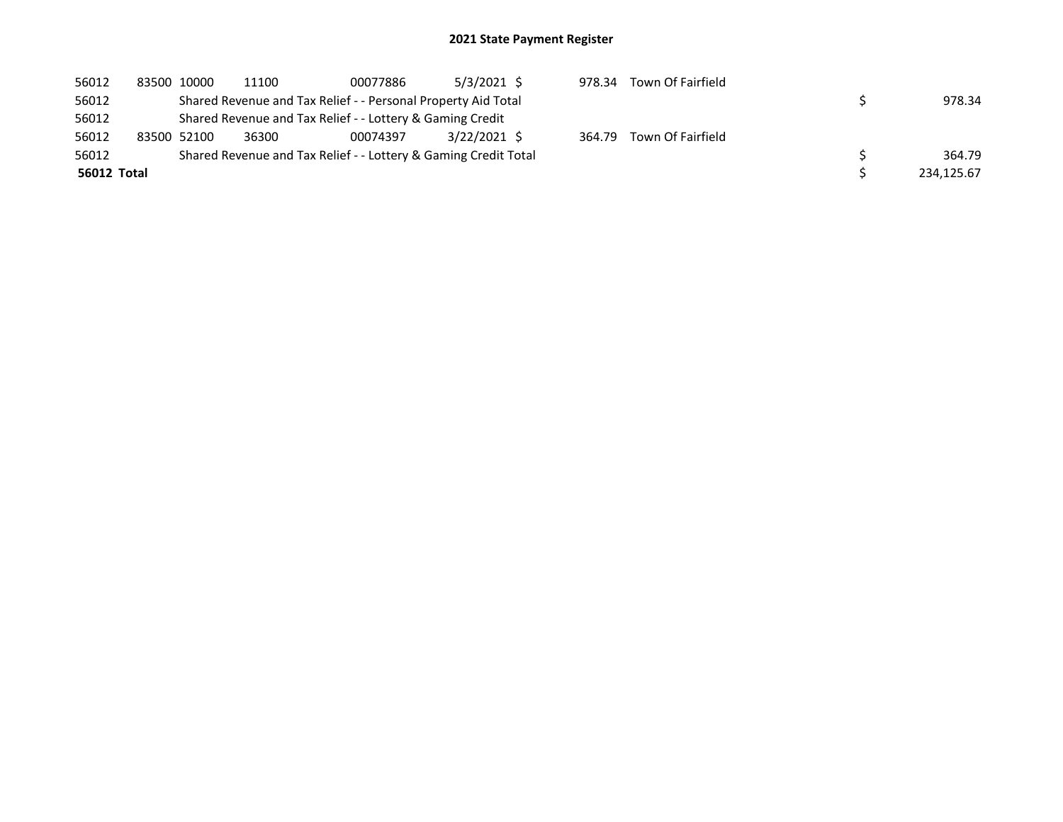## 2021 State Payment Register

| 56012              | 83500 10000 | 11100                                                           | 00077886 | $5/3/2021$ \$ | 978.34 | Town Of Fairfield |            |
|--------------------|-------------|-----------------------------------------------------------------|----------|---------------|--------|-------------------|------------|
| 56012              |             | Shared Revenue and Tax Relief - - Personal Property Aid Total   |          |               |        |                   | 978.34     |
| 56012              |             | Shared Revenue and Tax Relief - - Lottery & Gaming Credit       |          |               |        |                   |            |
| 56012              | 83500 52100 | 36300                                                           | 00074397 | 3/22/2021 \$  | 364.79 | Town Of Fairfield |            |
| 56012              |             | Shared Revenue and Tax Relief - - Lottery & Gaming Credit Total |          |               |        |                   | 364.79     |
| <b>56012 Total</b> |             |                                                                 |          |               |        |                   | 234.125.67 |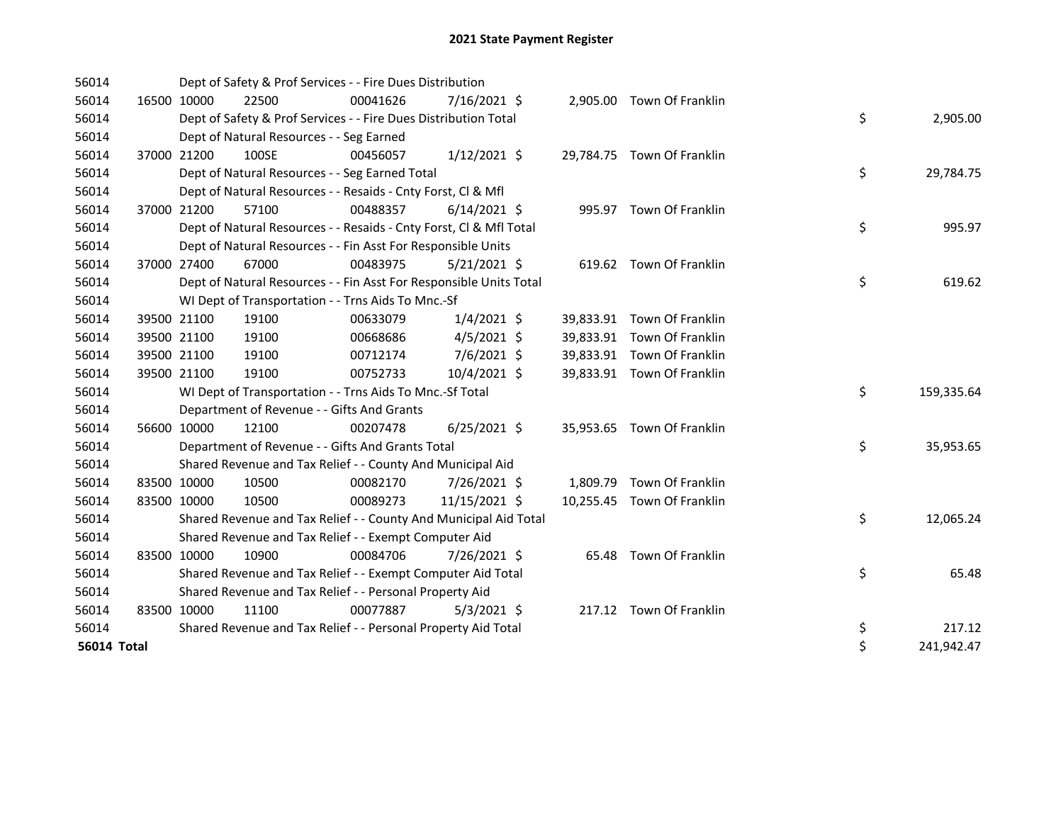| 56014       |             |                                            | Dept of Safety & Prof Services - - Fire Dues Distribution          |                |  |                            |    |            |
|-------------|-------------|--------------------------------------------|--------------------------------------------------------------------|----------------|--|----------------------------|----|------------|
| 56014       | 16500 10000 | 22500                                      | 00041626                                                           | 7/16/2021 \$   |  | 2,905.00 Town Of Franklin  |    |            |
| 56014       |             |                                            | Dept of Safety & Prof Services - - Fire Dues Distribution Total    |                |  |                            | \$ | 2,905.00   |
| 56014       |             | Dept of Natural Resources - - Seg Earned   |                                                                    |                |  |                            |    |            |
| 56014       | 37000 21200 | 100SE                                      | 00456057                                                           | $1/12/2021$ \$ |  | 29,784.75 Town Of Franklin |    |            |
| 56014       |             |                                            | Dept of Natural Resources - - Seg Earned Total                     |                |  |                            | \$ | 29,784.75  |
| 56014       |             |                                            | Dept of Natural Resources - - Resaids - Cnty Forst, Cl & Mfl       |                |  |                            |    |            |
| 56014       | 37000 21200 | 57100                                      | 00488357                                                           | $6/14/2021$ \$ |  | 995.97 Town Of Franklin    |    |            |
| 56014       |             |                                            | Dept of Natural Resources - - Resaids - Cnty Forst, CI & Mfl Total |                |  |                            | \$ | 995.97     |
| 56014       |             |                                            | Dept of Natural Resources - - Fin Asst For Responsible Units       |                |  |                            |    |            |
| 56014       | 37000 27400 | 67000                                      | 00483975                                                           | $5/21/2021$ \$ |  | 619.62 Town Of Franklin    |    |            |
| 56014       |             |                                            | Dept of Natural Resources - - Fin Asst For Responsible Units Total |                |  |                            | \$ | 619.62     |
| 56014       |             |                                            | WI Dept of Transportation - - Trns Aids To Mnc.-Sf                 |                |  |                            |    |            |
| 56014       | 39500 21100 | 19100                                      | 00633079                                                           | $1/4/2021$ \$  |  | 39,833.91 Town Of Franklin |    |            |
| 56014       | 39500 21100 | 19100                                      | 00668686                                                           | $4/5/2021$ \$  |  | 39,833.91 Town Of Franklin |    |            |
| 56014       | 39500 21100 | 19100                                      | 00712174                                                           | 7/6/2021 \$    |  | 39,833.91 Town Of Franklin |    |            |
| 56014       | 39500 21100 | 19100                                      | 00752733                                                           | 10/4/2021 \$   |  | 39,833.91 Town Of Franklin |    |            |
| 56014       |             |                                            | WI Dept of Transportation - - Trns Aids To Mnc.-Sf Total           |                |  |                            | \$ | 159,335.64 |
| 56014       |             | Department of Revenue - - Gifts And Grants |                                                                    |                |  |                            |    |            |
| 56014       | 56600 10000 | 12100                                      | 00207478                                                           | $6/25/2021$ \$ |  | 35,953.65 Town Of Franklin |    |            |
| 56014       |             |                                            | Department of Revenue - - Gifts And Grants Total                   |                |  |                            | \$ | 35,953.65  |
| 56014       |             |                                            | Shared Revenue and Tax Relief - - County And Municipal Aid         |                |  |                            |    |            |
| 56014       | 83500 10000 | 10500                                      | 00082170                                                           | 7/26/2021 \$   |  | 1,809.79 Town Of Franklin  |    |            |
| 56014       | 83500 10000 | 10500                                      | 00089273                                                           | 11/15/2021 \$  |  | 10,255.45 Town Of Franklin |    |            |
| 56014       |             |                                            | Shared Revenue and Tax Relief - - County And Municipal Aid Total   |                |  |                            | \$ | 12,065.24  |
| 56014       |             |                                            | Shared Revenue and Tax Relief - - Exempt Computer Aid              |                |  |                            |    |            |
| 56014       | 83500 10000 | 10900                                      | 00084706                                                           | 7/26/2021 \$   |  | 65.48 Town Of Franklin     |    |            |
| 56014       |             |                                            | Shared Revenue and Tax Relief - - Exempt Computer Aid Total        |                |  |                            | \$ | 65.48      |
| 56014       |             |                                            | Shared Revenue and Tax Relief - - Personal Property Aid            |                |  |                            |    |            |
| 56014       | 83500 10000 | 11100                                      | 00077887                                                           | $5/3/2021$ \$  |  | 217.12 Town Of Franklin    |    |            |
| 56014       |             |                                            | Shared Revenue and Tax Relief - - Personal Property Aid Total      |                |  |                            | \$ | 217.12     |
| 56014 Total |             |                                            |                                                                    |                |  |                            | \$ | 241,942.47 |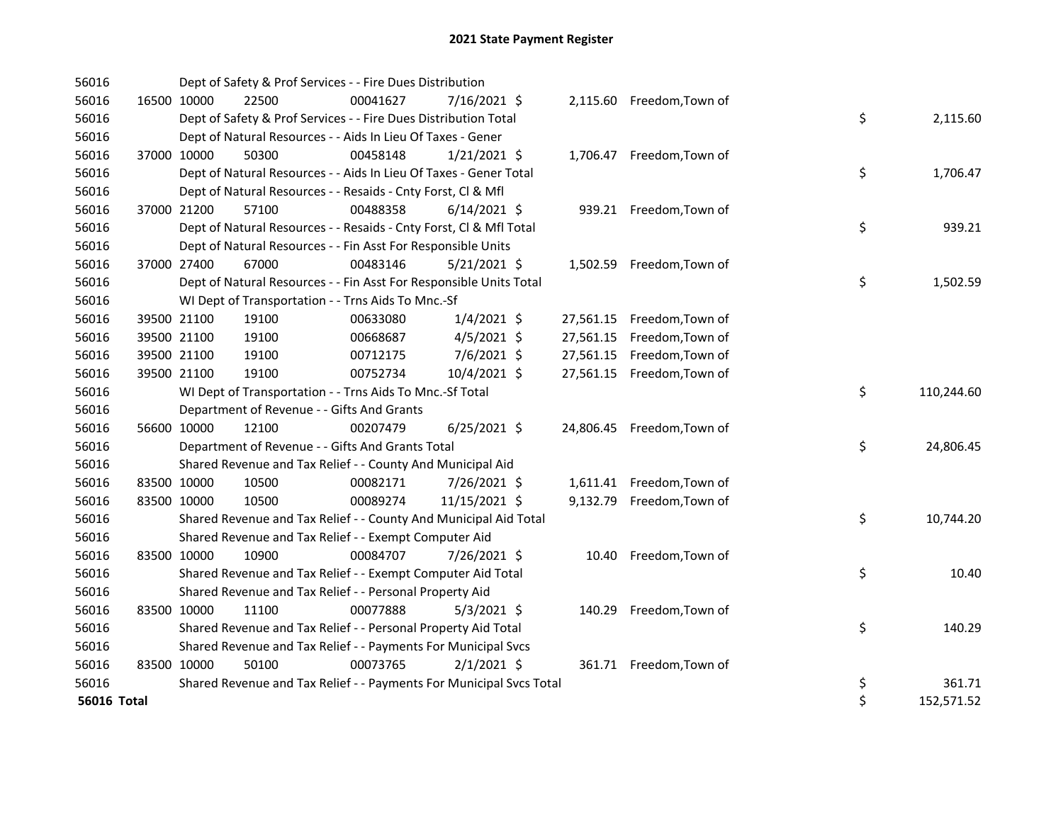| 56016       |             |             | Dept of Safety & Prof Services - - Fire Dues Distribution           |          |                |          |                            |    |            |
|-------------|-------------|-------------|---------------------------------------------------------------------|----------|----------------|----------|----------------------------|----|------------|
| 56016       | 16500 10000 |             | 22500                                                               | 00041627 | 7/16/2021 \$   |          | 2,115.60 Freedom, Town of  |    |            |
| 56016       |             |             | Dept of Safety & Prof Services - - Fire Dues Distribution Total     |          |                |          |                            | \$ | 2,115.60   |
| 56016       |             |             | Dept of Natural Resources - - Aids In Lieu Of Taxes - Gener         |          |                |          |                            |    |            |
| 56016       |             | 37000 10000 | 50300                                                               | 00458148 | $1/21/2021$ \$ |          | 1,706.47 Freedom, Town of  |    |            |
| 56016       |             |             | Dept of Natural Resources - - Aids In Lieu Of Taxes - Gener Total   |          |                |          |                            | \$ | 1,706.47   |
| 56016       |             |             | Dept of Natural Resources - - Resaids - Cnty Forst, Cl & Mfl        |          |                |          |                            |    |            |
| 56016       |             | 37000 21200 | 57100                                                               | 00488358 | $6/14/2021$ \$ |          | 939.21 Freedom, Town of    |    |            |
| 56016       |             |             | Dept of Natural Resources - - Resaids - Cnty Forst, CI & Mfl Total  |          |                |          |                            | \$ | 939.21     |
| 56016       |             |             | Dept of Natural Resources - - Fin Asst For Responsible Units        |          |                |          |                            |    |            |
| 56016       |             | 37000 27400 | 67000                                                               | 00483146 | $5/21/2021$ \$ |          | 1,502.59 Freedom, Town of  |    |            |
| 56016       |             |             | Dept of Natural Resources - - Fin Asst For Responsible Units Total  |          |                |          |                            | \$ | 1,502.59   |
| 56016       |             |             | WI Dept of Transportation - - Trns Aids To Mnc.-Sf                  |          |                |          |                            |    |            |
| 56016       |             | 39500 21100 | 19100                                                               | 00633080 | $1/4/2021$ \$  |          | 27,561.15 Freedom, Town of |    |            |
| 56016       |             | 39500 21100 | 19100                                                               | 00668687 | $4/5/2021$ \$  |          | 27,561.15 Freedom, Town of |    |            |
| 56016       |             | 39500 21100 | 19100                                                               | 00712175 | 7/6/2021 \$    |          | 27,561.15 Freedom, Town of |    |            |
| 56016       |             | 39500 21100 | 19100                                                               | 00752734 | 10/4/2021 \$   |          | 27,561.15 Freedom, Town of |    |            |
| 56016       |             |             | WI Dept of Transportation - - Trns Aids To Mnc.-Sf Total            |          |                |          |                            | \$ | 110,244.60 |
| 56016       |             |             | Department of Revenue - - Gifts And Grants                          |          |                |          |                            |    |            |
| 56016       |             | 56600 10000 | 12100                                                               | 00207479 | $6/25/2021$ \$ |          | 24,806.45 Freedom, Town of |    |            |
| 56016       |             |             | Department of Revenue - - Gifts And Grants Total                    |          |                |          |                            | \$ | 24,806.45  |
| 56016       |             |             | Shared Revenue and Tax Relief - - County And Municipal Aid          |          |                |          |                            |    |            |
| 56016       |             | 83500 10000 | 10500                                                               | 00082171 | 7/26/2021 \$   |          | 1,611.41 Freedom, Town of  |    |            |
| 56016       |             | 83500 10000 | 10500                                                               | 00089274 | 11/15/2021 \$  | 9,132.79 | Freedom, Town of           |    |            |
| 56016       |             |             | Shared Revenue and Tax Relief - - County And Municipal Aid Total    |          |                |          |                            | \$ | 10,744.20  |
| 56016       |             |             | Shared Revenue and Tax Relief - - Exempt Computer Aid               |          |                |          |                            |    |            |
| 56016       |             | 83500 10000 | 10900                                                               | 00084707 | 7/26/2021 \$   |          | 10.40 Freedom, Town of     |    |            |
| 56016       |             |             | Shared Revenue and Tax Relief - - Exempt Computer Aid Total         |          |                |          |                            | \$ | 10.40      |
| 56016       |             |             | Shared Revenue and Tax Relief - - Personal Property Aid             |          |                |          |                            |    |            |
| 56016       |             | 83500 10000 | 11100                                                               | 00077888 | $5/3/2021$ \$  |          | 140.29 Freedom, Town of    |    |            |
| 56016       |             |             | Shared Revenue and Tax Relief - - Personal Property Aid Total       |          |                |          |                            | \$ | 140.29     |
| 56016       |             |             | Shared Revenue and Tax Relief - - Payments For Municipal Svcs       |          |                |          |                            |    |            |
| 56016       |             | 83500 10000 | 50100                                                               | 00073765 | $2/1/2021$ \$  |          | 361.71 Freedom, Town of    |    |            |
| 56016       |             |             | Shared Revenue and Tax Relief - - Payments For Municipal Svcs Total |          |                |          |                            | \$ | 361.71     |
| 56016 Total |             |             |                                                                     |          |                |          |                            | \$ | 152,571.52 |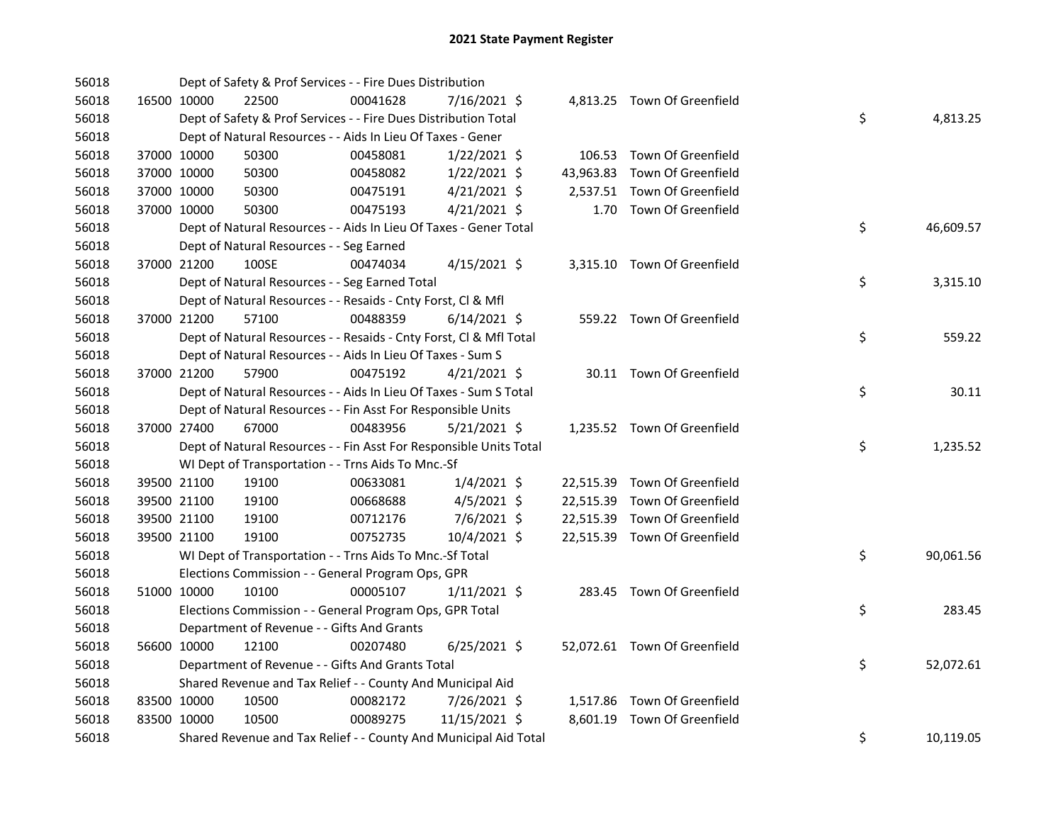| 56018 |             | Dept of Safety & Prof Services - - Fire Dues Distribution          |          |                |  |                              |    |           |
|-------|-------------|--------------------------------------------------------------------|----------|----------------|--|------------------------------|----|-----------|
| 56018 | 16500 10000 | 22500                                                              | 00041628 | 7/16/2021 \$   |  | 4,813.25 Town Of Greenfield  |    |           |
| 56018 |             | Dept of Safety & Prof Services - - Fire Dues Distribution Total    |          |                |  |                              | \$ | 4,813.25  |
| 56018 |             | Dept of Natural Resources - - Aids In Lieu Of Taxes - Gener        |          |                |  |                              |    |           |
| 56018 | 37000 10000 | 50300                                                              | 00458081 | $1/22/2021$ \$ |  | 106.53 Town Of Greenfield    |    |           |
| 56018 | 37000 10000 | 50300                                                              | 00458082 | $1/22/2021$ \$ |  | 43,963.83 Town Of Greenfield |    |           |
| 56018 | 37000 10000 | 50300                                                              | 00475191 | $4/21/2021$ \$ |  | 2,537.51 Town Of Greenfield  |    |           |
| 56018 | 37000 10000 | 50300                                                              | 00475193 | $4/21/2021$ \$ |  | 1.70 Town Of Greenfield      |    |           |
| 56018 |             | Dept of Natural Resources - - Aids In Lieu Of Taxes - Gener Total  |          |                |  |                              | \$ | 46,609.57 |
| 56018 |             | Dept of Natural Resources - - Seg Earned                           |          |                |  |                              |    |           |
| 56018 | 37000 21200 | 100SE                                                              | 00474034 | $4/15/2021$ \$ |  | 3,315.10 Town Of Greenfield  |    |           |
| 56018 |             | Dept of Natural Resources - - Seg Earned Total                     |          |                |  |                              | \$ | 3,315.10  |
| 56018 |             | Dept of Natural Resources - - Resaids - Cnty Forst, Cl & Mfl       |          |                |  |                              |    |           |
| 56018 | 37000 21200 | 57100                                                              | 00488359 | $6/14/2021$ \$ |  | 559.22 Town Of Greenfield    |    |           |
| 56018 |             | Dept of Natural Resources - - Resaids - Cnty Forst, Cl & Mfl Total |          |                |  |                              | \$ | 559.22    |
| 56018 |             | Dept of Natural Resources - - Aids In Lieu Of Taxes - Sum S        |          |                |  |                              |    |           |
| 56018 | 37000 21200 | 57900                                                              | 00475192 | $4/21/2021$ \$ |  | 30.11 Town Of Greenfield     |    |           |
| 56018 |             | Dept of Natural Resources - - Aids In Lieu Of Taxes - Sum S Total  |          |                |  |                              | \$ | 30.11     |
| 56018 |             | Dept of Natural Resources - - Fin Asst For Responsible Units       |          |                |  |                              |    |           |
| 56018 | 37000 27400 | 67000                                                              | 00483956 | $5/21/2021$ \$ |  | 1,235.52 Town Of Greenfield  |    |           |
| 56018 |             | Dept of Natural Resources - - Fin Asst For Responsible Units Total |          |                |  |                              | \$ | 1,235.52  |
| 56018 |             | WI Dept of Transportation - - Trns Aids To Mnc.-Sf                 |          |                |  |                              |    |           |
| 56018 | 39500 21100 | 19100                                                              | 00633081 | $1/4/2021$ \$  |  | 22,515.39 Town Of Greenfield |    |           |
| 56018 | 39500 21100 | 19100                                                              | 00668688 | $4/5/2021$ \$  |  | 22,515.39 Town Of Greenfield |    |           |
| 56018 | 39500 21100 | 19100                                                              | 00712176 | 7/6/2021 \$    |  | 22,515.39 Town Of Greenfield |    |           |
| 56018 | 39500 21100 | 19100                                                              | 00752735 | 10/4/2021 \$   |  | 22,515.39 Town Of Greenfield |    |           |
| 56018 |             | WI Dept of Transportation - - Trns Aids To Mnc.-Sf Total           |          |                |  |                              | \$ | 90,061.56 |
| 56018 |             | Elections Commission - - General Program Ops, GPR                  |          |                |  |                              |    |           |
| 56018 | 51000 10000 | 10100                                                              | 00005107 | $1/11/2021$ \$ |  | 283.45 Town Of Greenfield    |    |           |
| 56018 |             | Elections Commission - - General Program Ops, GPR Total            |          |                |  |                              | \$ | 283.45    |
| 56018 |             | Department of Revenue - - Gifts And Grants                         |          |                |  |                              |    |           |
| 56018 | 56600 10000 | 12100                                                              | 00207480 | $6/25/2021$ \$ |  | 52,072.61 Town Of Greenfield |    |           |
| 56018 |             | Department of Revenue - - Gifts And Grants Total                   |          |                |  |                              | \$ | 52,072.61 |
| 56018 |             | Shared Revenue and Tax Relief - - County And Municipal Aid         |          |                |  |                              |    |           |
| 56018 | 83500 10000 | 10500                                                              | 00082172 | 7/26/2021 \$   |  | 1,517.86 Town Of Greenfield  |    |           |
| 56018 | 83500 10000 | 10500                                                              | 00089275 | 11/15/2021 \$  |  | 8,601.19 Town Of Greenfield  |    |           |
| 56018 |             | Shared Revenue and Tax Relief - - County And Municipal Aid Total   |          |                |  |                              | \$ | 10,119.05 |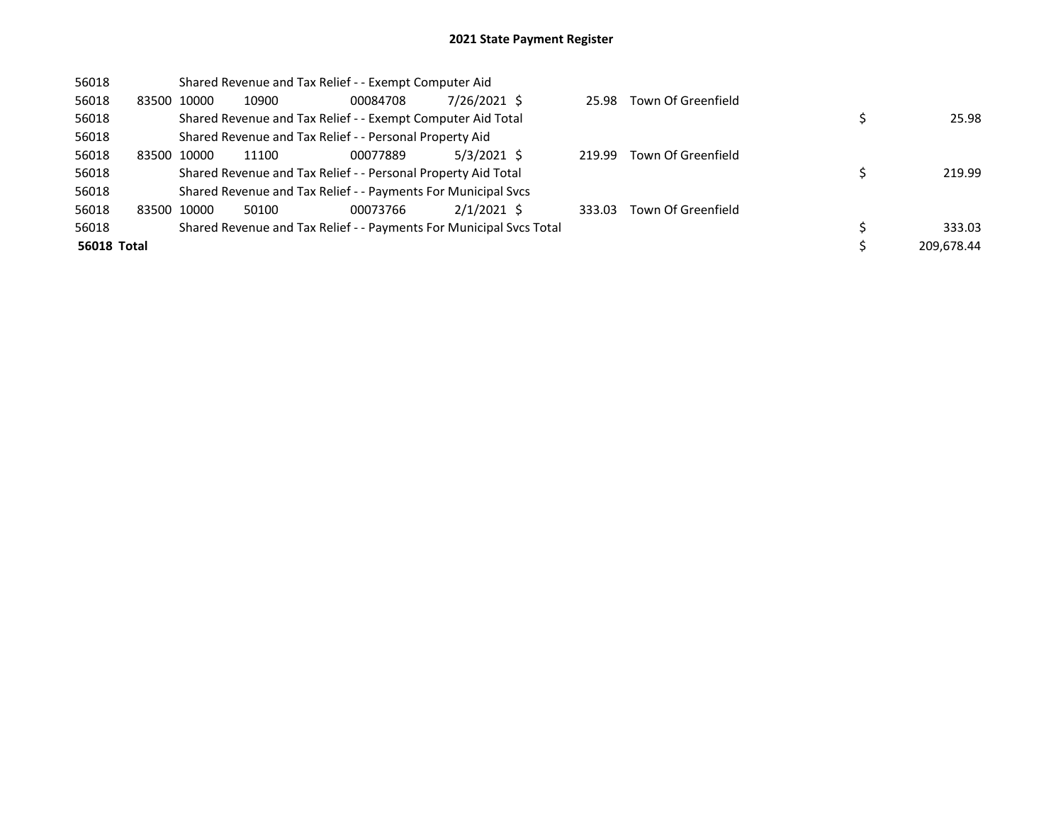## 2021 State Payment Register

| 56018              |             |       | Shared Revenue and Tax Relief - - Exempt Computer Aid               |               |        |                    |            |
|--------------------|-------------|-------|---------------------------------------------------------------------|---------------|--------|--------------------|------------|
| 56018              | 83500 10000 | 10900 | 00084708                                                            | 7/26/2021 \$  | 25.98  | Town Of Greenfield |            |
| 56018              |             |       | Shared Revenue and Tax Relief - - Exempt Computer Aid Total         |               |        |                    | 25.98      |
| 56018              |             |       | Shared Revenue and Tax Relief - - Personal Property Aid             |               |        |                    |            |
| 56018              | 83500 10000 | 11100 | 00077889                                                            | $5/3/2021$ \$ | 219.99 | Town Of Greenfield |            |
| 56018              |             |       | Shared Revenue and Tax Relief - - Personal Property Aid Total       |               |        |                    | 219.99     |
| 56018              |             |       | Shared Revenue and Tax Relief - - Payments For Municipal Svcs       |               |        |                    |            |
| 56018              | 83500 10000 | 50100 | 00073766                                                            | $2/1/2021$ \$ | 333.03 | Town Of Greenfield |            |
| 56018              |             |       | Shared Revenue and Tax Relief - - Payments For Municipal Svcs Total |               |        |                    | 333.03     |
| <b>56018 Total</b> |             |       |                                                                     |               |        |                    | 209.678.44 |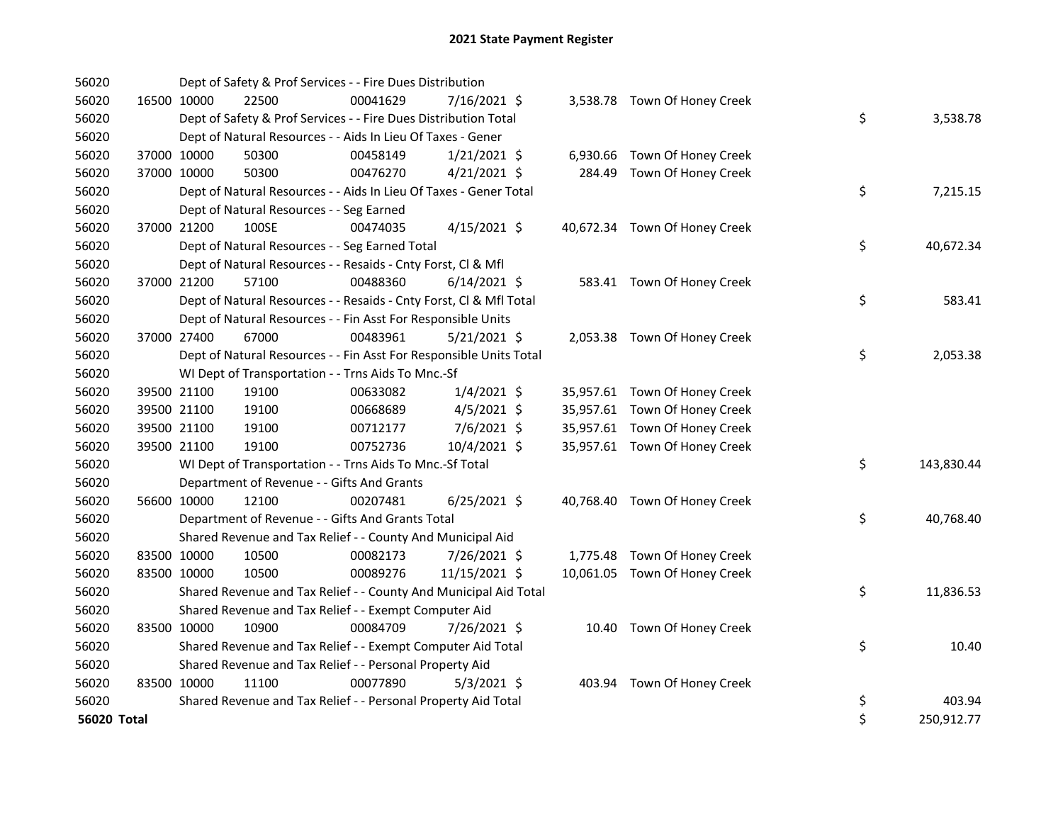| 56020       |             |             | Dept of Safety & Prof Services - - Fire Dues Distribution          |          |                |  |                               |    |            |
|-------------|-------------|-------------|--------------------------------------------------------------------|----------|----------------|--|-------------------------------|----|------------|
| 56020       |             | 16500 10000 | 22500                                                              | 00041629 | 7/16/2021 \$   |  | 3,538.78 Town Of Honey Creek  |    |            |
| 56020       |             |             | Dept of Safety & Prof Services - - Fire Dues Distribution Total    |          |                |  |                               | \$ | 3,538.78   |
| 56020       |             |             | Dept of Natural Resources - - Aids In Lieu Of Taxes - Gener        |          |                |  |                               |    |            |
| 56020       |             | 37000 10000 | 50300                                                              | 00458149 | $1/21/2021$ \$ |  | 6,930.66 Town Of Honey Creek  |    |            |
| 56020       |             | 37000 10000 | 50300                                                              | 00476270 | $4/21/2021$ \$ |  | 284.49 Town Of Honey Creek    |    |            |
| 56020       |             |             | Dept of Natural Resources - - Aids In Lieu Of Taxes - Gener Total  |          |                |  |                               | \$ | 7,215.15   |
| 56020       |             |             | Dept of Natural Resources - - Seg Earned                           |          |                |  |                               |    |            |
| 56020       |             | 37000 21200 | 100SE                                                              | 00474035 | $4/15/2021$ \$ |  | 40,672.34 Town Of Honey Creek |    |            |
| 56020       |             |             | Dept of Natural Resources - - Seg Earned Total                     |          |                |  |                               | \$ | 40,672.34  |
| 56020       |             |             | Dept of Natural Resources - - Resaids - Cnty Forst, Cl & Mfl       |          |                |  |                               |    |            |
| 56020       |             | 37000 21200 | 57100                                                              | 00488360 | $6/14/2021$ \$ |  | 583.41 Town Of Honey Creek    |    |            |
| 56020       |             |             | Dept of Natural Resources - - Resaids - Cnty Forst, CI & Mfl Total |          |                |  |                               | \$ | 583.41     |
| 56020       |             |             | Dept of Natural Resources - - Fin Asst For Responsible Units       |          |                |  |                               |    |            |
| 56020       |             | 37000 27400 | 67000                                                              | 00483961 | $5/21/2021$ \$ |  | 2,053.38 Town Of Honey Creek  |    |            |
| 56020       |             |             | Dept of Natural Resources - - Fin Asst For Responsible Units Total |          |                |  |                               | \$ | 2,053.38   |
| 56020       |             |             | WI Dept of Transportation - - Trns Aids To Mnc.-Sf                 |          |                |  |                               |    |            |
| 56020       |             | 39500 21100 | 19100                                                              | 00633082 | $1/4/2021$ \$  |  | 35,957.61 Town Of Honey Creek |    |            |
| 56020       |             | 39500 21100 | 19100                                                              | 00668689 | $4/5/2021$ \$  |  | 35,957.61 Town Of Honey Creek |    |            |
| 56020       |             | 39500 21100 | 19100                                                              | 00712177 | 7/6/2021 \$    |  | 35,957.61 Town Of Honey Creek |    |            |
| 56020       |             | 39500 21100 | 19100                                                              | 00752736 | 10/4/2021 \$   |  | 35,957.61 Town Of Honey Creek |    |            |
| 56020       |             |             | WI Dept of Transportation - - Trns Aids To Mnc.-Sf Total           |          |                |  |                               | \$ | 143,830.44 |
| 56020       |             |             | Department of Revenue - - Gifts And Grants                         |          |                |  |                               |    |            |
| 56020       |             | 56600 10000 | 12100                                                              | 00207481 | $6/25/2021$ \$ |  | 40,768.40 Town Of Honey Creek |    |            |
| 56020       |             |             | Department of Revenue - - Gifts And Grants Total                   |          |                |  |                               | \$ | 40,768.40  |
| 56020       |             |             | Shared Revenue and Tax Relief - - County And Municipal Aid         |          |                |  |                               |    |            |
| 56020       | 83500 10000 |             | 10500                                                              | 00082173 | 7/26/2021 \$   |  | 1,775.48 Town Of Honey Creek  |    |            |
| 56020       | 83500 10000 |             | 10500                                                              | 00089276 | 11/15/2021 \$  |  | 10,061.05 Town Of Honey Creek |    |            |
| 56020       |             |             | Shared Revenue and Tax Relief - - County And Municipal Aid Total   |          |                |  |                               | \$ | 11,836.53  |
| 56020       |             |             | Shared Revenue and Tax Relief - - Exempt Computer Aid              |          |                |  |                               |    |            |
| 56020       | 83500 10000 |             | 10900                                                              | 00084709 | 7/26/2021 \$   |  | 10.40 Town Of Honey Creek     |    |            |
| 56020       |             |             | Shared Revenue and Tax Relief - - Exempt Computer Aid Total        |          |                |  |                               | \$ | 10.40      |
| 56020       |             |             | Shared Revenue and Tax Relief - - Personal Property Aid            |          |                |  |                               |    |            |
| 56020       | 83500 10000 |             | 11100                                                              | 00077890 | $5/3/2021$ \$  |  | 403.94 Town Of Honey Creek    |    |            |
| 56020       |             |             | Shared Revenue and Tax Relief - - Personal Property Aid Total      |          |                |  |                               | \$ | 403.94     |
| 56020 Total |             |             |                                                                    |          |                |  |                               | \$ | 250,912.77 |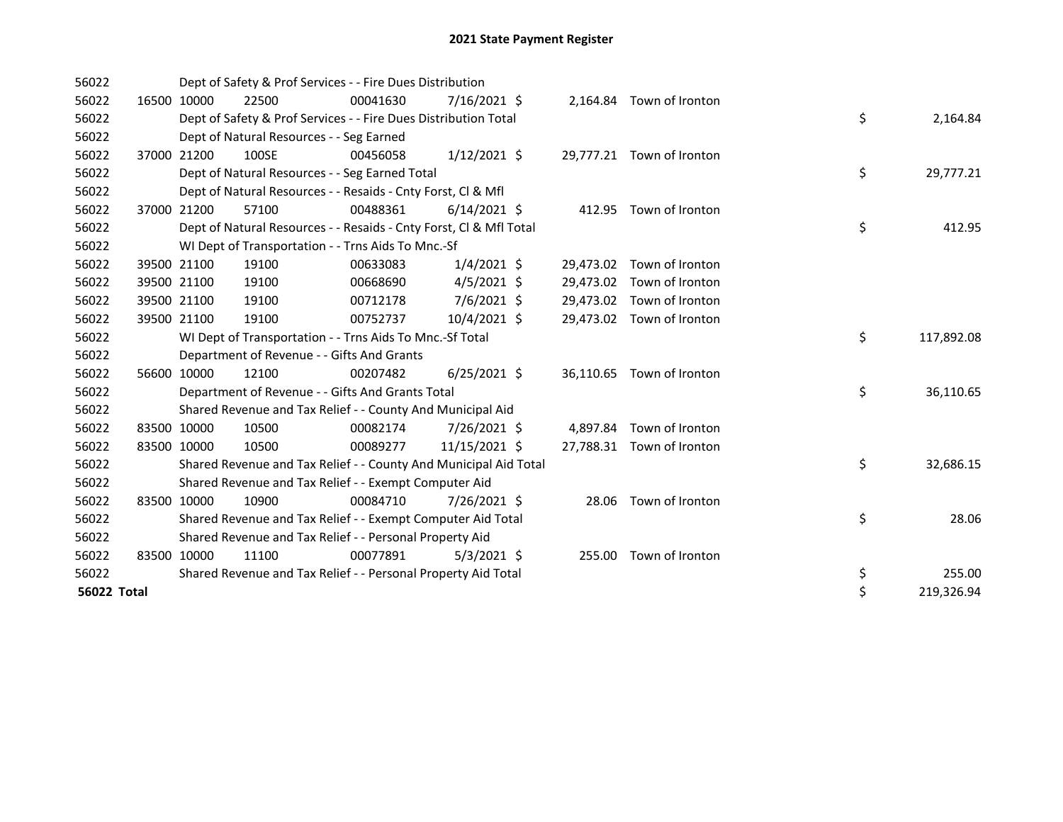| 56022       |             |             | Dept of Safety & Prof Services - - Fire Dues Distribution          |          |                |           |                           |    |            |
|-------------|-------------|-------------|--------------------------------------------------------------------|----------|----------------|-----------|---------------------------|----|------------|
| 56022       |             | 16500 10000 | 22500                                                              | 00041630 | 7/16/2021 \$   |           | 2,164.84 Town of Ironton  |    |            |
| 56022       |             |             | Dept of Safety & Prof Services - - Fire Dues Distribution Total    |          |                |           |                           | \$ | 2,164.84   |
| 56022       |             |             | Dept of Natural Resources - - Seg Earned                           |          |                |           |                           |    |            |
| 56022       |             | 37000 21200 | 100SE                                                              | 00456058 | $1/12/2021$ \$ |           | 29,777.21 Town of Ironton |    |            |
| 56022       |             |             | Dept of Natural Resources - - Seg Earned Total                     |          |                |           |                           | \$ | 29,777.21  |
| 56022       |             |             | Dept of Natural Resources - - Resaids - Cnty Forst, Cl & Mfl       |          |                |           |                           |    |            |
| 56022       | 37000 21200 |             | 57100                                                              | 00488361 | $6/14/2021$ \$ |           | 412.95 Town of Ironton    |    |            |
| 56022       |             |             | Dept of Natural Resources - - Resaids - Cnty Forst, Cl & Mfl Total |          |                |           |                           | \$ | 412.95     |
| 56022       |             |             | WI Dept of Transportation - - Trns Aids To Mnc.-Sf                 |          |                |           |                           |    |            |
| 56022       |             | 39500 21100 | 19100                                                              | 00633083 | $1/4/2021$ \$  | 29,473.02 | Town of Ironton           |    |            |
| 56022       |             | 39500 21100 | 19100                                                              | 00668690 | $4/5/2021$ \$  | 29,473.02 | Town of Ironton           |    |            |
| 56022       |             | 39500 21100 | 19100                                                              | 00712178 | $7/6/2021$ \$  | 29,473.02 | Town of Ironton           |    |            |
| 56022       | 39500 21100 |             | 19100                                                              | 00752737 | 10/4/2021 \$   |           | 29,473.02 Town of Ironton |    |            |
| 56022       |             |             | WI Dept of Transportation - - Trns Aids To Mnc.-Sf Total           |          |                |           |                           | \$ | 117,892.08 |
| 56022       |             |             | Department of Revenue - - Gifts And Grants                         |          |                |           |                           |    |            |
| 56022       |             | 56600 10000 | 12100                                                              | 00207482 | $6/25/2021$ \$ |           | 36,110.65 Town of Ironton |    |            |
| 56022       |             |             | Department of Revenue - - Gifts And Grants Total                   |          |                |           |                           | \$ | 36,110.65  |
| 56022       |             |             | Shared Revenue and Tax Relief - - County And Municipal Aid         |          |                |           |                           |    |            |
| 56022       | 83500 10000 |             | 10500                                                              | 00082174 | 7/26/2021 \$   | 4,897.84  | Town of Ironton           |    |            |
| 56022       | 83500 10000 |             | 10500                                                              | 00089277 | 11/15/2021 \$  |           | 27,788.31 Town of Ironton |    |            |
| 56022       |             |             | Shared Revenue and Tax Relief - - County And Municipal Aid Total   |          |                |           |                           | \$ | 32,686.15  |
| 56022       |             |             | Shared Revenue and Tax Relief - - Exempt Computer Aid              |          |                |           |                           |    |            |
| 56022       | 83500 10000 |             | 10900                                                              | 00084710 | 7/26/2021 \$   | 28.06     | Town of Ironton           |    |            |
| 56022       |             |             | Shared Revenue and Tax Relief - - Exempt Computer Aid Total        |          |                |           |                           | \$ | 28.06      |
| 56022       |             |             | Shared Revenue and Tax Relief - - Personal Property Aid            |          |                |           |                           |    |            |
| 56022       | 83500 10000 |             | 11100                                                              | 00077891 | $5/3/2021$ \$  | 255.00    | Town of Ironton           |    |            |
| 56022       |             |             | Shared Revenue and Tax Relief - - Personal Property Aid Total      |          |                |           |                           | \$ | 255.00     |
| 56022 Total |             |             |                                                                    |          |                |           |                           | \$ | 219,326.94 |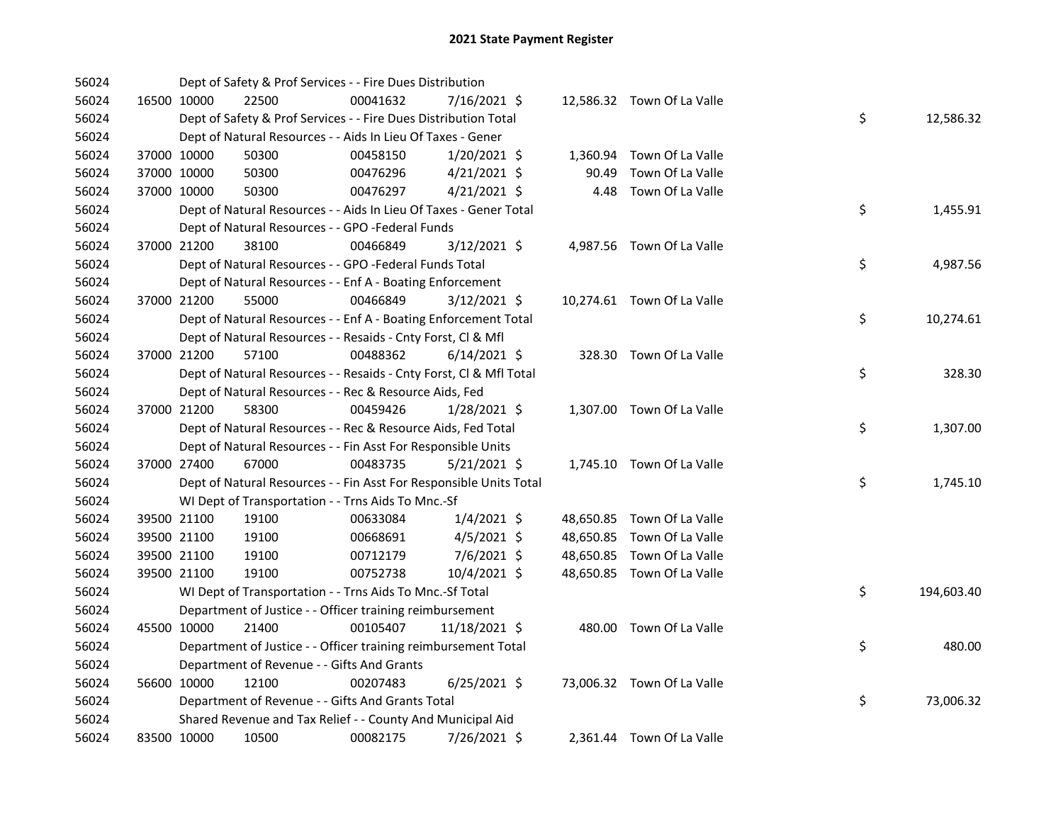| 56024 |             |             | Dept of Safety & Prof Services - - Fire Dues Distribution          |          |                |       |                            |    |            |
|-------|-------------|-------------|--------------------------------------------------------------------|----------|----------------|-------|----------------------------|----|------------|
| 56024 |             | 16500 10000 | 22500                                                              | 00041632 | 7/16/2021 \$   |       | 12,586.32 Town Of La Valle |    |            |
| 56024 |             |             | Dept of Safety & Prof Services - - Fire Dues Distribution Total    |          |                |       |                            | \$ | 12,586.32  |
| 56024 |             |             | Dept of Natural Resources - - Aids In Lieu Of Taxes - Gener        |          |                |       |                            |    |            |
| 56024 |             | 37000 10000 | 50300                                                              | 00458150 | $1/20/2021$ \$ |       | 1,360.94 Town Of La Valle  |    |            |
| 56024 |             | 37000 10000 | 50300                                                              | 00476296 | $4/21/2021$ \$ | 90.49 | Town Of La Valle           |    |            |
| 56024 | 37000 10000 |             | 50300                                                              | 00476297 | $4/21/2021$ \$ |       | 4.48 Town Of La Valle      |    |            |
| 56024 |             |             | Dept of Natural Resources - - Aids In Lieu Of Taxes - Gener Total  |          |                |       |                            | \$ | 1,455.91   |
| 56024 |             |             | Dept of Natural Resources - - GPO -Federal Funds                   |          |                |       |                            |    |            |
| 56024 | 37000 21200 |             | 38100                                                              | 00466849 | 3/12/2021 \$   |       | 4,987.56 Town Of La Valle  |    |            |
| 56024 |             |             | Dept of Natural Resources - - GPO -Federal Funds Total             |          |                |       |                            | \$ | 4,987.56   |
| 56024 |             |             | Dept of Natural Resources - - Enf A - Boating Enforcement          |          |                |       |                            |    |            |
| 56024 | 37000 21200 |             | 55000                                                              | 00466849 | $3/12/2021$ \$ |       | 10,274.61 Town Of La Valle |    |            |
| 56024 |             |             | Dept of Natural Resources - - Enf A - Boating Enforcement Total    |          |                |       |                            | \$ | 10,274.61  |
| 56024 |             |             | Dept of Natural Resources - - Resaids - Cnty Forst, Cl & Mfl       |          |                |       |                            |    |            |
| 56024 |             | 37000 21200 | 57100                                                              | 00488362 | $6/14/2021$ \$ |       | 328.30 Town Of La Valle    |    |            |
| 56024 |             |             | Dept of Natural Resources - - Resaids - Cnty Forst, Cl & Mfl Total |          |                |       |                            | \$ | 328.30     |
| 56024 |             |             | Dept of Natural Resources - - Rec & Resource Aids, Fed             |          |                |       |                            |    |            |
| 56024 |             | 37000 21200 | 58300                                                              | 00459426 | $1/28/2021$ \$ |       | 1,307.00 Town Of La Valle  |    |            |
| 56024 |             |             | Dept of Natural Resources - - Rec & Resource Aids, Fed Total       |          |                |       |                            | \$ | 1,307.00   |
| 56024 |             |             | Dept of Natural Resources - - Fin Asst For Responsible Units       |          |                |       |                            |    |            |
| 56024 | 37000 27400 |             | 67000                                                              | 00483735 | $5/21/2021$ \$ |       | 1,745.10 Town Of La Valle  |    |            |
| 56024 |             |             | Dept of Natural Resources - - Fin Asst For Responsible Units Total |          |                |       |                            | \$ | 1,745.10   |
| 56024 |             |             | WI Dept of Transportation - - Trns Aids To Mnc.-Sf                 |          |                |       |                            |    |            |
| 56024 |             | 39500 21100 | 19100                                                              | 00633084 | $1/4/2021$ \$  |       | 48,650.85 Town Of La Valle |    |            |
| 56024 |             | 39500 21100 | 19100                                                              | 00668691 | $4/5/2021$ \$  |       | 48,650.85 Town Of La Valle |    |            |
| 56024 |             | 39500 21100 | 19100                                                              | 00712179 | 7/6/2021 \$    |       | 48,650.85 Town Of La Valle |    |            |
| 56024 |             | 39500 21100 | 19100                                                              | 00752738 | 10/4/2021 \$   |       | 48,650.85 Town Of La Valle |    |            |
| 56024 |             |             | WI Dept of Transportation - - Trns Aids To Mnc.-Sf Total           |          |                |       |                            | \$ | 194,603.40 |
| 56024 |             |             | Department of Justice - - Officer training reimbursement           |          |                |       |                            |    |            |
| 56024 |             | 45500 10000 | 21400                                                              | 00105407 | 11/18/2021 \$  |       | 480.00 Town Of La Valle    |    |            |
| 56024 |             |             | Department of Justice - - Officer training reimbursement Total     |          |                |       |                            | \$ | 480.00     |
| 56024 |             |             | Department of Revenue - - Gifts And Grants                         |          |                |       |                            |    |            |
| 56024 |             | 56600 10000 | 12100                                                              | 00207483 | $6/25/2021$ \$ |       | 73,006.32 Town Of La Valle |    |            |
| 56024 |             |             | Department of Revenue - - Gifts And Grants Total                   |          |                |       |                            | \$ | 73,006.32  |
| 56024 |             |             | Shared Revenue and Tax Relief - - County And Municipal Aid         |          |                |       |                            |    |            |
| 56024 |             | 83500 10000 | 10500                                                              | 00082175 | 7/26/2021 \$   |       | 2,361.44 Town Of La Valle  |    |            |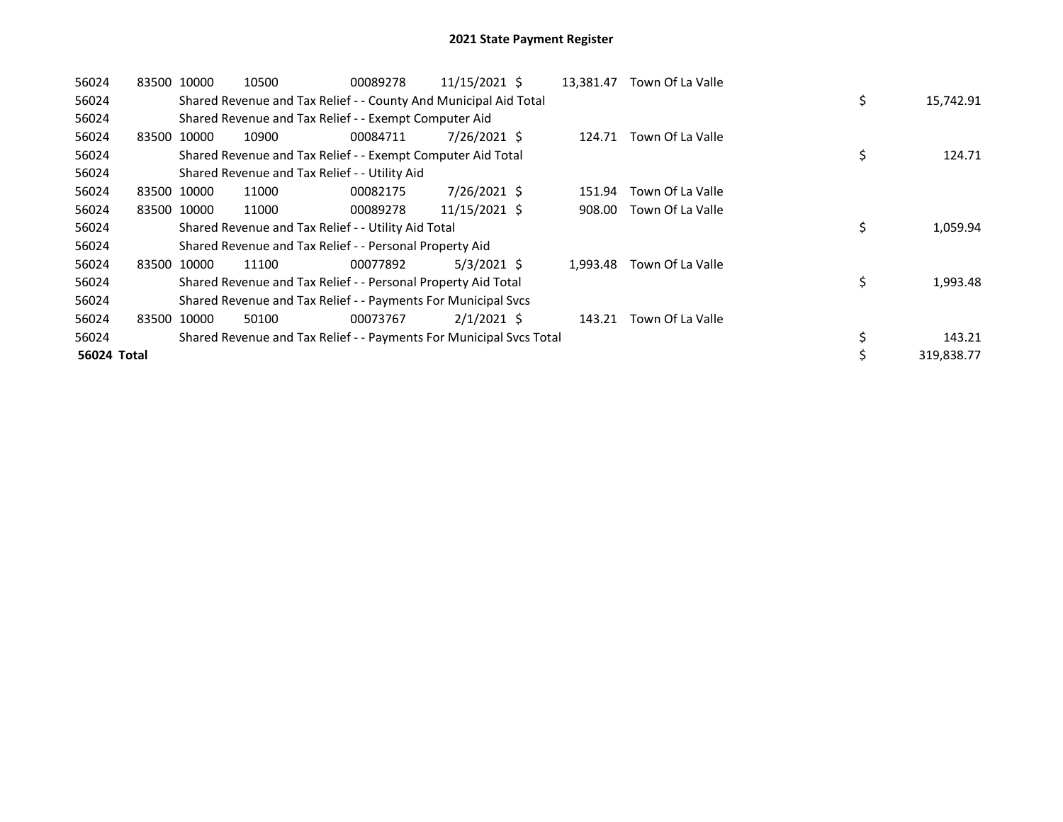| 56024       |       | 83500 10000 | 10500                                                               | 00089278 | 11/15/2021 \$ | 13,381.47 | Town Of La Valle |    |            |
|-------------|-------|-------------|---------------------------------------------------------------------|----------|---------------|-----------|------------------|----|------------|
| 56024       |       |             | Shared Revenue and Tax Relief - - County And Municipal Aid Total    |          |               |           |                  | \$ | 15,742.91  |
| 56024       |       |             | Shared Revenue and Tax Relief - - Exempt Computer Aid               |          |               |           |                  |    |            |
| 56024       | 83500 | 10000       | 10900                                                               | 00084711 | 7/26/2021 \$  | 124.71    | Town Of La Valle |    |            |
| 56024       |       |             | Shared Revenue and Tax Relief - - Exempt Computer Aid Total         |          |               |           |                  | \$ | 124.71     |
| 56024       |       |             | Shared Revenue and Tax Relief - - Utility Aid                       |          |               |           |                  |    |            |
| 56024       | 83500 | 10000       | 11000                                                               | 00082175 | 7/26/2021 \$  | 151.94    | Town Of La Valle |    |            |
| 56024       |       | 83500 10000 | 11000                                                               | 00089278 | 11/15/2021 \$ | 908.00    | Town Of La Valle |    |            |
| 56024       |       |             | Shared Revenue and Tax Relief - - Utility Aid Total                 |          |               |           |                  | \$ | 1,059.94   |
| 56024       |       |             | Shared Revenue and Tax Relief - - Personal Property Aid             |          |               |           |                  |    |            |
| 56024       |       | 83500 10000 | 11100                                                               | 00077892 | $5/3/2021$ \$ | 1,993.48  | Town Of La Valle |    |            |
| 56024       |       |             | Shared Revenue and Tax Relief - - Personal Property Aid Total       |          |               |           |                  | \$ | 1,993.48   |
| 56024       |       |             | Shared Revenue and Tax Relief - - Payments For Municipal Svcs       |          |               |           |                  |    |            |
| 56024       |       | 83500 10000 | 50100                                                               | 00073767 | $2/1/2021$ \$ | 143.21    | Town Of La Valle |    |            |
| 56024       |       |             | Shared Revenue and Tax Relief - - Payments For Municipal Svcs Total |          |               |           |                  | \$ | 143.21     |
| 56024 Total |       |             |                                                                     |          |               |           |                  | \$ | 319,838.77 |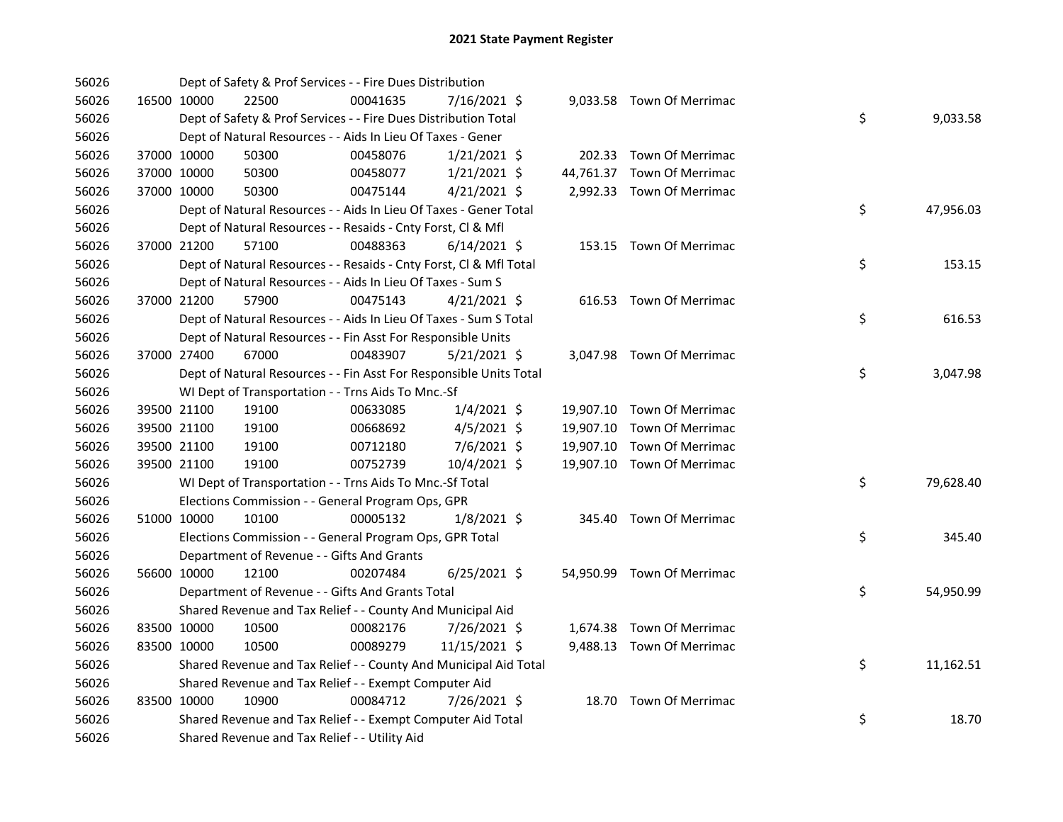| 56026 |             |             | Dept of Safety & Prof Services - - Fire Dues Distribution          |          |                |  |                            |    |           |
|-------|-------------|-------------|--------------------------------------------------------------------|----------|----------------|--|----------------------------|----|-----------|
| 56026 |             | 16500 10000 | 22500                                                              | 00041635 | 7/16/2021 \$   |  | 9,033.58 Town Of Merrimac  |    |           |
| 56026 |             |             | Dept of Safety & Prof Services - - Fire Dues Distribution Total    |          |                |  |                            | \$ | 9,033.58  |
| 56026 |             |             | Dept of Natural Resources - - Aids In Lieu Of Taxes - Gener        |          |                |  |                            |    |           |
| 56026 |             | 37000 10000 | 50300                                                              | 00458076 | $1/21/2021$ \$ |  | 202.33 Town Of Merrimac    |    |           |
| 56026 |             | 37000 10000 | 50300                                                              | 00458077 | $1/21/2021$ \$ |  | 44,761.37 Town Of Merrimac |    |           |
| 56026 |             | 37000 10000 | 50300                                                              | 00475144 | $4/21/2021$ \$ |  | 2,992.33 Town Of Merrimac  |    |           |
| 56026 |             |             | Dept of Natural Resources - - Aids In Lieu Of Taxes - Gener Total  |          |                |  |                            | \$ | 47,956.03 |
| 56026 |             |             | Dept of Natural Resources - - Resaids - Cnty Forst, Cl & Mfl       |          |                |  |                            |    |           |
| 56026 |             | 37000 21200 | 57100                                                              | 00488363 | $6/14/2021$ \$ |  | 153.15 Town Of Merrimac    |    |           |
| 56026 |             |             | Dept of Natural Resources - - Resaids - Cnty Forst, Cl & Mfl Total |          |                |  |                            | \$ | 153.15    |
| 56026 |             |             | Dept of Natural Resources - - Aids In Lieu Of Taxes - Sum S        |          |                |  |                            |    |           |
| 56026 |             | 37000 21200 | 57900                                                              | 00475143 | $4/21/2021$ \$ |  | 616.53 Town Of Merrimac    |    |           |
| 56026 |             |             | Dept of Natural Resources - - Aids In Lieu Of Taxes - Sum S Total  |          |                |  |                            | \$ | 616.53    |
| 56026 |             |             | Dept of Natural Resources - - Fin Asst For Responsible Units       |          |                |  |                            |    |           |
| 56026 |             | 37000 27400 | 67000                                                              | 00483907 | $5/21/2021$ \$ |  | 3,047.98 Town Of Merrimac  |    |           |
| 56026 |             |             | Dept of Natural Resources - - Fin Asst For Responsible Units Total |          |                |  |                            | \$ | 3,047.98  |
| 56026 |             |             | WI Dept of Transportation - - Trns Aids To Mnc.-Sf                 |          |                |  |                            |    |           |
| 56026 |             | 39500 21100 | 19100                                                              | 00633085 | 1/4/2021 \$    |  | 19,907.10 Town Of Merrimac |    |           |
| 56026 |             | 39500 21100 | 19100                                                              | 00668692 | $4/5/2021$ \$  |  | 19,907.10 Town Of Merrimac |    |           |
| 56026 |             | 39500 21100 | 19100                                                              | 00712180 | 7/6/2021 \$    |  | 19,907.10 Town Of Merrimac |    |           |
| 56026 |             | 39500 21100 | 19100                                                              | 00752739 | 10/4/2021 \$   |  | 19,907.10 Town Of Merrimac |    |           |
| 56026 |             |             | WI Dept of Transportation - - Trns Aids To Mnc.-Sf Total           |          |                |  |                            | \$ | 79,628.40 |
| 56026 |             |             | Elections Commission - - General Program Ops, GPR                  |          |                |  |                            |    |           |
| 56026 |             | 51000 10000 | 10100                                                              | 00005132 | $1/8/2021$ \$  |  | 345.40 Town Of Merrimac    |    |           |
| 56026 |             |             | Elections Commission - - General Program Ops, GPR Total            |          |                |  |                            | \$ | 345.40    |
| 56026 |             |             | Department of Revenue - - Gifts And Grants                         |          |                |  |                            |    |           |
| 56026 |             | 56600 10000 | 12100                                                              | 00207484 | $6/25/2021$ \$ |  | 54,950.99 Town Of Merrimac |    |           |
| 56026 |             |             | Department of Revenue - - Gifts And Grants Total                   |          |                |  |                            | \$ | 54,950.99 |
| 56026 |             |             | Shared Revenue and Tax Relief - - County And Municipal Aid         |          |                |  |                            |    |           |
| 56026 |             | 83500 10000 | 10500                                                              | 00082176 | 7/26/2021 \$   |  | 1,674.38 Town Of Merrimac  |    |           |
| 56026 | 83500 10000 |             | 10500                                                              | 00089279 | 11/15/2021 \$  |  | 9,488.13 Town Of Merrimac  |    |           |
| 56026 |             |             | Shared Revenue and Tax Relief - - County And Municipal Aid Total   |          |                |  |                            | \$ | 11,162.51 |
| 56026 |             |             | Shared Revenue and Tax Relief - - Exempt Computer Aid              |          |                |  |                            |    |           |
| 56026 |             | 83500 10000 | 10900                                                              | 00084712 | 7/26/2021 \$   |  | 18.70 Town Of Merrimac     |    |           |
| 56026 |             |             | Shared Revenue and Tax Relief - - Exempt Computer Aid Total        |          |                |  |                            | \$ | 18.70     |
| 56026 |             |             | Shared Revenue and Tax Relief - - Utility Aid                      |          |                |  |                            |    |           |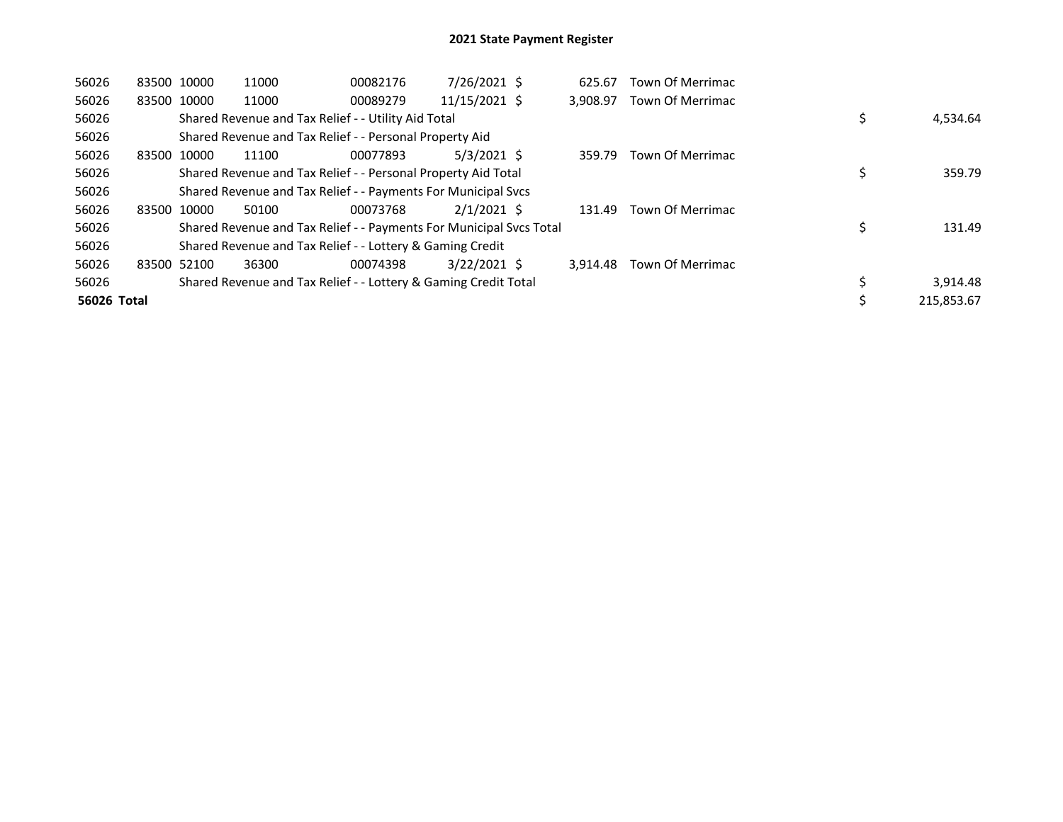| 56026       | 83500 10000 | 11000                                                               | 00082176 | 7/26/2021 \$   | 625.67   | <b>Town Of Merrimac</b> |            |
|-------------|-------------|---------------------------------------------------------------------|----------|----------------|----------|-------------------------|------------|
| 56026       | 83500 10000 | 11000                                                               | 00089279 | 11/15/2021 \$  | 3.908.97 | <b>Town Of Merrimac</b> |            |
| 56026       |             | Shared Revenue and Tax Relief - - Utility Aid Total                 |          |                |          |                         | 4,534.64   |
| 56026       |             | Shared Revenue and Tax Relief - - Personal Property Aid             |          |                |          |                         |            |
| 56026       | 83500 10000 | 11100                                                               | 00077893 | $5/3/2021$ \$  | 359.79   | Town Of Merrimac        |            |
| 56026       |             | Shared Revenue and Tax Relief - - Personal Property Aid Total       |          |                |          |                         | 359.79     |
| 56026       |             | Shared Revenue and Tax Relief - - Payments For Municipal Svcs       |          |                |          |                         |            |
| 56026       | 83500 10000 | 50100                                                               | 00073768 | $2/1/2021$ \$  | 131.49   | <b>Town Of Merrimac</b> |            |
| 56026       |             | Shared Revenue and Tax Relief - - Payments For Municipal Svcs Total |          |                |          |                         | 131.49     |
| 56026       |             | Shared Revenue and Tax Relief - - Lottery & Gaming Credit           |          |                |          |                         |            |
| 56026       | 83500 52100 | 36300                                                               | 00074398 | $3/22/2021$ \$ | 3.914.48 | <b>Town Of Merrimac</b> |            |
| 56026       |             | Shared Revenue and Tax Relief - - Lottery & Gaming Credit Total     |          |                |          |                         | 3,914.48   |
| 56026 Total |             |                                                                     |          |                |          |                         | 215,853.67 |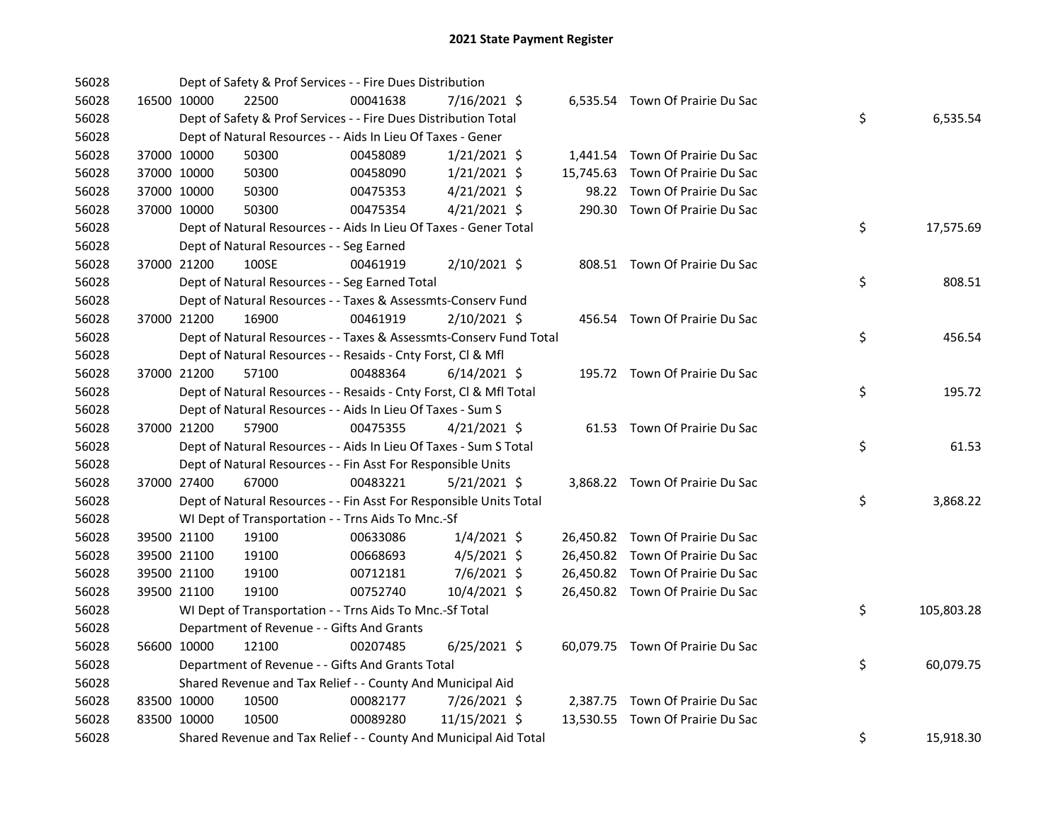| 56028 |             | Dept of Safety & Prof Services - - Fire Dues Distribution          |          |                |  |                                  |    |            |
|-------|-------------|--------------------------------------------------------------------|----------|----------------|--|----------------------------------|----|------------|
| 56028 | 16500 10000 | 22500                                                              | 00041638 | 7/16/2021 \$   |  | 6,535.54 Town Of Prairie Du Sac  |    |            |
| 56028 |             | Dept of Safety & Prof Services - - Fire Dues Distribution Total    |          |                |  |                                  | \$ | 6,535.54   |
| 56028 |             | Dept of Natural Resources - - Aids In Lieu Of Taxes - Gener        |          |                |  |                                  |    |            |
| 56028 | 37000 10000 | 50300                                                              | 00458089 | $1/21/2021$ \$ |  | 1,441.54 Town Of Prairie Du Sac  |    |            |
| 56028 | 37000 10000 | 50300                                                              | 00458090 | $1/21/2021$ \$ |  | 15,745.63 Town Of Prairie Du Sac |    |            |
| 56028 | 37000 10000 | 50300                                                              | 00475353 | $4/21/2021$ \$ |  | 98.22 Town Of Prairie Du Sac     |    |            |
| 56028 | 37000 10000 | 50300                                                              | 00475354 | $4/21/2021$ \$ |  | 290.30 Town Of Prairie Du Sac    |    |            |
| 56028 |             | Dept of Natural Resources - - Aids In Lieu Of Taxes - Gener Total  |          |                |  |                                  | \$ | 17,575.69  |
| 56028 |             | Dept of Natural Resources - - Seg Earned                           |          |                |  |                                  |    |            |
| 56028 | 37000 21200 | 100SE                                                              | 00461919 | $2/10/2021$ \$ |  | 808.51 Town Of Prairie Du Sac    |    |            |
| 56028 |             | Dept of Natural Resources - - Seg Earned Total                     |          |                |  |                                  | \$ | 808.51     |
| 56028 |             | Dept of Natural Resources - - Taxes & Assessmts-Conserv Fund       |          |                |  |                                  |    |            |
| 56028 | 37000 21200 | 16900                                                              | 00461919 | 2/10/2021 \$   |  | 456.54 Town Of Prairie Du Sac    |    |            |
| 56028 |             | Dept of Natural Resources - - Taxes & Assessmts-Conserv Fund Total |          |                |  |                                  | \$ | 456.54     |
| 56028 |             | Dept of Natural Resources - - Resaids - Cnty Forst, Cl & Mfl       |          |                |  |                                  |    |            |
| 56028 | 37000 21200 | 57100                                                              | 00488364 | $6/14/2021$ \$ |  | 195.72 Town Of Prairie Du Sac    |    |            |
| 56028 |             | Dept of Natural Resources - - Resaids - Cnty Forst, CI & Mfl Total |          |                |  |                                  | \$ | 195.72     |
| 56028 |             | Dept of Natural Resources - - Aids In Lieu Of Taxes - Sum S        |          |                |  |                                  |    |            |
| 56028 | 37000 21200 | 57900                                                              | 00475355 | $4/21/2021$ \$ |  | 61.53 Town Of Prairie Du Sac     |    |            |
| 56028 |             | Dept of Natural Resources - - Aids In Lieu Of Taxes - Sum S Total  |          |                |  |                                  | \$ | 61.53      |
| 56028 |             | Dept of Natural Resources - - Fin Asst For Responsible Units       |          |                |  |                                  |    |            |
| 56028 | 37000 27400 | 67000                                                              | 00483221 | 5/21/2021 \$   |  | 3,868.22 Town Of Prairie Du Sac  |    |            |
| 56028 |             | Dept of Natural Resources - - Fin Asst For Responsible Units Total |          |                |  |                                  | \$ | 3,868.22   |
| 56028 |             | WI Dept of Transportation - - Trns Aids To Mnc.-Sf                 |          |                |  |                                  |    |            |
| 56028 | 39500 21100 | 19100                                                              | 00633086 | $1/4/2021$ \$  |  | 26,450.82 Town Of Prairie Du Sac |    |            |
| 56028 | 39500 21100 | 19100                                                              | 00668693 | $4/5/2021$ \$  |  | 26,450.82 Town Of Prairie Du Sac |    |            |
| 56028 | 39500 21100 | 19100                                                              | 00712181 | 7/6/2021 \$    |  | 26,450.82 Town Of Prairie Du Sac |    |            |
| 56028 | 39500 21100 | 19100                                                              | 00752740 | 10/4/2021 \$   |  | 26,450.82 Town Of Prairie Du Sac |    |            |
| 56028 |             | WI Dept of Transportation - - Trns Aids To Mnc.-Sf Total           |          |                |  |                                  | \$ | 105,803.28 |
| 56028 |             | Department of Revenue - - Gifts And Grants                         |          |                |  |                                  |    |            |
| 56028 | 56600 10000 | 12100                                                              | 00207485 | $6/25/2021$ \$ |  | 60,079.75 Town Of Prairie Du Sac |    |            |
| 56028 |             | Department of Revenue - - Gifts And Grants Total                   |          |                |  |                                  | \$ | 60,079.75  |
| 56028 |             | Shared Revenue and Tax Relief - - County And Municipal Aid         |          |                |  |                                  |    |            |
| 56028 | 83500 10000 | 10500                                                              | 00082177 | 7/26/2021 \$   |  | 2,387.75 Town Of Prairie Du Sac  |    |            |
| 56028 | 83500 10000 | 10500                                                              | 00089280 | 11/15/2021 \$  |  | 13,530.55 Town Of Prairie Du Sac |    |            |
| 56028 |             | Shared Revenue and Tax Relief - - County And Municipal Aid Total   |          |                |  |                                  | \$ | 15,918.30  |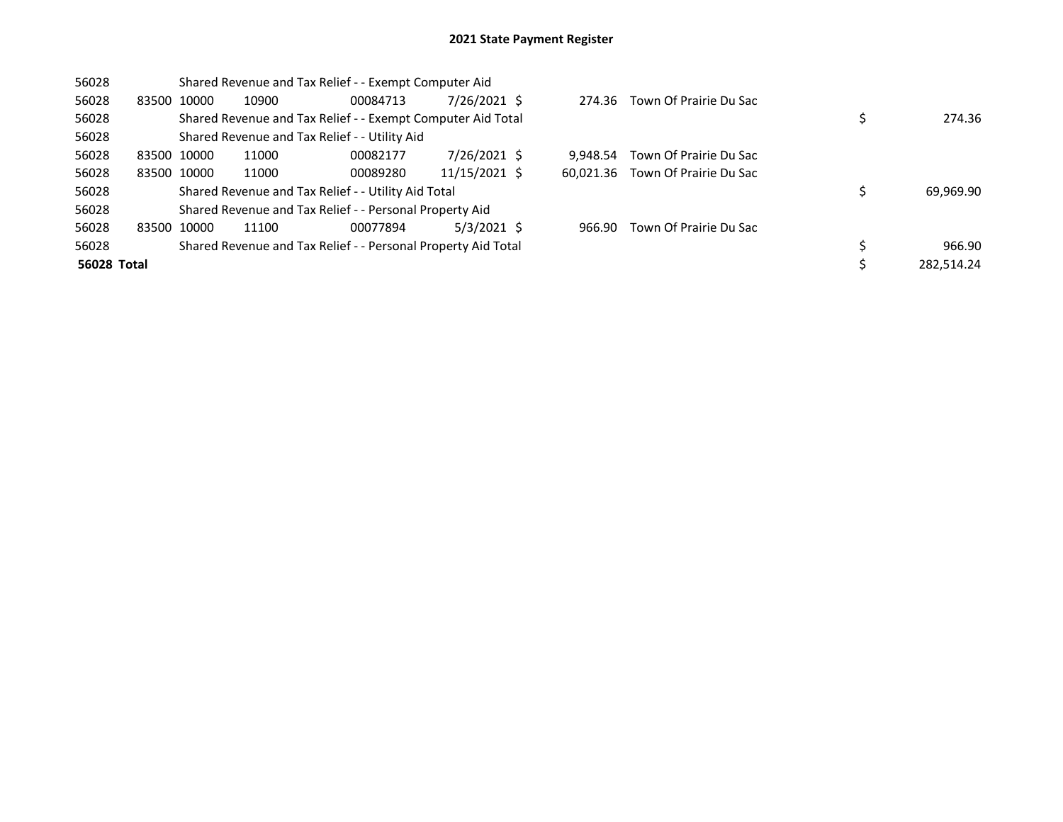| 56028       |             |             | Shared Revenue and Tax Relief - - Exempt Computer Aid         |          |               |          |                                  |            |
|-------------|-------------|-------------|---------------------------------------------------------------|----------|---------------|----------|----------------------------------|------------|
| 56028       | 83500       | 10000       | 10900                                                         | 00084713 | 7/26/2021 \$  | 274.36   | Town Of Prairie Du Sac           |            |
| 56028       |             |             | Shared Revenue and Tax Relief - - Exempt Computer Aid Total   |          |               |          |                                  | 274.36     |
| 56028       |             |             | Shared Revenue and Tax Relief - - Utility Aid                 |          |               |          |                                  |            |
| 56028       | 83500 10000 |             | 11000                                                         | 00082177 | 7/26/2021 \$  | 9.948.54 | Town Of Prairie Du Sac           |            |
| 56028       |             | 83500 10000 | 11000                                                         | 00089280 | 11/15/2021 \$ |          | 60,021.36 Town Of Prairie Du Sac |            |
| 56028       |             |             | Shared Revenue and Tax Relief - - Utility Aid Total           |          |               |          |                                  | 69,969.90  |
| 56028       |             |             | Shared Revenue and Tax Relief - - Personal Property Aid       |          |               |          |                                  |            |
| 56028       | 83500       | 10000       | 11100                                                         | 00077894 | $5/3/2021$ \$ | 966.90   | Town Of Prairie Du Sac           |            |
| 56028       |             |             | Shared Revenue and Tax Relief - - Personal Property Aid Total |          |               |          |                                  | 966.90     |
| 56028 Total |             |             |                                                               |          |               |          |                                  | 282.514.24 |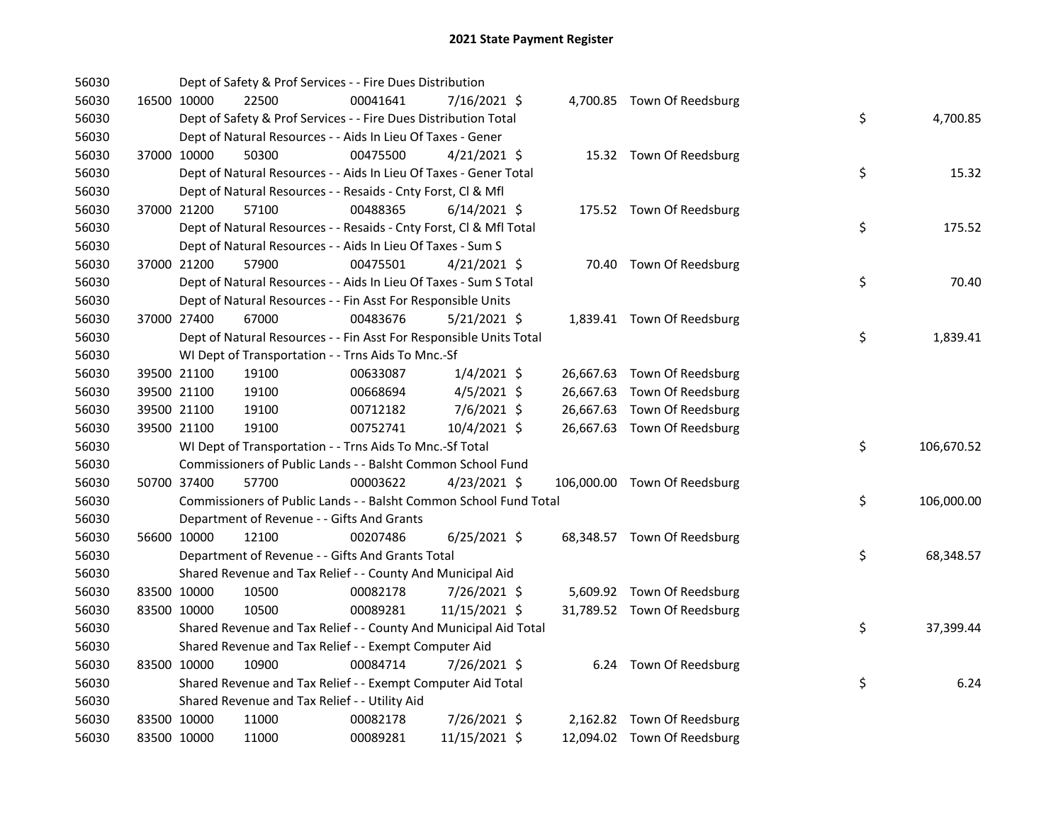| 56030 |             | Dept of Safety & Prof Services - - Fire Dues Distribution          |          |                |  |                              |    |            |
|-------|-------------|--------------------------------------------------------------------|----------|----------------|--|------------------------------|----|------------|
| 56030 | 16500 10000 | 22500                                                              | 00041641 | 7/16/2021 \$   |  | 4,700.85 Town Of Reedsburg   |    |            |
| 56030 |             | Dept of Safety & Prof Services - - Fire Dues Distribution Total    |          |                |  |                              | \$ | 4,700.85   |
| 56030 |             | Dept of Natural Resources - - Aids In Lieu Of Taxes - Gener        |          |                |  |                              |    |            |
| 56030 | 37000 10000 | 50300                                                              | 00475500 | $4/21/2021$ \$ |  | 15.32 Town Of Reedsburg      |    |            |
| 56030 |             | Dept of Natural Resources - - Aids In Lieu Of Taxes - Gener Total  |          |                |  |                              | \$ | 15.32      |
| 56030 |             | Dept of Natural Resources - - Resaids - Cnty Forst, Cl & Mfl       |          |                |  |                              |    |            |
| 56030 | 37000 21200 | 57100                                                              | 00488365 | $6/14/2021$ \$ |  | 175.52 Town Of Reedsburg     |    |            |
| 56030 |             | Dept of Natural Resources - - Resaids - Cnty Forst, Cl & Mfl Total |          |                |  |                              | \$ | 175.52     |
| 56030 |             | Dept of Natural Resources - - Aids In Lieu Of Taxes - Sum S        |          |                |  |                              |    |            |
| 56030 | 37000 21200 | 57900                                                              | 00475501 | $4/21/2021$ \$ |  | 70.40 Town Of Reedsburg      |    |            |
| 56030 |             | Dept of Natural Resources - - Aids In Lieu Of Taxes - Sum S Total  |          |                |  |                              | \$ | 70.40      |
| 56030 |             | Dept of Natural Resources - - Fin Asst For Responsible Units       |          |                |  |                              |    |            |
| 56030 | 37000 27400 | 67000                                                              | 00483676 | $5/21/2021$ \$ |  | 1,839.41 Town Of Reedsburg   |    |            |
| 56030 |             | Dept of Natural Resources - - Fin Asst For Responsible Units Total |          |                |  |                              | \$ | 1,839.41   |
| 56030 |             | WI Dept of Transportation - - Trns Aids To Mnc.-Sf                 |          |                |  |                              |    |            |
| 56030 | 39500 21100 | 19100                                                              | 00633087 | $1/4/2021$ \$  |  | 26,667.63 Town Of Reedsburg  |    |            |
| 56030 | 39500 21100 | 19100                                                              | 00668694 | $4/5/2021$ \$  |  | 26,667.63 Town Of Reedsburg  |    |            |
| 56030 | 39500 21100 | 19100                                                              | 00712182 | 7/6/2021 \$    |  | 26,667.63 Town Of Reedsburg  |    |            |
| 56030 | 39500 21100 | 19100                                                              | 00752741 | 10/4/2021 \$   |  | 26,667.63 Town Of Reedsburg  |    |            |
| 56030 |             | WI Dept of Transportation - - Trns Aids To Mnc.-Sf Total           |          |                |  |                              | \$ | 106,670.52 |
| 56030 |             | Commissioners of Public Lands - - Balsht Common School Fund        |          |                |  |                              |    |            |
| 56030 | 50700 37400 | 57700                                                              | 00003622 | $4/23/2021$ \$ |  | 106,000.00 Town Of Reedsburg |    |            |
| 56030 |             | Commissioners of Public Lands - - Balsht Common School Fund Total  |          |                |  |                              | \$ | 106,000.00 |
| 56030 |             | Department of Revenue - - Gifts And Grants                         |          |                |  |                              |    |            |
| 56030 | 56600 10000 | 12100                                                              | 00207486 | $6/25/2021$ \$ |  | 68,348.57 Town Of Reedsburg  |    |            |
| 56030 |             | Department of Revenue - - Gifts And Grants Total                   |          |                |  |                              | \$ | 68,348.57  |
| 56030 |             | Shared Revenue and Tax Relief - - County And Municipal Aid         |          |                |  |                              |    |            |
| 56030 | 83500 10000 | 10500                                                              | 00082178 | 7/26/2021 \$   |  | 5,609.92 Town Of Reedsburg   |    |            |
| 56030 | 83500 10000 | 10500                                                              | 00089281 | 11/15/2021 \$  |  | 31,789.52 Town Of Reedsburg  |    |            |
| 56030 |             | Shared Revenue and Tax Relief - - County And Municipal Aid Total   |          |                |  |                              | \$ | 37,399.44  |
| 56030 |             | Shared Revenue and Tax Relief - - Exempt Computer Aid              |          |                |  |                              |    |            |
| 56030 | 83500 10000 | 10900                                                              | 00084714 | 7/26/2021 \$   |  | 6.24 Town Of Reedsburg       |    |            |
| 56030 |             | Shared Revenue and Tax Relief - - Exempt Computer Aid Total        |          |                |  |                              | \$ | 6.24       |
| 56030 |             | Shared Revenue and Tax Relief - - Utility Aid                      |          |                |  |                              |    |            |
| 56030 | 83500 10000 | 11000                                                              | 00082178 | 7/26/2021 \$   |  | 2,162.82 Town Of Reedsburg   |    |            |
| 56030 | 83500 10000 | 11000                                                              | 00089281 | 11/15/2021 \$  |  | 12,094.02 Town Of Reedsburg  |    |            |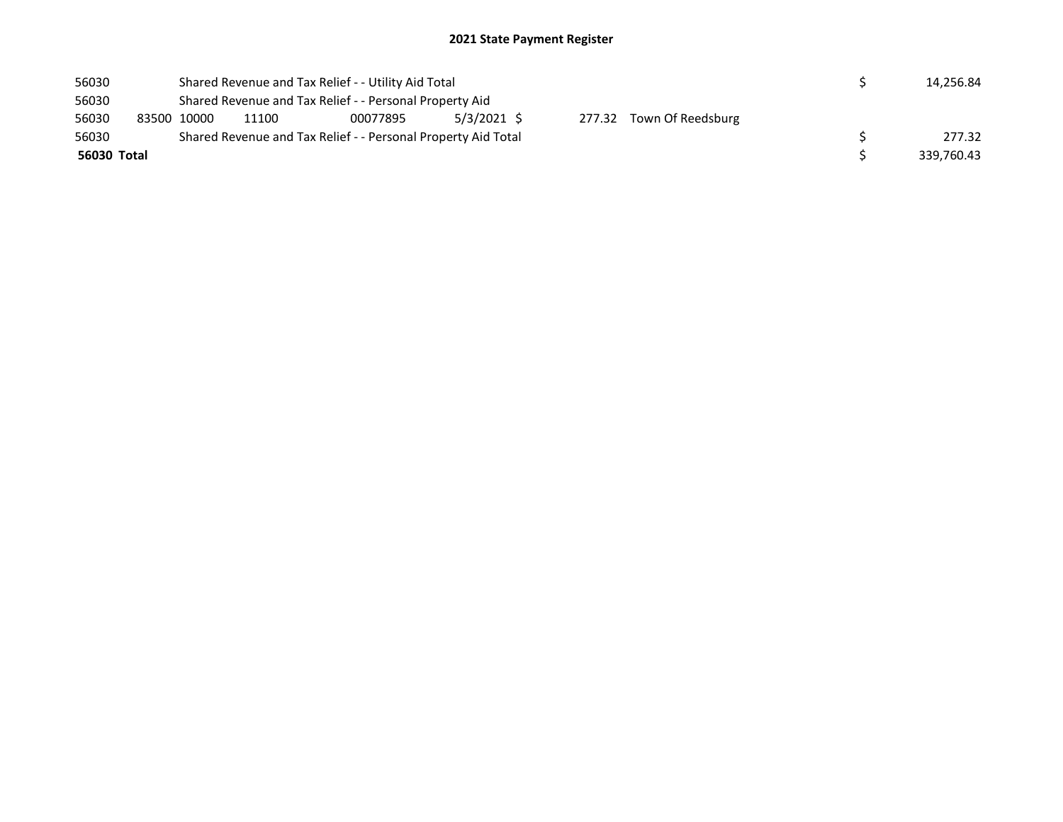| 56030       |             | Shared Revenue and Tax Relief - - Utility Aid Total     | 14.256.84                                                     |             |                          |            |
|-------------|-------------|---------------------------------------------------------|---------------------------------------------------------------|-------------|--------------------------|------------|
| 56030       |             | Shared Revenue and Tax Relief - - Personal Property Aid |                                                               |             |                          |            |
| 56030       | 83500 10000 | 11100                                                   | 00077895                                                      | 5/3/2021 \$ | 277.32 Town Of Reedsburg |            |
| 56030       |             |                                                         | Shared Revenue and Tax Relief - - Personal Property Aid Total |             |                          | 277.32     |
| 56030 Total |             |                                                         |                                                               |             |                          | 339.760.43 |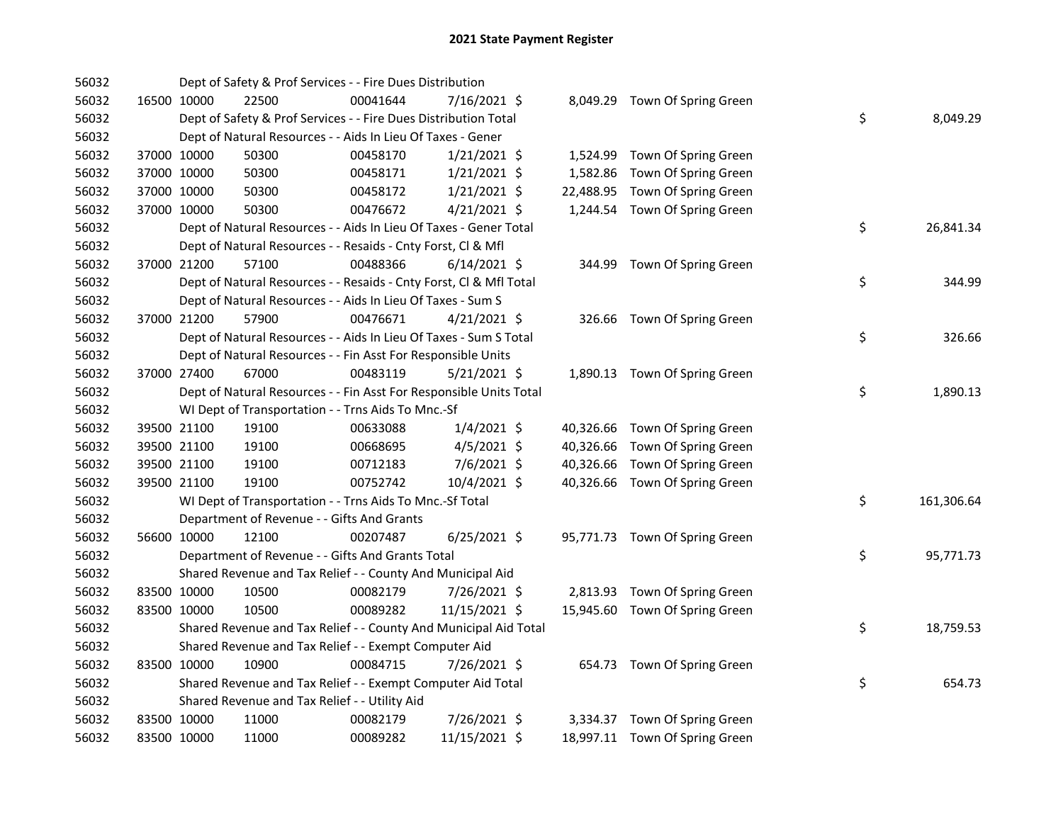| 56032 |             |             | Dept of Safety & Prof Services - - Fire Dues Distribution          |          |                |  |                                |    |            |
|-------|-------------|-------------|--------------------------------------------------------------------|----------|----------------|--|--------------------------------|----|------------|
| 56032 |             | 16500 10000 | 22500                                                              | 00041644 | 7/16/2021 \$   |  | 8,049.29 Town Of Spring Green  |    |            |
| 56032 |             |             | Dept of Safety & Prof Services - - Fire Dues Distribution Total    |          |                |  |                                | \$ | 8,049.29   |
| 56032 |             |             | Dept of Natural Resources - - Aids In Lieu Of Taxes - Gener        |          |                |  |                                |    |            |
| 56032 |             | 37000 10000 | 50300                                                              | 00458170 | $1/21/2021$ \$ |  | 1,524.99 Town Of Spring Green  |    |            |
| 56032 |             | 37000 10000 | 50300                                                              | 00458171 | $1/21/2021$ \$ |  | 1,582.86 Town Of Spring Green  |    |            |
| 56032 |             | 37000 10000 | 50300                                                              | 00458172 | $1/21/2021$ \$ |  | 22,488.95 Town Of Spring Green |    |            |
| 56032 |             | 37000 10000 | 50300                                                              | 00476672 | $4/21/2021$ \$ |  | 1,244.54 Town Of Spring Green  |    |            |
| 56032 |             |             | Dept of Natural Resources - - Aids In Lieu Of Taxes - Gener Total  |          |                |  |                                | \$ | 26,841.34  |
| 56032 |             |             | Dept of Natural Resources - - Resaids - Cnty Forst, CI & Mfl       |          |                |  |                                |    |            |
| 56032 |             | 37000 21200 | 57100                                                              | 00488366 | $6/14/2021$ \$ |  | 344.99 Town Of Spring Green    |    |            |
| 56032 |             |             | Dept of Natural Resources - - Resaids - Cnty Forst, Cl & Mfl Total |          |                |  |                                | \$ | 344.99     |
| 56032 |             |             | Dept of Natural Resources - - Aids In Lieu Of Taxes - Sum S        |          |                |  |                                |    |            |
| 56032 |             | 37000 21200 | 57900                                                              | 00476671 | $4/21/2021$ \$ |  | 326.66 Town Of Spring Green    |    |            |
| 56032 |             |             | Dept of Natural Resources - - Aids In Lieu Of Taxes - Sum S Total  |          |                |  |                                | \$ | 326.66     |
| 56032 |             |             | Dept of Natural Resources - - Fin Asst For Responsible Units       |          |                |  |                                |    |            |
| 56032 |             | 37000 27400 | 67000                                                              | 00483119 | $5/21/2021$ \$ |  | 1,890.13 Town Of Spring Green  |    |            |
| 56032 |             |             | Dept of Natural Resources - - Fin Asst For Responsible Units Total |          |                |  |                                | \$ | 1,890.13   |
| 56032 |             |             | WI Dept of Transportation - - Trns Aids To Mnc.-Sf                 |          |                |  |                                |    |            |
| 56032 |             | 39500 21100 | 19100                                                              | 00633088 | 1/4/2021 \$    |  | 40,326.66 Town Of Spring Green |    |            |
| 56032 |             | 39500 21100 | 19100                                                              | 00668695 | $4/5/2021$ \$  |  | 40,326.66 Town Of Spring Green |    |            |
| 56032 |             | 39500 21100 | 19100                                                              | 00712183 | 7/6/2021 \$    |  | 40,326.66 Town Of Spring Green |    |            |
| 56032 |             | 39500 21100 | 19100                                                              | 00752742 | 10/4/2021 \$   |  | 40,326.66 Town Of Spring Green |    |            |
| 56032 |             |             | WI Dept of Transportation - - Trns Aids To Mnc.-Sf Total           |          |                |  |                                | \$ | 161,306.64 |
| 56032 |             |             | Department of Revenue - - Gifts And Grants                         |          |                |  |                                |    |            |
| 56032 |             | 56600 10000 | 12100                                                              | 00207487 | $6/25/2021$ \$ |  | 95,771.73 Town Of Spring Green |    |            |
| 56032 |             |             | Department of Revenue - - Gifts And Grants Total                   |          |                |  |                                | \$ | 95,771.73  |
| 56032 |             |             | Shared Revenue and Tax Relief - - County And Municipal Aid         |          |                |  |                                |    |            |
| 56032 |             | 83500 10000 | 10500                                                              | 00082179 | 7/26/2021 \$   |  | 2,813.93 Town Of Spring Green  |    |            |
| 56032 |             | 83500 10000 | 10500                                                              | 00089282 | 11/15/2021 \$  |  | 15,945.60 Town Of Spring Green |    |            |
| 56032 |             |             | Shared Revenue and Tax Relief - - County And Municipal Aid Total   |          |                |  |                                | \$ | 18,759.53  |
| 56032 |             |             | Shared Revenue and Tax Relief - - Exempt Computer Aid              |          |                |  |                                |    |            |
| 56032 |             | 83500 10000 | 10900                                                              | 00084715 | 7/26/2021 \$   |  | 654.73 Town Of Spring Green    |    |            |
| 56032 |             |             | Shared Revenue and Tax Relief - - Exempt Computer Aid Total        |          |                |  |                                | \$ | 654.73     |
| 56032 |             |             | Shared Revenue and Tax Relief - - Utility Aid                      |          |                |  |                                |    |            |
| 56032 |             | 83500 10000 | 11000                                                              | 00082179 | 7/26/2021 \$   |  | 3,334.37 Town Of Spring Green  |    |            |
| 56032 | 83500 10000 |             | 11000                                                              | 00089282 | 11/15/2021 \$  |  | 18,997.11 Town Of Spring Green |    |            |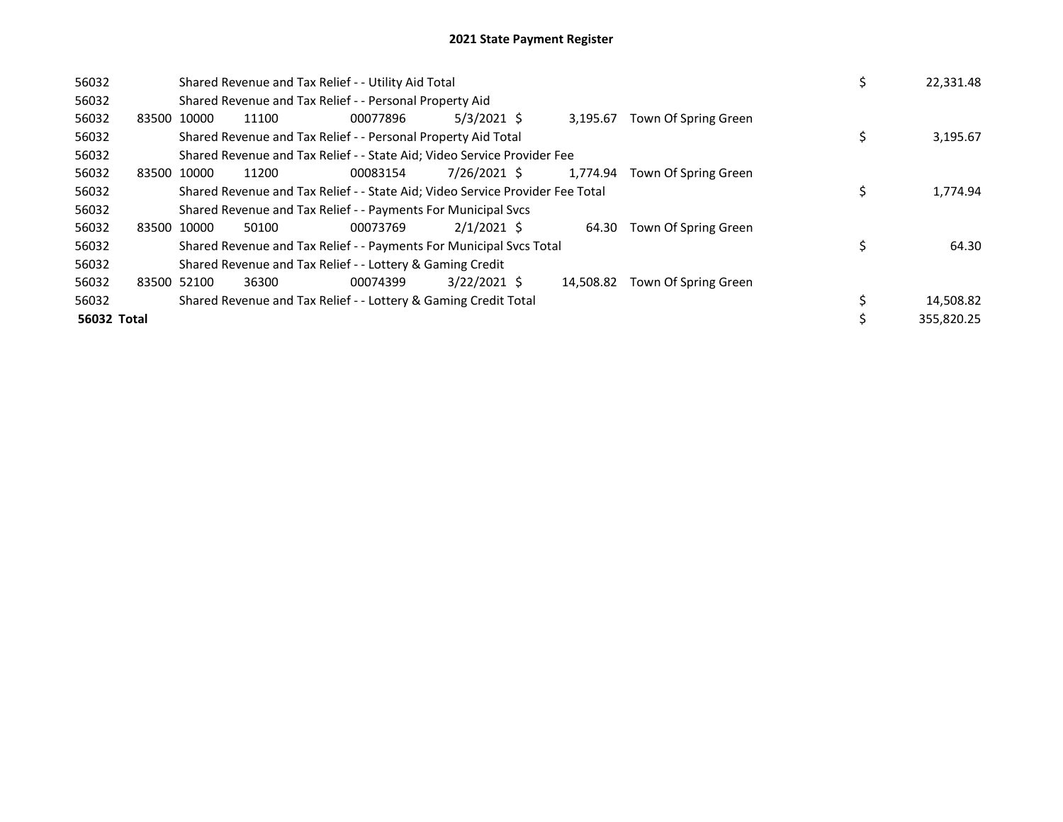| 56032       |             |       | Shared Revenue and Tax Relief - - Utility Aid Total                           |                | 22,331.48 |                      |            |
|-------------|-------------|-------|-------------------------------------------------------------------------------|----------------|-----------|----------------------|------------|
| 56032       |             |       | Shared Revenue and Tax Relief - - Personal Property Aid                       |                |           |                      |            |
| 56032       | 83500 10000 | 11100 | 00077896                                                                      | $5/3/2021$ \$  | 3.195.67  | Town Of Spring Green |            |
| 56032       |             |       | Shared Revenue and Tax Relief - - Personal Property Aid Total                 |                |           |                      | 3,195.67   |
| 56032       |             |       | Shared Revenue and Tax Relief - - State Aid; Video Service Provider Fee       |                |           |                      |            |
| 56032       | 83500 10000 | 11200 | 00083154                                                                      | 7/26/2021 \$   | 1.774.94  | Town Of Spring Green |            |
| 56032       |             |       | Shared Revenue and Tax Relief - - State Aid; Video Service Provider Fee Total |                |           |                      | 1,774.94   |
| 56032       |             |       | Shared Revenue and Tax Relief - - Payments For Municipal Svcs                 |                |           |                      |            |
| 56032       | 83500 10000 | 50100 | 00073769                                                                      | $2/1/2021$ \$  | 64.30     | Town Of Spring Green |            |
| 56032       |             |       | Shared Revenue and Tax Relief - - Payments For Municipal Svcs Total           |                |           |                      | 64.30      |
| 56032       |             |       | Shared Revenue and Tax Relief - - Lottery & Gaming Credit                     |                |           |                      |            |
| 56032       | 83500 52100 | 36300 | 00074399                                                                      | $3/22/2021$ \$ | 14.508.82 | Town Of Spring Green |            |
| 56032       |             |       | Shared Revenue and Tax Relief - - Lottery & Gaming Credit Total               |                |           |                      | 14,508.82  |
| 56032 Total |             |       |                                                                               |                |           |                      | 355.820.25 |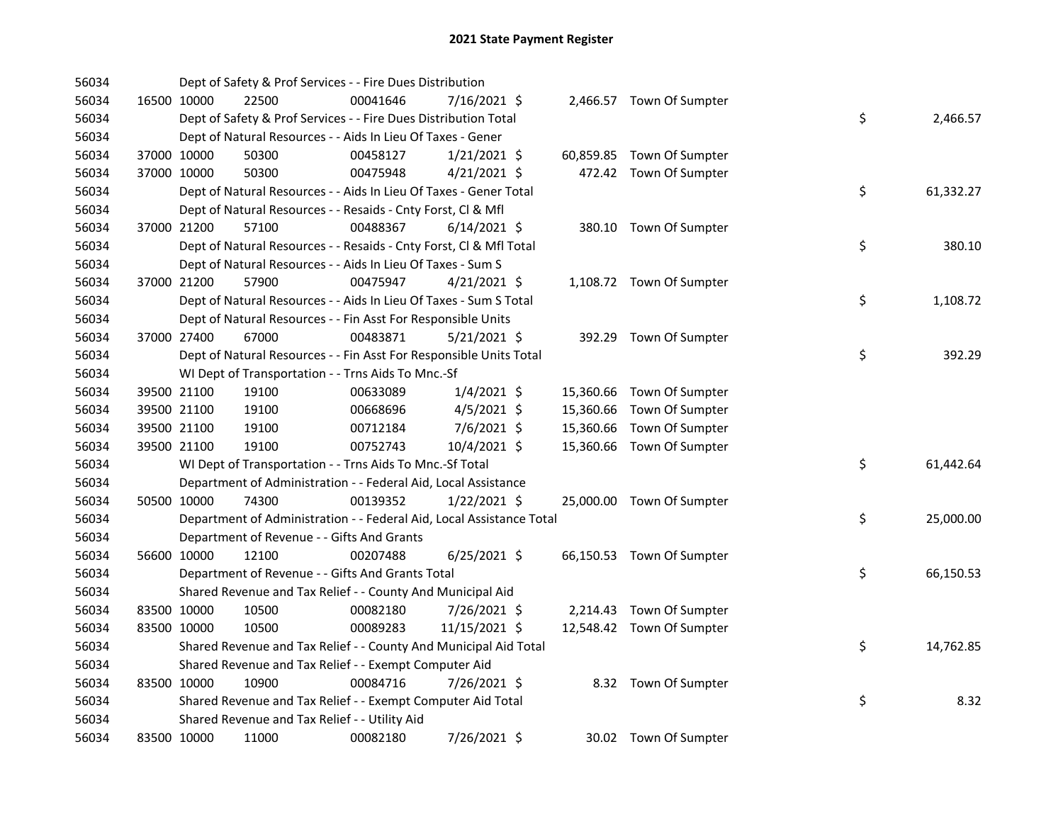| 56034 |             |             | Dept of Safety & Prof Services - - Fire Dues Distribution            |          |                |  |                           |    |           |
|-------|-------------|-------------|----------------------------------------------------------------------|----------|----------------|--|---------------------------|----|-----------|
| 56034 |             | 16500 10000 | 22500                                                                | 00041646 | 7/16/2021 \$   |  | 2,466.57 Town Of Sumpter  |    |           |
| 56034 |             |             | Dept of Safety & Prof Services - - Fire Dues Distribution Total      |          |                |  |                           | \$ | 2,466.57  |
| 56034 |             |             | Dept of Natural Resources - - Aids In Lieu Of Taxes - Gener          |          |                |  |                           |    |           |
| 56034 |             | 37000 10000 | 50300                                                                | 00458127 | $1/21/2021$ \$ |  | 60,859.85 Town Of Sumpter |    |           |
| 56034 |             | 37000 10000 | 50300                                                                | 00475948 | $4/21/2021$ \$ |  | 472.42 Town Of Sumpter    |    |           |
| 56034 |             |             | Dept of Natural Resources - - Aids In Lieu Of Taxes - Gener Total    |          |                |  |                           | \$ | 61,332.27 |
| 56034 |             |             | Dept of Natural Resources - - Resaids - Cnty Forst, Cl & Mfl         |          |                |  |                           |    |           |
| 56034 | 37000 21200 |             | 57100                                                                | 00488367 | $6/14/2021$ \$ |  | 380.10 Town Of Sumpter    |    |           |
| 56034 |             |             | Dept of Natural Resources - - Resaids - Cnty Forst, Cl & Mfl Total   |          |                |  |                           | \$ | 380.10    |
| 56034 |             |             | Dept of Natural Resources - - Aids In Lieu Of Taxes - Sum S          |          |                |  |                           |    |           |
| 56034 | 37000 21200 |             | 57900                                                                | 00475947 | $4/21/2021$ \$ |  | 1,108.72 Town Of Sumpter  |    |           |
| 56034 |             |             | Dept of Natural Resources - - Aids In Lieu Of Taxes - Sum S Total    |          |                |  |                           | \$ | 1,108.72  |
| 56034 |             |             | Dept of Natural Resources - - Fin Asst For Responsible Units         |          |                |  |                           |    |           |
| 56034 |             | 37000 27400 | 67000                                                                | 00483871 | $5/21/2021$ \$ |  | 392.29 Town Of Sumpter    |    |           |
| 56034 |             |             | Dept of Natural Resources - - Fin Asst For Responsible Units Total   |          |                |  |                           | \$ | 392.29    |
| 56034 |             |             | WI Dept of Transportation - - Trns Aids To Mnc.-Sf                   |          |                |  |                           |    |           |
| 56034 |             | 39500 21100 | 19100                                                                | 00633089 | $1/4/2021$ \$  |  | 15,360.66 Town Of Sumpter |    |           |
| 56034 |             | 39500 21100 | 19100                                                                | 00668696 | $4/5/2021$ \$  |  | 15,360.66 Town Of Sumpter |    |           |
| 56034 |             | 39500 21100 | 19100                                                                | 00712184 | 7/6/2021 \$    |  | 15,360.66 Town Of Sumpter |    |           |
| 56034 |             | 39500 21100 | 19100                                                                | 00752743 | 10/4/2021 \$   |  | 15,360.66 Town Of Sumpter |    |           |
| 56034 |             |             | WI Dept of Transportation - - Trns Aids To Mnc.-Sf Total             |          |                |  |                           | \$ | 61,442.64 |
| 56034 |             |             | Department of Administration - - Federal Aid, Local Assistance       |          |                |  |                           |    |           |
| 56034 | 50500 10000 |             | 74300                                                                | 00139352 | $1/22/2021$ \$ |  | 25,000.00 Town Of Sumpter |    |           |
| 56034 |             |             | Department of Administration - - Federal Aid, Local Assistance Total |          |                |  |                           | \$ | 25,000.00 |
| 56034 |             |             | Department of Revenue - - Gifts And Grants                           |          |                |  |                           |    |           |
| 56034 | 56600 10000 |             | 12100                                                                | 00207488 | $6/25/2021$ \$ |  | 66,150.53 Town Of Sumpter |    |           |
| 56034 |             |             | Department of Revenue - - Gifts And Grants Total                     |          |                |  |                           | \$ | 66,150.53 |
| 56034 |             |             | Shared Revenue and Tax Relief - - County And Municipal Aid           |          |                |  |                           |    |           |
| 56034 |             | 83500 10000 | 10500                                                                | 00082180 | 7/26/2021 \$   |  | 2,214.43 Town Of Sumpter  |    |           |
| 56034 | 83500 10000 |             | 10500                                                                | 00089283 | 11/15/2021 \$  |  | 12,548.42 Town Of Sumpter |    |           |
| 56034 |             |             | Shared Revenue and Tax Relief - - County And Municipal Aid Total     |          |                |  |                           | \$ | 14,762.85 |
| 56034 |             |             | Shared Revenue and Tax Relief - - Exempt Computer Aid                |          |                |  |                           |    |           |
| 56034 | 83500 10000 |             | 10900                                                                | 00084716 | 7/26/2021 \$   |  | 8.32 Town Of Sumpter      |    |           |
| 56034 |             |             | Shared Revenue and Tax Relief - - Exempt Computer Aid Total          |          |                |  |                           | \$ | 8.32      |
| 56034 |             |             | Shared Revenue and Tax Relief - - Utility Aid                        |          |                |  |                           |    |           |
| 56034 | 83500 10000 |             | 11000                                                                | 00082180 | 7/26/2021 \$   |  | 30.02 Town Of Sumpter     |    |           |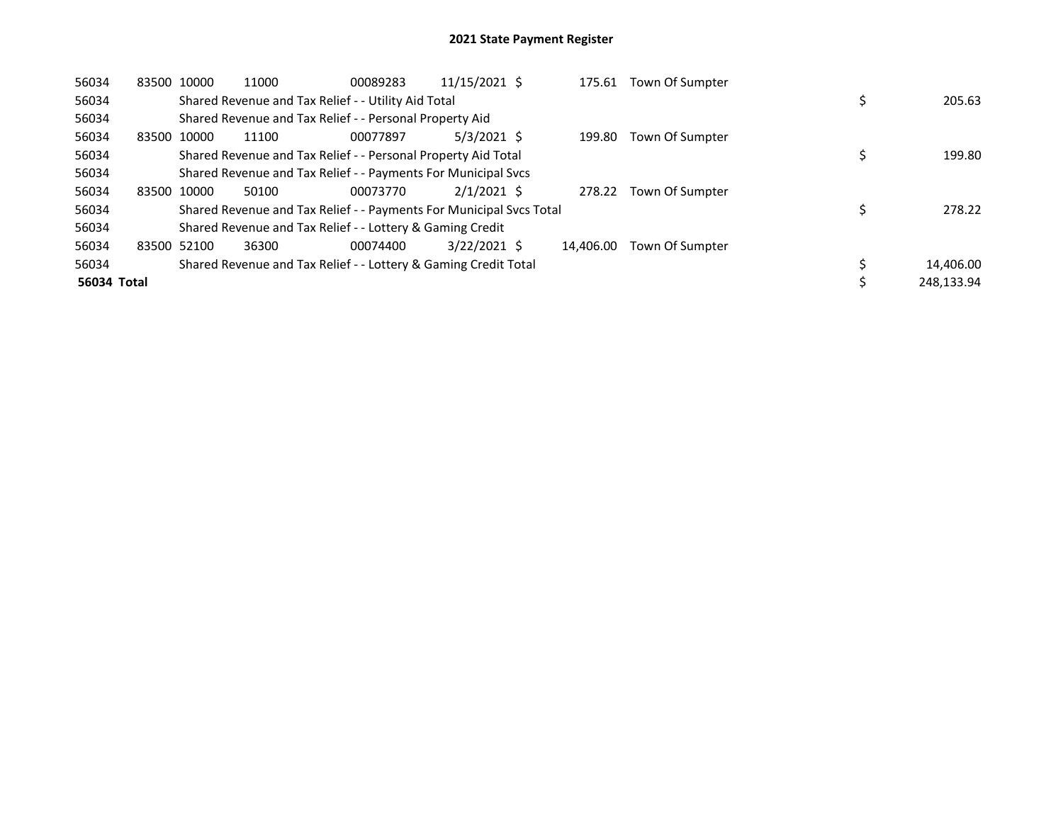| 56034       | 83500 10000 | 11000                                                               | 00089283 | 11/15/2021 \$  | 175.61    | Town Of Sumpter |  |            |
|-------------|-------------|---------------------------------------------------------------------|----------|----------------|-----------|-----------------|--|------------|
| 56034       |             | Shared Revenue and Tax Relief - - Utility Aid Total                 |          |                |           |                 |  | 205.63     |
| 56034       |             | Shared Revenue and Tax Relief - - Personal Property Aid             |          |                |           |                 |  |            |
| 56034       | 83500 10000 | 11100                                                               | 00077897 | $5/3/2021$ \$  | 199.80    | Town Of Sumpter |  |            |
| 56034       |             | Shared Revenue and Tax Relief - - Personal Property Aid Total       |          |                |           |                 |  | 199.80     |
| 56034       |             | Shared Revenue and Tax Relief - - Payments For Municipal Svcs       |          |                |           |                 |  |            |
| 56034       | 83500 10000 | 50100                                                               | 00073770 | $2/1/2021$ \$  | 278.22    | Town Of Sumpter |  |            |
| 56034       |             | Shared Revenue and Tax Relief - - Payments For Municipal Svcs Total |          |                |           |                 |  | 278.22     |
| 56034       |             | Shared Revenue and Tax Relief - - Lottery & Gaming Credit           |          |                |           |                 |  |            |
| 56034       | 83500 52100 | 36300                                                               | 00074400 | $3/22/2021$ \$ | 14.406.00 | Town Of Sumpter |  |            |
| 56034       |             | Shared Revenue and Tax Relief - - Lottery & Gaming Credit Total     |          |                |           |                 |  | 14,406.00  |
| 56034 Total |             |                                                                     |          |                |           |                 |  | 248.133.94 |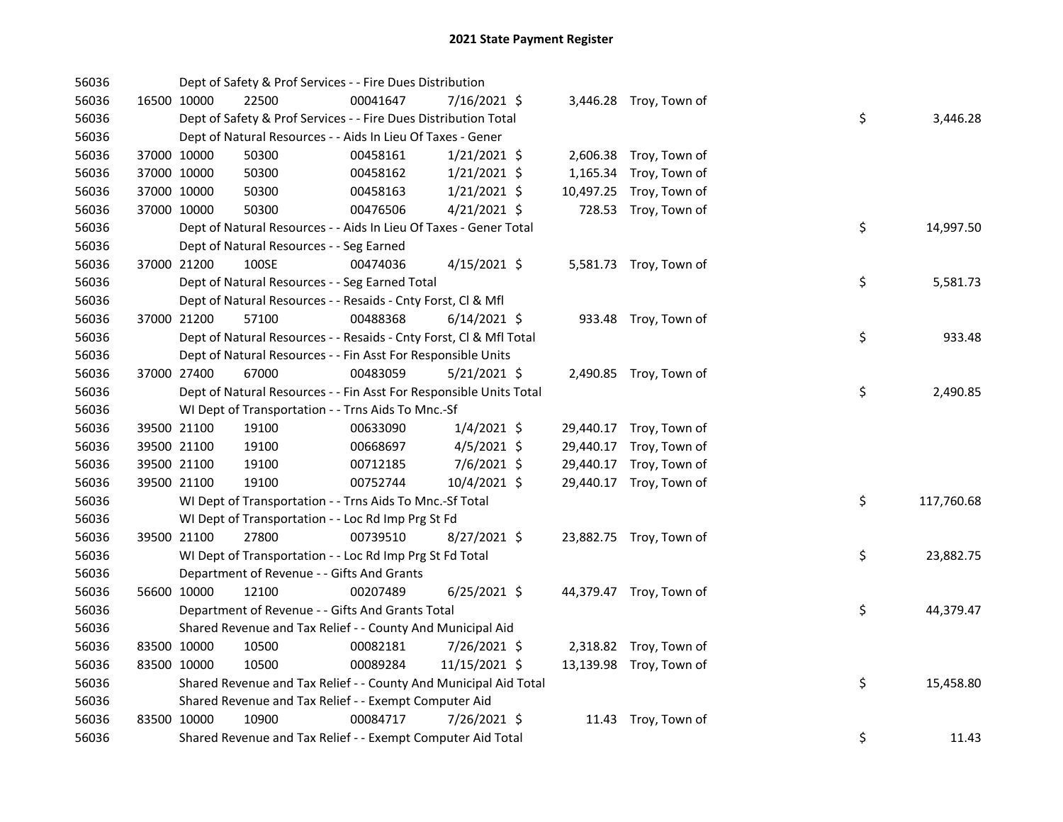| 56036 |             |             | Dept of Safety & Prof Services - - Fire Dues Distribution          |          |                |           |                         |    |            |
|-------|-------------|-------------|--------------------------------------------------------------------|----------|----------------|-----------|-------------------------|----|------------|
| 56036 | 16500 10000 |             | 22500                                                              | 00041647 | 7/16/2021 \$   |           | 3,446.28 Troy, Town of  |    |            |
| 56036 |             |             | Dept of Safety & Prof Services - - Fire Dues Distribution Total    |          |                |           |                         | \$ | 3,446.28   |
| 56036 |             |             | Dept of Natural Resources - - Aids In Lieu Of Taxes - Gener        |          |                |           |                         |    |            |
| 56036 | 37000 10000 |             | 50300                                                              | 00458161 | $1/21/2021$ \$ |           | 2,606.38 Troy, Town of  |    |            |
| 56036 | 37000 10000 |             | 50300                                                              | 00458162 | $1/21/2021$ \$ |           | 1,165.34 Troy, Town of  |    |            |
| 56036 | 37000 10000 |             | 50300                                                              | 00458163 | $1/21/2021$ \$ |           | 10,497.25 Troy, Town of |    |            |
| 56036 | 37000 10000 |             | 50300                                                              | 00476506 | $4/21/2021$ \$ |           | 728.53 Troy, Town of    |    |            |
| 56036 |             |             | Dept of Natural Resources - - Aids In Lieu Of Taxes - Gener Total  |          |                |           |                         | \$ | 14,997.50  |
| 56036 |             |             | Dept of Natural Resources - - Seg Earned                           |          |                |           |                         |    |            |
| 56036 | 37000 21200 |             | 100SE                                                              | 00474036 | $4/15/2021$ \$ |           | 5,581.73 Troy, Town of  |    |            |
| 56036 |             |             | Dept of Natural Resources - - Seg Earned Total                     |          |                |           |                         | \$ | 5,581.73   |
| 56036 |             |             | Dept of Natural Resources - - Resaids - Cnty Forst, Cl & Mfl       |          |                |           |                         |    |            |
| 56036 | 37000 21200 |             | 57100                                                              | 00488368 | $6/14/2021$ \$ |           | 933.48 Troy, Town of    |    |            |
| 56036 |             |             | Dept of Natural Resources - - Resaids - Cnty Forst, Cl & Mfl Total |          |                |           |                         | \$ | 933.48     |
| 56036 |             |             | Dept of Natural Resources - - Fin Asst For Responsible Units       |          |                |           |                         |    |            |
| 56036 | 37000 27400 |             | 67000                                                              | 00483059 | $5/21/2021$ \$ |           | 2,490.85 Troy, Town of  |    |            |
| 56036 |             |             | Dept of Natural Resources - - Fin Asst For Responsible Units Total |          |                |           |                         | \$ | 2,490.85   |
| 56036 |             |             | WI Dept of Transportation - - Trns Aids To Mnc.-Sf                 |          |                |           |                         |    |            |
| 56036 |             | 39500 21100 | 19100                                                              | 00633090 | $1/4/2021$ \$  |           | 29,440.17 Troy, Town of |    |            |
| 56036 |             | 39500 21100 | 19100                                                              | 00668697 | $4/5/2021$ \$  | 29,440.17 | Troy, Town of           |    |            |
| 56036 | 39500 21100 |             | 19100                                                              | 00712185 | 7/6/2021 \$    |           | 29,440.17 Troy, Town of |    |            |
| 56036 | 39500 21100 |             | 19100                                                              | 00752744 | 10/4/2021 \$   |           | 29,440.17 Troy, Town of |    |            |
| 56036 |             |             | WI Dept of Transportation - - Trns Aids To Mnc.-Sf Total           |          |                |           |                         | \$ | 117,760.68 |
| 56036 |             |             | WI Dept of Transportation - - Loc Rd Imp Prg St Fd                 |          |                |           |                         |    |            |
| 56036 | 39500 21100 |             | 27800                                                              | 00739510 | 8/27/2021 \$   |           | 23,882.75 Troy, Town of |    |            |
| 56036 |             |             | WI Dept of Transportation - - Loc Rd Imp Prg St Fd Total           |          |                |           |                         | \$ | 23,882.75  |
| 56036 |             |             | Department of Revenue - - Gifts And Grants                         |          |                |           |                         |    |            |
| 56036 |             | 56600 10000 | 12100                                                              | 00207489 | $6/25/2021$ \$ |           | 44,379.47 Troy, Town of |    |            |
| 56036 |             |             | Department of Revenue - - Gifts And Grants Total                   |          |                |           |                         | \$ | 44,379.47  |
| 56036 |             |             | Shared Revenue and Tax Relief - - County And Municipal Aid         |          |                |           |                         |    |            |
| 56036 |             | 83500 10000 | 10500                                                              | 00082181 | 7/26/2021 \$   |           | 2,318.82 Troy, Town of  |    |            |
| 56036 | 83500 10000 |             | 10500                                                              | 00089284 | 11/15/2021 \$  |           | 13,139.98 Troy, Town of |    |            |
| 56036 |             |             | Shared Revenue and Tax Relief - - County And Municipal Aid Total   |          |                |           |                         | \$ | 15,458.80  |
| 56036 |             |             | Shared Revenue and Tax Relief - - Exempt Computer Aid              |          |                |           |                         |    |            |
| 56036 | 83500 10000 |             | 10900                                                              | 00084717 | 7/26/2021 \$   |           | 11.43 Troy, Town of     |    |            |
| 56036 |             |             | Shared Revenue and Tax Relief - - Exempt Computer Aid Total        |          |                |           |                         | \$ | 11.43      |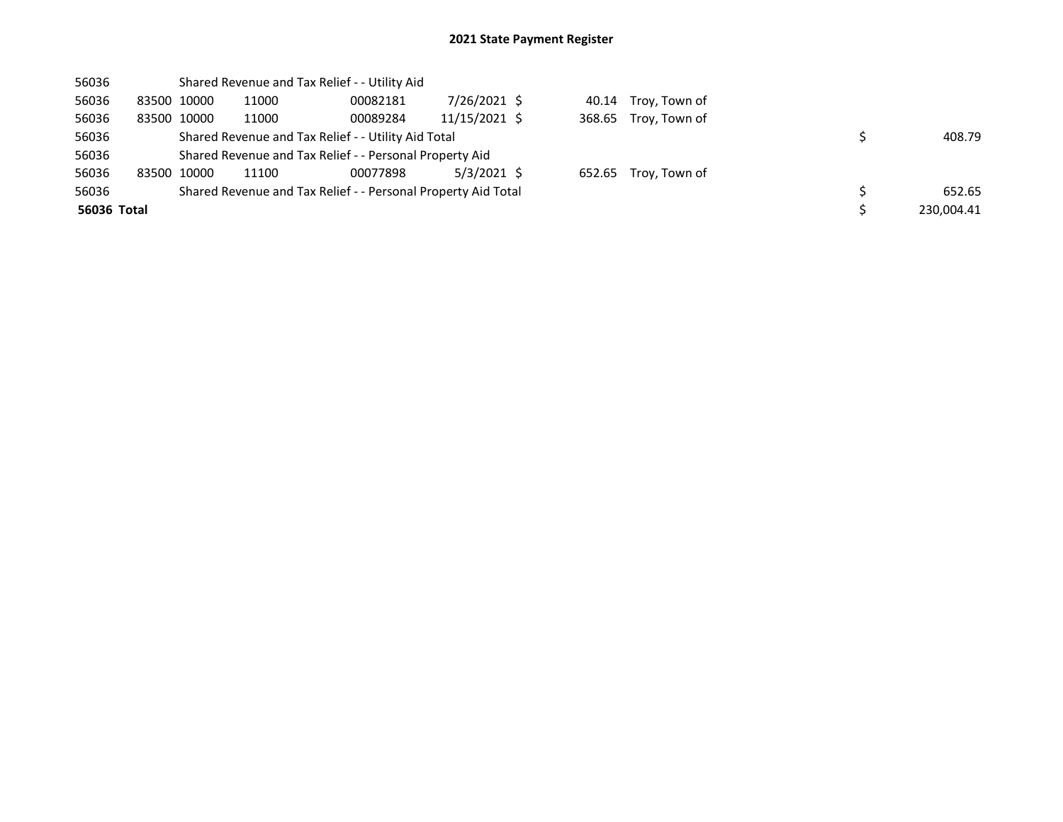| 56036       |                                                               | Shared Revenue and Tax Relief - - Utility Aid |                                                     |                                                         |               |  |  |                      |  |            |  |  |
|-------------|---------------------------------------------------------------|-----------------------------------------------|-----------------------------------------------------|---------------------------------------------------------|---------------|--|--|----------------------|--|------------|--|--|
| 56036       |                                                               | 83500 10000                                   | 11000                                               | 00082181                                                | 7/26/2021 \$  |  |  | 40.14 Troy, Town of  |  |            |  |  |
| 56036       |                                                               | 83500 10000                                   | 11000                                               | 00089284                                                | 11/15/2021 \$ |  |  | 368.65 Troy, Town of |  |            |  |  |
| 56036       |                                                               |                                               | Shared Revenue and Tax Relief - - Utility Aid Total |                                                         | 408.79        |  |  |                      |  |            |  |  |
| 56036       |                                                               |                                               |                                                     | Shared Revenue and Tax Relief - - Personal Property Aid |               |  |  |                      |  |            |  |  |
| 56036       | 83500                                                         | 10000                                         | 11100                                               | 00077898                                                | $5/3/2021$ \$ |  |  | 652.65 Troy, Town of |  |            |  |  |
| 56036       | Shared Revenue and Tax Relief - - Personal Property Aid Total |                                               |                                                     |                                                         |               |  |  |                      |  | 652.65     |  |  |
| 56036 Total |                                                               |                                               |                                                     |                                                         |               |  |  |                      |  | 230.004.41 |  |  |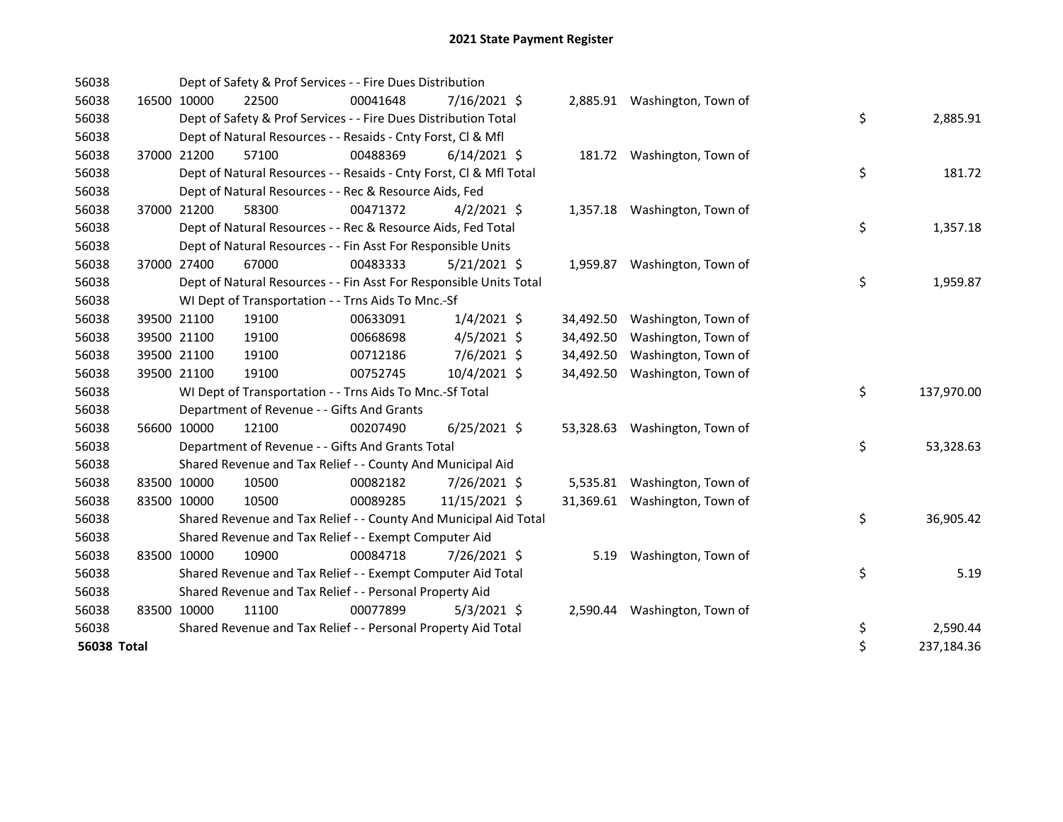| 56038       |             |             | Dept of Safety & Prof Services - - Fire Dues Distribution          |          |                |           |                               |    |            |
|-------------|-------------|-------------|--------------------------------------------------------------------|----------|----------------|-----------|-------------------------------|----|------------|
| 56038       |             | 16500 10000 | 22500                                                              | 00041648 | $7/16/2021$ \$ |           | 2,885.91 Washington, Town of  |    |            |
| 56038       |             |             | Dept of Safety & Prof Services - - Fire Dues Distribution Total    |          |                |           |                               | \$ | 2,885.91   |
| 56038       |             |             | Dept of Natural Resources - - Resaids - Cnty Forst, CI & Mfl       |          |                |           |                               |    |            |
| 56038       |             | 37000 21200 | 57100                                                              | 00488369 | $6/14/2021$ \$ |           | 181.72 Washington, Town of    |    |            |
| 56038       |             |             | Dept of Natural Resources - - Resaids - Cnty Forst, Cl & Mfl Total |          |                |           |                               | \$ | 181.72     |
| 56038       |             |             | Dept of Natural Resources - - Rec & Resource Aids, Fed             |          |                |           |                               |    |            |
| 56038       |             | 37000 21200 | 58300                                                              | 00471372 | $4/2/2021$ \$  |           | 1,357.18 Washington, Town of  |    |            |
| 56038       |             |             | Dept of Natural Resources - - Rec & Resource Aids, Fed Total       |          |                |           |                               | \$ | 1,357.18   |
| 56038       |             |             | Dept of Natural Resources - - Fin Asst For Responsible Units       |          |                |           |                               |    |            |
| 56038       |             | 37000 27400 | 67000                                                              | 00483333 | $5/21/2021$ \$ | 1,959.87  | Washington, Town of           |    |            |
| 56038       |             |             | Dept of Natural Resources - - Fin Asst For Responsible Units Total |          |                |           |                               | \$ | 1,959.87   |
| 56038       |             |             | WI Dept of Transportation - - Trns Aids To Mnc.-Sf                 |          |                |           |                               |    |            |
| 56038       |             | 39500 21100 | 19100                                                              | 00633091 | $1/4/2021$ \$  | 34,492.50 | Washington, Town of           |    |            |
| 56038       |             | 39500 21100 | 19100                                                              | 00668698 | $4/5/2021$ \$  | 34,492.50 | Washington, Town of           |    |            |
| 56038       |             | 39500 21100 | 19100                                                              | 00712186 | 7/6/2021 \$    | 34,492.50 | Washington, Town of           |    |            |
| 56038       |             | 39500 21100 | 19100                                                              | 00752745 | 10/4/2021 \$   | 34,492.50 | Washington, Town of           |    |            |
| 56038       |             |             | WI Dept of Transportation - - Trns Aids To Mnc .- Sf Total         |          |                |           |                               | \$ | 137,970.00 |
| 56038       |             |             | Department of Revenue - - Gifts And Grants                         |          |                |           |                               |    |            |
| 56038       |             | 56600 10000 | 12100                                                              | 00207490 | $6/25/2021$ \$ |           | 53,328.63 Washington, Town of |    |            |
| 56038       |             |             | Department of Revenue - - Gifts And Grants Total                   |          |                |           |                               | \$ | 53,328.63  |
| 56038       |             |             | Shared Revenue and Tax Relief - - County And Municipal Aid         |          |                |           |                               |    |            |
| 56038       |             | 83500 10000 | 10500                                                              | 00082182 | 7/26/2021 \$   |           | 5,535.81 Washington, Town of  |    |            |
| 56038       | 83500 10000 |             | 10500                                                              | 00089285 | 11/15/2021 \$  |           | 31,369.61 Washington, Town of |    |            |
| 56038       |             |             | Shared Revenue and Tax Relief - - County And Municipal Aid Total   |          |                |           |                               | \$ | 36,905.42  |
| 56038       |             |             | Shared Revenue and Tax Relief - - Exempt Computer Aid              |          |                |           |                               |    |            |
| 56038       |             | 83500 10000 | 10900                                                              | 00084718 | 7/26/2021 \$   | 5.19      | Washington, Town of           |    |            |
| 56038       |             |             | Shared Revenue and Tax Relief - - Exempt Computer Aid Total        |          |                |           |                               | \$ | 5.19       |
| 56038       |             |             | Shared Revenue and Tax Relief - - Personal Property Aid            |          |                |           |                               |    |            |
| 56038       |             | 83500 10000 | 11100                                                              | 00077899 | $5/3/2021$ \$  |           | 2,590.44 Washington, Town of  |    |            |
| 56038       |             |             | Shared Revenue and Tax Relief - - Personal Property Aid Total      |          |                |           |                               | \$ | 2,590.44   |
| 56038 Total |             |             |                                                                    |          |                |           |                               | \$ | 237,184.36 |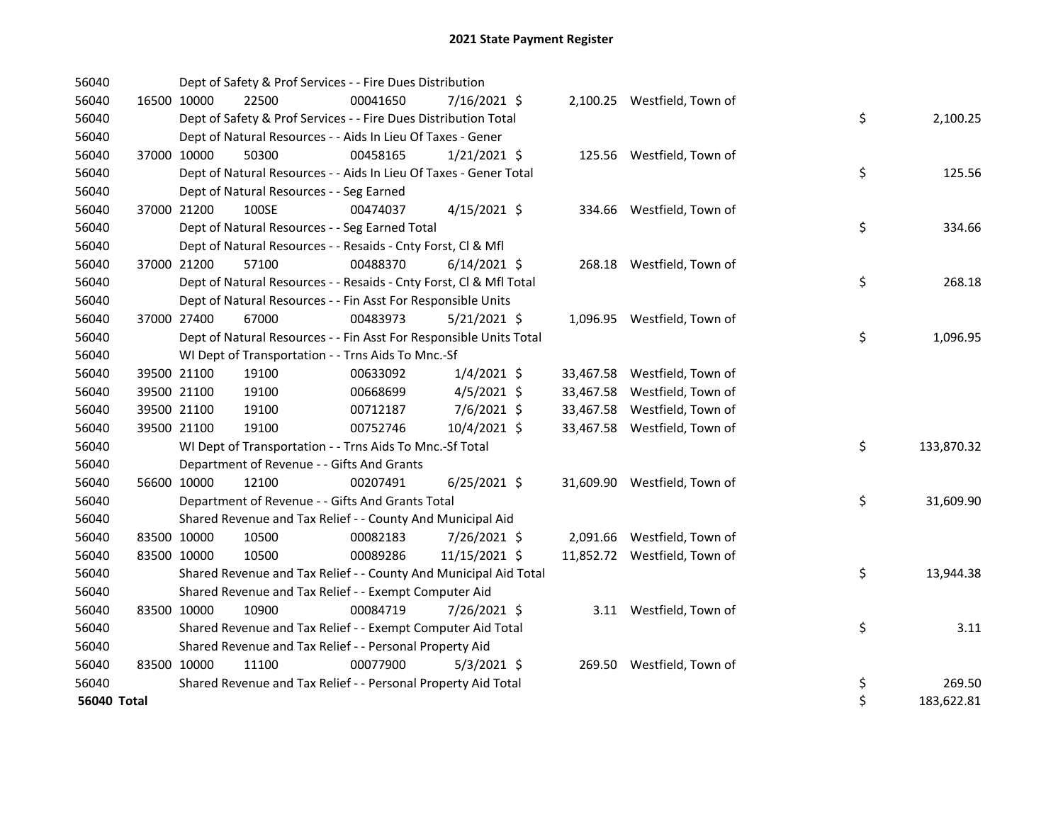| 56040              |             | Dept of Safety & Prof Services - - Fire Dues Distribution          |          |                |  |                              |    |            |
|--------------------|-------------|--------------------------------------------------------------------|----------|----------------|--|------------------------------|----|------------|
| 56040              | 16500 10000 | 22500                                                              | 00041650 | 7/16/2021 \$   |  | 2,100.25 Westfield, Town of  |    |            |
| 56040              |             | Dept of Safety & Prof Services - - Fire Dues Distribution Total    |          |                |  |                              | \$ | 2,100.25   |
| 56040              |             | Dept of Natural Resources - - Aids In Lieu Of Taxes - Gener        |          |                |  |                              |    |            |
| 56040              | 37000 10000 | 50300                                                              | 00458165 | $1/21/2021$ \$ |  | 125.56 Westfield, Town of    |    |            |
| 56040              |             | Dept of Natural Resources - - Aids In Lieu Of Taxes - Gener Total  |          |                |  |                              | \$ | 125.56     |
| 56040              |             | Dept of Natural Resources - - Seg Earned                           |          |                |  |                              |    |            |
| 56040              | 37000 21200 | 100SE                                                              | 00474037 | $4/15/2021$ \$ |  | 334.66 Westfield, Town of    |    |            |
| 56040              |             | Dept of Natural Resources - - Seg Earned Total                     |          |                |  |                              | \$ | 334.66     |
| 56040              |             | Dept of Natural Resources - - Resaids - Cnty Forst, Cl & Mfl       |          |                |  |                              |    |            |
| 56040              | 37000 21200 | 57100                                                              | 00488370 | $6/14/2021$ \$ |  | 268.18 Westfield, Town of    |    |            |
| 56040              |             | Dept of Natural Resources - - Resaids - Cnty Forst, Cl & Mfl Total |          |                |  |                              | \$ | 268.18     |
| 56040              |             | Dept of Natural Resources - - Fin Asst For Responsible Units       |          |                |  |                              |    |            |
| 56040              | 37000 27400 | 67000                                                              | 00483973 | $5/21/2021$ \$ |  | 1,096.95 Westfield, Town of  |    |            |
| 56040              |             | Dept of Natural Resources - - Fin Asst For Responsible Units Total |          |                |  |                              | \$ | 1,096.95   |
| 56040              |             | WI Dept of Transportation - - Trns Aids To Mnc.-Sf                 |          |                |  |                              |    |            |
| 56040              | 39500 21100 | 19100                                                              | 00633092 | $1/4/2021$ \$  |  | 33,467.58 Westfield, Town of |    |            |
| 56040              | 39500 21100 | 19100                                                              | 00668699 | $4/5/2021$ \$  |  | 33,467.58 Westfield, Town of |    |            |
| 56040              | 39500 21100 | 19100                                                              | 00712187 | 7/6/2021 \$    |  | 33,467.58 Westfield, Town of |    |            |
| 56040              | 39500 21100 | 19100                                                              | 00752746 | 10/4/2021 \$   |  | 33,467.58 Westfield, Town of |    |            |
| 56040              |             | WI Dept of Transportation - - Trns Aids To Mnc.-Sf Total           |          |                |  |                              | \$ | 133,870.32 |
| 56040              |             | Department of Revenue - - Gifts And Grants                         |          |                |  |                              |    |            |
| 56040              | 56600 10000 | 12100                                                              | 00207491 | $6/25/2021$ \$ |  | 31,609.90 Westfield, Town of |    |            |
| 56040              |             | Department of Revenue - - Gifts And Grants Total                   |          |                |  |                              | \$ | 31,609.90  |
| 56040              |             | Shared Revenue and Tax Relief - - County And Municipal Aid         |          |                |  |                              |    |            |
| 56040              | 83500 10000 | 10500                                                              | 00082183 | 7/26/2021 \$   |  | 2,091.66 Westfield, Town of  |    |            |
| 56040              | 83500 10000 | 10500                                                              | 00089286 | 11/15/2021 \$  |  | 11,852.72 Westfield, Town of |    |            |
| 56040              |             | Shared Revenue and Tax Relief - - County And Municipal Aid Total   |          |                |  |                              | \$ | 13,944.38  |
| 56040              |             | Shared Revenue and Tax Relief - - Exempt Computer Aid              |          |                |  |                              |    |            |
| 56040              | 83500 10000 | 10900                                                              | 00084719 | 7/26/2021 \$   |  | 3.11 Westfield, Town of      |    |            |
| 56040              |             | Shared Revenue and Tax Relief - - Exempt Computer Aid Total        |          |                |  |                              | \$ | 3.11       |
| 56040              |             | Shared Revenue and Tax Relief - - Personal Property Aid            |          |                |  |                              |    |            |
| 56040              | 83500 10000 | 11100                                                              | 00077900 | $5/3/2021$ \$  |  | 269.50 Westfield, Town of    |    |            |
| 56040              |             | Shared Revenue and Tax Relief - - Personal Property Aid Total      |          |                |  |                              | \$ | 269.50     |
| <b>56040 Total</b> |             |                                                                    |          |                |  |                              | \$ | 183,622.81 |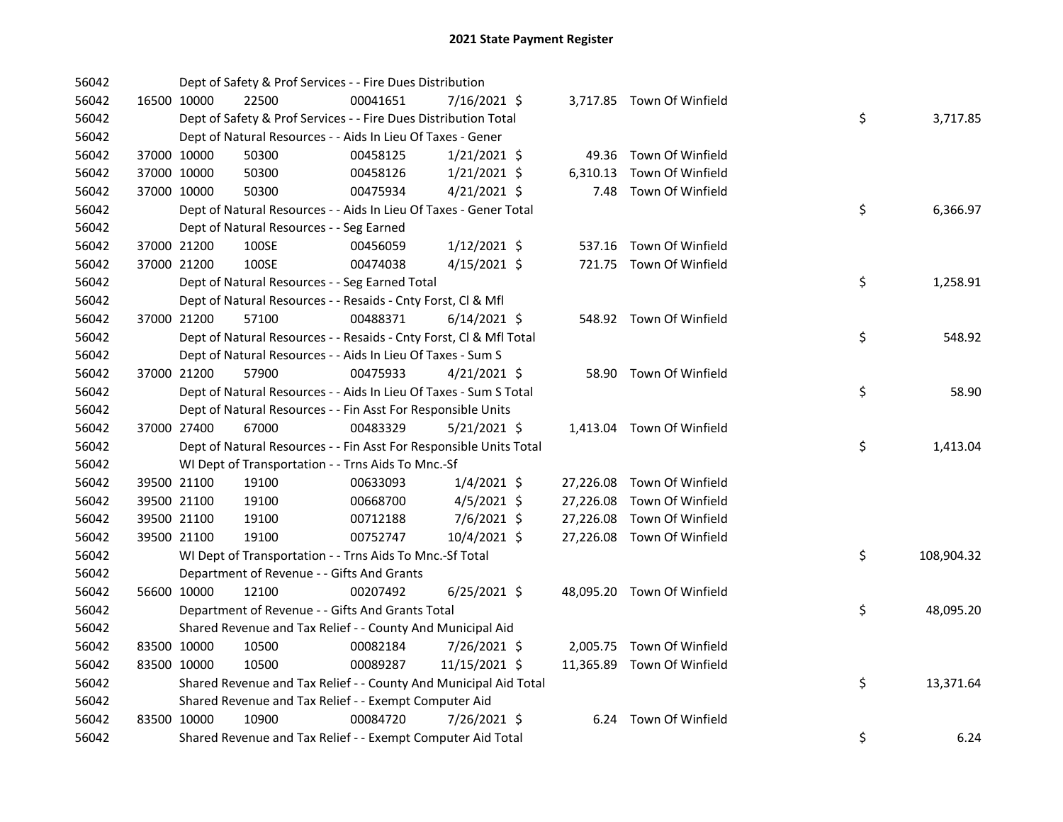| 56042 |             | Dept of Safety & Prof Services - - Fire Dues Distribution          |          |                |          |                            |    |            |
|-------|-------------|--------------------------------------------------------------------|----------|----------------|----------|----------------------------|----|------------|
| 56042 | 16500 10000 | 22500                                                              | 00041651 | 7/16/2021 \$   |          | 3,717.85 Town Of Winfield  |    |            |
| 56042 |             | Dept of Safety & Prof Services - - Fire Dues Distribution Total    |          |                |          |                            | \$ | 3,717.85   |
| 56042 |             | Dept of Natural Resources - - Aids In Lieu Of Taxes - Gener        |          |                |          |                            |    |            |
| 56042 | 37000 10000 | 50300                                                              | 00458125 | $1/21/2021$ \$ |          | 49.36 Town Of Winfield     |    |            |
| 56042 | 37000 10000 | 50300                                                              | 00458126 | $1/21/2021$ \$ | 6,310.13 | Town Of Winfield           |    |            |
| 56042 | 37000 10000 | 50300                                                              | 00475934 | $4/21/2021$ \$ |          | 7.48 Town Of Winfield      |    |            |
| 56042 |             | Dept of Natural Resources - - Aids In Lieu Of Taxes - Gener Total  |          |                |          |                            | \$ | 6,366.97   |
| 56042 |             | Dept of Natural Resources - - Seg Earned                           |          |                |          |                            |    |            |
| 56042 | 37000 21200 | 100SE                                                              | 00456059 | $1/12/2021$ \$ |          | 537.16 Town Of Winfield    |    |            |
| 56042 | 37000 21200 | 100SE                                                              | 00474038 | $4/15/2021$ \$ |          | 721.75 Town Of Winfield    |    |            |
| 56042 |             | Dept of Natural Resources - - Seg Earned Total                     |          |                |          |                            | \$ | 1,258.91   |
| 56042 |             | Dept of Natural Resources - - Resaids - Cnty Forst, Cl & Mfl       |          |                |          |                            |    |            |
| 56042 | 37000 21200 | 57100                                                              | 00488371 | $6/14/2021$ \$ |          | 548.92 Town Of Winfield    |    |            |
| 56042 |             | Dept of Natural Resources - - Resaids - Cnty Forst, Cl & Mfl Total |          |                |          |                            | \$ | 548.92     |
| 56042 |             | Dept of Natural Resources - - Aids In Lieu Of Taxes - Sum S        |          |                |          |                            |    |            |
| 56042 | 37000 21200 | 57900                                                              | 00475933 | $4/21/2021$ \$ |          | 58.90 Town Of Winfield     |    |            |
| 56042 |             | Dept of Natural Resources - - Aids In Lieu Of Taxes - Sum S Total  |          |                |          |                            | \$ | 58.90      |
| 56042 |             | Dept of Natural Resources - - Fin Asst For Responsible Units       |          |                |          |                            |    |            |
| 56042 | 37000 27400 | 67000                                                              | 00483329 | $5/21/2021$ \$ |          | 1,413.04 Town Of Winfield  |    |            |
| 56042 |             | Dept of Natural Resources - - Fin Asst For Responsible Units Total |          |                |          |                            | \$ | 1,413.04   |
| 56042 |             | WI Dept of Transportation - - Trns Aids To Mnc.-Sf                 |          |                |          |                            |    |            |
| 56042 | 39500 21100 | 19100                                                              | 00633093 | $1/4/2021$ \$  |          | 27,226.08 Town Of Winfield |    |            |
| 56042 | 39500 21100 | 19100                                                              | 00668700 | $4/5/2021$ \$  |          | 27,226.08 Town Of Winfield |    |            |
| 56042 | 39500 21100 | 19100                                                              | 00712188 | 7/6/2021 \$    |          | 27,226.08 Town Of Winfield |    |            |
| 56042 | 39500 21100 | 19100                                                              | 00752747 | 10/4/2021 \$   |          | 27,226.08 Town Of Winfield |    |            |
| 56042 |             | WI Dept of Transportation - - Trns Aids To Mnc.-Sf Total           |          |                |          |                            | \$ | 108,904.32 |
| 56042 |             | Department of Revenue - - Gifts And Grants                         |          |                |          |                            |    |            |
| 56042 | 56600 10000 | 12100                                                              | 00207492 | $6/25/2021$ \$ |          | 48,095.20 Town Of Winfield |    |            |
| 56042 |             | Department of Revenue - - Gifts And Grants Total                   |          |                |          |                            | \$ | 48,095.20  |
| 56042 |             | Shared Revenue and Tax Relief - - County And Municipal Aid         |          |                |          |                            |    |            |
| 56042 | 83500 10000 | 10500                                                              | 00082184 | $7/26/2021$ \$ |          | 2,005.75 Town Of Winfield  |    |            |
| 56042 | 83500 10000 | 10500                                                              | 00089287 | 11/15/2021 \$  |          | 11,365.89 Town Of Winfield |    |            |
| 56042 |             | Shared Revenue and Tax Relief - - County And Municipal Aid Total   |          |                |          |                            | \$ | 13,371.64  |
| 56042 |             | Shared Revenue and Tax Relief - - Exempt Computer Aid              |          |                |          |                            |    |            |
| 56042 | 83500 10000 | 10900                                                              | 00084720 | 7/26/2021 \$   |          | 6.24 Town Of Winfield      |    |            |
| 56042 |             | Shared Revenue and Tax Relief - - Exempt Computer Aid Total        |          |                |          |                            | \$ | 6.24       |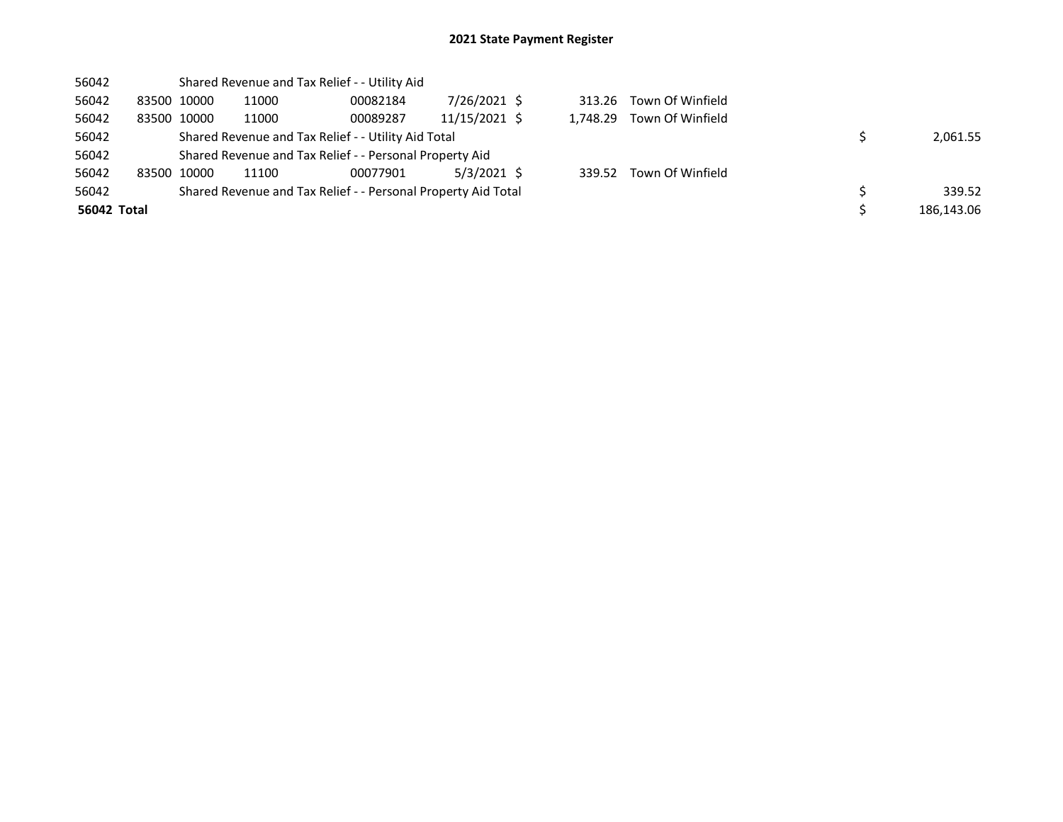| 56042       |                                                               | Shared Revenue and Tax Relief - - Utility Aid |       |                                                         |               |  |          |                  |  |            |  |  |
|-------------|---------------------------------------------------------------|-----------------------------------------------|-------|---------------------------------------------------------|---------------|--|----------|------------------|--|------------|--|--|
| 56042       |                                                               | 83500 10000                                   | 11000 | 00082184                                                | 7/26/2021 \$  |  | 313.26   | Town Of Winfield |  |            |  |  |
| 56042       |                                                               | 83500 10000                                   | 11000 | 00089287                                                | 11/15/2021 \$ |  | 1.748.29 | Town Of Winfield |  |            |  |  |
| 56042       |                                                               |                                               |       | Shared Revenue and Tax Relief - - Utility Aid Total     |               |  | 2,061.55 |                  |  |            |  |  |
| 56042       |                                                               |                                               |       | Shared Revenue and Tax Relief - - Personal Property Aid |               |  |          |                  |  |            |  |  |
| 56042       |                                                               | 83500 10000                                   | 11100 | 00077901                                                | 5/3/2021 \$   |  | 339.52   | Town Of Winfield |  |            |  |  |
| 56042       | Shared Revenue and Tax Relief - - Personal Property Aid Total |                                               |       |                                                         |               |  |          |                  |  | 339.52     |  |  |
| 56042 Total |                                                               |                                               |       |                                                         |               |  |          |                  |  | 186.143.06 |  |  |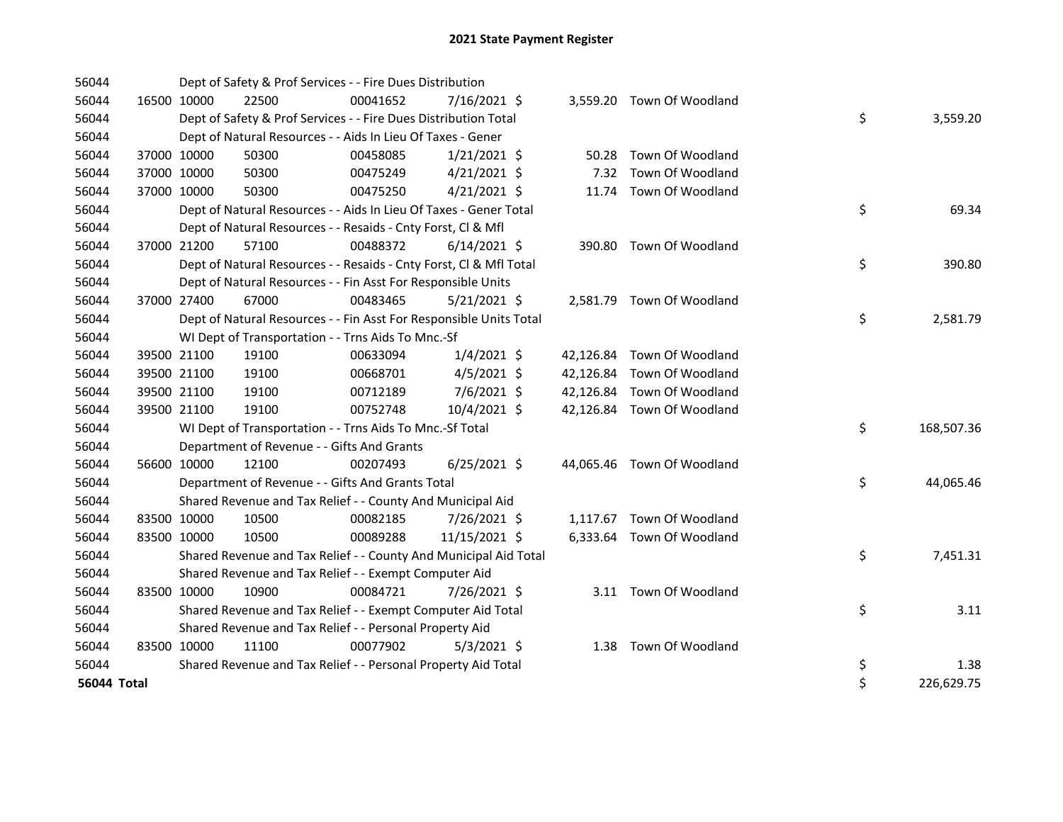| 56044              |             | Dept of Safety & Prof Services - - Fire Dues Distribution          |          |                |       |                            |    |            |
|--------------------|-------------|--------------------------------------------------------------------|----------|----------------|-------|----------------------------|----|------------|
| 56044              | 16500 10000 | 22500                                                              | 00041652 | $7/16/2021$ \$ |       | 3,559.20 Town Of Woodland  |    |            |
| 56044              |             | Dept of Safety & Prof Services - - Fire Dues Distribution Total    |          |                |       |                            | \$ | 3,559.20   |
| 56044              |             | Dept of Natural Resources - - Aids In Lieu Of Taxes - Gener        |          |                |       |                            |    |            |
| 56044              | 37000 10000 | 50300                                                              | 00458085 | $1/21/2021$ \$ |       | 50.28 Town Of Woodland     |    |            |
| 56044              | 37000 10000 | 50300                                                              | 00475249 | $4/21/2021$ \$ | 7.32  | Town Of Woodland           |    |            |
| 56044              | 37000 10000 | 50300                                                              | 00475250 | $4/21/2021$ \$ | 11.74 | Town Of Woodland           |    |            |
| 56044              |             | Dept of Natural Resources - - Aids In Lieu Of Taxes - Gener Total  |          |                |       |                            | \$ | 69.34      |
| 56044              |             | Dept of Natural Resources - - Resaids - Cnty Forst, Cl & Mfl       |          |                |       |                            |    |            |
| 56044              | 37000 21200 | 57100                                                              | 00488372 | $6/14/2021$ \$ |       | 390.80 Town Of Woodland    |    |            |
| 56044              |             | Dept of Natural Resources - - Resaids - Cnty Forst, Cl & Mfl Total |          |                |       |                            | \$ | 390.80     |
| 56044              |             | Dept of Natural Resources - - Fin Asst For Responsible Units       |          |                |       |                            |    |            |
| 56044              | 37000 27400 | 67000                                                              | 00483465 | $5/21/2021$ \$ |       | 2,581.79 Town Of Woodland  |    |            |
| 56044              |             | Dept of Natural Resources - - Fin Asst For Responsible Units Total |          |                |       |                            | \$ | 2,581.79   |
| 56044              |             | WI Dept of Transportation - - Trns Aids To Mnc.-Sf                 |          |                |       |                            |    |            |
| 56044              | 39500 21100 | 19100                                                              | 00633094 | $1/4/2021$ \$  |       | 42,126.84 Town Of Woodland |    |            |
| 56044              | 39500 21100 | 19100                                                              | 00668701 | $4/5/2021$ \$  |       | 42,126.84 Town Of Woodland |    |            |
| 56044              | 39500 21100 | 19100                                                              | 00712189 | 7/6/2021 \$    |       | 42,126.84 Town Of Woodland |    |            |
| 56044              | 39500 21100 | 19100                                                              | 00752748 | 10/4/2021 \$   |       | 42,126.84 Town Of Woodland |    |            |
| 56044              |             | WI Dept of Transportation - - Trns Aids To Mnc.-Sf Total           |          |                |       |                            | \$ | 168,507.36 |
| 56044              |             | Department of Revenue - - Gifts And Grants                         |          |                |       |                            |    |            |
| 56044              | 56600 10000 | 12100                                                              | 00207493 | $6/25/2021$ \$ |       | 44,065.46 Town Of Woodland |    |            |
| 56044              |             | Department of Revenue - - Gifts And Grants Total                   |          |                |       |                            | \$ | 44,065.46  |
| 56044              |             | Shared Revenue and Tax Relief - - County And Municipal Aid         |          |                |       |                            |    |            |
| 56044              | 83500 10000 | 10500                                                              | 00082185 | 7/26/2021 \$   |       | 1,117.67 Town Of Woodland  |    |            |
| 56044              | 83500 10000 | 10500                                                              | 00089288 | 11/15/2021 \$  |       | 6,333.64 Town Of Woodland  |    |            |
| 56044              |             | Shared Revenue and Tax Relief - - County And Municipal Aid Total   |          |                |       |                            | \$ | 7,451.31   |
| 56044              |             | Shared Revenue and Tax Relief - - Exempt Computer Aid              |          |                |       |                            |    |            |
| 56044              | 83500 10000 | 10900                                                              | 00084721 | 7/26/2021 \$   |       | 3.11 Town Of Woodland      |    |            |
| 56044              |             | Shared Revenue and Tax Relief - - Exempt Computer Aid Total        |          |                |       |                            | \$ | 3.11       |
| 56044              |             | Shared Revenue and Tax Relief - - Personal Property Aid            |          |                |       |                            |    |            |
| 56044              | 83500 10000 | 11100                                                              | 00077902 | $5/3/2021$ \$  |       | 1.38 Town Of Woodland      |    |            |
| 56044              |             | Shared Revenue and Tax Relief - - Personal Property Aid Total      |          |                |       |                            | \$ | 1.38       |
| <b>56044 Total</b> |             |                                                                    |          |                |       |                            | \$ | 226,629.75 |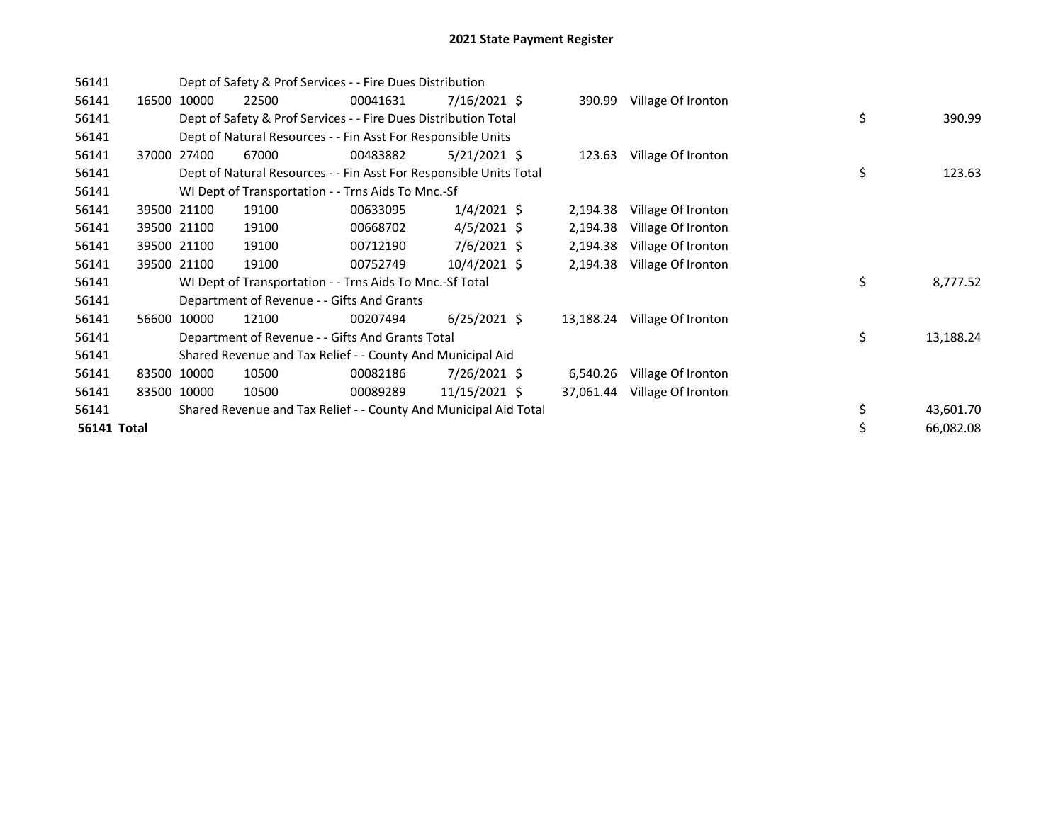| 56141              |             | Dept of Safety & Prof Services - - Fire Dues Distribution          |          |                |           |                    |    |           |
|--------------------|-------------|--------------------------------------------------------------------|----------|----------------|-----------|--------------------|----|-----------|
| 56141              | 16500 10000 | 22500                                                              | 00041631 | $7/16/2021$ \$ | 390.99    | Village Of Ironton |    |           |
| 56141              |             | Dept of Safety & Prof Services - - Fire Dues Distribution Total    |          |                |           |                    | \$ | 390.99    |
| 56141              |             | Dept of Natural Resources - - Fin Asst For Responsible Units       |          |                |           |                    |    |           |
| 56141              | 37000 27400 | 67000                                                              | 00483882 | $5/21/2021$ \$ | 123.63    | Village Of Ironton |    |           |
| 56141              |             | Dept of Natural Resources - - Fin Asst For Responsible Units Total |          |                |           |                    | \$ | 123.63    |
| 56141              |             | WI Dept of Transportation - - Trns Aids To Mnc.-Sf                 |          |                |           |                    |    |           |
| 56141              | 39500 21100 | 19100                                                              | 00633095 | $1/4/2021$ \$  | 2,194.38  | Village Of Ironton |    |           |
| 56141              | 39500 21100 | 19100                                                              | 00668702 | $4/5/2021$ \$  | 2,194.38  | Village Of Ironton |    |           |
| 56141              | 39500 21100 | 19100                                                              | 00712190 | $7/6/2021$ \$  | 2,194.38  | Village Of Ironton |    |           |
| 56141              | 39500 21100 | 19100                                                              | 00752749 | $10/4/2021$ \$ | 2,194.38  | Village Of Ironton |    |           |
| 56141              |             | WI Dept of Transportation - - Trns Aids To Mnc.-Sf Total           |          |                |           |                    | \$ | 8,777.52  |
| 56141              |             | Department of Revenue - - Gifts And Grants                         |          |                |           |                    |    |           |
| 56141              | 56600 10000 | 12100                                                              | 00207494 | $6/25/2021$ \$ | 13,188.24 | Village Of Ironton |    |           |
| 56141              |             | Department of Revenue - - Gifts And Grants Total                   |          |                |           |                    | \$ | 13,188.24 |
| 56141              |             | Shared Revenue and Tax Relief - - County And Municipal Aid         |          |                |           |                    |    |           |
| 56141              | 83500 10000 | 10500                                                              | 00082186 | 7/26/2021 \$   | 6,540.26  | Village Of Ironton |    |           |
| 56141              | 83500 10000 | 10500                                                              | 00089289 | 11/15/2021 \$  | 37,061.44 | Village Of Ironton |    |           |
| 56141              |             | Shared Revenue and Tax Relief - - County And Municipal Aid Total   |          |                |           |                    | \$ | 43,601.70 |
| <b>56141 Total</b> |             |                                                                    |          |                |           |                    |    | 66,082.08 |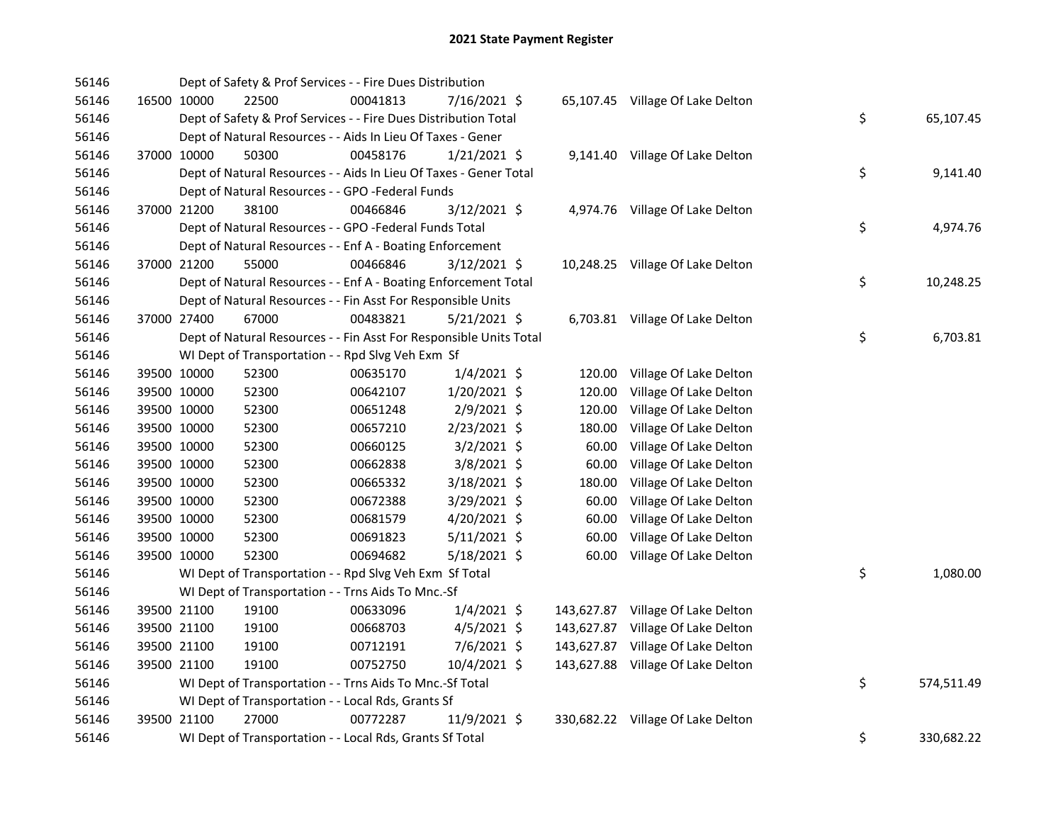| 56146 |             |             |       | Dept of Safety & Prof Services - - Fire Dues Distribution          |                |        |                                   |    |            |
|-------|-------------|-------------|-------|--------------------------------------------------------------------|----------------|--------|-----------------------------------|----|------------|
| 56146 |             | 16500 10000 | 22500 | 00041813                                                           | 7/16/2021 \$   |        | 65,107.45 Village Of Lake Delton  |    |            |
| 56146 |             |             |       | Dept of Safety & Prof Services - - Fire Dues Distribution Total    |                |        |                                   | \$ | 65,107.45  |
| 56146 |             |             |       | Dept of Natural Resources - - Aids In Lieu Of Taxes - Gener        |                |        |                                   |    |            |
| 56146 |             | 37000 10000 | 50300 | 00458176                                                           | $1/21/2021$ \$ |        | 9,141.40 Village Of Lake Delton   |    |            |
| 56146 |             |             |       | Dept of Natural Resources - - Aids In Lieu Of Taxes - Gener Total  |                |        |                                   | \$ | 9,141.40   |
| 56146 |             |             |       | Dept of Natural Resources - - GPO -Federal Funds                   |                |        |                                   |    |            |
| 56146 |             | 37000 21200 | 38100 | 00466846                                                           | $3/12/2021$ \$ |        | 4,974.76 Village Of Lake Delton   |    |            |
| 56146 |             |             |       | Dept of Natural Resources - - GPO -Federal Funds Total             |                |        |                                   | \$ | 4,974.76   |
| 56146 |             |             |       | Dept of Natural Resources - - Enf A - Boating Enforcement          |                |        |                                   |    |            |
| 56146 |             | 37000 21200 | 55000 | 00466846                                                           | $3/12/2021$ \$ |        | 10,248.25 Village Of Lake Delton  |    |            |
| 56146 |             |             |       | Dept of Natural Resources - - Enf A - Boating Enforcement Total    |                |        |                                   | \$ | 10,248.25  |
| 56146 |             |             |       | Dept of Natural Resources - - Fin Asst For Responsible Units       |                |        |                                   |    |            |
| 56146 |             | 37000 27400 | 67000 | 00483821                                                           | $5/21/2021$ \$ |        | 6,703.81 Village Of Lake Delton   |    |            |
| 56146 |             |             |       | Dept of Natural Resources - - Fin Asst For Responsible Units Total |                |        |                                   | \$ | 6,703.81   |
| 56146 |             |             |       | WI Dept of Transportation - - Rpd Slvg Veh Exm Sf                  |                |        |                                   |    |            |
| 56146 |             | 39500 10000 | 52300 | 00635170                                                           | $1/4/2021$ \$  | 120.00 | Village Of Lake Delton            |    |            |
| 56146 |             | 39500 10000 | 52300 | 00642107                                                           | 1/20/2021 \$   | 120.00 | Village Of Lake Delton            |    |            |
| 56146 |             | 39500 10000 | 52300 | 00651248                                                           | 2/9/2021 \$    | 120.00 | Village Of Lake Delton            |    |            |
| 56146 |             | 39500 10000 | 52300 | 00657210                                                           | 2/23/2021 \$   | 180.00 | Village Of Lake Delton            |    |            |
| 56146 |             | 39500 10000 | 52300 | 00660125                                                           | $3/2/2021$ \$  | 60.00  | Village Of Lake Delton            |    |            |
| 56146 |             | 39500 10000 | 52300 | 00662838                                                           | 3/8/2021 \$    | 60.00  | Village Of Lake Delton            |    |            |
| 56146 |             | 39500 10000 | 52300 | 00665332                                                           | 3/18/2021 \$   | 180.00 | Village Of Lake Delton            |    |            |
| 56146 |             | 39500 10000 | 52300 | 00672388                                                           | 3/29/2021 \$   | 60.00  | Village Of Lake Delton            |    |            |
| 56146 |             | 39500 10000 | 52300 | 00681579                                                           | 4/20/2021 \$   | 60.00  | Village Of Lake Delton            |    |            |
| 56146 |             | 39500 10000 | 52300 | 00691823                                                           | $5/11/2021$ \$ | 60.00  | Village Of Lake Delton            |    |            |
| 56146 | 39500 10000 |             | 52300 | 00694682                                                           | 5/18/2021 \$   | 60.00  | Village Of Lake Delton            |    |            |
| 56146 |             |             |       | WI Dept of Transportation - - Rpd Slvg Veh Exm Sf Total            |                |        |                                   | \$ | 1,080.00   |
| 56146 |             |             |       | WI Dept of Transportation - - Trns Aids To Mnc.-Sf                 |                |        |                                   |    |            |
| 56146 |             | 39500 21100 | 19100 | 00633096                                                           | $1/4/2021$ \$  |        | 143,627.87 Village Of Lake Delton |    |            |
| 56146 |             | 39500 21100 | 19100 | 00668703                                                           | $4/5/2021$ \$  |        | 143,627.87 Village Of Lake Delton |    |            |
| 56146 |             | 39500 21100 | 19100 | 00712191                                                           | $7/6/2021$ \$  |        | 143,627.87 Village Of Lake Delton |    |            |
| 56146 |             | 39500 21100 | 19100 | 00752750                                                           | 10/4/2021 \$   |        | 143,627.88 Village Of Lake Delton |    |            |
| 56146 |             |             |       | WI Dept of Transportation - - Trns Aids To Mnc.-Sf Total           |                |        |                                   | \$ | 574,511.49 |
| 56146 |             |             |       | WI Dept of Transportation - - Local Rds, Grants Sf                 |                |        |                                   |    |            |
| 56146 |             | 39500 21100 | 27000 | 00772287                                                           | $11/9/2021$ \$ |        | 330,682.22 Village Of Lake Delton |    |            |
| 56146 |             |             |       | WI Dept of Transportation - - Local Rds, Grants Sf Total           |                |        |                                   | \$ | 330,682.22 |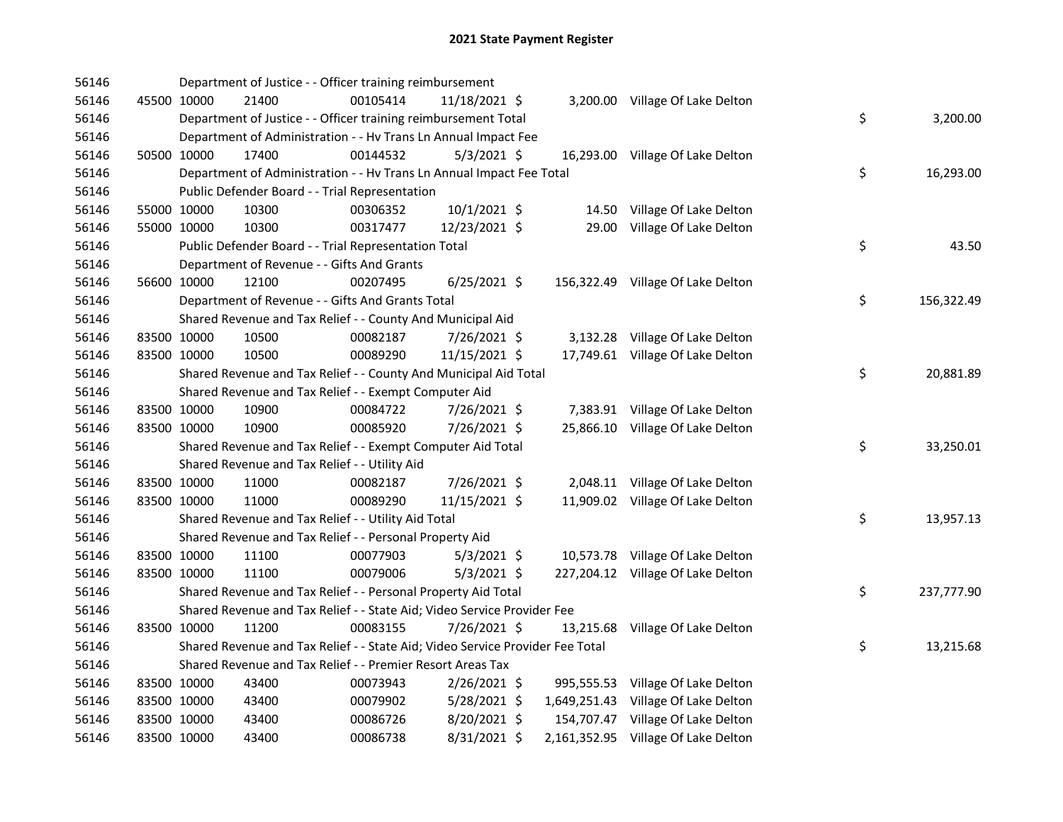| 56146 |             |             | Department of Justice - - Officer training reimbursement                      |          |                |  |                                     |    |            |
|-------|-------------|-------------|-------------------------------------------------------------------------------|----------|----------------|--|-------------------------------------|----|------------|
| 56146 |             | 45500 10000 | 21400                                                                         | 00105414 | 11/18/2021 \$  |  | 3,200.00 Village Of Lake Delton     |    |            |
| 56146 |             |             | Department of Justice - - Officer training reimbursement Total                |          |                |  |                                     | \$ | 3,200.00   |
| 56146 |             |             | Department of Administration - - Hv Trans Ln Annual Impact Fee                |          |                |  |                                     |    |            |
| 56146 |             | 50500 10000 | 17400                                                                         | 00144532 | $5/3/2021$ \$  |  | 16,293.00 Village Of Lake Delton    |    |            |
| 56146 |             |             | Department of Administration - - Hv Trans Ln Annual Impact Fee Total          |          |                |  |                                     | \$ | 16,293.00  |
| 56146 |             |             | Public Defender Board - - Trial Representation                                |          |                |  |                                     |    |            |
| 56146 | 55000 10000 |             | 10300                                                                         | 00306352 | 10/1/2021 \$   |  | 14.50 Village Of Lake Delton        |    |            |
| 56146 |             | 55000 10000 | 10300                                                                         | 00317477 | 12/23/2021 \$  |  | 29.00 Village Of Lake Delton        |    |            |
| 56146 |             |             | Public Defender Board - - Trial Representation Total                          |          |                |  |                                     | \$ | 43.50      |
| 56146 |             |             | Department of Revenue - - Gifts And Grants                                    |          |                |  |                                     |    |            |
| 56146 |             | 56600 10000 | 12100                                                                         | 00207495 | $6/25/2021$ \$ |  | 156,322.49 Village Of Lake Delton   |    |            |
| 56146 |             |             | Department of Revenue - - Gifts And Grants Total                              |          |                |  |                                     | \$ | 156,322.49 |
| 56146 |             |             | Shared Revenue and Tax Relief - - County And Municipal Aid                    |          |                |  |                                     |    |            |
| 56146 | 83500 10000 |             | 10500                                                                         | 00082187 | 7/26/2021 \$   |  | 3,132.28 Village Of Lake Delton     |    |            |
| 56146 | 83500 10000 |             | 10500                                                                         | 00089290 | 11/15/2021 \$  |  | 17,749.61 Village Of Lake Delton    |    |            |
| 56146 |             |             | Shared Revenue and Tax Relief - - County And Municipal Aid Total              |          |                |  |                                     | \$ | 20,881.89  |
| 56146 |             |             | Shared Revenue and Tax Relief - - Exempt Computer Aid                         |          |                |  |                                     |    |            |
| 56146 | 83500 10000 |             | 10900                                                                         | 00084722 | 7/26/2021 \$   |  | 7,383.91 Village Of Lake Delton     |    |            |
| 56146 | 83500 10000 |             | 10900                                                                         | 00085920 | 7/26/2021 \$   |  | 25,866.10 Village Of Lake Delton    |    |            |
| 56146 |             |             | Shared Revenue and Tax Relief - - Exempt Computer Aid Total                   |          |                |  |                                     | \$ | 33,250.01  |
| 56146 |             |             | Shared Revenue and Tax Relief - - Utility Aid                                 |          |                |  |                                     |    |            |
| 56146 | 83500 10000 |             | 11000                                                                         | 00082187 | 7/26/2021 \$   |  | 2,048.11 Village Of Lake Delton     |    |            |
| 56146 | 83500 10000 |             | 11000                                                                         | 00089290 | 11/15/2021 \$  |  | 11,909.02 Village Of Lake Delton    |    |            |
| 56146 |             |             | Shared Revenue and Tax Relief - - Utility Aid Total                           |          |                |  |                                     | \$ | 13,957.13  |
| 56146 |             |             | Shared Revenue and Tax Relief - - Personal Property Aid                       |          |                |  |                                     |    |            |
| 56146 | 83500 10000 |             | 11100                                                                         | 00077903 | $5/3/2021$ \$  |  | 10,573.78 Village Of Lake Delton    |    |            |
| 56146 | 83500 10000 |             | 11100                                                                         | 00079006 | $5/3/2021$ \$  |  | 227,204.12 Village Of Lake Delton   |    |            |
| 56146 |             |             | Shared Revenue and Tax Relief - - Personal Property Aid Total                 |          |                |  |                                     | \$ | 237,777.90 |
| 56146 |             |             | Shared Revenue and Tax Relief - - State Aid; Video Service Provider Fee       |          |                |  |                                     |    |            |
| 56146 | 83500 10000 |             | 11200                                                                         | 00083155 | 7/26/2021 \$   |  | 13,215.68 Village Of Lake Delton    |    |            |
| 56146 |             |             | Shared Revenue and Tax Relief - - State Aid; Video Service Provider Fee Total |          |                |  |                                     | \$ | 13,215.68  |
| 56146 |             |             | Shared Revenue and Tax Relief - - Premier Resort Areas Tax                    |          |                |  |                                     |    |            |
| 56146 | 83500 10000 |             | 43400                                                                         | 00073943 | $2/26/2021$ \$ |  | 995,555.53 Village Of Lake Delton   |    |            |
| 56146 | 83500 10000 |             | 43400                                                                         | 00079902 | 5/28/2021 \$   |  | 1,649,251.43 Village Of Lake Delton |    |            |
| 56146 | 83500 10000 |             | 43400                                                                         | 00086726 | 8/20/2021 \$   |  | 154,707.47 Village Of Lake Delton   |    |            |
| 56146 | 83500 10000 |             | 43400                                                                         | 00086738 | 8/31/2021 \$   |  | 2,161,352.95 Village Of Lake Delton |    |            |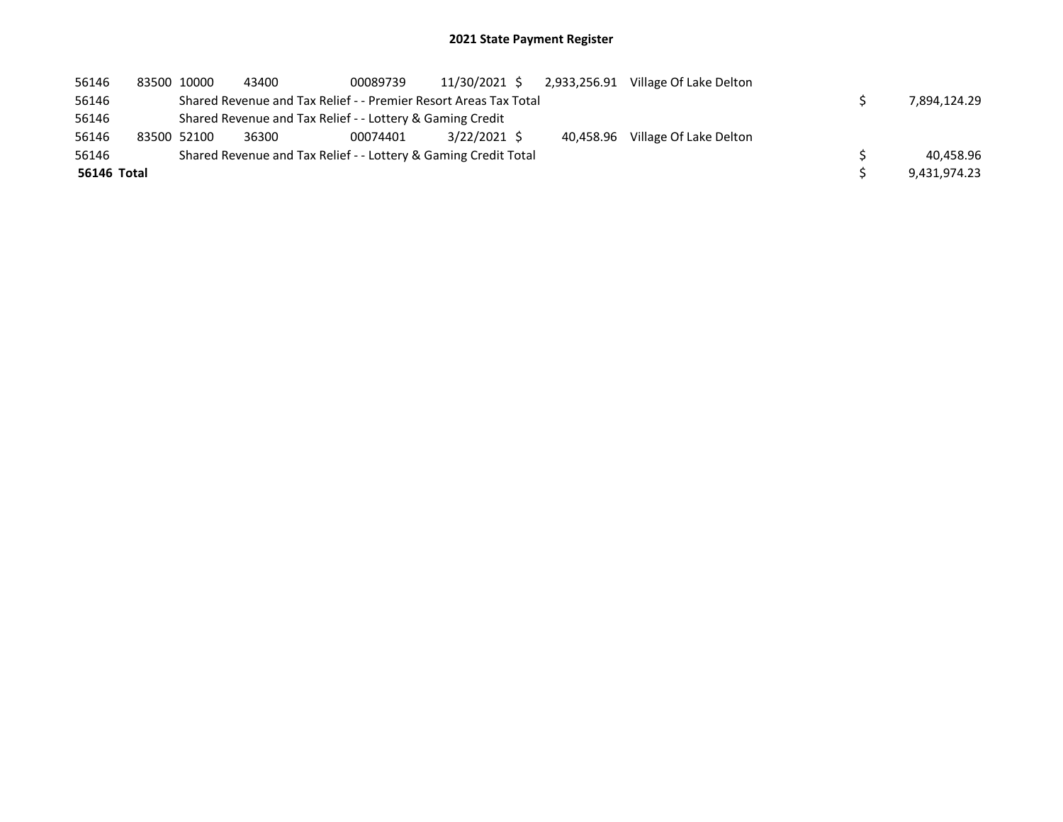## 2021 State Payment Register

| 56146       | 83500 10000 | 43400                                                     | 00089739                                                         | 11/30/2021 \$ | 2,933,256.91 | Village Of Lake Delton |              |
|-------------|-------------|-----------------------------------------------------------|------------------------------------------------------------------|---------------|--------------|------------------------|--------------|
| 56146       |             |                                                           | Shared Revenue and Tax Relief - - Premier Resort Areas Tax Total |               |              |                        | 7,894,124.29 |
| 56146       |             | Shared Revenue and Tax Relief - - Lottery & Gaming Credit |                                                                  |               |              |                        |              |
| 56146       | 83500 52100 | 36300                                                     | 00074401                                                         | 3/22/2021 \$  | 40,458.96    | Village Of Lake Delton |              |
| 56146       |             |                                                           | Shared Revenue and Tax Relief - - Lottery & Gaming Credit Total  |               |              |                        | 40.458.96    |
| 56146 Total |             |                                                           |                                                                  |               |              |                        | 9.431.974.23 |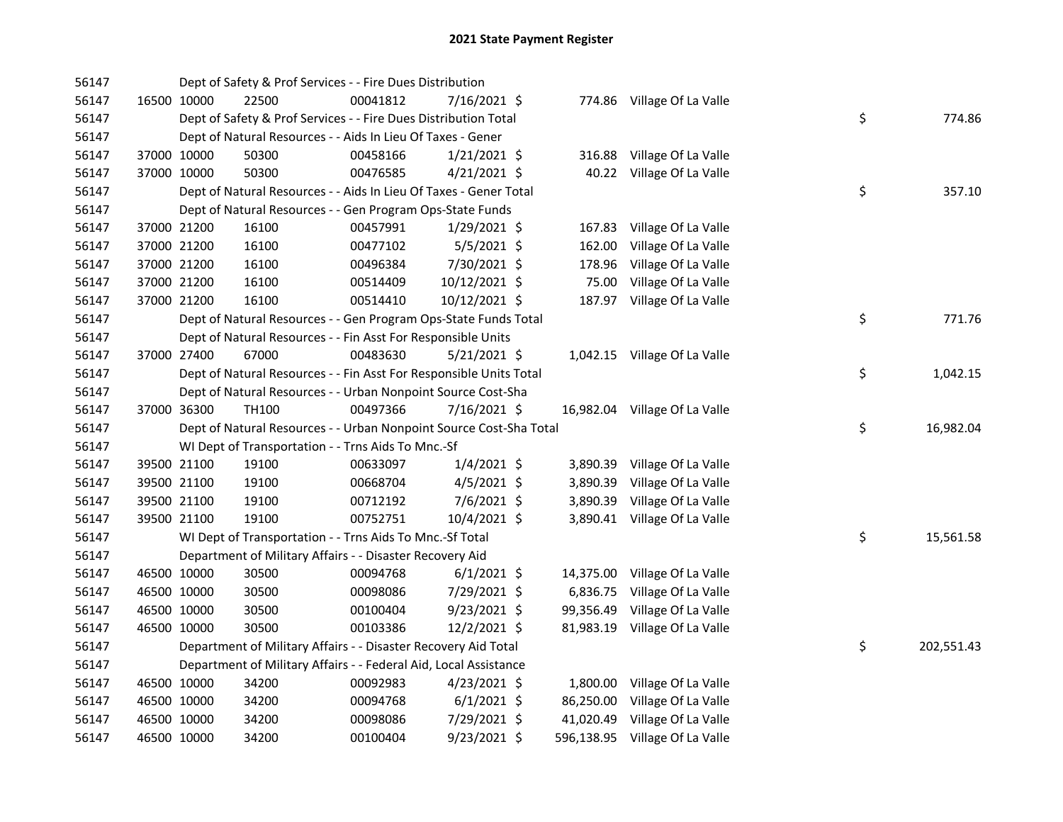| 56147 |             |             | Dept of Safety & Prof Services - - Fire Dues Distribution          |          |                |          |                                |    |            |
|-------|-------------|-------------|--------------------------------------------------------------------|----------|----------------|----------|--------------------------------|----|------------|
| 56147 |             | 16500 10000 | 22500                                                              | 00041812 | 7/16/2021 \$   |          | 774.86 Village Of La Valle     |    |            |
| 56147 |             |             | Dept of Safety & Prof Services - - Fire Dues Distribution Total    |          |                |          |                                | \$ | 774.86     |
| 56147 |             |             | Dept of Natural Resources - - Aids In Lieu Of Taxes - Gener        |          |                |          |                                |    |            |
| 56147 |             | 37000 10000 | 50300                                                              | 00458166 | $1/21/2021$ \$ | 316.88   | Village Of La Valle            |    |            |
| 56147 | 37000 10000 |             | 50300                                                              | 00476585 | $4/21/2021$ \$ |          | 40.22 Village Of La Valle      |    |            |
| 56147 |             |             | Dept of Natural Resources - - Aids In Lieu Of Taxes - Gener Total  |          |                |          |                                | \$ | 357.10     |
| 56147 |             |             | Dept of Natural Resources - - Gen Program Ops-State Funds          |          |                |          |                                |    |            |
| 56147 |             | 37000 21200 | 16100                                                              | 00457991 | 1/29/2021 \$   |          | 167.83 Village Of La Valle     |    |            |
| 56147 |             | 37000 21200 | 16100                                                              | 00477102 | $5/5/2021$ \$  | 162.00   | Village Of La Valle            |    |            |
| 56147 |             | 37000 21200 | 16100                                                              | 00496384 | 7/30/2021 \$   | 178.96   | Village Of La Valle            |    |            |
| 56147 |             | 37000 21200 | 16100                                                              | 00514409 | 10/12/2021 \$  |          | 75.00 Village Of La Valle      |    |            |
| 56147 |             | 37000 21200 | 16100                                                              | 00514410 | 10/12/2021 \$  |          | 187.97 Village Of La Valle     |    |            |
| 56147 |             |             | Dept of Natural Resources - - Gen Program Ops-State Funds Total    |          |                |          |                                | \$ | 771.76     |
| 56147 |             |             | Dept of Natural Resources - - Fin Asst For Responsible Units       |          |                |          |                                |    |            |
| 56147 | 37000 27400 |             | 67000                                                              | 00483630 | $5/21/2021$ \$ |          | 1,042.15 Village Of La Valle   |    |            |
| 56147 |             |             | Dept of Natural Resources - - Fin Asst For Responsible Units Total |          |                |          |                                | \$ | 1,042.15   |
| 56147 |             |             | Dept of Natural Resources - - Urban Nonpoint Source Cost-Sha       |          |                |          |                                |    |            |
| 56147 | 37000 36300 |             | TH <sub>100</sub>                                                  | 00497366 | 7/16/2021 \$   |          | 16,982.04 Village Of La Valle  |    |            |
| 56147 |             |             | Dept of Natural Resources - - Urban Nonpoint Source Cost-Sha Total |          |                |          |                                | \$ | 16,982.04  |
| 56147 |             |             | WI Dept of Transportation - - Trns Aids To Mnc.-Sf                 |          |                |          |                                |    |            |
| 56147 |             | 39500 21100 | 19100                                                              | 00633097 | $1/4/2021$ \$  |          | 3,890.39 Village Of La Valle   |    |            |
| 56147 |             | 39500 21100 | 19100                                                              | 00668704 | 4/5/2021 \$    | 3,890.39 | Village Of La Valle            |    |            |
| 56147 |             | 39500 21100 | 19100                                                              | 00712192 | 7/6/2021 \$    |          | 3,890.39 Village Of La Valle   |    |            |
| 56147 |             | 39500 21100 | 19100                                                              | 00752751 | 10/4/2021 \$   |          | 3,890.41 Village Of La Valle   |    |            |
| 56147 |             |             | WI Dept of Transportation - - Trns Aids To Mnc.-Sf Total           |          |                |          |                                | \$ | 15,561.58  |
| 56147 |             |             | Department of Military Affairs - - Disaster Recovery Aid           |          |                |          |                                |    |            |
| 56147 |             | 46500 10000 | 30500                                                              | 00094768 | $6/1/2021$ \$  |          | 14,375.00 Village Of La Valle  |    |            |
| 56147 |             | 46500 10000 | 30500                                                              | 00098086 | 7/29/2021 \$   |          | 6,836.75 Village Of La Valle   |    |            |
| 56147 |             | 46500 10000 | 30500                                                              | 00100404 | $9/23/2021$ \$ |          | 99,356.49 Village Of La Valle  |    |            |
| 56147 |             | 46500 10000 | 30500                                                              | 00103386 | 12/2/2021 \$   |          | 81,983.19 Village Of La Valle  |    |            |
| 56147 |             |             | Department of Military Affairs - - Disaster Recovery Aid Total     |          |                |          |                                | \$ | 202,551.43 |
| 56147 |             |             | Department of Military Affairs - - Federal Aid, Local Assistance   |          |                |          |                                |    |            |
| 56147 |             | 46500 10000 | 34200                                                              | 00092983 | $4/23/2021$ \$ |          | 1,800.00 Village Of La Valle   |    |            |
| 56147 |             | 46500 10000 | 34200                                                              | 00094768 | $6/1/2021$ \$  |          | 86,250.00 Village Of La Valle  |    |            |
| 56147 | 46500 10000 |             | 34200                                                              | 00098086 | 7/29/2021 \$   |          | 41,020.49 Village Of La Valle  |    |            |
| 56147 | 46500 10000 |             | 34200                                                              | 00100404 | $9/23/2021$ \$ |          | 596,138.95 Village Of La Valle |    |            |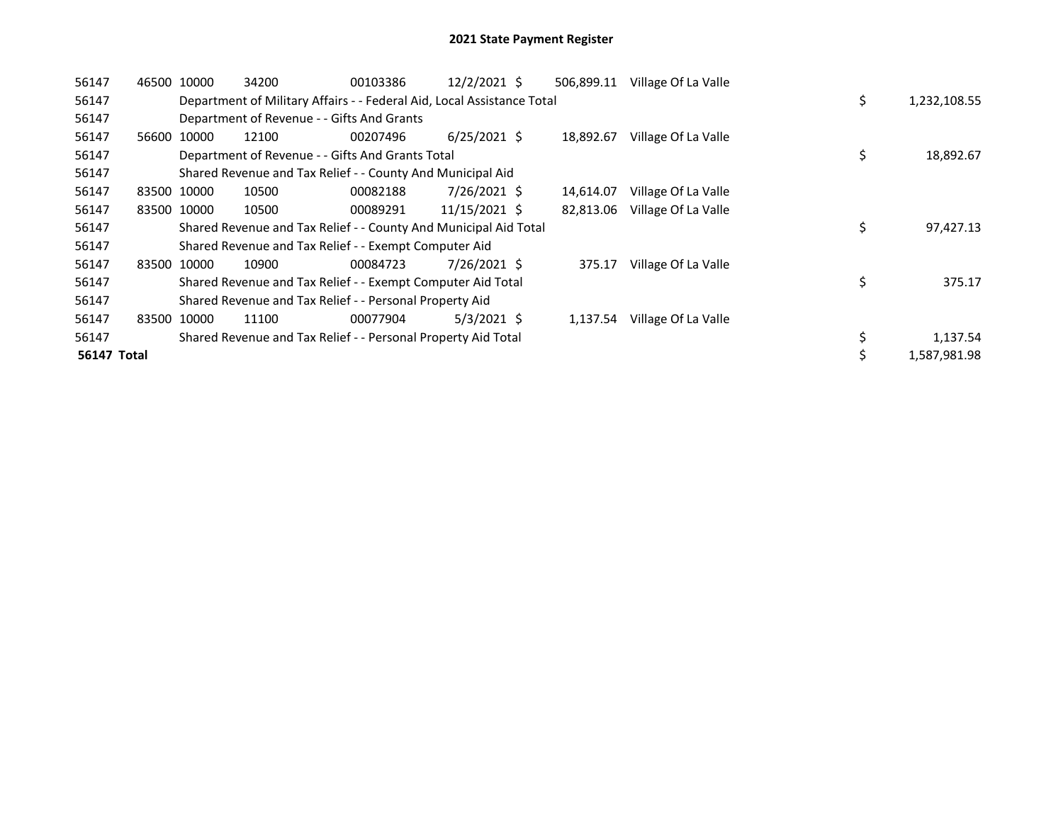| 56147              | 46500 10000 |             | 34200                                                                  | 00103386 | $12/2/2021$ \$ | 506,899.11 | Village Of La Valle |    |              |
|--------------------|-------------|-------------|------------------------------------------------------------------------|----------|----------------|------------|---------------------|----|--------------|
| 56147              |             |             | Department of Military Affairs - - Federal Aid, Local Assistance Total |          |                |            |                     | \$ | 1,232,108.55 |
| 56147              |             |             | Department of Revenue - - Gifts And Grants                             |          |                |            |                     |    |              |
| 56147              | 56600       | 10000       | 12100                                                                  | 00207496 | $6/25/2021$ \$ | 18,892.67  | Village Of La Valle |    |              |
| 56147              |             |             | Department of Revenue - - Gifts And Grants Total                       |          |                |            |                     | \$ | 18,892.67    |
| 56147              |             |             | Shared Revenue and Tax Relief - - County And Municipal Aid             |          |                |            |                     |    |              |
| 56147              |             | 83500 10000 | 10500                                                                  | 00082188 | 7/26/2021 \$   | 14,614.07  | Village Of La Valle |    |              |
| 56147              |             | 83500 10000 | 10500                                                                  | 00089291 | 11/15/2021 \$  | 82,813.06  | Village Of La Valle |    |              |
| 56147              |             |             | Shared Revenue and Tax Relief - - County And Municipal Aid Total       |          |                |            |                     | \$ | 97,427.13    |
| 56147              |             |             | Shared Revenue and Tax Relief - - Exempt Computer Aid                  |          |                |            |                     |    |              |
| 56147              |             | 83500 10000 | 10900                                                                  | 00084723 | 7/26/2021 \$   | 375.17     | Village Of La Valle |    |              |
| 56147              |             |             | Shared Revenue and Tax Relief - - Exempt Computer Aid Total            |          |                |            |                     | \$ | 375.17       |
| 56147              |             |             | Shared Revenue and Tax Relief - - Personal Property Aid                |          |                |            |                     |    |              |
| 56147              |             | 83500 10000 | 11100                                                                  | 00077904 | $5/3/2021$ \$  | 1,137.54   | Village Of La Valle |    |              |
| 56147              |             |             | Shared Revenue and Tax Relief - - Personal Property Aid Total          |          |                |            |                     | \$ | 1,137.54     |
| <b>56147 Total</b> |             |             |                                                                        |          |                |            |                     | \$ | 1,587,981.98 |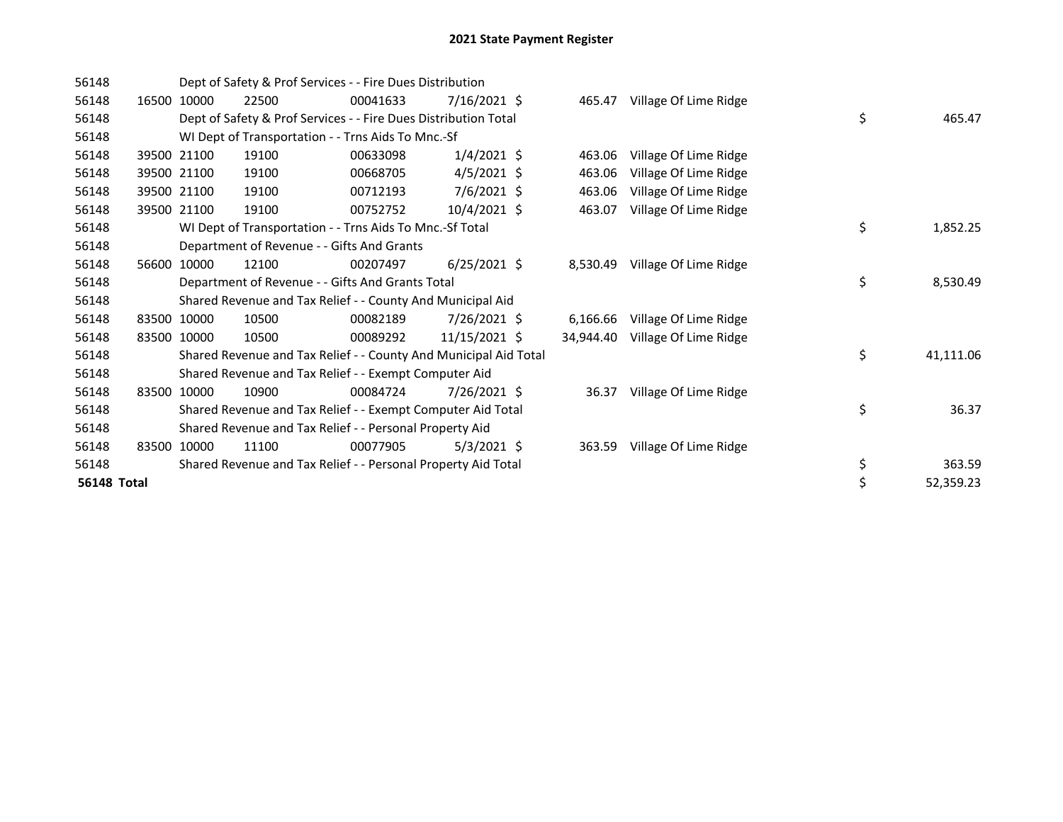| 56148              |       |             | Dept of Safety & Prof Services - - Fire Dues Distribution        |          |                |           |                              |    |           |
|--------------------|-------|-------------|------------------------------------------------------------------|----------|----------------|-----------|------------------------------|----|-----------|
| 56148              | 16500 | 10000       | 22500                                                            | 00041633 | 7/16/2021 \$   |           | 465.47 Village Of Lime Ridge |    |           |
| 56148              |       |             | Dept of Safety & Prof Services - - Fire Dues Distribution Total  |          |                |           |                              | \$ | 465.47    |
| 56148              |       |             | WI Dept of Transportation - - Trns Aids To Mnc.-Sf               |          |                |           |                              |    |           |
| 56148              |       | 39500 21100 | 19100                                                            | 00633098 | $1/4/2021$ \$  | 463.06    | Village Of Lime Ridge        |    |           |
| 56148              |       | 39500 21100 | 19100                                                            | 00668705 | $4/5/2021$ \$  | 463.06    | Village Of Lime Ridge        |    |           |
| 56148              |       | 39500 21100 | 19100                                                            | 00712193 | $7/6/2021$ \$  | 463.06    | Village Of Lime Ridge        |    |           |
| 56148              |       | 39500 21100 | 19100                                                            | 00752752 | $10/4/2021$ \$ | 463.07    | Village Of Lime Ridge        |    |           |
| 56148              |       |             | WI Dept of Transportation - - Trns Aids To Mnc.-Sf Total         |          |                |           |                              | \$ | 1,852.25  |
| 56148              |       |             | Department of Revenue - - Gifts And Grants                       |          |                |           |                              |    |           |
| 56148              | 56600 | 10000       | 12100                                                            | 00207497 | $6/25/2021$ \$ | 8,530.49  | Village Of Lime Ridge        |    |           |
| 56148              |       |             | Department of Revenue - - Gifts And Grants Total                 |          |                |           |                              | \$ | 8,530.49  |
| 56148              |       |             | Shared Revenue and Tax Relief - - County And Municipal Aid       |          |                |           |                              |    |           |
| 56148              |       | 83500 10000 | 10500                                                            | 00082189 | 7/26/2021 \$   | 6,166.66  | Village Of Lime Ridge        |    |           |
| 56148              |       | 83500 10000 | 10500                                                            | 00089292 | 11/15/2021 \$  | 34,944.40 | Village Of Lime Ridge        |    |           |
| 56148              |       |             | Shared Revenue and Tax Relief - - County And Municipal Aid Total |          |                |           |                              | \$ | 41,111.06 |
| 56148              |       |             | Shared Revenue and Tax Relief - - Exempt Computer Aid            |          |                |           |                              |    |           |
| 56148              | 83500 | 10000       | 10900                                                            | 00084724 | 7/26/2021 \$   | 36.37     | Village Of Lime Ridge        |    |           |
| 56148              |       |             | Shared Revenue and Tax Relief - - Exempt Computer Aid Total      |          |                |           |                              | \$ | 36.37     |
| 56148              |       |             | Shared Revenue and Tax Relief - - Personal Property Aid          |          |                |           |                              |    |           |
| 56148              | 83500 | 10000       | 11100                                                            | 00077905 | $5/3/2021$ \$  | 363.59    | Village Of Lime Ridge        |    |           |
| 56148              |       |             | Shared Revenue and Tax Relief - - Personal Property Aid Total    |          |                |           |                              | \$ | 363.59    |
| <b>56148 Total</b> |       |             |                                                                  |          |                |           |                              | \$ | 52,359.23 |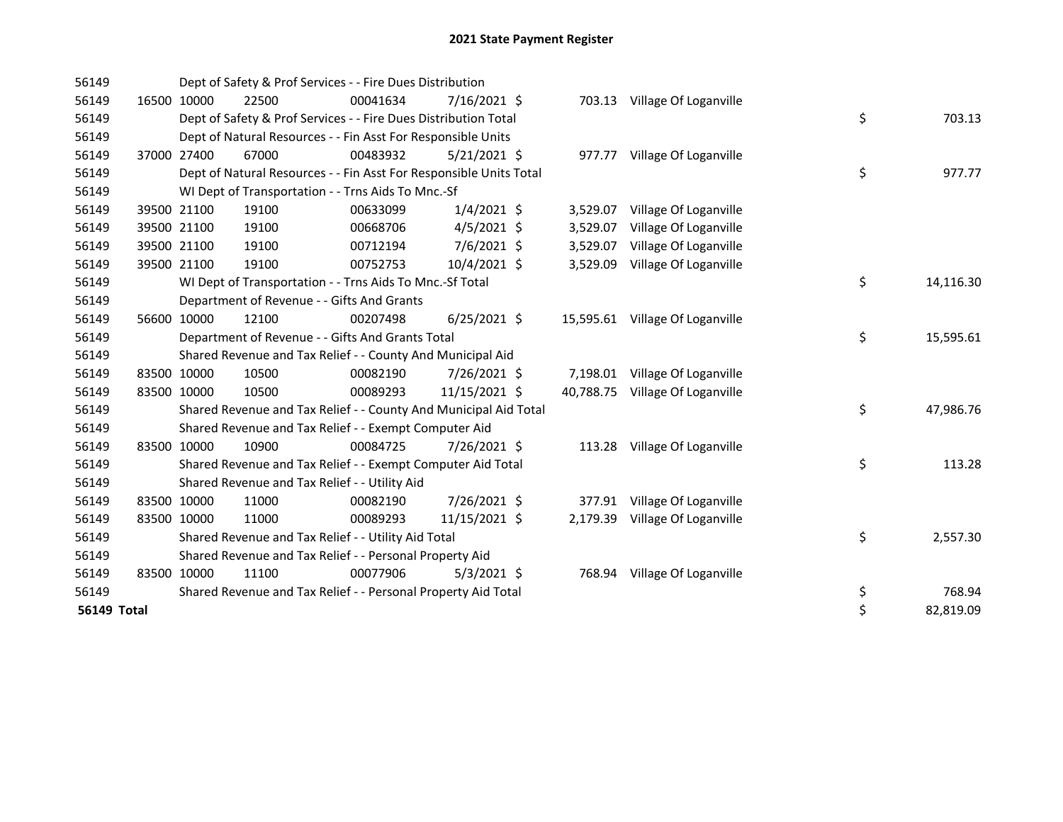| 56149       |             | Dept of Safety & Prof Services - - Fire Dues Distribution          |          |                |  |          |                                 |  |    |           |  |
|-------------|-------------|--------------------------------------------------------------------|----------|----------------|--|----------|---------------------------------|--|----|-----------|--|
| 56149       | 16500 10000 | 22500                                                              | 00041634 | $7/16/2021$ \$ |  |          | 703.13 Village Of Loganville    |  |    |           |  |
| 56149       |             | Dept of Safety & Prof Services - - Fire Dues Distribution Total    |          |                |  |          |                                 |  | \$ | 703.13    |  |
| 56149       |             | Dept of Natural Resources - - Fin Asst For Responsible Units       |          |                |  |          |                                 |  |    |           |  |
| 56149       | 37000 27400 | 67000                                                              | 00483932 | $5/21/2021$ \$ |  |          | 977.77 Village Of Loganville    |  |    |           |  |
| 56149       |             | Dept of Natural Resources - - Fin Asst For Responsible Units Total |          |                |  |          |                                 |  | \$ | 977.77    |  |
| 56149       |             | WI Dept of Transportation - - Trns Aids To Mnc.-Sf                 |          |                |  |          |                                 |  |    |           |  |
| 56149       | 39500 21100 | 19100                                                              | 00633099 | $1/4/2021$ \$  |  | 3,529.07 | Village Of Loganville           |  |    |           |  |
| 56149       | 39500 21100 | 19100                                                              | 00668706 | $4/5/2021$ \$  |  | 3,529.07 | Village Of Loganville           |  |    |           |  |
| 56149       | 39500 21100 | 19100                                                              | 00712194 | 7/6/2021 \$    |  | 3,529.07 | Village Of Loganville           |  |    |           |  |
| 56149       | 39500 21100 | 19100                                                              | 00752753 | 10/4/2021 \$   |  | 3,529.09 | Village Of Loganville           |  |    |           |  |
| 56149       |             | WI Dept of Transportation - - Trns Aids To Mnc.-Sf Total           |          |                |  |          |                                 |  | \$ | 14,116.30 |  |
| 56149       |             | Department of Revenue - - Gifts And Grants                         |          |                |  |          |                                 |  |    |           |  |
| 56149       | 56600 10000 | 12100                                                              | 00207498 | $6/25/2021$ \$ |  |          | 15,595.61 Village Of Loganville |  |    |           |  |
| 56149       |             | Department of Revenue - - Gifts And Grants Total                   |          |                |  |          |                                 |  | \$ | 15,595.61 |  |
| 56149       |             | Shared Revenue and Tax Relief - - County And Municipal Aid         |          |                |  |          |                                 |  |    |           |  |
| 56149       | 83500 10000 | 10500                                                              | 00082190 | 7/26/2021 \$   |  |          | 7,198.01 Village Of Loganville  |  |    |           |  |
| 56149       | 83500 10000 | 10500                                                              | 00089293 | 11/15/2021 \$  |  |          | 40,788.75 Village Of Loganville |  |    |           |  |
| 56149       |             | Shared Revenue and Tax Relief - - County And Municipal Aid Total   |          |                |  |          |                                 |  | \$ | 47,986.76 |  |
| 56149       |             | Shared Revenue and Tax Relief - - Exempt Computer Aid              |          |                |  |          |                                 |  |    |           |  |
| 56149       | 83500 10000 | 10900                                                              | 00084725 | 7/26/2021 \$   |  |          | 113.28 Village Of Loganville    |  |    |           |  |
| 56149       |             | Shared Revenue and Tax Relief - - Exempt Computer Aid Total        |          |                |  |          |                                 |  | \$ | 113.28    |  |
| 56149       |             | Shared Revenue and Tax Relief - - Utility Aid                      |          |                |  |          |                                 |  |    |           |  |
| 56149       | 83500 10000 | 11000                                                              | 00082190 | 7/26/2021 \$   |  |          | 377.91 Village Of Loganville    |  |    |           |  |
| 56149       | 83500 10000 | 11000                                                              | 00089293 | 11/15/2021 \$  |  |          | 2,179.39 Village Of Loganville  |  |    |           |  |
| 56149       |             | Shared Revenue and Tax Relief - - Utility Aid Total                |          |                |  |          |                                 |  | \$ | 2,557.30  |  |
| 56149       |             | Shared Revenue and Tax Relief - - Personal Property Aid            |          |                |  |          |                                 |  |    |           |  |
| 56149       | 83500 10000 | 11100                                                              | 00077906 | $5/3/2021$ \$  |  |          | 768.94 Village Of Loganville    |  |    |           |  |
| 56149       |             | Shared Revenue and Tax Relief - - Personal Property Aid Total      |          |                |  |          |                                 |  | \$ | 768.94    |  |
| 56149 Total |             |                                                                    |          |                |  |          |                                 |  | \$ | 82,819.09 |  |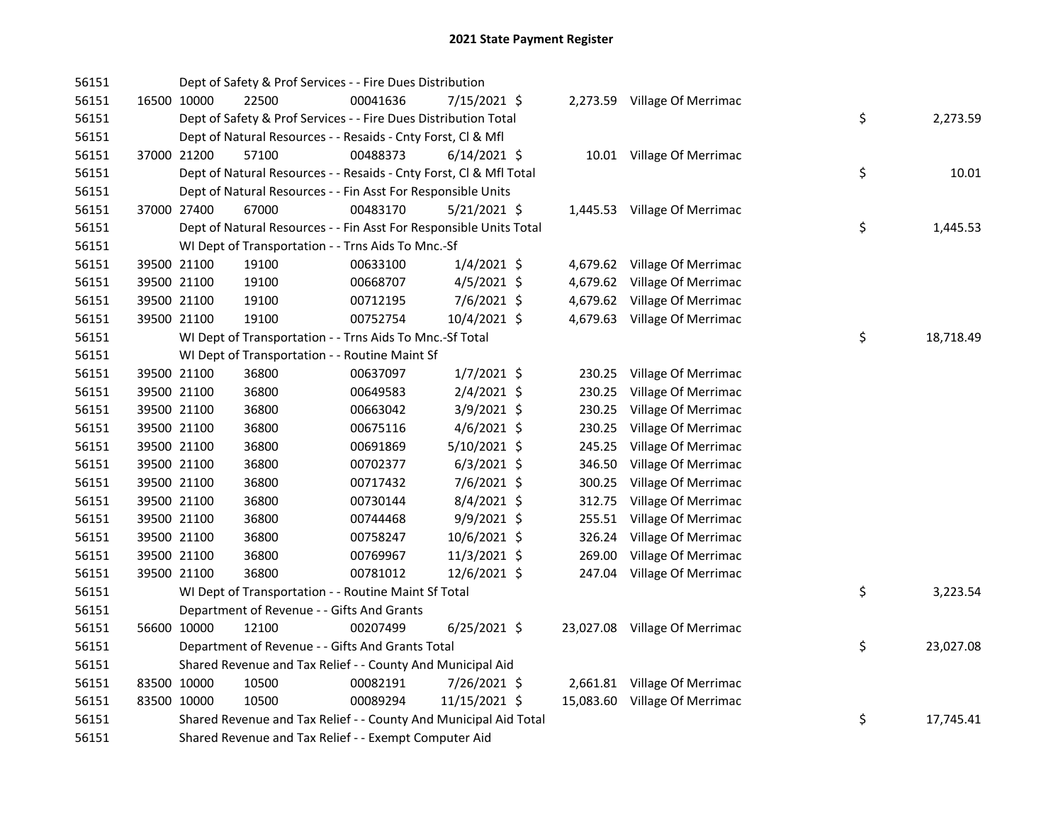| 56151 |             |             | Dept of Safety & Prof Services - - Fire Dues Distribution          |          |                |        |                               |    |           |
|-------|-------------|-------------|--------------------------------------------------------------------|----------|----------------|--------|-------------------------------|----|-----------|
| 56151 |             | 16500 10000 | 22500                                                              | 00041636 | 7/15/2021 \$   |        | 2,273.59 Village Of Merrimac  |    |           |
| 56151 |             |             | Dept of Safety & Prof Services - - Fire Dues Distribution Total    |          |                |        |                               | \$ | 2,273.59  |
| 56151 |             |             | Dept of Natural Resources - - Resaids - Cnty Forst, Cl & Mfl       |          |                |        |                               |    |           |
| 56151 |             | 37000 21200 | 57100                                                              | 00488373 | $6/14/2021$ \$ |        | 10.01 Village Of Merrimac     |    |           |
| 56151 |             |             | Dept of Natural Resources - - Resaids - Cnty Forst, Cl & Mfl Total |          |                |        |                               | \$ | 10.01     |
| 56151 |             |             | Dept of Natural Resources - - Fin Asst For Responsible Units       |          |                |        |                               |    |           |
| 56151 | 37000 27400 |             | 67000                                                              | 00483170 | $5/21/2021$ \$ |        | 1,445.53 Village Of Merrimac  |    |           |
| 56151 |             |             | Dept of Natural Resources - - Fin Asst For Responsible Units Total |          |                |        |                               | \$ | 1,445.53  |
| 56151 |             |             | WI Dept of Transportation - - Trns Aids To Mnc.-Sf                 |          |                |        |                               |    |           |
| 56151 |             | 39500 21100 | 19100                                                              | 00633100 | $1/4/2021$ \$  |        | 4,679.62 Village Of Merrimac  |    |           |
| 56151 |             | 39500 21100 | 19100                                                              | 00668707 | $4/5/2021$ \$  |        | 4,679.62 Village Of Merrimac  |    |           |
| 56151 |             | 39500 21100 | 19100                                                              | 00712195 | 7/6/2021 \$    |        | 4,679.62 Village Of Merrimac  |    |           |
| 56151 |             | 39500 21100 | 19100                                                              | 00752754 | 10/4/2021 \$   |        | 4,679.63 Village Of Merrimac  |    |           |
| 56151 |             |             | WI Dept of Transportation - - Trns Aids To Mnc.-Sf Total           |          |                |        |                               | \$ | 18,718.49 |
| 56151 |             |             | WI Dept of Transportation - - Routine Maint Sf                     |          |                |        |                               |    |           |
| 56151 |             | 39500 21100 | 36800                                                              | 00637097 | $1/7/2021$ \$  | 230.25 | Village Of Merrimac           |    |           |
| 56151 |             | 39500 21100 | 36800                                                              | 00649583 | $2/4/2021$ \$  | 230.25 | Village Of Merrimac           |    |           |
| 56151 |             | 39500 21100 | 36800                                                              | 00663042 | $3/9/2021$ \$  | 230.25 | Village Of Merrimac           |    |           |
| 56151 |             | 39500 21100 | 36800                                                              | 00675116 | $4/6/2021$ \$  | 230.25 | Village Of Merrimac           |    |           |
| 56151 |             | 39500 21100 | 36800                                                              | 00691869 | 5/10/2021 \$   | 245.25 | Village Of Merrimac           |    |           |
| 56151 |             | 39500 21100 | 36800                                                              | 00702377 | $6/3/2021$ \$  | 346.50 | Village Of Merrimac           |    |           |
| 56151 |             | 39500 21100 | 36800                                                              | 00717432 | 7/6/2021 \$    | 300.25 | Village Of Merrimac           |    |           |
| 56151 |             | 39500 21100 | 36800                                                              | 00730144 | 8/4/2021 \$    | 312.75 | Village Of Merrimac           |    |           |
| 56151 |             | 39500 21100 | 36800                                                              | 00744468 | $9/9/2021$ \$  | 255.51 | Village Of Merrimac           |    |           |
| 56151 |             | 39500 21100 | 36800                                                              | 00758247 | 10/6/2021 \$   | 326.24 | Village Of Merrimac           |    |           |
| 56151 | 39500 21100 |             | 36800                                                              | 00769967 | 11/3/2021 \$   | 269.00 | Village Of Merrimac           |    |           |
| 56151 |             | 39500 21100 | 36800                                                              | 00781012 | 12/6/2021 \$   | 247.04 | Village Of Merrimac           |    |           |
| 56151 |             |             | WI Dept of Transportation - - Routine Maint Sf Total               |          |                |        |                               | \$ | 3,223.54  |
| 56151 |             |             | Department of Revenue - - Gifts And Grants                         |          |                |        |                               |    |           |
| 56151 |             | 56600 10000 | 12100                                                              | 00207499 | $6/25/2021$ \$ |        | 23,027.08 Village Of Merrimac |    |           |
| 56151 |             |             | Department of Revenue - - Gifts And Grants Total                   |          |                |        |                               | \$ | 23,027.08 |
| 56151 |             |             | Shared Revenue and Tax Relief - - County And Municipal Aid         |          |                |        |                               |    |           |
| 56151 |             | 83500 10000 | 10500                                                              | 00082191 | 7/26/2021 \$   |        | 2,661.81 Village Of Merrimac  |    |           |
| 56151 |             | 83500 10000 | 10500                                                              | 00089294 | 11/15/2021 \$  |        | 15,083.60 Village Of Merrimac |    |           |
| 56151 |             |             | Shared Revenue and Tax Relief - - County And Municipal Aid Total   |          |                |        |                               | \$ | 17,745.41 |
| 56151 |             |             | Shared Revenue and Tax Relief - - Exempt Computer Aid              |          |                |        |                               |    |           |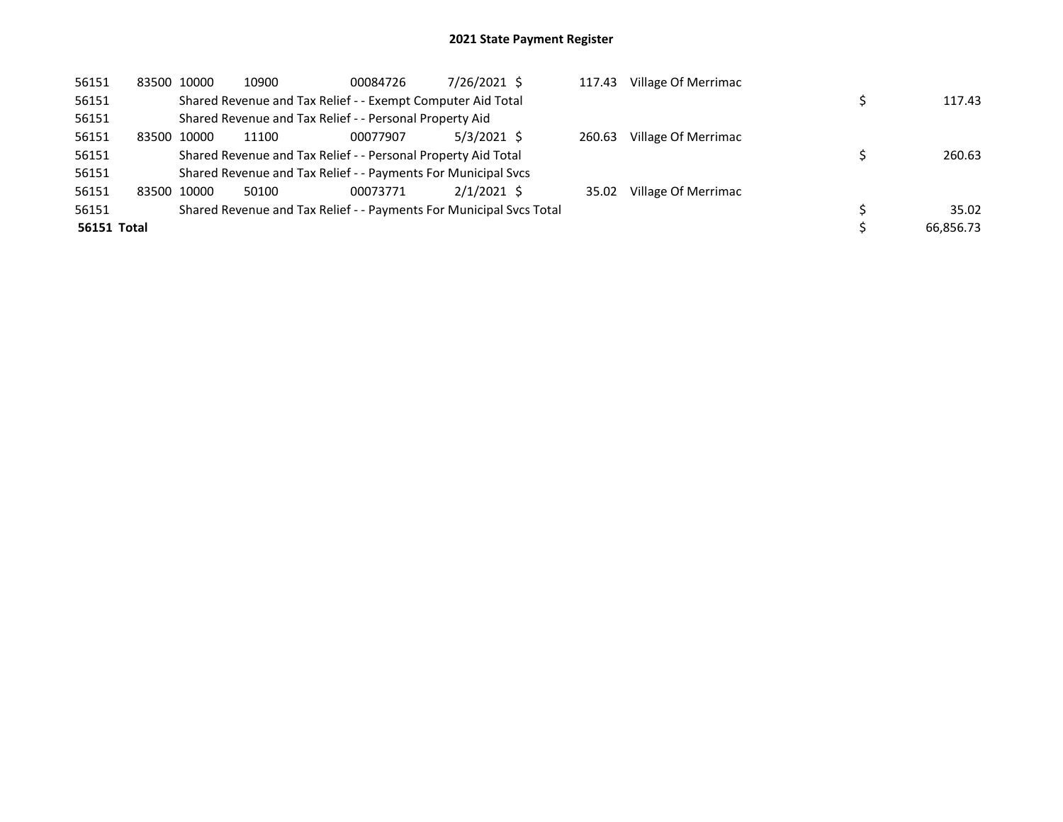| 56151       |       | 83500 10000 | 10900 | 00084726                                                            | 7/26/2021 \$  | 117.43 | Village Of Merrimac |           |       |
|-------------|-------|-------------|-------|---------------------------------------------------------------------|---------------|--------|---------------------|-----------|-------|
| 56151       |       |             |       | Shared Revenue and Tax Relief - - Exempt Computer Aid Total         |               |        |                     | 117.43    |       |
| 56151       |       |             |       | Shared Revenue and Tax Relief - - Personal Property Aid             |               |        |                     |           |       |
| 56151       | 83500 | 10000       | 11100 | 00077907                                                            | 5/3/2021 \$   | 260.63 | Village Of Merrimac |           |       |
| 56151       |       |             |       | Shared Revenue and Tax Relief - - Personal Property Aid Total       |               |        |                     | 260.63    |       |
| 56151       |       |             |       | Shared Revenue and Tax Relief - - Payments For Municipal Svcs       |               |        |                     |           |       |
| 56151       |       | 83500 10000 | 50100 | 00073771                                                            | $2/1/2021$ \$ | 35.02  | Village Of Merrimac |           |       |
| 56151       |       |             |       | Shared Revenue and Tax Relief - - Payments For Municipal Svcs Total |               |        |                     |           | 35.02 |
| 56151 Total |       |             |       |                                                                     |               |        |                     | 66.856.73 |       |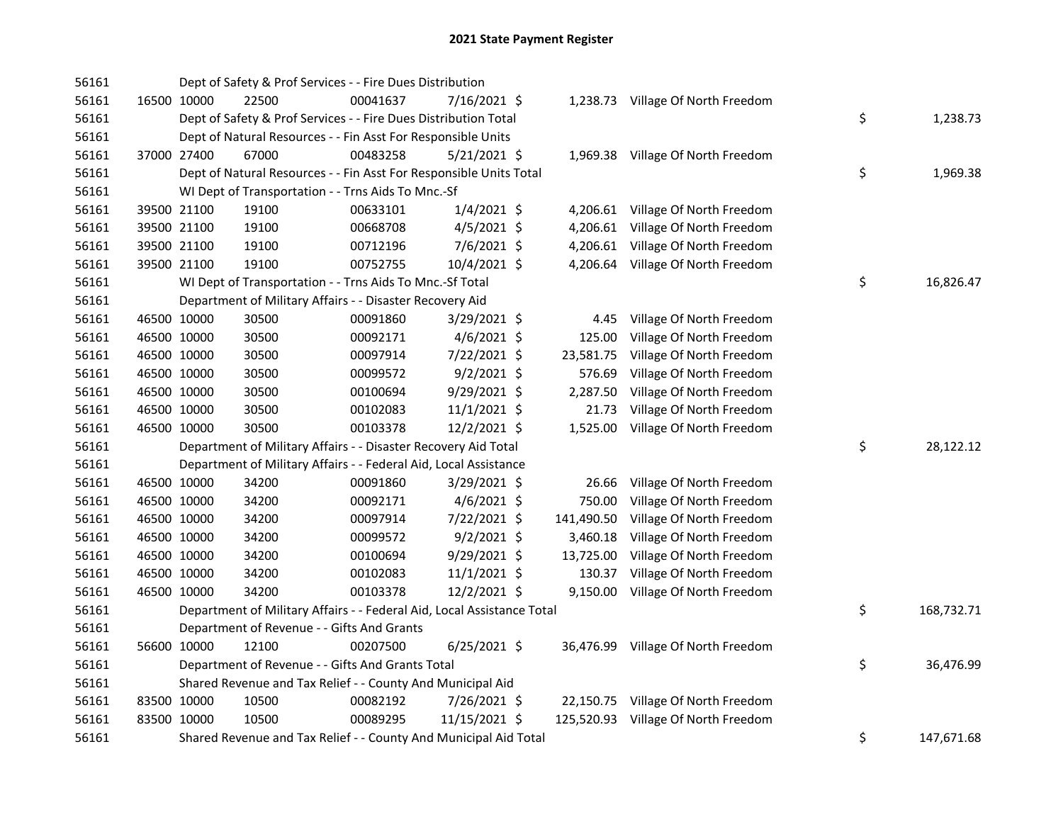| 56161 |             |             | Dept of Safety & Prof Services - - Fire Dues Distribution              |          |                |            |                                     |    |            |
|-------|-------------|-------------|------------------------------------------------------------------------|----------|----------------|------------|-------------------------------------|----|------------|
| 56161 |             | 16500 10000 | 22500                                                                  | 00041637 | 7/16/2021 \$   |            | 1,238.73 Village Of North Freedom   |    |            |
| 56161 |             |             | Dept of Safety & Prof Services - - Fire Dues Distribution Total        |          |                |            |                                     | \$ | 1,238.73   |
| 56161 |             |             | Dept of Natural Resources - - Fin Asst For Responsible Units           |          |                |            |                                     |    |            |
| 56161 |             | 37000 27400 | 67000                                                                  | 00483258 | $5/21/2021$ \$ |            | 1,969.38 Village Of North Freedom   |    |            |
| 56161 |             |             | Dept of Natural Resources - - Fin Asst For Responsible Units Total     |          |                |            |                                     | \$ | 1,969.38   |
| 56161 |             |             | WI Dept of Transportation - - Trns Aids To Mnc.-Sf                     |          |                |            |                                     |    |            |
| 56161 |             | 39500 21100 | 19100                                                                  | 00633101 | $1/4/2021$ \$  |            | 4,206.61 Village Of North Freedom   |    |            |
| 56161 |             | 39500 21100 | 19100                                                                  | 00668708 | $4/5/2021$ \$  | 4,206.61   | Village Of North Freedom            |    |            |
| 56161 |             | 39500 21100 | 19100                                                                  | 00712196 | 7/6/2021 \$    | 4,206.61   | Village Of North Freedom            |    |            |
| 56161 |             | 39500 21100 | 19100                                                                  | 00752755 | 10/4/2021 \$   |            | 4,206.64 Village Of North Freedom   |    |            |
| 56161 |             |             | WI Dept of Transportation - - Trns Aids To Mnc.-Sf Total               |          |                |            |                                     | \$ | 16,826.47  |
| 56161 |             |             | Department of Military Affairs - - Disaster Recovery Aid               |          |                |            |                                     |    |            |
| 56161 | 46500 10000 |             | 30500                                                                  | 00091860 | $3/29/2021$ \$ | 4.45       | Village Of North Freedom            |    |            |
| 56161 |             | 46500 10000 | 30500                                                                  | 00092171 | $4/6/2021$ \$  | 125.00     | Village Of North Freedom            |    |            |
| 56161 |             | 46500 10000 | 30500                                                                  | 00097914 | 7/22/2021 \$   | 23,581.75  | Village Of North Freedom            |    |            |
| 56161 |             | 46500 10000 | 30500                                                                  | 00099572 | $9/2/2021$ \$  | 576.69     | Village Of North Freedom            |    |            |
| 56161 |             | 46500 10000 | 30500                                                                  | 00100694 | 9/29/2021 \$   | 2,287.50   | Village Of North Freedom            |    |            |
| 56161 | 46500 10000 |             | 30500                                                                  | 00102083 | $11/1/2021$ \$ | 21.73      | Village Of North Freedom            |    |            |
| 56161 | 46500 10000 |             | 30500                                                                  | 00103378 | 12/2/2021 \$   | 1,525.00   | Village Of North Freedom            |    |            |
| 56161 |             |             | Department of Military Affairs - - Disaster Recovery Aid Total         |          |                |            |                                     | \$ | 28,122.12  |
| 56161 |             |             | Department of Military Affairs - - Federal Aid, Local Assistance       |          |                |            |                                     |    |            |
| 56161 | 46500 10000 |             | 34200                                                                  | 00091860 | 3/29/2021 \$   | 26.66      | Village Of North Freedom            |    |            |
| 56161 | 46500 10000 |             | 34200                                                                  | 00092171 | $4/6/2021$ \$  | 750.00     | Village Of North Freedom            |    |            |
| 56161 | 46500 10000 |             | 34200                                                                  | 00097914 | 7/22/2021 \$   | 141,490.50 | Village Of North Freedom            |    |            |
| 56161 | 46500 10000 |             | 34200                                                                  | 00099572 | $9/2/2021$ \$  | 3,460.18   | Village Of North Freedom            |    |            |
| 56161 |             | 46500 10000 | 34200                                                                  | 00100694 | 9/29/2021 \$   | 13,725.00  | Village Of North Freedom            |    |            |
| 56161 | 46500 10000 |             | 34200                                                                  | 00102083 | $11/1/2021$ \$ | 130.37     | Village Of North Freedom            |    |            |
| 56161 | 46500 10000 |             | 34200                                                                  | 00103378 | 12/2/2021 \$   | 9,150.00   | Village Of North Freedom            |    |            |
| 56161 |             |             | Department of Military Affairs - - Federal Aid, Local Assistance Total |          |                |            |                                     | \$ | 168,732.71 |
| 56161 |             |             | Department of Revenue - - Gifts And Grants                             |          |                |            |                                     |    |            |
| 56161 |             | 56600 10000 | 12100                                                                  | 00207500 | $6/25/2021$ \$ |            | 36,476.99 Village Of North Freedom  |    |            |
| 56161 |             |             | Department of Revenue - - Gifts And Grants Total                       |          |                |            |                                     | \$ | 36,476.99  |
| 56161 |             |             | Shared Revenue and Tax Relief - - County And Municipal Aid             |          |                |            |                                     |    |            |
| 56161 |             | 83500 10000 | 10500                                                                  | 00082192 | 7/26/2021 \$   |            | 22,150.75 Village Of North Freedom  |    |            |
| 56161 | 83500 10000 |             | 10500                                                                  | 00089295 | 11/15/2021 \$  |            | 125,520.93 Village Of North Freedom |    |            |
| 56161 |             |             | Shared Revenue and Tax Relief - - County And Municipal Aid Total       |          |                |            |                                     | \$ | 147,671.68 |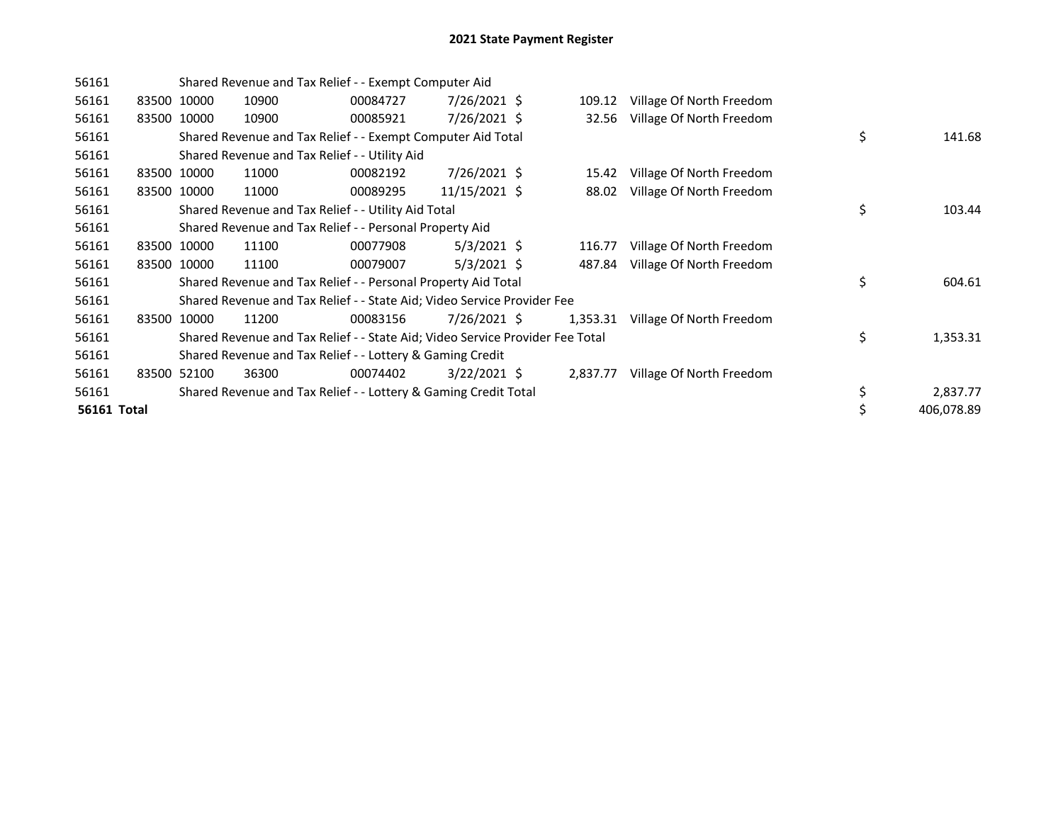| 56161       |             |             | Shared Revenue and Tax Relief - - Exempt Computer Aid                         |          |                |  |          |                          |    |            |  |  |  |
|-------------|-------------|-------------|-------------------------------------------------------------------------------|----------|----------------|--|----------|--------------------------|----|------------|--|--|--|
| 56161       |             | 83500 10000 | 10900                                                                         | 00084727 | $7/26/2021$ \$ |  | 109.12   | Village Of North Freedom |    |            |  |  |  |
| 56161       | 83500 10000 |             | 10900                                                                         | 00085921 | $7/26/2021$ \$ |  | 32.56    | Village Of North Freedom |    |            |  |  |  |
| 56161       |             |             | Shared Revenue and Tax Relief - - Exempt Computer Aid Total                   |          |                |  |          |                          | \$ | 141.68     |  |  |  |
| 56161       |             |             | Shared Revenue and Tax Relief - - Utility Aid                                 |          |                |  |          |                          |    |            |  |  |  |
| 56161       |             | 83500 10000 | 11000                                                                         | 00082192 | 7/26/2021 \$   |  | 15.42    | Village Of North Freedom |    |            |  |  |  |
| 56161       |             | 83500 10000 | 11000                                                                         | 00089295 | 11/15/2021 \$  |  | 88.02    | Village Of North Freedom |    |            |  |  |  |
| 56161       |             |             | Shared Revenue and Tax Relief - - Utility Aid Total                           |          |                |  |          |                          | \$ | 103.44     |  |  |  |
| 56161       |             |             | Shared Revenue and Tax Relief - - Personal Property Aid                       |          |                |  |          |                          |    |            |  |  |  |
| 56161       |             | 83500 10000 | 11100                                                                         | 00077908 | $5/3/2021$ \$  |  | 116.77   | Village Of North Freedom |    |            |  |  |  |
| 56161       | 83500 10000 |             | 11100                                                                         | 00079007 | $5/3/2021$ \$  |  | 487.84   | Village Of North Freedom |    |            |  |  |  |
| 56161       |             |             | Shared Revenue and Tax Relief - - Personal Property Aid Total                 |          |                |  |          |                          | \$ | 604.61     |  |  |  |
| 56161       |             |             | Shared Revenue and Tax Relief - - State Aid; Video Service Provider Fee       |          |                |  |          |                          |    |            |  |  |  |
| 56161       | 83500       | 10000       | 11200                                                                         | 00083156 | 7/26/2021 \$   |  | 1,353.31 | Village Of North Freedom |    |            |  |  |  |
| 56161       |             |             | Shared Revenue and Tax Relief - - State Aid; Video Service Provider Fee Total |          |                |  |          |                          | \$ | 1,353.31   |  |  |  |
| 56161       |             |             | Shared Revenue and Tax Relief - - Lottery & Gaming Credit                     |          |                |  |          |                          |    |            |  |  |  |
| 56161       | 83500       | 52100       | 36300                                                                         | 00074402 | $3/22/2021$ \$ |  | 2,837.77 | Village Of North Freedom |    |            |  |  |  |
| 56161       |             |             | Shared Revenue and Tax Relief - - Lottery & Gaming Credit Total               |          |                |  |          |                          | \$ | 2,837.77   |  |  |  |
| 56161 Total |             |             |                                                                               |          |                |  |          |                          | \$ | 406,078.89 |  |  |  |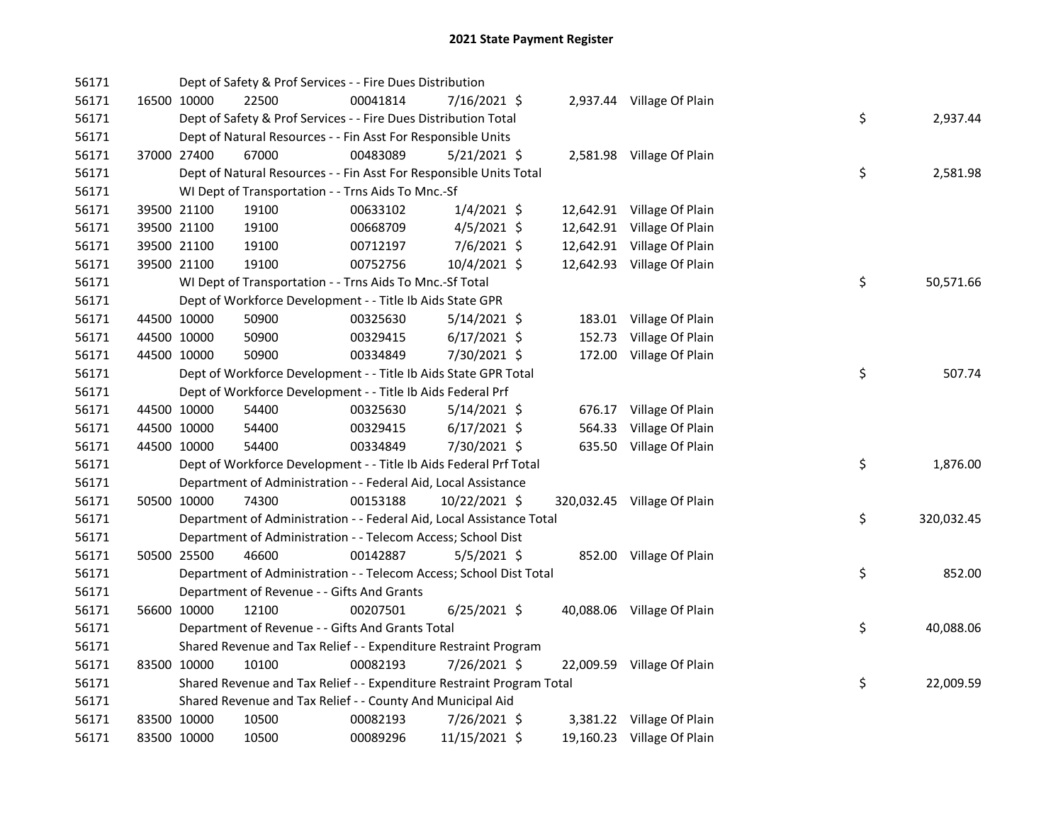| 56171 |             | Dept of Safety & Prof Services - - Fire Dues Distribution             |          |                |        |                             |    |            |
|-------|-------------|-----------------------------------------------------------------------|----------|----------------|--------|-----------------------------|----|------------|
| 56171 | 16500 10000 | 22500                                                                 | 00041814 | 7/16/2021 \$   |        | 2,937.44 Village Of Plain   |    |            |
| 56171 |             | Dept of Safety & Prof Services - - Fire Dues Distribution Total       |          |                |        |                             | \$ | 2,937.44   |
| 56171 |             | Dept of Natural Resources - - Fin Asst For Responsible Units          |          |                |        |                             |    |            |
| 56171 | 37000 27400 | 67000                                                                 | 00483089 | 5/21/2021 \$   |        | 2,581.98 Village Of Plain   |    |            |
| 56171 |             | Dept of Natural Resources - - Fin Asst For Responsible Units Total    |          |                |        |                             | \$ | 2,581.98   |
| 56171 |             | WI Dept of Transportation - - Trns Aids To Mnc.-Sf                    |          |                |        |                             |    |            |
| 56171 | 39500 21100 | 19100                                                                 | 00633102 | $1/4/2021$ \$  |        | 12,642.91 Village Of Plain  |    |            |
| 56171 | 39500 21100 | 19100                                                                 | 00668709 | $4/5/2021$ \$  |        | 12,642.91 Village Of Plain  |    |            |
| 56171 | 39500 21100 | 19100                                                                 | 00712197 | $7/6/2021$ \$  |        | 12,642.91 Village Of Plain  |    |            |
| 56171 | 39500 21100 | 19100                                                                 | 00752756 | 10/4/2021 \$   |        | 12,642.93 Village Of Plain  |    |            |
| 56171 |             | WI Dept of Transportation - - Trns Aids To Mnc.-Sf Total              |          |                |        |                             | \$ | 50,571.66  |
| 56171 |             | Dept of Workforce Development - - Title Ib Aids State GPR             |          |                |        |                             |    |            |
| 56171 | 44500 10000 | 50900                                                                 | 00325630 | $5/14/2021$ \$ |        | 183.01 Village Of Plain     |    |            |
| 56171 | 44500 10000 | 50900                                                                 | 00329415 | $6/17/2021$ \$ | 152.73 | Village Of Plain            |    |            |
| 56171 | 44500 10000 | 50900                                                                 | 00334849 | 7/30/2021 \$   | 172.00 | Village Of Plain            |    |            |
| 56171 |             | Dept of Workforce Development - - Title Ib Aids State GPR Total       |          |                |        |                             | \$ | 507.74     |
| 56171 |             | Dept of Workforce Development - - Title Ib Aids Federal Prf           |          |                |        |                             |    |            |
| 56171 | 44500 10000 | 54400                                                                 | 00325630 | $5/14/2021$ \$ | 676.17 | Village Of Plain            |    |            |
| 56171 | 44500 10000 | 54400                                                                 | 00329415 | $6/17/2021$ \$ | 564.33 | Village Of Plain            |    |            |
| 56171 | 44500 10000 | 54400                                                                 | 00334849 | 7/30/2021 \$   |        | 635.50 Village Of Plain     |    |            |
| 56171 |             | Dept of Workforce Development - - Title Ib Aids Federal Prf Total     |          |                |        |                             | \$ | 1,876.00   |
| 56171 |             | Department of Administration - - Federal Aid, Local Assistance        |          |                |        |                             |    |            |
| 56171 | 50500 10000 | 74300                                                                 | 00153188 | 10/22/2021 \$  |        | 320,032.45 Village Of Plain |    |            |
| 56171 |             | Department of Administration - - Federal Aid, Local Assistance Total  |          |                |        |                             | \$ | 320,032.45 |
| 56171 |             | Department of Administration - - Telecom Access; School Dist          |          |                |        |                             |    |            |
| 56171 | 50500 25500 | 46600                                                                 | 00142887 | $5/5/2021$ \$  |        | 852.00 Village Of Plain     |    |            |
| 56171 |             | Department of Administration - - Telecom Access; School Dist Total    |          |                |        |                             | \$ | 852.00     |
| 56171 |             | Department of Revenue - - Gifts And Grants                            |          |                |        |                             |    |            |
| 56171 | 56600 10000 | 12100                                                                 | 00207501 | $6/25/2021$ \$ |        | 40,088.06 Village Of Plain  |    |            |
| 56171 |             | Department of Revenue - - Gifts And Grants Total                      |          |                |        |                             | \$ | 40,088.06  |
| 56171 |             | Shared Revenue and Tax Relief - - Expenditure Restraint Program       |          |                |        |                             |    |            |
| 56171 | 83500 10000 | 10100                                                                 | 00082193 | 7/26/2021 \$   |        | 22,009.59 Village Of Plain  |    |            |
| 56171 |             | Shared Revenue and Tax Relief - - Expenditure Restraint Program Total |          |                |        |                             | \$ | 22,009.59  |
| 56171 |             | Shared Revenue and Tax Relief - - County And Municipal Aid            |          |                |        |                             |    |            |
| 56171 | 83500 10000 | 10500                                                                 | 00082193 | 7/26/2021 \$   |        | 3,381.22 Village Of Plain   |    |            |
| 56171 | 83500 10000 | 10500                                                                 | 00089296 | 11/15/2021 \$  |        | 19,160.23 Village Of Plain  |    |            |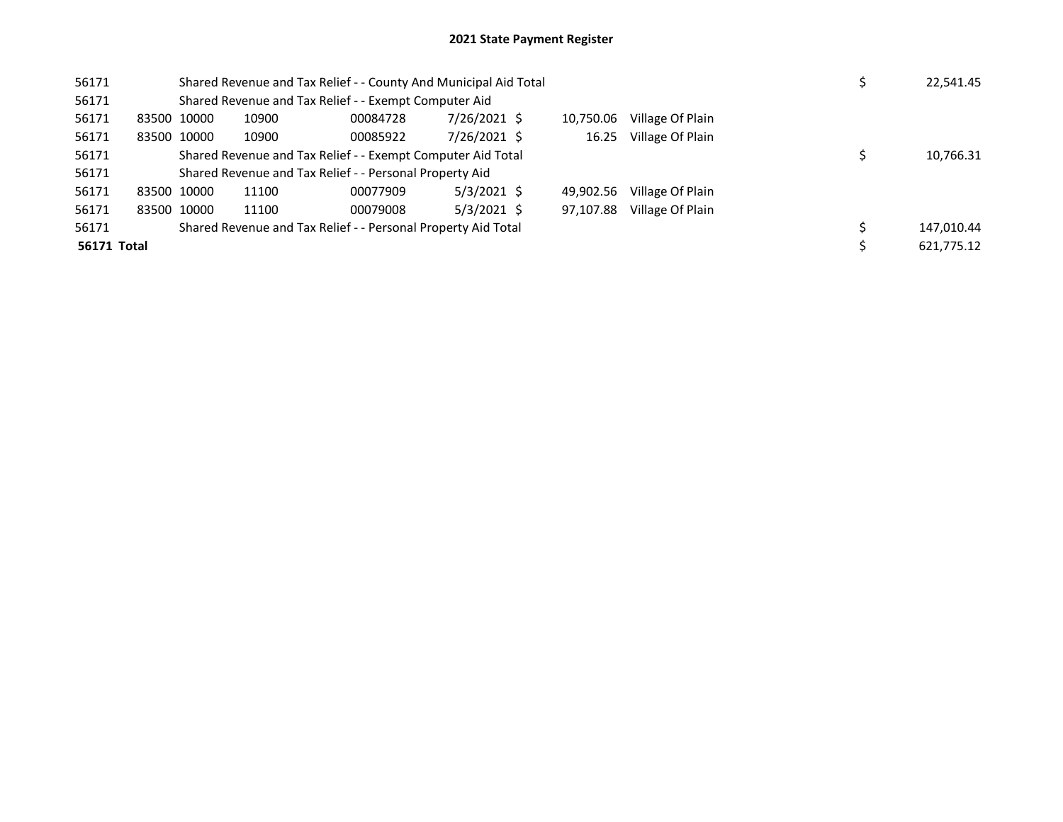| 56171 |                                                               | Shared Revenue and Tax Relief - - County And Municipal Aid Total |                                                         |          |               |  |           |                  |  |            | 22,541.45  |
|-------|---------------------------------------------------------------|------------------------------------------------------------------|---------------------------------------------------------|----------|---------------|--|-----------|------------------|--|------------|------------|
| 56171 |                                                               |                                                                  | Shared Revenue and Tax Relief - - Exempt Computer Aid   |          |               |  |           |                  |  |            |            |
| 56171 |                                                               | 83500 10000                                                      | 10900                                                   | 00084728 | 7/26/2021 \$  |  | 10,750.06 | Village Of Plain |  |            |            |
| 56171 |                                                               | 83500 10000                                                      | 10900                                                   | 00085922 | 7/26/2021 \$  |  | 16.25     | Village Of Plain |  |            |            |
| 56171 | Shared Revenue and Tax Relief - - Exempt Computer Aid Total   |                                                                  |                                                         |          |               |  |           |                  |  |            | 10,766.31  |
| 56171 |                                                               |                                                                  | Shared Revenue and Tax Relief - - Personal Property Aid |          |               |  |           |                  |  |            |            |
| 56171 |                                                               | 83500 10000                                                      | 11100                                                   | 00077909 | $5/3/2021$ \$ |  | 49.902.56 | Village Of Plain |  |            |            |
| 56171 |                                                               | 83500 10000                                                      | 11100                                                   | 00079008 | $5/3/2021$ \$ |  | 97.107.88 | Village Of Plain |  |            |            |
| 56171 | Shared Revenue and Tax Relief - - Personal Property Aid Total |                                                                  |                                                         |          |               |  |           |                  |  |            | 147.010.44 |
|       | 56171 Total                                                   |                                                                  |                                                         |          |               |  |           |                  |  | 621.775.12 |            |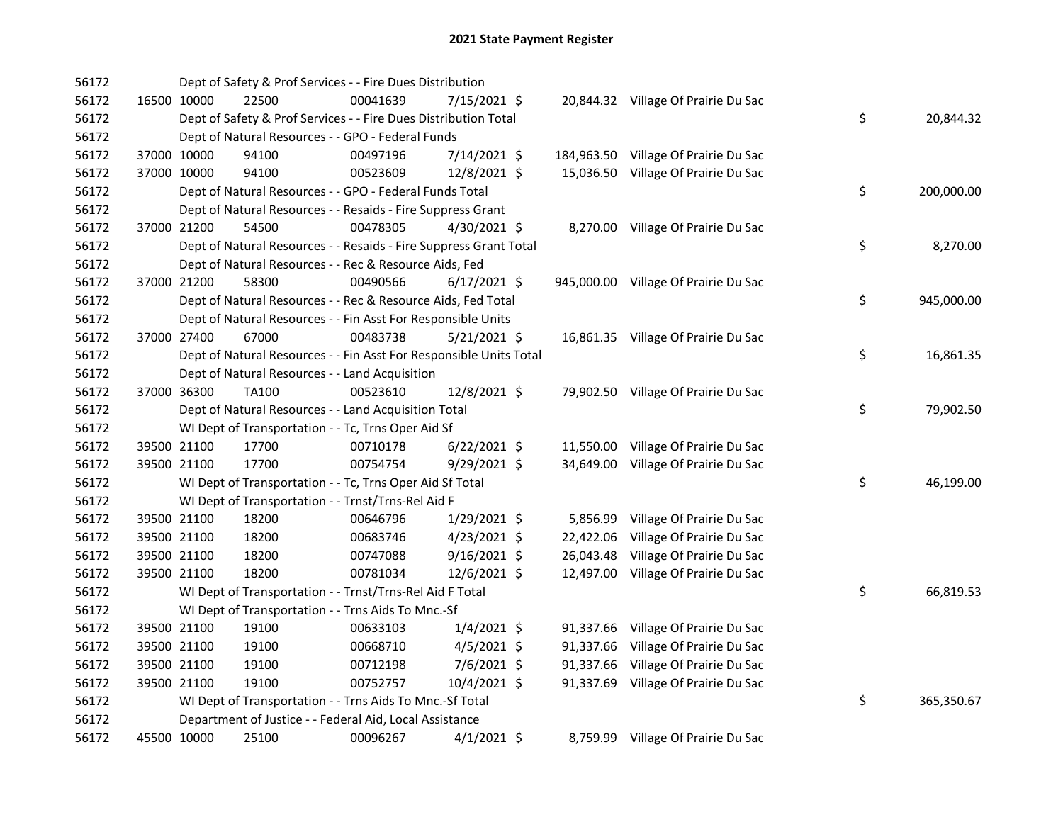| 56172 |             |             | Dept of Safety & Prof Services - - Fire Dues Distribution          |          |                |           |                                      |    |            |
|-------|-------------|-------------|--------------------------------------------------------------------|----------|----------------|-----------|--------------------------------------|----|------------|
| 56172 |             | 16500 10000 | 22500                                                              | 00041639 | 7/15/2021 \$   |           | 20,844.32 Village Of Prairie Du Sac  |    |            |
| 56172 |             |             | Dept of Safety & Prof Services - - Fire Dues Distribution Total    |          |                |           |                                      | \$ | 20,844.32  |
| 56172 |             |             | Dept of Natural Resources - - GPO - Federal Funds                  |          |                |           |                                      |    |            |
| 56172 |             | 37000 10000 | 94100                                                              | 00497196 | 7/14/2021 \$   |           | 184,963.50 Village Of Prairie Du Sac |    |            |
| 56172 |             | 37000 10000 | 94100                                                              | 00523609 | 12/8/2021 \$   |           | 15,036.50 Village Of Prairie Du Sac  |    |            |
| 56172 |             |             | Dept of Natural Resources - - GPO - Federal Funds Total            |          |                |           |                                      | \$ | 200,000.00 |
| 56172 |             |             | Dept of Natural Resources - - Resaids - Fire Suppress Grant        |          |                |           |                                      |    |            |
| 56172 |             | 37000 21200 | 54500                                                              | 00478305 | 4/30/2021 \$   |           | 8,270.00 Village Of Prairie Du Sac   |    |            |
| 56172 |             |             | Dept of Natural Resources - - Resaids - Fire Suppress Grant Total  |          |                |           |                                      | \$ | 8,270.00   |
| 56172 |             |             | Dept of Natural Resources - - Rec & Resource Aids, Fed             |          |                |           |                                      |    |            |
| 56172 |             | 37000 21200 | 58300                                                              | 00490566 | 6/17/2021 \$   |           | 945,000.00 Village Of Prairie Du Sac |    |            |
| 56172 |             |             | Dept of Natural Resources - - Rec & Resource Aids, Fed Total       |          |                |           |                                      | \$ | 945,000.00 |
| 56172 |             |             | Dept of Natural Resources - - Fin Asst For Responsible Units       |          |                |           |                                      |    |            |
| 56172 | 37000 27400 |             | 67000                                                              | 00483738 | $5/21/2021$ \$ |           | 16,861.35 Village Of Prairie Du Sac  |    |            |
| 56172 |             |             | Dept of Natural Resources - - Fin Asst For Responsible Units Total |          |                |           |                                      | \$ | 16,861.35  |
| 56172 |             |             | Dept of Natural Resources - - Land Acquisition                     |          |                |           |                                      |    |            |
| 56172 | 37000 36300 |             | <b>TA100</b>                                                       | 00523610 | 12/8/2021 \$   |           | 79,902.50 Village Of Prairie Du Sac  |    |            |
| 56172 |             |             | Dept of Natural Resources - - Land Acquisition Total               |          |                |           |                                      | \$ | 79,902.50  |
| 56172 |             |             | WI Dept of Transportation - - Tc, Trns Oper Aid Sf                 |          |                |           |                                      |    |            |
| 56172 |             | 39500 21100 | 17700                                                              | 00710178 | $6/22/2021$ \$ |           | 11,550.00 Village Of Prairie Du Sac  |    |            |
| 56172 |             | 39500 21100 | 17700                                                              | 00754754 | $9/29/2021$ \$ | 34,649.00 | Village Of Prairie Du Sac            |    |            |
| 56172 |             |             | WI Dept of Transportation - - Tc, Trns Oper Aid Sf Total           |          |                |           |                                      | \$ | 46,199.00  |
| 56172 |             |             | WI Dept of Transportation - - Trnst/Trns-Rel Aid F                 |          |                |           |                                      |    |            |
| 56172 |             | 39500 21100 | 18200                                                              | 00646796 | $1/29/2021$ \$ |           | 5,856.99 Village Of Prairie Du Sac   |    |            |
| 56172 |             | 39500 21100 | 18200                                                              | 00683746 | $4/23/2021$ \$ |           | 22,422.06 Village Of Prairie Du Sac  |    |            |
| 56172 | 39500 21100 |             | 18200                                                              | 00747088 | $9/16/2021$ \$ |           | 26,043.48 Village Of Prairie Du Sac  |    |            |
| 56172 | 39500 21100 |             | 18200                                                              | 00781034 | 12/6/2021 \$   |           | 12,497.00 Village Of Prairie Du Sac  |    |            |
| 56172 |             |             | WI Dept of Transportation - - Trnst/Trns-Rel Aid F Total           |          |                |           |                                      | \$ | 66,819.53  |
| 56172 |             |             | WI Dept of Transportation - - Trns Aids To Mnc.-Sf                 |          |                |           |                                      |    |            |
| 56172 |             | 39500 21100 | 19100                                                              | 00633103 | $1/4/2021$ \$  |           | 91,337.66 Village Of Prairie Du Sac  |    |            |
| 56172 |             | 39500 21100 | 19100                                                              | 00668710 | $4/5/2021$ \$  |           | 91,337.66 Village Of Prairie Du Sac  |    |            |
| 56172 | 39500 21100 |             | 19100                                                              | 00712198 | 7/6/2021 \$    |           | 91,337.66 Village Of Prairie Du Sac  |    |            |
| 56172 | 39500 21100 |             | 19100                                                              | 00752757 | 10/4/2021 \$   |           | 91,337.69 Village Of Prairie Du Sac  |    |            |
| 56172 |             |             | WI Dept of Transportation - - Trns Aids To Mnc.-Sf Total           |          |                |           |                                      | \$ | 365,350.67 |
| 56172 |             |             | Department of Justice - - Federal Aid, Local Assistance            |          |                |           |                                      |    |            |
| 56172 | 45500 10000 |             | 25100                                                              | 00096267 | $4/1/2021$ \$  |           | 8,759.99 Village Of Prairie Du Sac   |    |            |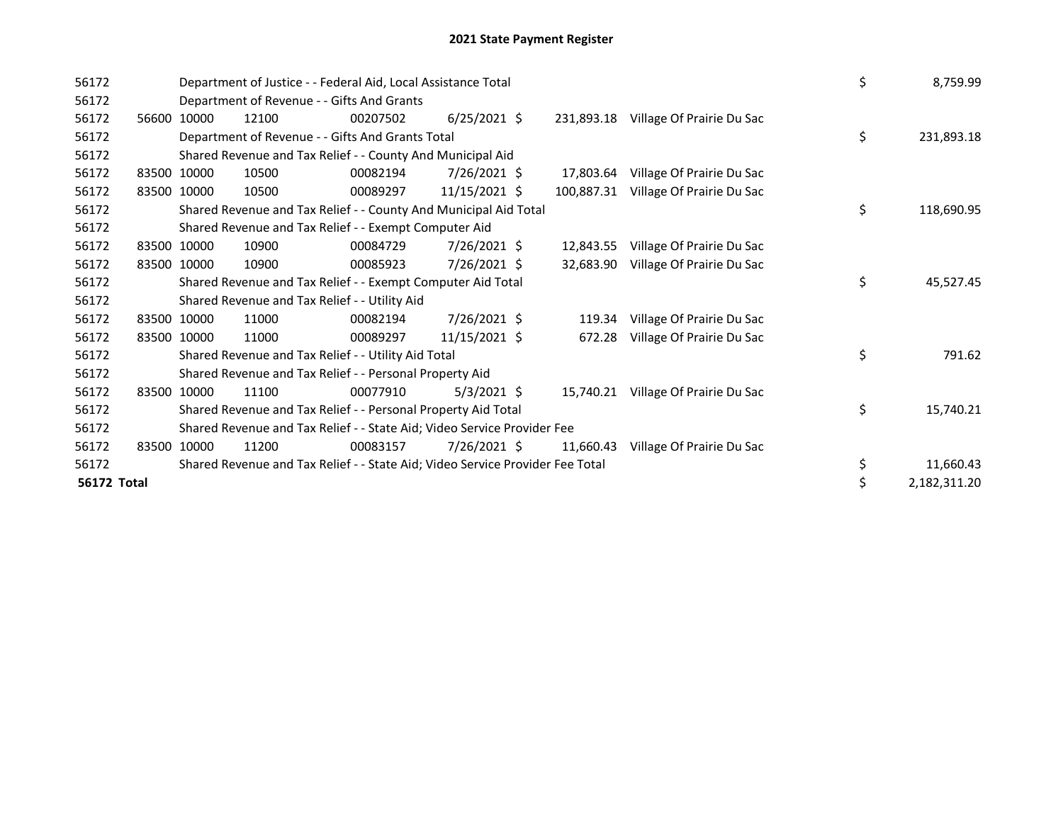| 56172              |       |             | Department of Justice - - Federal Aid, Local Assistance Total                 |          | \$             | 8,759.99   |                           |    |            |
|--------------------|-------|-------------|-------------------------------------------------------------------------------|----------|----------------|------------|---------------------------|----|------------|
| 56172              |       |             | Department of Revenue - - Gifts And Grants                                    |          |                |            |                           |    |            |
| 56172              | 56600 | 10000       | 12100                                                                         | 00207502 | $6/25/2021$ \$ | 231.893.18 | Village Of Prairie Du Sac |    |            |
| 56172              |       |             | Department of Revenue - - Gifts And Grants Total                              |          |                |            |                           | \$ | 231,893.18 |
| 56172              |       |             | Shared Revenue and Tax Relief - - County And Municipal Aid                    |          |                |            |                           |    |            |
| 56172              |       | 83500 10000 | 10500                                                                         | 00082194 | 7/26/2021 \$   | 17,803.64  | Village Of Prairie Du Sac |    |            |
| 56172              |       | 83500 10000 | 10500                                                                         | 00089297 | 11/15/2021 \$  | 100,887.31 | Village Of Prairie Du Sac |    |            |
| 56172              |       |             | Shared Revenue and Tax Relief - - County And Municipal Aid Total              |          |                |            |                           | \$ | 118,690.95 |
| 56172              |       |             | Shared Revenue and Tax Relief - - Exempt Computer Aid                         |          |                |            |                           |    |            |
| 56172              |       | 83500 10000 | 10900                                                                         | 00084729 | 7/26/2021 \$   | 12,843.55  | Village Of Prairie Du Sac |    |            |
| 56172              | 83500 | 10000       | 10900                                                                         | 00085923 | 7/26/2021 \$   | 32.683.90  | Village Of Prairie Du Sac |    |            |
| 56172              |       |             | Shared Revenue and Tax Relief - - Exempt Computer Aid Total                   |          |                |            |                           | \$ | 45,527.45  |
| 56172              |       |             | Shared Revenue and Tax Relief - - Utility Aid                                 |          |                |            |                           |    |            |
| 56172              |       | 83500 10000 | 11000                                                                         | 00082194 | 7/26/2021 \$   | 119.34     | Village Of Prairie Du Sac |    |            |
| 56172              |       | 83500 10000 | 11000                                                                         | 00089297 | 11/15/2021 \$  | 672.28     | Village Of Prairie Du Sac |    |            |
| 56172              |       |             | Shared Revenue and Tax Relief - - Utility Aid Total                           |          |                |            |                           | \$ | 791.62     |
| 56172              |       |             | Shared Revenue and Tax Relief - - Personal Property Aid                       |          |                |            |                           |    |            |
| 56172              |       | 83500 10000 | 11100                                                                         | 00077910 | $5/3/2021$ \$  | 15,740.21  | Village Of Prairie Du Sac |    |            |
| 56172              |       |             | Shared Revenue and Tax Relief - - Personal Property Aid Total                 |          |                |            |                           | \$ | 15,740.21  |
| 56172              |       |             | Shared Revenue and Tax Relief - - State Aid; Video Service Provider Fee       |          |                |            |                           |    |            |
| 56172              | 83500 | 10000       | 11200                                                                         | 00083157 | 7/26/2021 \$   | 11,660.43  | Village Of Prairie Du Sac |    |            |
| 56172              |       |             | Shared Revenue and Tax Relief - - State Aid; Video Service Provider Fee Total |          |                |            |                           | \$ | 11,660.43  |
| <b>56172 Total</b> |       | \$          | 2,182,311.20                                                                  |          |                |            |                           |    |            |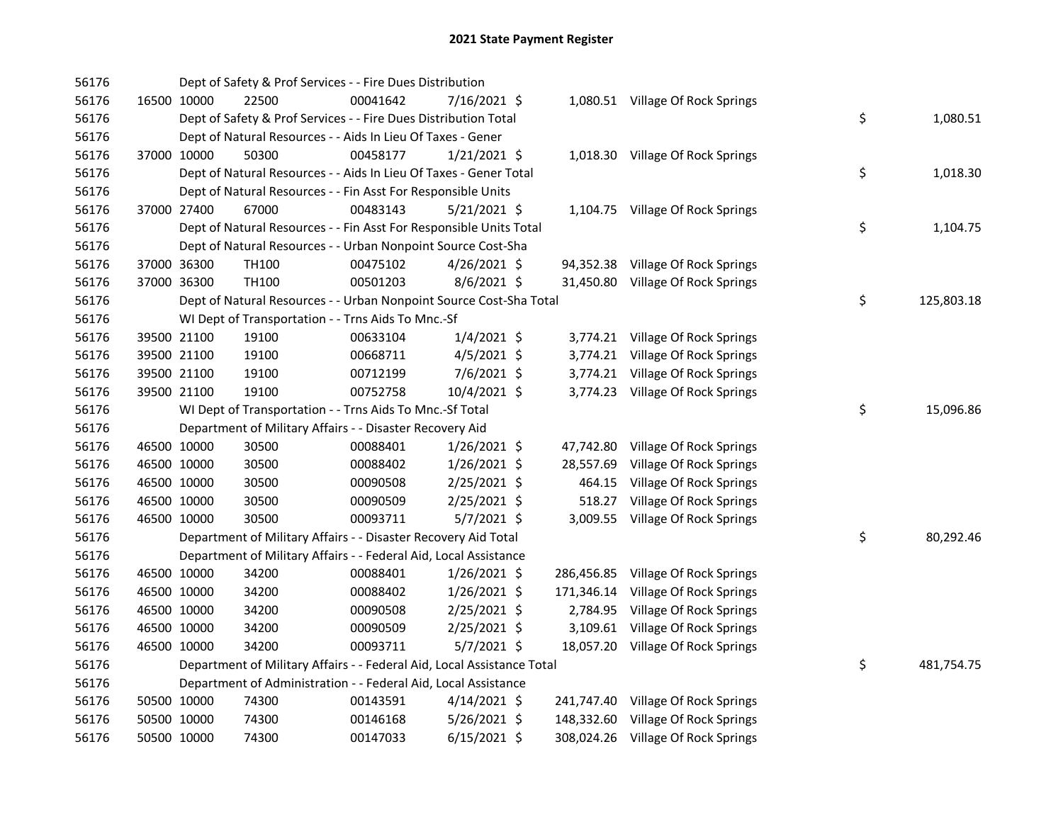| 56176 |             |             | Dept of Safety & Prof Services - - Fire Dues Distribution              |          |                |           |                                    |    |            |
|-------|-------------|-------------|------------------------------------------------------------------------|----------|----------------|-----------|------------------------------------|----|------------|
| 56176 | 16500 10000 |             | 22500                                                                  | 00041642 | 7/16/2021 \$   |           | 1,080.51 Village Of Rock Springs   |    |            |
| 56176 |             |             | Dept of Safety & Prof Services - - Fire Dues Distribution Total        |          |                |           |                                    | \$ | 1,080.51   |
| 56176 |             |             | Dept of Natural Resources - - Aids In Lieu Of Taxes - Gener            |          |                |           |                                    |    |            |
| 56176 |             | 37000 10000 | 50300                                                                  | 00458177 | $1/21/2021$ \$ |           | 1,018.30 Village Of Rock Springs   |    |            |
| 56176 |             |             | Dept of Natural Resources - - Aids In Lieu Of Taxes - Gener Total      |          |                |           |                                    | \$ | 1,018.30   |
| 56176 |             |             | Dept of Natural Resources - - Fin Asst For Responsible Units           |          |                |           |                                    |    |            |
| 56176 | 37000 27400 |             | 67000                                                                  | 00483143 | $5/21/2021$ \$ |           | 1,104.75 Village Of Rock Springs   |    |            |
| 56176 |             |             | Dept of Natural Resources - - Fin Asst For Responsible Units Total     |          |                |           |                                    | \$ | 1,104.75   |
| 56176 |             |             | Dept of Natural Resources - - Urban Nonpoint Source Cost-Sha           |          |                |           |                                    |    |            |
| 56176 |             | 37000 36300 | TH100                                                                  | 00475102 | $4/26/2021$ \$ | 94,352.38 | Village Of Rock Springs            |    |            |
| 56176 | 37000 36300 |             | TH100                                                                  | 00501203 | $8/6/2021$ \$  | 31,450.80 | Village Of Rock Springs            |    |            |
| 56176 |             |             | Dept of Natural Resources - - Urban Nonpoint Source Cost-Sha Total     |          |                |           |                                    | \$ | 125,803.18 |
| 56176 |             |             | WI Dept of Transportation - - Trns Aids To Mnc.-Sf                     |          |                |           |                                    |    |            |
| 56176 | 39500 21100 |             | 19100                                                                  | 00633104 | $1/4/2021$ \$  |           | 3,774.21 Village Of Rock Springs   |    |            |
| 56176 |             | 39500 21100 | 19100                                                                  | 00668711 | $4/5/2021$ \$  |           | 3,774.21 Village Of Rock Springs   |    |            |
| 56176 | 39500 21100 |             | 19100                                                                  | 00712199 | $7/6/2021$ \$  |           | 3,774.21 Village Of Rock Springs   |    |            |
| 56176 |             | 39500 21100 | 19100                                                                  | 00752758 | 10/4/2021 \$   |           | 3,774.23 Village Of Rock Springs   |    |            |
| 56176 |             |             | WI Dept of Transportation - - Trns Aids To Mnc.-Sf Total               |          |                |           |                                    | \$ | 15,096.86  |
| 56176 |             |             | Department of Military Affairs - - Disaster Recovery Aid               |          |                |           |                                    |    |            |
| 56176 | 46500 10000 |             | 30500                                                                  | 00088401 | $1/26/2021$ \$ | 47,742.80 | Village Of Rock Springs            |    |            |
| 56176 | 46500 10000 |             | 30500                                                                  | 00088402 | $1/26/2021$ \$ | 28,557.69 | Village Of Rock Springs            |    |            |
| 56176 | 46500 10000 |             | 30500                                                                  | 00090508 | 2/25/2021 \$   | 464.15    | Village Of Rock Springs            |    |            |
| 56176 | 46500 10000 |             | 30500                                                                  | 00090509 | 2/25/2021 \$   | 518.27    | Village Of Rock Springs            |    |            |
| 56176 | 46500 10000 |             | 30500                                                                  | 00093711 | $5/7/2021$ \$  |           | 3,009.55 Village Of Rock Springs   |    |            |
| 56176 |             |             | Department of Military Affairs - - Disaster Recovery Aid Total         |          |                |           |                                    | \$ | 80,292.46  |
| 56176 |             |             | Department of Military Affairs - - Federal Aid, Local Assistance       |          |                |           |                                    |    |            |
| 56176 |             | 46500 10000 | 34200                                                                  | 00088401 | $1/26/2021$ \$ |           | 286,456.85 Village Of Rock Springs |    |            |
| 56176 |             | 46500 10000 | 34200                                                                  | 00088402 | $1/26/2021$ \$ |           | 171,346.14 Village Of Rock Springs |    |            |
| 56176 | 46500 10000 |             | 34200                                                                  | 00090508 | $2/25/2021$ \$ |           | 2,784.95 Village Of Rock Springs   |    |            |
| 56176 | 46500 10000 |             | 34200                                                                  | 00090509 | 2/25/2021 \$   |           | 3,109.61 Village Of Rock Springs   |    |            |
| 56176 | 46500 10000 |             | 34200                                                                  | 00093711 | $5/7/2021$ \$  |           | 18,057.20 Village Of Rock Springs  |    |            |
| 56176 |             |             | Department of Military Affairs - - Federal Aid, Local Assistance Total |          |                |           |                                    | \$ | 481,754.75 |
| 56176 |             |             | Department of Administration - - Federal Aid, Local Assistance         |          |                |           |                                    |    |            |
| 56176 |             | 50500 10000 | 74300                                                                  | 00143591 | $4/14/2021$ \$ |           | 241,747.40 Village Of Rock Springs |    |            |
| 56176 | 50500 10000 |             | 74300                                                                  | 00146168 | $5/26/2021$ \$ |           | 148,332.60 Village Of Rock Springs |    |            |
| 56176 | 50500 10000 |             | 74300                                                                  | 00147033 | $6/15/2021$ \$ |           | 308,024.26 Village Of Rock Springs |    |            |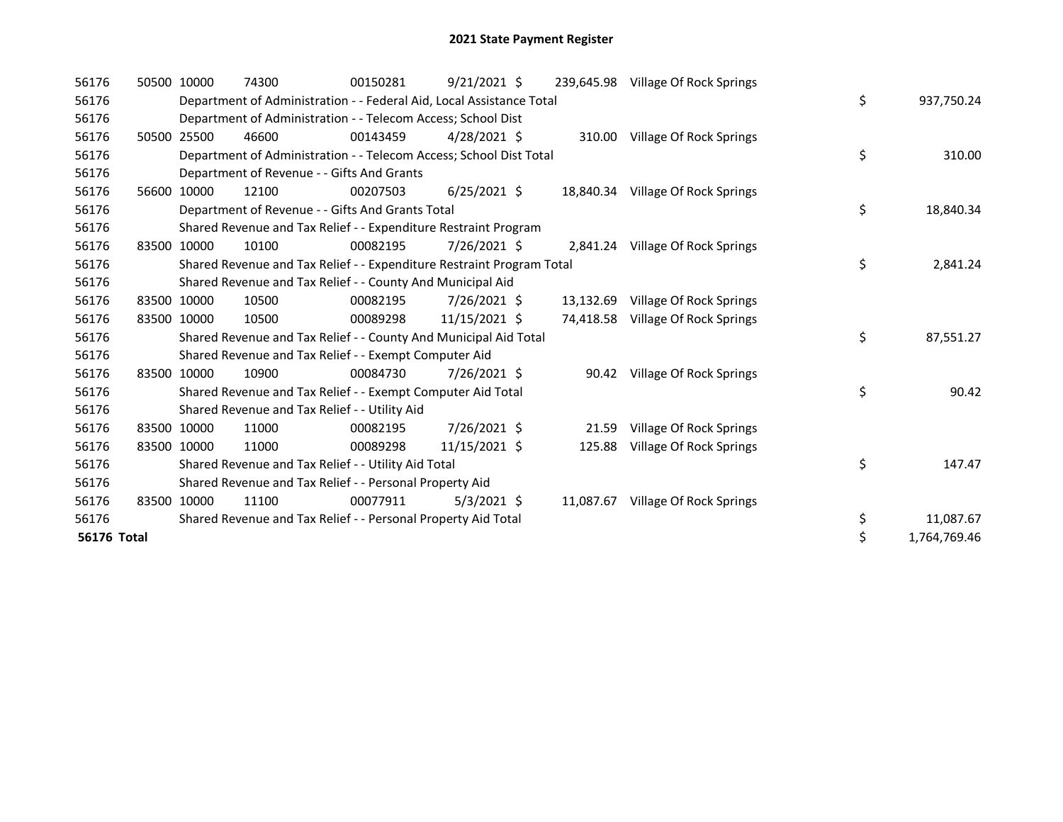| 56176              | 50500 10000 |             | 74300                                                                 | 00150281 | $9/21/2021$ \$ |           | 239,645.98 Village Of Rock Springs |    |              |
|--------------------|-------------|-------------|-----------------------------------------------------------------------|----------|----------------|-----------|------------------------------------|----|--------------|
| 56176              |             |             | Department of Administration - - Federal Aid, Local Assistance Total  |          |                |           |                                    | \$ | 937,750.24   |
| 56176              |             |             | Department of Administration - - Telecom Access; School Dist          |          |                |           |                                    |    |              |
| 56176              | 50500       | 25500       | 46600                                                                 | 00143459 | 4/28/2021 \$   |           | 310.00 Village Of Rock Springs     |    |              |
| 56176              |             |             | Department of Administration - - Telecom Access; School Dist Total    |          |                |           |                                    | \$ | 310.00       |
| 56176              |             |             | Department of Revenue - - Gifts And Grants                            |          |                |           |                                    |    |              |
| 56176              | 56600       | 10000       | 12100                                                                 | 00207503 | $6/25/2021$ \$ |           | 18,840.34 Village Of Rock Springs  |    |              |
| 56176              |             |             | Department of Revenue - - Gifts And Grants Total                      |          |                |           |                                    | \$ | 18,840.34    |
| 56176              |             |             | Shared Revenue and Tax Relief - - Expenditure Restraint Program       |          |                |           |                                    |    |              |
| 56176              |             | 83500 10000 | 10100                                                                 | 00082195 | 7/26/2021 \$   | 2.841.24  | Village Of Rock Springs            |    |              |
| 56176              |             |             | Shared Revenue and Tax Relief - - Expenditure Restraint Program Total |          |                |           |                                    | \$ | 2,841.24     |
| 56176              |             |             | Shared Revenue and Tax Relief - - County And Municipal Aid            |          |                |           |                                    |    |              |
| 56176              |             | 83500 10000 | 10500                                                                 | 00082195 | 7/26/2021 \$   | 13,132.69 | Village Of Rock Springs            |    |              |
| 56176              |             | 83500 10000 | 10500                                                                 | 00089298 | 11/15/2021 \$  | 74,418.58 | Village Of Rock Springs            |    |              |
| 56176              |             |             | Shared Revenue and Tax Relief - - County And Municipal Aid Total      |          |                |           |                                    | \$ | 87,551.27    |
| 56176              |             |             | Shared Revenue and Tax Relief - - Exempt Computer Aid                 |          |                |           |                                    |    |              |
| 56176              |             | 83500 10000 | 10900                                                                 | 00084730 | 7/26/2021 \$   | 90.42     | Village Of Rock Springs            |    |              |
| 56176              |             |             | Shared Revenue and Tax Relief - - Exempt Computer Aid Total           |          |                |           |                                    | \$ | 90.42        |
| 56176              |             |             | Shared Revenue and Tax Relief - - Utility Aid                         |          |                |           |                                    |    |              |
| 56176              | 83500 10000 |             | 11000                                                                 | 00082195 | 7/26/2021 \$   | 21.59     | Village Of Rock Springs            |    |              |
| 56176              | 83500 10000 |             | 11000                                                                 | 00089298 | 11/15/2021 \$  | 125.88    | Village Of Rock Springs            |    |              |
| 56176              |             |             | Shared Revenue and Tax Relief - - Utility Aid Total                   |          |                |           |                                    | \$ | 147.47       |
| 56176              |             |             | Shared Revenue and Tax Relief - - Personal Property Aid               |          |                |           |                                    |    |              |
| 56176              |             | 83500 10000 | 11100                                                                 | 00077911 | $5/3/2021$ \$  | 11,087.67 | Village Of Rock Springs            |    |              |
| 56176              |             |             | Shared Revenue and Tax Relief - - Personal Property Aid Total         |          |                |           |                                    | \$ | 11,087.67    |
| <b>56176 Total</b> |             |             |                                                                       |          |                |           |                                    | \$ | 1,764,769.46 |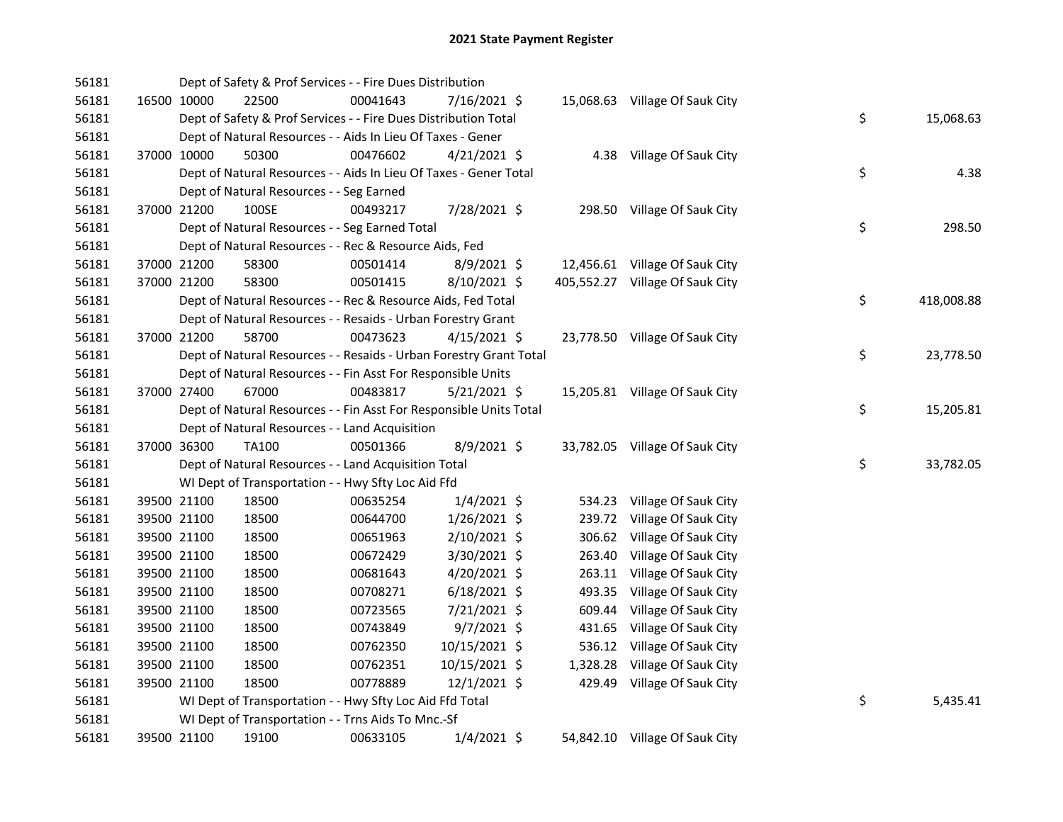| 56181 |             | Dept of Safety & Prof Services - - Fire Dues Distribution          |          |                |          |                                 |    |            |
|-------|-------------|--------------------------------------------------------------------|----------|----------------|----------|---------------------------------|----|------------|
| 56181 | 16500 10000 | 22500                                                              | 00041643 | 7/16/2021 \$   |          | 15,068.63 Village Of Sauk City  |    |            |
| 56181 |             | Dept of Safety & Prof Services - - Fire Dues Distribution Total    |          |                |          |                                 | \$ | 15,068.63  |
| 56181 |             | Dept of Natural Resources - - Aids In Lieu Of Taxes - Gener        |          |                |          |                                 |    |            |
| 56181 | 37000 10000 | 50300                                                              | 00476602 | $4/21/2021$ \$ |          | 4.38 Village Of Sauk City       |    |            |
| 56181 |             | Dept of Natural Resources - - Aids In Lieu Of Taxes - Gener Total  |          |                |          |                                 | \$ | 4.38       |
| 56181 |             | Dept of Natural Resources - - Seg Earned                           |          |                |          |                                 |    |            |
| 56181 | 37000 21200 | 100SE                                                              | 00493217 | 7/28/2021 \$   |          | 298.50 Village Of Sauk City     |    |            |
| 56181 |             | Dept of Natural Resources - - Seg Earned Total                     |          |                |          |                                 | \$ | 298.50     |
| 56181 |             | Dept of Natural Resources - - Rec & Resource Aids, Fed             |          |                |          |                                 |    |            |
| 56181 | 37000 21200 | 58300                                                              | 00501414 | 8/9/2021 \$    |          | 12,456.61 Village Of Sauk City  |    |            |
| 56181 | 37000 21200 | 58300                                                              | 00501415 | 8/10/2021 \$   |          | 405,552.27 Village Of Sauk City |    |            |
| 56181 |             | Dept of Natural Resources - - Rec & Resource Aids, Fed Total       |          |                |          |                                 | \$ | 418,008.88 |
| 56181 |             | Dept of Natural Resources - - Resaids - Urban Forestry Grant       |          |                |          |                                 |    |            |
| 56181 | 37000 21200 | 58700                                                              | 00473623 | $4/15/2021$ \$ |          | 23,778.50 Village Of Sauk City  |    |            |
| 56181 |             | Dept of Natural Resources - - Resaids - Urban Forestry Grant Total |          |                |          |                                 | \$ | 23,778.50  |
| 56181 |             | Dept of Natural Resources - - Fin Asst For Responsible Units       |          |                |          |                                 |    |            |
| 56181 | 37000 27400 | 67000                                                              | 00483817 | $5/21/2021$ \$ |          | 15,205.81 Village Of Sauk City  |    |            |
| 56181 |             | Dept of Natural Resources - - Fin Asst For Responsible Units Total |          |                |          |                                 | \$ | 15,205.81  |
| 56181 |             | Dept of Natural Resources - - Land Acquisition                     |          |                |          |                                 |    |            |
| 56181 | 37000 36300 | <b>TA100</b>                                                       | 00501366 | 8/9/2021 \$    |          | 33,782.05 Village Of Sauk City  |    |            |
| 56181 |             | Dept of Natural Resources - - Land Acquisition Total               |          |                |          |                                 | \$ | 33,782.05  |
| 56181 |             | WI Dept of Transportation - - Hwy Sfty Loc Aid Ffd                 |          |                |          |                                 |    |            |
| 56181 | 39500 21100 | 18500                                                              | 00635254 | $1/4/2021$ \$  | 534.23   | Village Of Sauk City            |    |            |
| 56181 | 39500 21100 | 18500                                                              | 00644700 | $1/26/2021$ \$ | 239.72   | Village Of Sauk City            |    |            |
| 56181 | 39500 21100 | 18500                                                              | 00651963 | 2/10/2021 \$   | 306.62   | Village Of Sauk City            |    |            |
| 56181 | 39500 21100 | 18500                                                              | 00672429 | 3/30/2021 \$   | 263.40   | Village Of Sauk City            |    |            |
| 56181 | 39500 21100 | 18500                                                              | 00681643 | 4/20/2021 \$   | 263.11   | Village Of Sauk City            |    |            |
| 56181 | 39500 21100 | 18500                                                              | 00708271 | $6/18/2021$ \$ | 493.35   | Village Of Sauk City            |    |            |
| 56181 | 39500 21100 | 18500                                                              | 00723565 | 7/21/2021 \$   | 609.44   | Village Of Sauk City            |    |            |
| 56181 | 39500 21100 | 18500                                                              | 00743849 | $9/7/2021$ \$  | 431.65   | Village Of Sauk City            |    |            |
| 56181 | 39500 21100 | 18500                                                              | 00762350 | 10/15/2021 \$  | 536.12   | Village Of Sauk City            |    |            |
| 56181 | 39500 21100 | 18500                                                              | 00762351 | 10/15/2021 \$  | 1,328.28 | Village Of Sauk City            |    |            |
| 56181 | 39500 21100 | 18500                                                              | 00778889 | $12/1/2021$ \$ | 429.49   | Village Of Sauk City            |    |            |
| 56181 |             | WI Dept of Transportation - - Hwy Sfty Loc Aid Ffd Total           |          |                |          |                                 | \$ | 5,435.41   |
| 56181 |             | WI Dept of Transportation - - Trns Aids To Mnc.-Sf                 |          |                |          |                                 |    |            |
| 56181 | 39500 21100 | 19100                                                              | 00633105 | $1/4/2021$ \$  |          | 54,842.10 Village Of Sauk City  |    |            |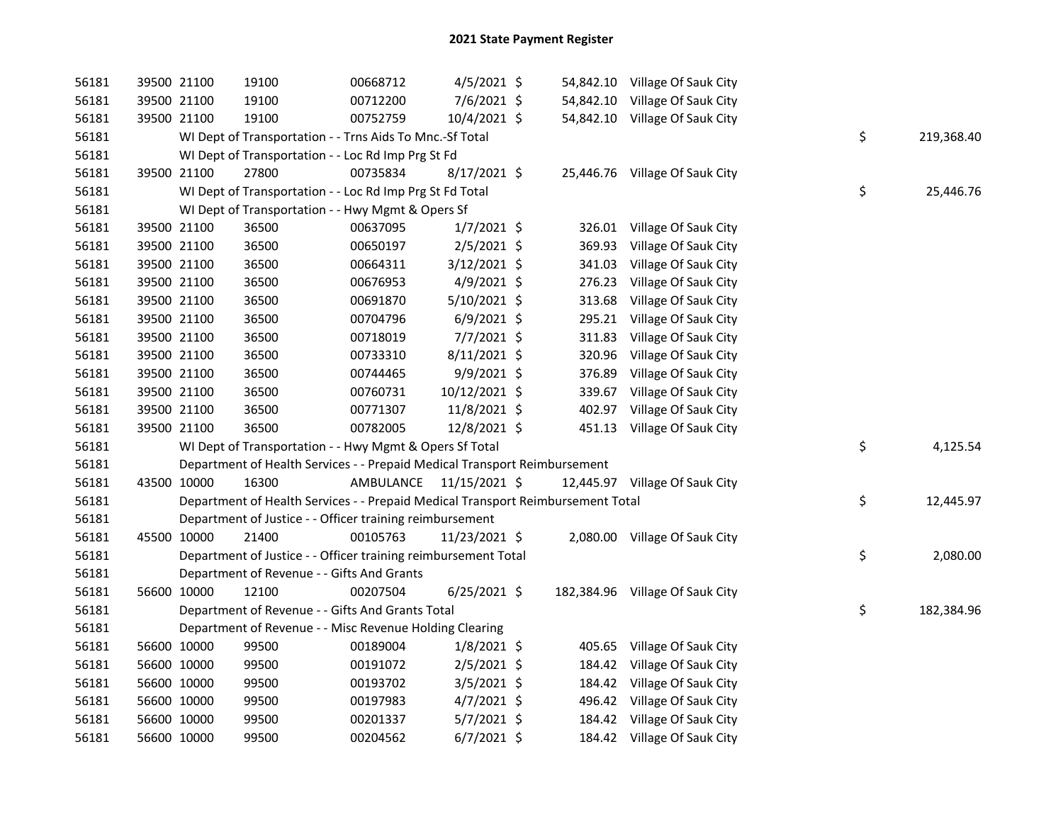| 56181 | 39500 21100 | 19100                                                                           | 00668712                | $4/5/2021$ \$  |        | 54,842.10 Village Of Sauk City  |    |            |
|-------|-------------|---------------------------------------------------------------------------------|-------------------------|----------------|--------|---------------------------------|----|------------|
| 56181 | 39500 21100 | 19100                                                                           | 00712200                | 7/6/2021 \$    |        | 54,842.10 Village Of Sauk City  |    |            |
| 56181 | 39500 21100 | 19100                                                                           | 00752759                | 10/4/2021 \$   |        | 54,842.10 Village Of Sauk City  |    |            |
| 56181 |             | WI Dept of Transportation - - Trns Aids To Mnc.-Sf Total                        |                         |                |        |                                 | \$ | 219,368.40 |
| 56181 |             | WI Dept of Transportation - - Loc Rd Imp Prg St Fd                              |                         |                |        |                                 |    |            |
| 56181 | 39500 21100 | 27800                                                                           | 00735834                | $8/17/2021$ \$ |        | 25,446.76 Village Of Sauk City  |    |            |
| 56181 |             | WI Dept of Transportation - - Loc Rd Imp Prg St Fd Total                        |                         |                |        |                                 | \$ | 25,446.76  |
| 56181 |             | WI Dept of Transportation - - Hwy Mgmt & Opers Sf                               |                         |                |        |                                 |    |            |
| 56181 | 39500 21100 | 36500                                                                           | 00637095                | $1/7/2021$ \$  |        | 326.01 Village Of Sauk City     |    |            |
| 56181 | 39500 21100 | 36500                                                                           | 00650197                | $2/5/2021$ \$  | 369.93 | Village Of Sauk City            |    |            |
| 56181 | 39500 21100 | 36500                                                                           | 00664311                | $3/12/2021$ \$ | 341.03 | Village Of Sauk City            |    |            |
| 56181 | 39500 21100 | 36500                                                                           | 00676953                | $4/9/2021$ \$  | 276.23 | Village Of Sauk City            |    |            |
| 56181 | 39500 21100 | 36500                                                                           | 00691870                | $5/10/2021$ \$ | 313.68 | Village Of Sauk City            |    |            |
| 56181 | 39500 21100 | 36500                                                                           | 00704796                | $6/9/2021$ \$  | 295.21 | Village Of Sauk City            |    |            |
| 56181 | 39500 21100 | 36500                                                                           | 00718019                | $7/7/2021$ \$  | 311.83 | Village Of Sauk City            |    |            |
| 56181 | 39500 21100 | 36500                                                                           | 00733310                | $8/11/2021$ \$ | 320.96 | Village Of Sauk City            |    |            |
| 56181 | 39500 21100 | 36500                                                                           | 00744465                | $9/9/2021$ \$  | 376.89 | Village Of Sauk City            |    |            |
| 56181 | 39500 21100 | 36500                                                                           | 00760731                | 10/12/2021 \$  | 339.67 | Village Of Sauk City            |    |            |
| 56181 | 39500 21100 | 36500                                                                           | 00771307                | 11/8/2021 \$   |        | 402.97 Village Of Sauk City     |    |            |
| 56181 | 39500 21100 | 36500                                                                           | 00782005                | 12/8/2021 \$   |        | 451.13 Village Of Sauk City     |    |            |
| 56181 |             | WI Dept of Transportation - - Hwy Mgmt & Opers Sf Total                         |                         |                |        |                                 | \$ | 4,125.54   |
| 56181 |             | Department of Health Services - - Prepaid Medical Transport Reimbursement       |                         |                |        |                                 |    |            |
| 56181 | 43500 10000 | 16300                                                                           | AMBULANCE 11/15/2021 \$ |                |        | 12,445.97 Village Of Sauk City  |    |            |
| 56181 |             | Department of Health Services - - Prepaid Medical Transport Reimbursement Total |                         |                |        |                                 | \$ | 12,445.97  |
| 56181 |             | Department of Justice - - Officer training reimbursement                        |                         |                |        |                                 |    |            |
| 56181 | 45500 10000 | 21400                                                                           | 00105763                | 11/23/2021 \$  |        | 2,080.00 Village Of Sauk City   |    |            |
| 56181 |             | Department of Justice - - Officer training reimbursement Total                  |                         |                |        |                                 | \$ | 2,080.00   |
| 56181 |             | Department of Revenue - - Gifts And Grants                                      |                         |                |        |                                 |    |            |
| 56181 | 56600 10000 | 12100                                                                           | 00207504                | $6/25/2021$ \$ |        | 182,384.96 Village Of Sauk City |    |            |
| 56181 |             | Department of Revenue - - Gifts And Grants Total                                |                         |                |        |                                 | \$ | 182,384.96 |
| 56181 |             | Department of Revenue - - Misc Revenue Holding Clearing                         |                         |                |        |                                 |    |            |
| 56181 | 56600 10000 | 99500                                                                           | 00189004                | $1/8/2021$ \$  | 405.65 | Village Of Sauk City            |    |            |
| 56181 | 56600 10000 | 99500                                                                           | 00191072                | $2/5/2021$ \$  | 184.42 | Village Of Sauk City            |    |            |
|       |             |                                                                                 |                         |                |        |                                 |    |            |
| 56181 | 56600 10000 | 99500                                                                           | 00193702                | $3/5/2021$ \$  | 184.42 | Village Of Sauk City            |    |            |
| 56181 | 56600 10000 | 99500                                                                           | 00197983                | $4/7/2021$ \$  |        | 496.42 Village Of Sauk City     |    |            |
| 56181 | 56600 10000 | 99500                                                                           | 00201337                | $5/7/2021$ \$  |        | 184.42 Village Of Sauk City     |    |            |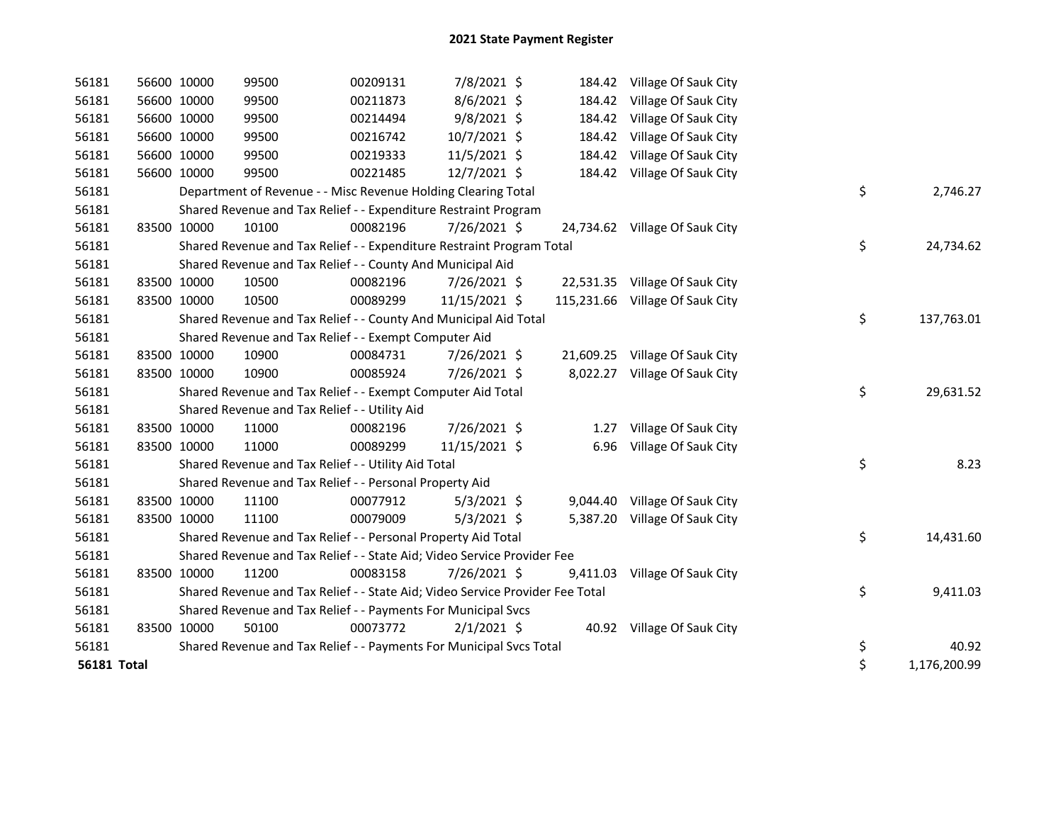| 56181       | 56600 10000 |             | 99500                                                                         | 00209131 | 7/8/2021 \$    |          | 184.42 Village Of Sauk City     |                    |
|-------------|-------------|-------------|-------------------------------------------------------------------------------|----------|----------------|----------|---------------------------------|--------------------|
| 56181       | 56600 10000 |             | 99500                                                                         | 00211873 | 8/6/2021 \$    |          | 184.42 Village Of Sauk City     |                    |
| 56181       | 56600 10000 |             | 99500                                                                         | 00214494 | 9/8/2021 \$    |          | 184.42 Village Of Sauk City     |                    |
| 56181       | 56600 10000 |             | 99500                                                                         | 00216742 | 10/7/2021 \$   |          | 184.42 Village Of Sauk City     |                    |
| 56181       | 56600 10000 |             | 99500                                                                         | 00219333 | $11/5/2021$ \$ |          | 184.42 Village Of Sauk City     |                    |
| 56181       | 56600 10000 |             | 99500                                                                         | 00221485 | 12/7/2021 \$   |          | 184.42 Village Of Sauk City     |                    |
| 56181       |             |             | Department of Revenue - - Misc Revenue Holding Clearing Total                 |          |                |          |                                 | \$<br>2,746.27     |
| 56181       |             |             | Shared Revenue and Tax Relief - - Expenditure Restraint Program               |          |                |          |                                 |                    |
| 56181       | 83500 10000 |             | 10100                                                                         | 00082196 | 7/26/2021 \$   |          | 24,734.62 Village Of Sauk City  |                    |
| 56181       |             |             | Shared Revenue and Tax Relief - - Expenditure Restraint Program Total         |          |                |          |                                 | \$<br>24,734.62    |
| 56181       |             |             | Shared Revenue and Tax Relief - - County And Municipal Aid                    |          |                |          |                                 |                    |
| 56181       | 83500 10000 |             | 10500                                                                         | 00082196 | 7/26/2021 \$   |          | 22,531.35 Village Of Sauk City  |                    |
| 56181       | 83500 10000 |             | 10500                                                                         | 00089299 | 11/15/2021 \$  |          | 115,231.66 Village Of Sauk City |                    |
| 56181       |             |             | Shared Revenue and Tax Relief - - County And Municipal Aid Total              |          |                |          |                                 | \$<br>137,763.01   |
| 56181       |             |             | Shared Revenue and Tax Relief - - Exempt Computer Aid                         |          |                |          |                                 |                    |
| 56181       | 83500 10000 |             | 10900                                                                         | 00084731 | 7/26/2021 \$   |          | 21,609.25 Village Of Sauk City  |                    |
| 56181       |             | 83500 10000 | 10900                                                                         | 00085924 | 7/26/2021 \$   |          | 8,022.27 Village Of Sauk City   |                    |
| 56181       |             |             | Shared Revenue and Tax Relief - - Exempt Computer Aid Total                   |          |                |          |                                 | \$<br>29,631.52    |
| 56181       |             |             | Shared Revenue and Tax Relief - - Utility Aid                                 |          |                |          |                                 |                    |
| 56181       | 83500 10000 |             | 11000                                                                         | 00082196 | 7/26/2021 \$   | 1.27     | Village Of Sauk City            |                    |
| 56181       |             | 83500 10000 | 11000                                                                         | 00089299 | 11/15/2021 \$  | 6.96     | Village Of Sauk City            |                    |
| 56181       |             |             | Shared Revenue and Tax Relief - - Utility Aid Total                           |          |                |          |                                 | \$<br>8.23         |
| 56181       |             |             | Shared Revenue and Tax Relief - - Personal Property Aid                       |          |                |          |                                 |                    |
| 56181       | 83500 10000 |             | 11100                                                                         | 00077912 | $5/3/2021$ \$  |          | 9,044.40 Village Of Sauk City   |                    |
| 56181       | 83500 10000 |             | 11100                                                                         | 00079009 | $5/3/2021$ \$  |          | 5,387.20 Village Of Sauk City   |                    |
| 56181       |             |             | Shared Revenue and Tax Relief - - Personal Property Aid Total                 |          |                |          |                                 | \$<br>14,431.60    |
| 56181       |             |             | Shared Revenue and Tax Relief - - State Aid; Video Service Provider Fee       |          |                |          |                                 |                    |
| 56181       |             | 83500 10000 | 11200                                                                         | 00083158 | 7/26/2021 \$   | 9,411.03 | Village Of Sauk City            |                    |
| 56181       |             |             | Shared Revenue and Tax Relief - - State Aid; Video Service Provider Fee Total |          |                |          |                                 | \$<br>9,411.03     |
| 56181       |             |             | Shared Revenue and Tax Relief - - Payments For Municipal Svcs                 |          |                |          |                                 |                    |
| 56181       | 83500 10000 |             | 50100                                                                         | 00073772 | $2/1/2021$ \$  |          | 40.92 Village Of Sauk City      |                    |
| 56181       |             |             | Shared Revenue and Tax Relief - - Payments For Municipal Svcs Total           |          |                |          |                                 | \$<br>40.92        |
| 56181 Total |             |             |                                                                               |          |                |          |                                 | \$<br>1,176,200.99 |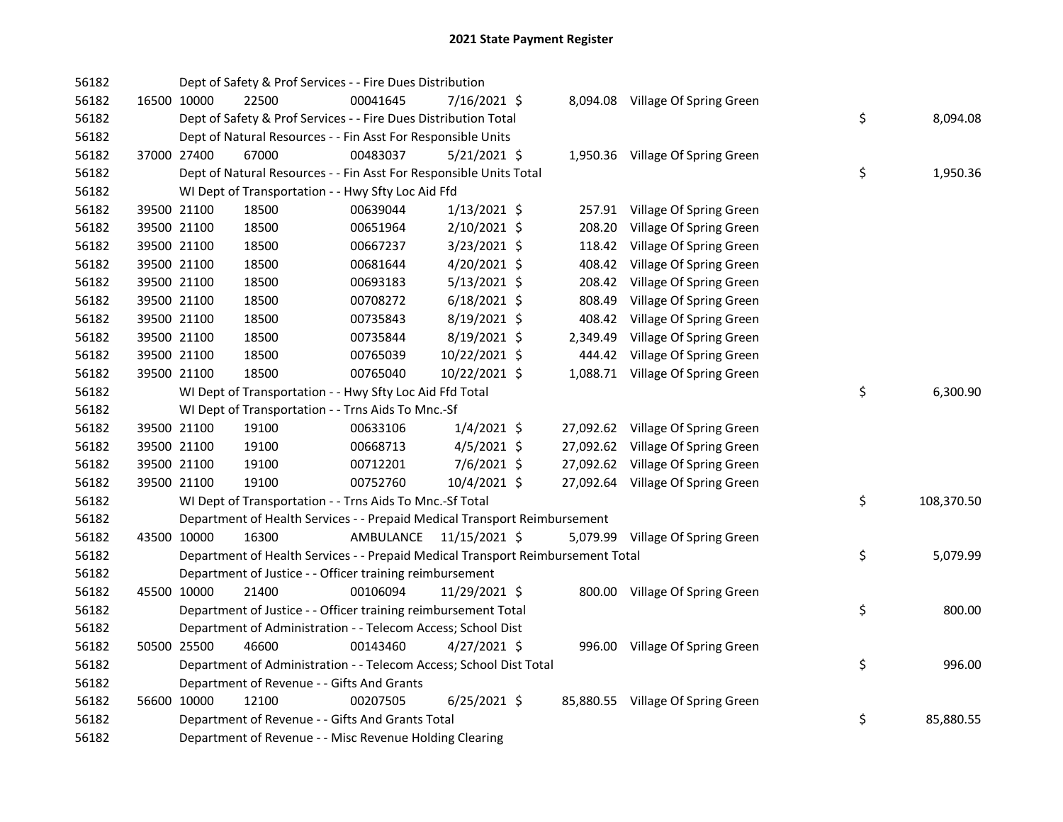| 56182 |             | Dept of Safety & Prof Services - - Fire Dues Distribution                       |           |                |          |                                   |    |            |
|-------|-------------|---------------------------------------------------------------------------------|-----------|----------------|----------|-----------------------------------|----|------------|
| 56182 | 16500 10000 | 22500                                                                           | 00041645  | 7/16/2021 \$   |          | 8,094.08 Village Of Spring Green  |    |            |
| 56182 |             | Dept of Safety & Prof Services - - Fire Dues Distribution Total                 |           |                |          |                                   | \$ | 8,094.08   |
| 56182 |             | Dept of Natural Resources - - Fin Asst For Responsible Units                    |           |                |          |                                   |    |            |
| 56182 | 37000 27400 | 67000                                                                           | 00483037  | 5/21/2021 \$   |          | 1,950.36 Village Of Spring Green  |    |            |
| 56182 |             | Dept of Natural Resources - - Fin Asst For Responsible Units Total              |           |                |          |                                   | \$ | 1,950.36   |
| 56182 |             | WI Dept of Transportation - - Hwy Sfty Loc Aid Ffd                              |           |                |          |                                   |    |            |
| 56182 | 39500 21100 | 18500                                                                           | 00639044  | 1/13/2021 \$   |          | 257.91 Village Of Spring Green    |    |            |
| 56182 | 39500 21100 | 18500                                                                           | 00651964  | 2/10/2021 \$   | 208.20   | Village Of Spring Green           |    |            |
| 56182 | 39500 21100 | 18500                                                                           | 00667237  | $3/23/2021$ \$ | 118.42   | Village Of Spring Green           |    |            |
| 56182 | 39500 21100 | 18500                                                                           | 00681644  | 4/20/2021 \$   | 408.42   | Village Of Spring Green           |    |            |
| 56182 | 39500 21100 | 18500                                                                           | 00693183  | $5/13/2021$ \$ | 208.42   | Village Of Spring Green           |    |            |
| 56182 | 39500 21100 | 18500                                                                           | 00708272  | $6/18/2021$ \$ | 808.49   | Village Of Spring Green           |    |            |
| 56182 | 39500 21100 | 18500                                                                           | 00735843  | 8/19/2021 \$   | 408.42   | Village Of Spring Green           |    |            |
| 56182 | 39500 21100 | 18500                                                                           | 00735844  | 8/19/2021 \$   | 2,349.49 | Village Of Spring Green           |    |            |
| 56182 | 39500 21100 | 18500                                                                           | 00765039  | 10/22/2021 \$  |          | 444.42 Village Of Spring Green    |    |            |
| 56182 | 39500 21100 | 18500                                                                           | 00765040  | 10/22/2021 \$  |          | 1,088.71 Village Of Spring Green  |    |            |
| 56182 |             | WI Dept of Transportation - - Hwy Sfty Loc Aid Ffd Total                        |           |                |          |                                   | \$ | 6,300.90   |
| 56182 |             | WI Dept of Transportation - - Trns Aids To Mnc.-Sf                              |           |                |          |                                   |    |            |
| 56182 | 39500 21100 | 19100                                                                           | 00633106  | $1/4/2021$ \$  |          | 27,092.62 Village Of Spring Green |    |            |
| 56182 | 39500 21100 | 19100                                                                           | 00668713  | $4/5/2021$ \$  |          | 27,092.62 Village Of Spring Green |    |            |
| 56182 | 39500 21100 | 19100                                                                           | 00712201  | $7/6/2021$ \$  |          | 27,092.62 Village Of Spring Green |    |            |
| 56182 | 39500 21100 | 19100                                                                           | 00752760  | 10/4/2021 \$   |          | 27,092.64 Village Of Spring Green |    |            |
| 56182 |             | WI Dept of Transportation - - Trns Aids To Mnc.-Sf Total                        |           |                |          |                                   | \$ | 108,370.50 |
| 56182 |             | Department of Health Services - - Prepaid Medical Transport Reimbursement       |           |                |          |                                   |    |            |
| 56182 | 43500 10000 | 16300                                                                           | AMBULANCE | 11/15/2021 \$  |          | 5,079.99 Village Of Spring Green  |    |            |
| 56182 |             | Department of Health Services - - Prepaid Medical Transport Reimbursement Total |           |                |          |                                   | \$ | 5,079.99   |
| 56182 |             | Department of Justice - - Officer training reimbursement                        |           |                |          |                                   |    |            |
| 56182 | 45500 10000 | 21400                                                                           | 00106094  | 11/29/2021 \$  |          | 800.00 Village Of Spring Green    |    |            |
| 56182 |             | Department of Justice - - Officer training reimbursement Total                  |           |                |          |                                   | \$ | 800.00     |
| 56182 |             | Department of Administration - - Telecom Access; School Dist                    |           |                |          |                                   |    |            |
| 56182 | 50500 25500 | 46600                                                                           | 00143460  | $4/27/2021$ \$ |          | 996.00 Village Of Spring Green    |    |            |
| 56182 |             | Department of Administration - - Telecom Access; School Dist Total              |           |                |          |                                   | \$ | 996.00     |
| 56182 |             | Department of Revenue - - Gifts And Grants                                      |           |                |          |                                   |    |            |
| 56182 | 56600 10000 | 12100                                                                           | 00207505  | $6/25/2021$ \$ |          | 85,880.55 Village Of Spring Green |    |            |
| 56182 |             | Department of Revenue - - Gifts And Grants Total                                |           |                |          |                                   | \$ | 85,880.55  |
| 56182 |             | Department of Revenue - - Misc Revenue Holding Clearing                         |           |                |          |                                   |    |            |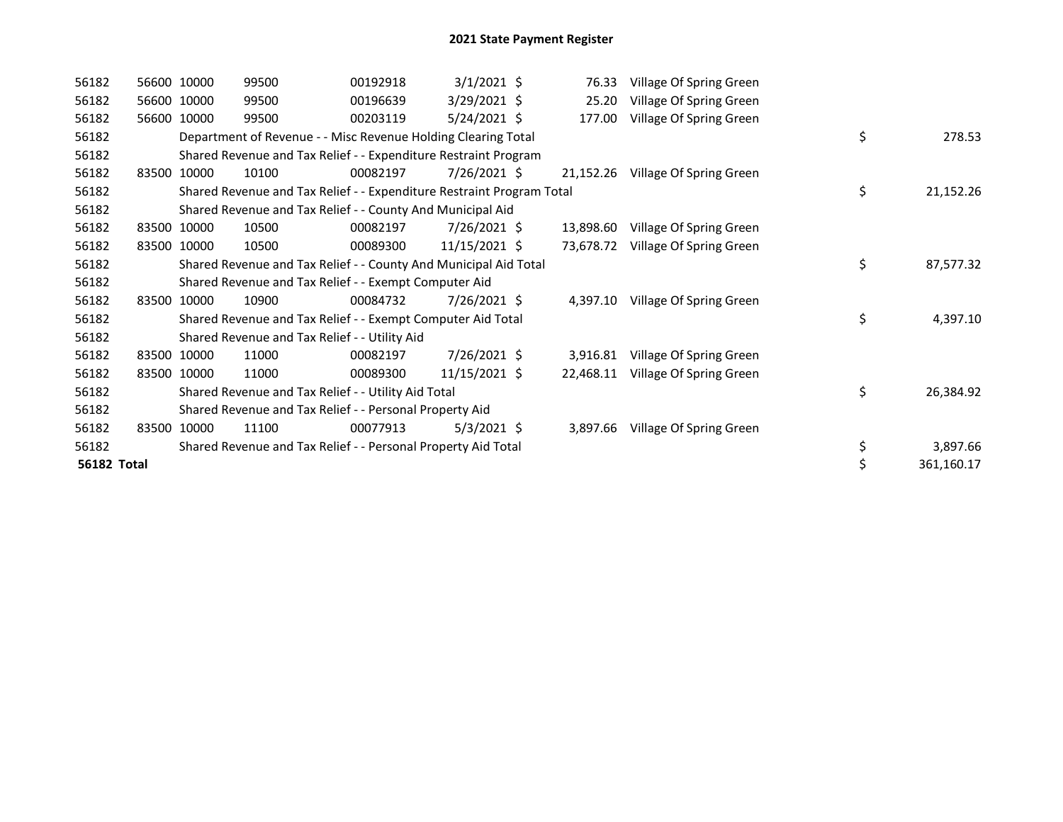| 56600 10000<br>00196639<br>$3/29/2021$ \$<br>25.20<br>56182<br>99500<br>Village Of Spring Green<br>5/24/2021 \$<br>56182<br>56600 10000<br>00203119<br>177.00<br>Village Of Spring Green<br>99500<br>\$<br>56182<br>Department of Revenue - - Misc Revenue Holding Clearing Total<br>56182<br>Shared Revenue and Tax Relief - - Expenditure Restraint Program<br>7/26/2021 \$<br>56182<br>83500 10000<br>10100<br>00082197<br>21,152.26<br>Village Of Spring Green<br>\$<br>56182<br>Shared Revenue and Tax Relief - - Expenditure Restraint Program Total<br>56182<br>Shared Revenue and Tax Relief - - County And Municipal Aid<br>56182<br>7/26/2021 \$<br>83500 10000<br>10500<br>00082197<br>13,898.60<br>Village Of Spring Green<br>56182<br>00089300<br>11/15/2021 \$<br>83500 10000<br>10500<br>73,678.72<br>Village Of Spring Green<br>\$<br>56182<br>Shared Revenue and Tax Relief - - County And Municipal Aid Total<br>56182<br>Shared Revenue and Tax Relief - - Exempt Computer Aid<br>56182<br>Village Of Spring Green<br>83500 10000<br>10900<br>00084732<br>7/26/2021 \$<br>4,397.10<br>\$<br>56182<br>Shared Revenue and Tax Relief - - Exempt Computer Aid Total<br>56182<br>Shared Revenue and Tax Relief - - Utility Aid<br>7/26/2021 \$<br>56182<br>00082197<br>Village Of Spring Green<br>83500 10000<br>11000<br>3,916.81<br>56182<br>11/15/2021 \$<br>83500 10000<br>11000<br>00089300<br>22,468.11<br>Village Of Spring Green<br>\$<br>56182<br>Shared Revenue and Tax Relief - - Utility Aid Total<br>56182<br>Shared Revenue and Tax Relief - - Personal Property Aid<br>56182<br>83500 10000<br>00077913<br>$5/3/2021$ \$<br>Village Of Spring Green<br>11100<br>3,897.66 | 56182 | 56600 10000 | 99500 | 00192918 | $3/1/2021$ \$ | 76.33 | Village Of Spring Green |  |            |
|--------------------------------------------------------------------------------------------------------------------------------------------------------------------------------------------------------------------------------------------------------------------------------------------------------------------------------------------------------------------------------------------------------------------------------------------------------------------------------------------------------------------------------------------------------------------------------------------------------------------------------------------------------------------------------------------------------------------------------------------------------------------------------------------------------------------------------------------------------------------------------------------------------------------------------------------------------------------------------------------------------------------------------------------------------------------------------------------------------------------------------------------------------------------------------------------------------------------------------------------------------------------------------------------------------------------------------------------------------------------------------------------------------------------------------------------------------------------------------------------------------------------------------------------------------------------------------------------------------------------------------------------------------------------------------------------------------|-------|-------------|-------|----------|---------------|-------|-------------------------|--|------------|
|                                                                                                                                                                                                                                                                                                                                                                                                                                                                                                                                                                                                                                                                                                                                                                                                                                                                                                                                                                                                                                                                                                                                                                                                                                                                                                                                                                                                                                                                                                                                                                                                                                                                                                        |       |             |       |          |               |       |                         |  |            |
|                                                                                                                                                                                                                                                                                                                                                                                                                                                                                                                                                                                                                                                                                                                                                                                                                                                                                                                                                                                                                                                                                                                                                                                                                                                                                                                                                                                                                                                                                                                                                                                                                                                                                                        |       |             |       |          |               |       |                         |  |            |
|                                                                                                                                                                                                                                                                                                                                                                                                                                                                                                                                                                                                                                                                                                                                                                                                                                                                                                                                                                                                                                                                                                                                                                                                                                                                                                                                                                                                                                                                                                                                                                                                                                                                                                        |       |             |       |          |               |       |                         |  | 278.53     |
|                                                                                                                                                                                                                                                                                                                                                                                                                                                                                                                                                                                                                                                                                                                                                                                                                                                                                                                                                                                                                                                                                                                                                                                                                                                                                                                                                                                                                                                                                                                                                                                                                                                                                                        |       |             |       |          |               |       |                         |  |            |
|                                                                                                                                                                                                                                                                                                                                                                                                                                                                                                                                                                                                                                                                                                                                                                                                                                                                                                                                                                                                                                                                                                                                                                                                                                                                                                                                                                                                                                                                                                                                                                                                                                                                                                        |       |             |       |          |               |       |                         |  |            |
|                                                                                                                                                                                                                                                                                                                                                                                                                                                                                                                                                                                                                                                                                                                                                                                                                                                                                                                                                                                                                                                                                                                                                                                                                                                                                                                                                                                                                                                                                                                                                                                                                                                                                                        |       |             |       |          |               |       |                         |  | 21,152.26  |
|                                                                                                                                                                                                                                                                                                                                                                                                                                                                                                                                                                                                                                                                                                                                                                                                                                                                                                                                                                                                                                                                                                                                                                                                                                                                                                                                                                                                                                                                                                                                                                                                                                                                                                        |       |             |       |          |               |       |                         |  |            |
|                                                                                                                                                                                                                                                                                                                                                                                                                                                                                                                                                                                                                                                                                                                                                                                                                                                                                                                                                                                                                                                                                                                                                                                                                                                                                                                                                                                                                                                                                                                                                                                                                                                                                                        |       |             |       |          |               |       |                         |  |            |
|                                                                                                                                                                                                                                                                                                                                                                                                                                                                                                                                                                                                                                                                                                                                                                                                                                                                                                                                                                                                                                                                                                                                                                                                                                                                                                                                                                                                                                                                                                                                                                                                                                                                                                        |       |             |       |          |               |       |                         |  |            |
|                                                                                                                                                                                                                                                                                                                                                                                                                                                                                                                                                                                                                                                                                                                                                                                                                                                                                                                                                                                                                                                                                                                                                                                                                                                                                                                                                                                                                                                                                                                                                                                                                                                                                                        |       |             |       |          |               |       |                         |  | 87,577.32  |
|                                                                                                                                                                                                                                                                                                                                                                                                                                                                                                                                                                                                                                                                                                                                                                                                                                                                                                                                                                                                                                                                                                                                                                                                                                                                                                                                                                                                                                                                                                                                                                                                                                                                                                        |       |             |       |          |               |       |                         |  |            |
|                                                                                                                                                                                                                                                                                                                                                                                                                                                                                                                                                                                                                                                                                                                                                                                                                                                                                                                                                                                                                                                                                                                                                                                                                                                                                                                                                                                                                                                                                                                                                                                                                                                                                                        |       |             |       |          |               |       |                         |  |            |
|                                                                                                                                                                                                                                                                                                                                                                                                                                                                                                                                                                                                                                                                                                                                                                                                                                                                                                                                                                                                                                                                                                                                                                                                                                                                                                                                                                                                                                                                                                                                                                                                                                                                                                        |       |             |       |          |               |       |                         |  | 4,397.10   |
|                                                                                                                                                                                                                                                                                                                                                                                                                                                                                                                                                                                                                                                                                                                                                                                                                                                                                                                                                                                                                                                                                                                                                                                                                                                                                                                                                                                                                                                                                                                                                                                                                                                                                                        |       |             |       |          |               |       |                         |  |            |
|                                                                                                                                                                                                                                                                                                                                                                                                                                                                                                                                                                                                                                                                                                                                                                                                                                                                                                                                                                                                                                                                                                                                                                                                                                                                                                                                                                                                                                                                                                                                                                                                                                                                                                        |       |             |       |          |               |       |                         |  |            |
|                                                                                                                                                                                                                                                                                                                                                                                                                                                                                                                                                                                                                                                                                                                                                                                                                                                                                                                                                                                                                                                                                                                                                                                                                                                                                                                                                                                                                                                                                                                                                                                                                                                                                                        |       |             |       |          |               |       |                         |  |            |
|                                                                                                                                                                                                                                                                                                                                                                                                                                                                                                                                                                                                                                                                                                                                                                                                                                                                                                                                                                                                                                                                                                                                                                                                                                                                                                                                                                                                                                                                                                                                                                                                                                                                                                        |       |             |       |          |               |       |                         |  | 26,384.92  |
|                                                                                                                                                                                                                                                                                                                                                                                                                                                                                                                                                                                                                                                                                                                                                                                                                                                                                                                                                                                                                                                                                                                                                                                                                                                                                                                                                                                                                                                                                                                                                                                                                                                                                                        |       |             |       |          |               |       |                         |  |            |
|                                                                                                                                                                                                                                                                                                                                                                                                                                                                                                                                                                                                                                                                                                                                                                                                                                                                                                                                                                                                                                                                                                                                                                                                                                                                                                                                                                                                                                                                                                                                                                                                                                                                                                        |       |             |       |          |               |       |                         |  |            |
| \$<br>56182<br>Shared Revenue and Tax Relief - - Personal Property Aid Total                                                                                                                                                                                                                                                                                                                                                                                                                                                                                                                                                                                                                                                                                                                                                                                                                                                                                                                                                                                                                                                                                                                                                                                                                                                                                                                                                                                                                                                                                                                                                                                                                           |       |             |       |          |               |       |                         |  | 3,897.66   |
| <b>56182 Total</b>                                                                                                                                                                                                                                                                                                                                                                                                                                                                                                                                                                                                                                                                                                                                                                                                                                                                                                                                                                                                                                                                                                                                                                                                                                                                                                                                                                                                                                                                                                                                                                                                                                                                                     |       |             |       |          |               |       |                         |  | 361,160.17 |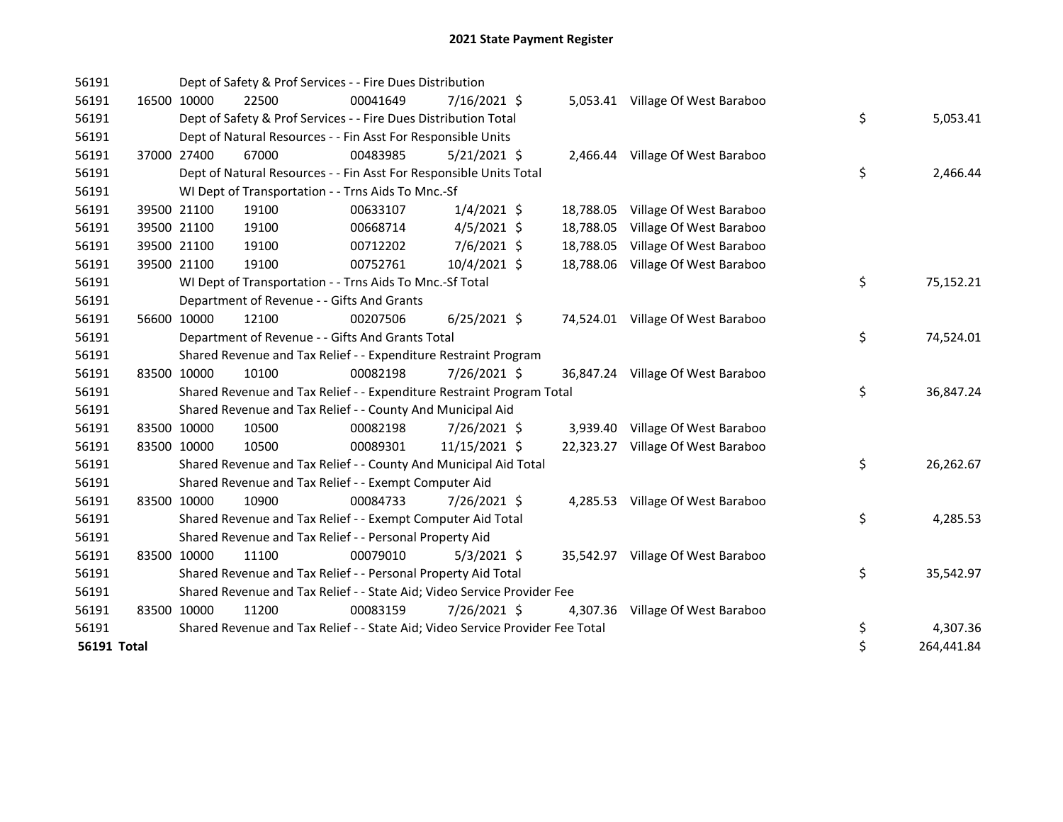| 56191              |             | Dept of Safety & Prof Services - - Fire Dues Distribution                     |          |                |  |                                   |    |            |
|--------------------|-------------|-------------------------------------------------------------------------------|----------|----------------|--|-----------------------------------|----|------------|
| 56191              | 16500 10000 | 22500                                                                         | 00041649 | $7/16/2021$ \$ |  | 5,053.41 Village Of West Baraboo  |    |            |
| 56191              |             | Dept of Safety & Prof Services - - Fire Dues Distribution Total               |          |                |  |                                   | \$ | 5,053.41   |
| 56191              |             | Dept of Natural Resources - - Fin Asst For Responsible Units                  |          |                |  |                                   |    |            |
| 56191              | 37000 27400 | 67000                                                                         | 00483985 | $5/21/2021$ \$ |  | 2,466.44 Village Of West Baraboo  |    |            |
| 56191              |             | Dept of Natural Resources - - Fin Asst For Responsible Units Total            |          |                |  |                                   | \$ | 2,466.44   |
| 56191              |             | WI Dept of Transportation - - Trns Aids To Mnc.-Sf                            |          |                |  |                                   |    |            |
| 56191              | 39500 21100 | 19100                                                                         | 00633107 | $1/4/2021$ \$  |  | 18,788.05 Village Of West Baraboo |    |            |
| 56191              | 39500 21100 | 19100                                                                         | 00668714 | $4/5/2021$ \$  |  | 18,788.05 Village Of West Baraboo |    |            |
| 56191              | 39500 21100 | 19100                                                                         | 00712202 | 7/6/2021 \$    |  | 18,788.05 Village Of West Baraboo |    |            |
| 56191              | 39500 21100 | 19100                                                                         | 00752761 | 10/4/2021 \$   |  | 18,788.06 Village Of West Baraboo |    |            |
| 56191              |             | WI Dept of Transportation - - Trns Aids To Mnc.-Sf Total                      |          |                |  |                                   | \$ | 75,152.21  |
| 56191              |             | Department of Revenue - - Gifts And Grants                                    |          |                |  |                                   |    |            |
| 56191              | 56600 10000 | 12100                                                                         | 00207506 | $6/25/2021$ \$ |  | 74,524.01 Village Of West Baraboo |    |            |
| 56191              |             | Department of Revenue - - Gifts And Grants Total                              |          |                |  |                                   | \$ | 74,524.01  |
| 56191              |             | Shared Revenue and Tax Relief - - Expenditure Restraint Program               |          |                |  |                                   |    |            |
| 56191              | 83500 10000 | 10100                                                                         | 00082198 | 7/26/2021 \$   |  | 36,847.24 Village Of West Baraboo |    |            |
| 56191              |             | Shared Revenue and Tax Relief - - Expenditure Restraint Program Total         |          |                |  |                                   | \$ | 36,847.24  |
| 56191              |             | Shared Revenue and Tax Relief - - County And Municipal Aid                    |          |                |  |                                   |    |            |
| 56191              | 83500 10000 | 10500                                                                         | 00082198 | 7/26/2021 \$   |  | 3,939.40 Village Of West Baraboo  |    |            |
| 56191              | 83500 10000 | 10500                                                                         | 00089301 | 11/15/2021 \$  |  | 22,323.27 Village Of West Baraboo |    |            |
| 56191              |             | Shared Revenue and Tax Relief - - County And Municipal Aid Total              |          |                |  |                                   | \$ | 26,262.67  |
| 56191              |             | Shared Revenue and Tax Relief - - Exempt Computer Aid                         |          |                |  |                                   |    |            |
| 56191              | 83500 10000 | 10900                                                                         | 00084733 | 7/26/2021 \$   |  | 4,285.53 Village Of West Baraboo  |    |            |
| 56191              |             | Shared Revenue and Tax Relief - - Exempt Computer Aid Total                   |          |                |  |                                   | \$ | 4,285.53   |
| 56191              |             | Shared Revenue and Tax Relief - - Personal Property Aid                       |          |                |  |                                   |    |            |
| 56191              | 83500 10000 | 11100                                                                         | 00079010 | $5/3/2021$ \$  |  | 35,542.97 Village Of West Baraboo |    |            |
| 56191              |             | Shared Revenue and Tax Relief - - Personal Property Aid Total                 |          |                |  |                                   | \$ | 35,542.97  |
| 56191              |             | Shared Revenue and Tax Relief - - State Aid; Video Service Provider Fee       |          |                |  |                                   |    |            |
| 56191              | 83500 10000 | 11200                                                                         | 00083159 | 7/26/2021 \$   |  | 4,307.36 Village Of West Baraboo  |    |            |
| 56191              |             | Shared Revenue and Tax Relief - - State Aid; Video Service Provider Fee Total |          |                |  |                                   | \$ | 4,307.36   |
| <b>56191 Total</b> |             |                                                                               |          |                |  |                                   | \$ | 264,441.84 |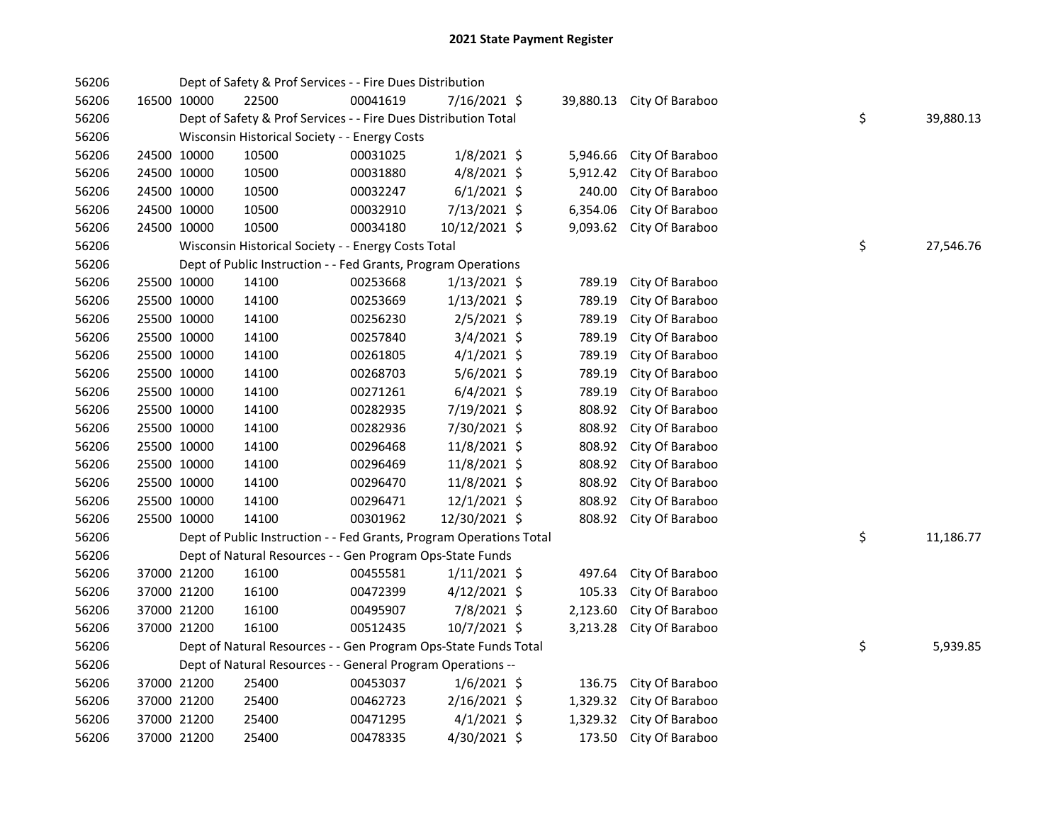|  | 22500                                                                                                                                                                                                                                                                                                                                                                                                                            |                                           |                                                                                                           |                                                                                                                  |                                                                                                                                                                                                                                                                                                                                                                                                                                                                                                                                                                                                                                                                                                                                                                                                                                                                                         |                                                                     |                                                                                                                |                 |
|--|----------------------------------------------------------------------------------------------------------------------------------------------------------------------------------------------------------------------------------------------------------------------------------------------------------------------------------------------------------------------------------------------------------------------------------|-------------------------------------------|-----------------------------------------------------------------------------------------------------------|------------------------------------------------------------------------------------------------------------------|-----------------------------------------------------------------------------------------------------------------------------------------------------------------------------------------------------------------------------------------------------------------------------------------------------------------------------------------------------------------------------------------------------------------------------------------------------------------------------------------------------------------------------------------------------------------------------------------------------------------------------------------------------------------------------------------------------------------------------------------------------------------------------------------------------------------------------------------------------------------------------------------|---------------------------------------------------------------------|----------------------------------------------------------------------------------------------------------------|-----------------|
|  |                                                                                                                                                                                                                                                                                                                                                                                                                                  |                                           |                                                                                                           |                                                                                                                  |                                                                                                                                                                                                                                                                                                                                                                                                                                                                                                                                                                                                                                                                                                                                                                                                                                                                                         |                                                                     |                                                                                                                | 39,880.13       |
|  |                                                                                                                                                                                                                                                                                                                                                                                                                                  |                                           |                                                                                                           |                                                                                                                  |                                                                                                                                                                                                                                                                                                                                                                                                                                                                                                                                                                                                                                                                                                                                                                                                                                                                                         |                                                                     |                                                                                                                |                 |
|  |                                                                                                                                                                                                                                                                                                                                                                                                                                  | 00031025                                  |                                                                                                           |                                                                                                                  |                                                                                                                                                                                                                                                                                                                                                                                                                                                                                                                                                                                                                                                                                                                                                                                                                                                                                         |                                                                     |                                                                                                                |                 |
|  |                                                                                                                                                                                                                                                                                                                                                                                                                                  |                                           |                                                                                                           |                                                                                                                  |                                                                                                                                                                                                                                                                                                                                                                                                                                                                                                                                                                                                                                                                                                                                                                                                                                                                                         |                                                                     |                                                                                                                |                 |
|  |                                                                                                                                                                                                                                                                                                                                                                                                                                  |                                           |                                                                                                           |                                                                                                                  |                                                                                                                                                                                                                                                                                                                                                                                                                                                                                                                                                                                                                                                                                                                                                                                                                                                                                         |                                                                     |                                                                                                                |                 |
|  |                                                                                                                                                                                                                                                                                                                                                                                                                                  |                                           |                                                                                                           |                                                                                                                  |                                                                                                                                                                                                                                                                                                                                                                                                                                                                                                                                                                                                                                                                                                                                                                                                                                                                                         |                                                                     |                                                                                                                |                 |
|  |                                                                                                                                                                                                                                                                                                                                                                                                                                  |                                           |                                                                                                           |                                                                                                                  |                                                                                                                                                                                                                                                                                                                                                                                                                                                                                                                                                                                                                                                                                                                                                                                                                                                                                         |                                                                     |                                                                                                                |                 |
|  |                                                                                                                                                                                                                                                                                                                                                                                                                                  |                                           |                                                                                                           |                                                                                                                  |                                                                                                                                                                                                                                                                                                                                                                                                                                                                                                                                                                                                                                                                                                                                                                                                                                                                                         |                                                                     |                                                                                                                | 27,546.76       |
|  |                                                                                                                                                                                                                                                                                                                                                                                                                                  |                                           |                                                                                                           |                                                                                                                  |                                                                                                                                                                                                                                                                                                                                                                                                                                                                                                                                                                                                                                                                                                                                                                                                                                                                                         |                                                                     |                                                                                                                |                 |
|  | 14100                                                                                                                                                                                                                                                                                                                                                                                                                            | 00253668                                  |                                                                                                           |                                                                                                                  | 789.19                                                                                                                                                                                                                                                                                                                                                                                                                                                                                                                                                                                                                                                                                                                                                                                                                                                                                  | City Of Baraboo                                                     |                                                                                                                |                 |
|  | 14100                                                                                                                                                                                                                                                                                                                                                                                                                            | 00253669                                  |                                                                                                           |                                                                                                                  | 789.19                                                                                                                                                                                                                                                                                                                                                                                                                                                                                                                                                                                                                                                                                                                                                                                                                                                                                  | City Of Baraboo                                                     |                                                                                                                |                 |
|  | 14100                                                                                                                                                                                                                                                                                                                                                                                                                            | 00256230                                  |                                                                                                           |                                                                                                                  | 789.19                                                                                                                                                                                                                                                                                                                                                                                                                                                                                                                                                                                                                                                                                                                                                                                                                                                                                  | City Of Baraboo                                                     |                                                                                                                |                 |
|  | 14100                                                                                                                                                                                                                                                                                                                                                                                                                            | 00257840                                  |                                                                                                           |                                                                                                                  | 789.19                                                                                                                                                                                                                                                                                                                                                                                                                                                                                                                                                                                                                                                                                                                                                                                                                                                                                  | City Of Baraboo                                                     |                                                                                                                |                 |
|  | 14100                                                                                                                                                                                                                                                                                                                                                                                                                            | 00261805                                  |                                                                                                           |                                                                                                                  | 789.19                                                                                                                                                                                                                                                                                                                                                                                                                                                                                                                                                                                                                                                                                                                                                                                                                                                                                  | City Of Baraboo                                                     |                                                                                                                |                 |
|  | 14100                                                                                                                                                                                                                                                                                                                                                                                                                            | 00268703                                  |                                                                                                           |                                                                                                                  | 789.19                                                                                                                                                                                                                                                                                                                                                                                                                                                                                                                                                                                                                                                                                                                                                                                                                                                                                  | City Of Baraboo                                                     |                                                                                                                |                 |
|  | 14100                                                                                                                                                                                                                                                                                                                                                                                                                            | 00271261                                  |                                                                                                           |                                                                                                                  | 789.19                                                                                                                                                                                                                                                                                                                                                                                                                                                                                                                                                                                                                                                                                                                                                                                                                                                                                  | City Of Baraboo                                                     |                                                                                                                |                 |
|  | 14100                                                                                                                                                                                                                                                                                                                                                                                                                            | 00282935                                  |                                                                                                           |                                                                                                                  | 808.92                                                                                                                                                                                                                                                                                                                                                                                                                                                                                                                                                                                                                                                                                                                                                                                                                                                                                  | City Of Baraboo                                                     |                                                                                                                |                 |
|  | 14100                                                                                                                                                                                                                                                                                                                                                                                                                            | 00282936                                  |                                                                                                           |                                                                                                                  | 808.92                                                                                                                                                                                                                                                                                                                                                                                                                                                                                                                                                                                                                                                                                                                                                                                                                                                                                  | City Of Baraboo                                                     |                                                                                                                |                 |
|  | 14100                                                                                                                                                                                                                                                                                                                                                                                                                            | 00296468                                  |                                                                                                           |                                                                                                                  | 808.92                                                                                                                                                                                                                                                                                                                                                                                                                                                                                                                                                                                                                                                                                                                                                                                                                                                                                  | City Of Baraboo                                                     |                                                                                                                |                 |
|  | 14100                                                                                                                                                                                                                                                                                                                                                                                                                            | 00296469                                  |                                                                                                           |                                                                                                                  | 808.92                                                                                                                                                                                                                                                                                                                                                                                                                                                                                                                                                                                                                                                                                                                                                                                                                                                                                  | City Of Baraboo                                                     |                                                                                                                |                 |
|  | 14100                                                                                                                                                                                                                                                                                                                                                                                                                            | 00296470                                  |                                                                                                           |                                                                                                                  | 808.92                                                                                                                                                                                                                                                                                                                                                                                                                                                                                                                                                                                                                                                                                                                                                                                                                                                                                  | City Of Baraboo                                                     |                                                                                                                |                 |
|  | 14100                                                                                                                                                                                                                                                                                                                                                                                                                            | 00296471                                  |                                                                                                           |                                                                                                                  | 808.92                                                                                                                                                                                                                                                                                                                                                                                                                                                                                                                                                                                                                                                                                                                                                                                                                                                                                  | City Of Baraboo                                                     |                                                                                                                |                 |
|  | 14100                                                                                                                                                                                                                                                                                                                                                                                                                            | 00301962                                  |                                                                                                           |                                                                                                                  | 808.92                                                                                                                                                                                                                                                                                                                                                                                                                                                                                                                                                                                                                                                                                                                                                                                                                                                                                  | City Of Baraboo                                                     |                                                                                                                |                 |
|  |                                                                                                                                                                                                                                                                                                                                                                                                                                  |                                           |                                                                                                           |                                                                                                                  |                                                                                                                                                                                                                                                                                                                                                                                                                                                                                                                                                                                                                                                                                                                                                                                                                                                                                         |                                                                     |                                                                                                                | \$<br>11,186.77 |
|  |                                                                                                                                                                                                                                                                                                                                                                                                                                  |                                           |                                                                                                           |                                                                                                                  |                                                                                                                                                                                                                                                                                                                                                                                                                                                                                                                                                                                                                                                                                                                                                                                                                                                                                         |                                                                     |                                                                                                                |                 |
|  | 16100                                                                                                                                                                                                                                                                                                                                                                                                                            | 00455581                                  |                                                                                                           |                                                                                                                  | 497.64                                                                                                                                                                                                                                                                                                                                                                                                                                                                                                                                                                                                                                                                                                                                                                                                                                                                                  | City Of Baraboo                                                     |                                                                                                                |                 |
|  | 16100                                                                                                                                                                                                                                                                                                                                                                                                                            | 00472399                                  |                                                                                                           |                                                                                                                  | 105.33                                                                                                                                                                                                                                                                                                                                                                                                                                                                                                                                                                                                                                                                                                                                                                                                                                                                                  | City Of Baraboo                                                     |                                                                                                                |                 |
|  | 16100                                                                                                                                                                                                                                                                                                                                                                                                                            | 00495907                                  |                                                                                                           |                                                                                                                  | 2,123.60                                                                                                                                                                                                                                                                                                                                                                                                                                                                                                                                                                                                                                                                                                                                                                                                                                                                                | City Of Baraboo                                                     |                                                                                                                |                 |
|  | 16100                                                                                                                                                                                                                                                                                                                                                                                                                            | 00512435                                  |                                                                                                           |                                                                                                                  | 3,213.28                                                                                                                                                                                                                                                                                                                                                                                                                                                                                                                                                                                                                                                                                                                                                                                                                                                                                | City Of Baraboo                                                     |                                                                                                                |                 |
|  |                                                                                                                                                                                                                                                                                                                                                                                                                                  |                                           |                                                                                                           |                                                                                                                  |                                                                                                                                                                                                                                                                                                                                                                                                                                                                                                                                                                                                                                                                                                                                                                                                                                                                                         |                                                                     |                                                                                                                | \$<br>5,939.85  |
|  |                                                                                                                                                                                                                                                                                                                                                                                                                                  |                                           |                                                                                                           |                                                                                                                  |                                                                                                                                                                                                                                                                                                                                                                                                                                                                                                                                                                                                                                                                                                                                                                                                                                                                                         |                                                                     |                                                                                                                |                 |
|  | 25400                                                                                                                                                                                                                                                                                                                                                                                                                            | 00453037                                  |                                                                                                           |                                                                                                                  | 136.75                                                                                                                                                                                                                                                                                                                                                                                                                                                                                                                                                                                                                                                                                                                                                                                                                                                                                  | City Of Baraboo                                                     |                                                                                                                |                 |
|  | 25400                                                                                                                                                                                                                                                                                                                                                                                                                            | 00462723                                  |                                                                                                           |                                                                                                                  | 1,329.32                                                                                                                                                                                                                                                                                                                                                                                                                                                                                                                                                                                                                                                                                                                                                                                                                                                                                | City Of Baraboo                                                     |                                                                                                                |                 |
|  | 25400                                                                                                                                                                                                                                                                                                                                                                                                                            | 00471295                                  |                                                                                                           |                                                                                                                  | 1,329.32                                                                                                                                                                                                                                                                                                                                                                                                                                                                                                                                                                                                                                                                                                                                                                                                                                                                                | City Of Baraboo                                                     |                                                                                                                |                 |
|  | 25400                                                                                                                                                                                                                                                                                                                                                                                                                            | 00478335                                  |                                                                                                           |                                                                                                                  | 173.50                                                                                                                                                                                                                                                                                                                                                                                                                                                                                                                                                                                                                                                                                                                                                                                                                                                                                  | City Of Baraboo                                                     |                                                                                                                |                 |
|  | 16500 10000<br>24500 10000<br>24500 10000<br>24500 10000<br>24500 10000<br>24500 10000<br>25500 10000<br>25500 10000<br>25500 10000<br>25500 10000<br>25500 10000<br>25500 10000<br>25500 10000<br>25500 10000<br>25500 10000<br>25500 10000<br>25500 10000<br>25500 10000<br>25500 10000<br>25500 10000<br>37000 21200<br>37000 21200<br>37000 21200<br>37000 21200<br>37000 21200<br>37000 21200<br>37000 21200<br>37000 21200 | 10500<br>10500<br>10500<br>10500<br>10500 | 00041619<br>Wisconsin Historical Society - - Energy Costs<br>00031880<br>00032247<br>00032910<br>00034180 | Dept of Safety & Prof Services - - Fire Dues Distribution<br>Wisconsin Historical Society - - Energy Costs Total | 7/16/2021 \$<br>Dept of Safety & Prof Services - - Fire Dues Distribution Total<br>$1/8/2021$ \$<br>$4/8/2021$ \$<br>$6/1/2021$ \$<br>7/13/2021 \$<br>10/12/2021 \$<br>Dept of Public Instruction - - Fed Grants, Program Operations<br>$1/13/2021$ \$<br>$1/13/2021$ \$<br>2/5/2021 \$<br>$3/4/2021$ \$<br>$4/1/2021$ \$<br>$5/6/2021$ \$<br>$6/4/2021$ \$<br>7/19/2021 \$<br>7/30/2021 \$<br>11/8/2021 \$<br>11/8/2021 \$<br>11/8/2021 \$<br>12/1/2021 \$<br>12/30/2021 \$<br>Dept of Public Instruction - - Fed Grants, Program Operations Total<br>Dept of Natural Resources - - Gen Program Ops-State Funds<br>$1/11/2021$ \$<br>$4/12/2021$ \$<br>7/8/2021 \$<br>10/7/2021 \$<br>Dept of Natural Resources - - Gen Program Ops-State Funds Total<br>Dept of Natural Resources - - General Program Operations --<br>$1/6/2021$ \$<br>2/16/2021 \$<br>$4/1/2021$ \$<br>4/30/2021 \$ | 39,880.13<br>5,946.66<br>5,912.42<br>240.00<br>6,354.06<br>9,093.62 | City Of Baraboo<br>City Of Baraboo<br>City Of Baraboo<br>City Of Baraboo<br>City Of Baraboo<br>City Of Baraboo | \$<br>\$        |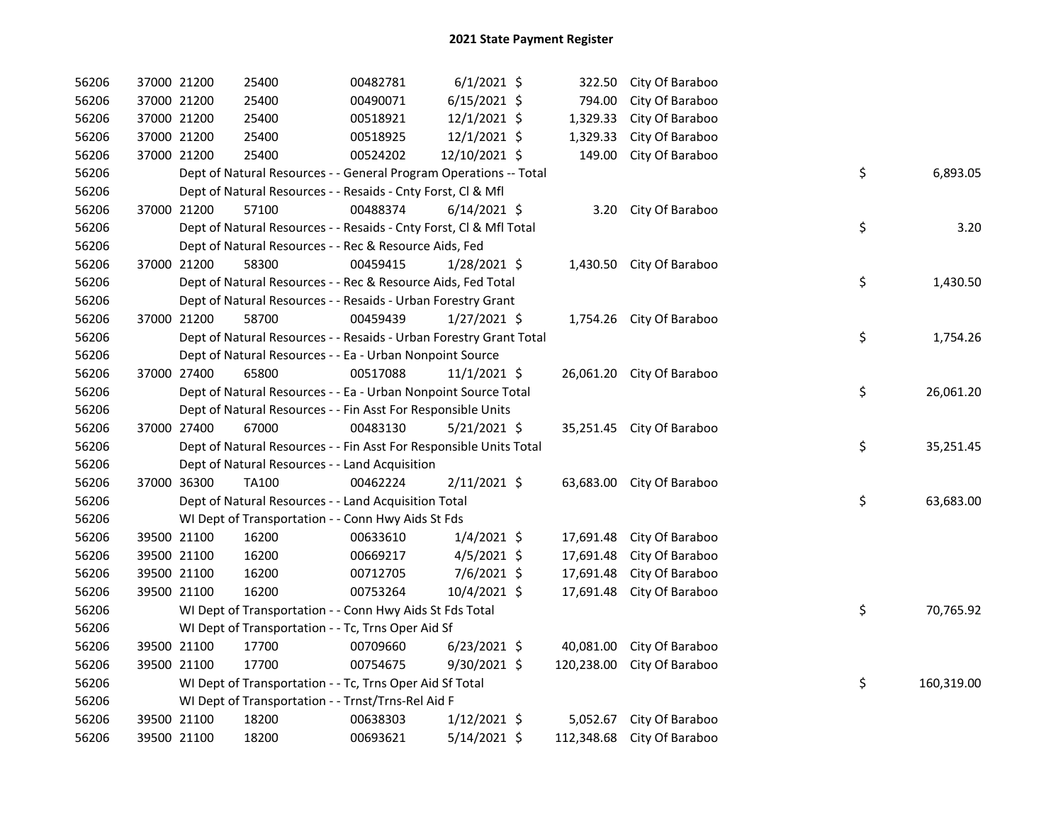| 56206 | 37000 21200 | 25400                                                              | 00482781 | $6/1/2021$ \$  |            | 322.50 City Of Baraboo     |    |            |
|-------|-------------|--------------------------------------------------------------------|----------|----------------|------------|----------------------------|----|------------|
| 56206 | 37000 21200 | 25400                                                              | 00490071 | $6/15/2021$ \$ | 794.00     | City Of Baraboo            |    |            |
| 56206 | 37000 21200 | 25400                                                              | 00518921 | 12/1/2021 \$   | 1,329.33   | City Of Baraboo            |    |            |
| 56206 | 37000 21200 | 25400                                                              | 00518925 | 12/1/2021 \$   | 1,329.33   | City Of Baraboo            |    |            |
| 56206 | 37000 21200 | 25400                                                              | 00524202 | 12/10/2021 \$  | 149.00     | City Of Baraboo            |    |            |
| 56206 |             | Dept of Natural Resources - - General Program Operations -- Total  |          |                |            |                            | \$ | 6,893.05   |
| 56206 |             | Dept of Natural Resources - - Resaids - Cnty Forst, Cl & Mfl       |          |                |            |                            |    |            |
| 56206 | 37000 21200 | 57100                                                              | 00488374 | $6/14/2021$ \$ |            | 3.20 City Of Baraboo       |    |            |
| 56206 |             | Dept of Natural Resources - - Resaids - Cnty Forst, Cl & Mfl Total |          |                |            |                            | \$ | 3.20       |
| 56206 |             | Dept of Natural Resources - - Rec & Resource Aids, Fed             |          |                |            |                            |    |            |
| 56206 | 37000 21200 | 58300                                                              | 00459415 | $1/28/2021$ \$ |            | 1,430.50 City Of Baraboo   |    |            |
| 56206 |             | Dept of Natural Resources - - Rec & Resource Aids, Fed Total       |          |                |            |                            | \$ | 1,430.50   |
| 56206 |             | Dept of Natural Resources - - Resaids - Urban Forestry Grant       |          |                |            |                            |    |            |
| 56206 | 37000 21200 | 58700                                                              | 00459439 | $1/27/2021$ \$ |            | 1,754.26 City Of Baraboo   |    |            |
| 56206 |             | Dept of Natural Resources - - Resaids - Urban Forestry Grant Total |          |                |            |                            | \$ | 1,754.26   |
| 56206 |             | Dept of Natural Resources - - Ea - Urban Nonpoint Source           |          |                |            |                            |    |            |
| 56206 | 37000 27400 | 65800                                                              | 00517088 | $11/1/2021$ \$ |            | 26,061.20 City Of Baraboo  |    |            |
| 56206 |             | Dept of Natural Resources - - Ea - Urban Nonpoint Source Total     |          |                |            |                            | \$ | 26,061.20  |
| 56206 |             | Dept of Natural Resources - - Fin Asst For Responsible Units       |          |                |            |                            |    |            |
| 56206 | 37000 27400 | 67000                                                              | 00483130 | $5/21/2021$ \$ |            | 35,251.45 City Of Baraboo  |    |            |
| 56206 |             | Dept of Natural Resources - - Fin Asst For Responsible Units Total |          |                |            |                            | \$ | 35,251.45  |
| 56206 |             | Dept of Natural Resources - - Land Acquisition                     |          |                |            |                            |    |            |
| 56206 | 37000 36300 | <b>TA100</b>                                                       | 00462224 | $2/11/2021$ \$ |            | 63,683.00 City Of Baraboo  |    |            |
| 56206 |             | Dept of Natural Resources - - Land Acquisition Total               |          |                |            |                            | \$ | 63,683.00  |
| 56206 |             | WI Dept of Transportation - - Conn Hwy Aids St Fds                 |          |                |            |                            |    |            |
| 56206 | 39500 21100 | 16200                                                              | 00633610 | $1/4/2021$ \$  | 17,691.48  | City Of Baraboo            |    |            |
| 56206 | 39500 21100 | 16200                                                              | 00669217 | $4/5/2021$ \$  | 17,691.48  | City Of Baraboo            |    |            |
| 56206 | 39500 21100 | 16200                                                              | 00712705 | 7/6/2021 \$    | 17,691.48  | City Of Baraboo            |    |            |
| 56206 | 39500 21100 | 16200                                                              | 00753264 | $10/4/2021$ \$ |            | 17,691.48 City Of Baraboo  |    |            |
| 56206 |             | WI Dept of Transportation - - Conn Hwy Aids St Fds Total           |          |                |            |                            | \$ | 70,765.92  |
| 56206 |             | WI Dept of Transportation - - Tc, Trns Oper Aid Sf                 |          |                |            |                            |    |            |
| 56206 | 39500 21100 | 17700                                                              | 00709660 | $6/23/2021$ \$ | 40,081.00  | City Of Baraboo            |    |            |
| 56206 | 39500 21100 | 17700                                                              | 00754675 | $9/30/2021$ \$ | 120,238.00 | City Of Baraboo            |    |            |
| 56206 |             | WI Dept of Transportation - - Tc, Trns Oper Aid Sf Total           |          |                |            |                            | \$ | 160,319.00 |
| 56206 |             | WI Dept of Transportation - - Trnst/Trns-Rel Aid F                 |          |                |            |                            |    |            |
| 56206 | 39500 21100 | 18200                                                              | 00638303 | $1/12/2021$ \$ |            | 5,052.67 City Of Baraboo   |    |            |
| 56206 | 39500 21100 | 18200                                                              | 00693621 | $5/14/2021$ \$ |            | 112,348.68 City Of Baraboo |    |            |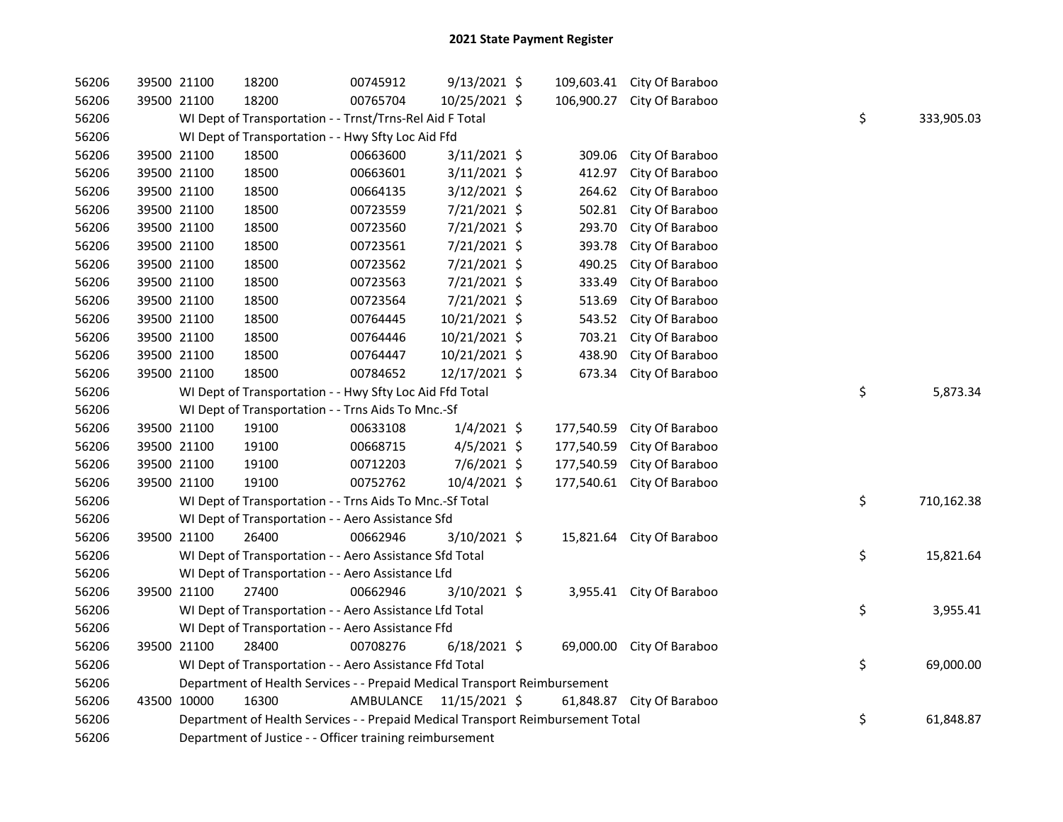| 56206 | 39500 21100 |             | 18200                                                                           | 00745912  | $9/13/2021$ \$ |            | 109,603.41 City Of Baraboo |    |            |
|-------|-------------|-------------|---------------------------------------------------------------------------------|-----------|----------------|------------|----------------------------|----|------------|
| 56206 | 39500 21100 |             | 18200                                                                           | 00765704  | 10/25/2021 \$  |            | 106,900.27 City Of Baraboo |    |            |
| 56206 |             |             | WI Dept of Transportation - - Trnst/Trns-Rel Aid F Total                        |           |                |            |                            | \$ | 333,905.03 |
| 56206 |             |             | WI Dept of Transportation - - Hwy Sfty Loc Aid Ffd                              |           |                |            |                            |    |            |
| 56206 | 39500 21100 |             | 18500                                                                           | 00663600  | $3/11/2021$ \$ | 309.06     | City Of Baraboo            |    |            |
| 56206 |             | 39500 21100 | 18500                                                                           | 00663601  | $3/11/2021$ \$ | 412.97     | City Of Baraboo            |    |            |
| 56206 |             | 39500 21100 | 18500                                                                           | 00664135  | $3/12/2021$ \$ | 264.62     | City Of Baraboo            |    |            |
| 56206 |             | 39500 21100 | 18500                                                                           | 00723559  | 7/21/2021 \$   | 502.81     | City Of Baraboo            |    |            |
| 56206 |             | 39500 21100 | 18500                                                                           | 00723560  | 7/21/2021 \$   | 293.70     | City Of Baraboo            |    |            |
| 56206 |             | 39500 21100 | 18500                                                                           | 00723561  | 7/21/2021 \$   | 393.78     | City Of Baraboo            |    |            |
| 56206 |             | 39500 21100 | 18500                                                                           | 00723562  | 7/21/2021 \$   | 490.25     | City Of Baraboo            |    |            |
| 56206 |             | 39500 21100 | 18500                                                                           | 00723563  | 7/21/2021 \$   | 333.49     | City Of Baraboo            |    |            |
| 56206 |             | 39500 21100 | 18500                                                                           | 00723564  | 7/21/2021 \$   | 513.69     | City Of Baraboo            |    |            |
| 56206 |             | 39500 21100 | 18500                                                                           | 00764445  | 10/21/2021 \$  | 543.52     | City Of Baraboo            |    |            |
| 56206 |             | 39500 21100 | 18500                                                                           | 00764446  | 10/21/2021 \$  | 703.21     | City Of Baraboo            |    |            |
| 56206 | 39500 21100 |             | 18500                                                                           | 00764447  | 10/21/2021 \$  | 438.90     | City Of Baraboo            |    |            |
| 56206 | 39500 21100 |             | 18500                                                                           | 00784652  | 12/17/2021 \$  | 673.34     | City Of Baraboo            |    |            |
| 56206 |             |             | WI Dept of Transportation - - Hwy Sfty Loc Aid Ffd Total                        |           |                |            |                            | \$ | 5,873.34   |
| 56206 |             |             | WI Dept of Transportation - - Trns Aids To Mnc.-Sf                              |           |                |            |                            |    |            |
| 56206 |             | 39500 21100 | 19100                                                                           | 00633108  | $1/4/2021$ \$  | 177,540.59 | City Of Baraboo            |    |            |
| 56206 |             | 39500 21100 | 19100                                                                           | 00668715  | $4/5/2021$ \$  | 177,540.59 | City Of Baraboo            |    |            |
| 56206 |             | 39500 21100 | 19100                                                                           | 00712203  | $7/6/2021$ \$  | 177,540.59 | City Of Baraboo            |    |            |
| 56206 | 39500 21100 |             | 19100                                                                           | 00752762  | 10/4/2021 \$   | 177,540.61 | City Of Baraboo            |    |            |
| 56206 |             |             | WI Dept of Transportation - - Trns Aids To Mnc.-Sf Total                        |           |                |            |                            | \$ | 710,162.38 |
| 56206 |             |             | WI Dept of Transportation - - Aero Assistance Sfd                               |           |                |            |                            |    |            |
| 56206 |             | 39500 21100 | 26400                                                                           | 00662946  | 3/10/2021 \$   |            | 15,821.64 City Of Baraboo  |    |            |
| 56206 |             |             | WI Dept of Transportation - - Aero Assistance Sfd Total                         |           |                |            |                            | \$ | 15,821.64  |
| 56206 |             |             | WI Dept of Transportation - - Aero Assistance Lfd                               |           |                |            |                            |    |            |
| 56206 |             | 39500 21100 | 27400                                                                           | 00662946  | $3/10/2021$ \$ |            | 3,955.41 City Of Baraboo   |    |            |
| 56206 |             |             | WI Dept of Transportation - - Aero Assistance Lfd Total                         |           |                |            |                            | \$ | 3,955.41   |
| 56206 |             |             | WI Dept of Transportation - - Aero Assistance Ffd                               |           |                |            |                            |    |            |
| 56206 |             | 39500 21100 | 28400                                                                           | 00708276  | $6/18/2021$ \$ |            | 69,000.00 City Of Baraboo  |    |            |
| 56206 |             |             | WI Dept of Transportation - - Aero Assistance Ffd Total                         |           |                |            |                            | \$ | 69,000.00  |
| 56206 |             |             | Department of Health Services - - Prepaid Medical Transport Reimbursement       |           |                |            |                            |    |            |
| 56206 | 43500 10000 |             | 16300                                                                           | AMBULANCE | 11/15/2021 \$  |            | 61,848.87 City Of Baraboo  |    |            |
| 56206 |             |             | Department of Health Services - - Prepaid Medical Transport Reimbursement Total |           |                |            |                            | \$ | 61,848.87  |
| 56206 |             |             | Department of Justice - - Officer training reimbursement                        |           |                |            |                            |    |            |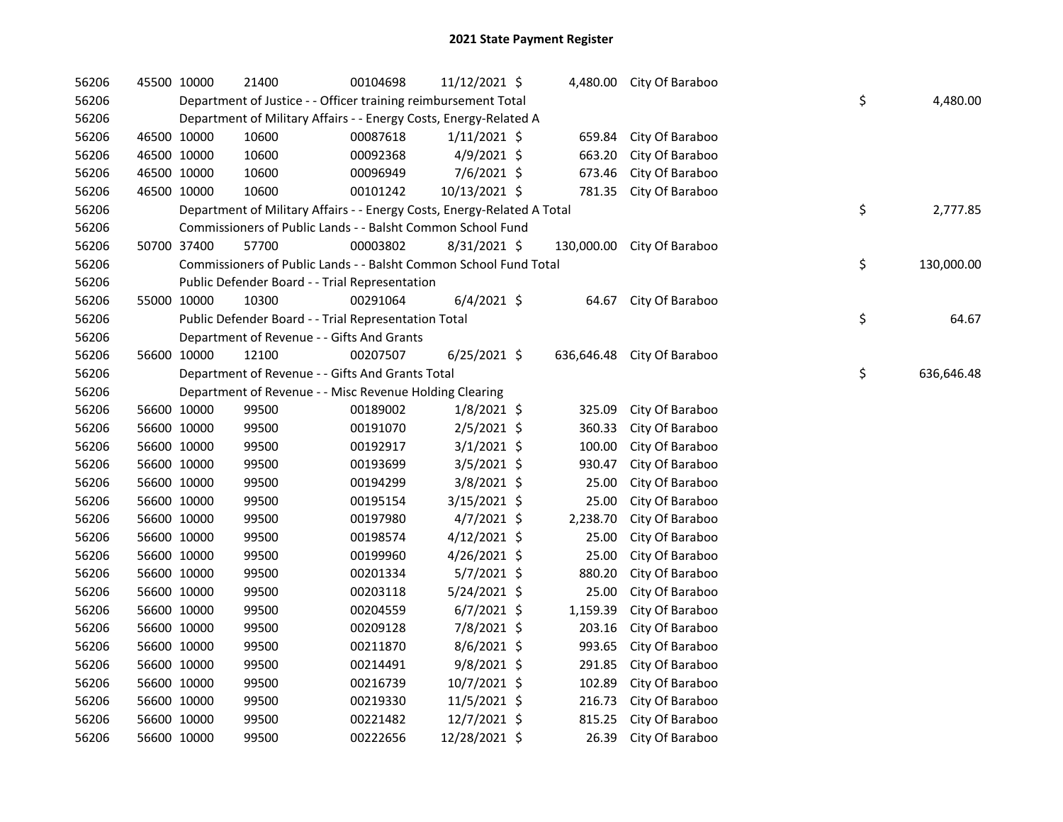| 56206 | 45500 10000 | 21400                                                                   | 00104698 | 11/12/2021 \$  |            | 4,480.00 City Of Baraboo |    |            |
|-------|-------------|-------------------------------------------------------------------------|----------|----------------|------------|--------------------------|----|------------|
| 56206 |             | Department of Justice - - Officer training reimbursement Total          |          |                |            |                          | \$ | 4,480.00   |
| 56206 |             | Department of Military Affairs - - Energy Costs, Energy-Related A       |          |                |            |                          |    |            |
| 56206 | 46500 10000 | 10600                                                                   | 00087618 | $1/11/2021$ \$ | 659.84     | City Of Baraboo          |    |            |
| 56206 | 46500 10000 | 10600                                                                   | 00092368 | 4/9/2021 \$    | 663.20     | City Of Baraboo          |    |            |
| 56206 | 46500 10000 | 10600                                                                   | 00096949 | 7/6/2021 \$    | 673.46     | City Of Baraboo          |    |            |
| 56206 | 46500 10000 | 10600                                                                   | 00101242 | 10/13/2021 \$  |            | 781.35 City Of Baraboo   |    |            |
| 56206 |             | Department of Military Affairs - - Energy Costs, Energy-Related A Total |          |                |            |                          | \$ | 2,777.85   |
| 56206 |             | Commissioners of Public Lands - - Balsht Common School Fund             |          |                |            |                          |    |            |
| 56206 | 50700 37400 | 57700                                                                   | 00003802 | 8/31/2021 \$   | 130,000.00 | City Of Baraboo          |    |            |
| 56206 |             | Commissioners of Public Lands - - Balsht Common School Fund Total       |          |                |            |                          | \$ | 130,000.00 |
| 56206 |             | Public Defender Board - - Trial Representation                          |          |                |            |                          |    |            |
| 56206 | 55000 10000 | 10300                                                                   | 00291064 | $6/4/2021$ \$  | 64.67      | City Of Baraboo          |    |            |
| 56206 |             | Public Defender Board - - Trial Representation Total                    |          |                |            |                          | \$ | 64.67      |
| 56206 |             | Department of Revenue - - Gifts And Grants                              |          |                |            |                          |    |            |
| 56206 | 56600 10000 | 12100                                                                   | 00207507 | $6/25/2021$ \$ | 636,646.48 | City Of Baraboo          |    |            |
| 56206 |             | Department of Revenue - - Gifts And Grants Total                        |          |                |            |                          | \$ | 636,646.48 |
| 56206 |             | Department of Revenue - - Misc Revenue Holding Clearing                 |          |                |            |                          |    |            |
| 56206 | 56600 10000 | 99500                                                                   | 00189002 | $1/8/2021$ \$  | 325.09     | City Of Baraboo          |    |            |
| 56206 | 56600 10000 | 99500                                                                   | 00191070 | 2/5/2021 \$    | 360.33     | City Of Baraboo          |    |            |
| 56206 | 56600 10000 | 99500                                                                   | 00192917 | $3/1/2021$ \$  | 100.00     | City Of Baraboo          |    |            |
| 56206 | 56600 10000 | 99500                                                                   | 00193699 | $3/5/2021$ \$  | 930.47     | City Of Baraboo          |    |            |
| 56206 | 56600 10000 | 99500                                                                   | 00194299 | 3/8/2021 \$    | 25.00      | City Of Baraboo          |    |            |
| 56206 | 56600 10000 | 99500                                                                   | 00195154 | 3/15/2021 \$   | 25.00      | City Of Baraboo          |    |            |
| 56206 | 56600 10000 | 99500                                                                   | 00197980 | $4/7/2021$ \$  | 2,238.70   | City Of Baraboo          |    |            |
| 56206 | 56600 10000 | 99500                                                                   | 00198574 | $4/12/2021$ \$ | 25.00      | City Of Baraboo          |    |            |
| 56206 | 56600 10000 | 99500                                                                   | 00199960 | 4/26/2021 \$   | 25.00      | City Of Baraboo          |    |            |
| 56206 | 56600 10000 | 99500                                                                   | 00201334 | $5/7/2021$ \$  | 880.20     | City Of Baraboo          |    |            |
| 56206 | 56600 10000 | 99500                                                                   | 00203118 | 5/24/2021 \$   | 25.00      | City Of Baraboo          |    |            |
| 56206 | 56600 10000 | 99500                                                                   | 00204559 | $6/7/2021$ \$  | 1,159.39   | City Of Baraboo          |    |            |
| 56206 | 56600 10000 | 99500                                                                   | 00209128 | 7/8/2021 \$    | 203.16     | City Of Baraboo          |    |            |
| 56206 | 56600 10000 | 99500                                                                   | 00211870 | 8/6/2021 \$    | 993.65     | City Of Baraboo          |    |            |
| 56206 | 56600 10000 | 99500                                                                   | 00214491 | 9/8/2021 \$    | 291.85     | City Of Baraboo          |    |            |
| 56206 | 56600 10000 | 99500                                                                   | 00216739 | 10/7/2021 \$   | 102.89     | City Of Baraboo          |    |            |
| 56206 | 56600 10000 | 99500                                                                   | 00219330 | 11/5/2021 \$   | 216.73     | City Of Baraboo          |    |            |
| 56206 | 56600 10000 | 99500                                                                   | 00221482 | 12/7/2021 \$   | 815.25     | City Of Baraboo          |    |            |
| 56206 | 56600 10000 | 99500                                                                   | 00222656 | 12/28/2021 \$  | 26.39      | City Of Baraboo          |    |            |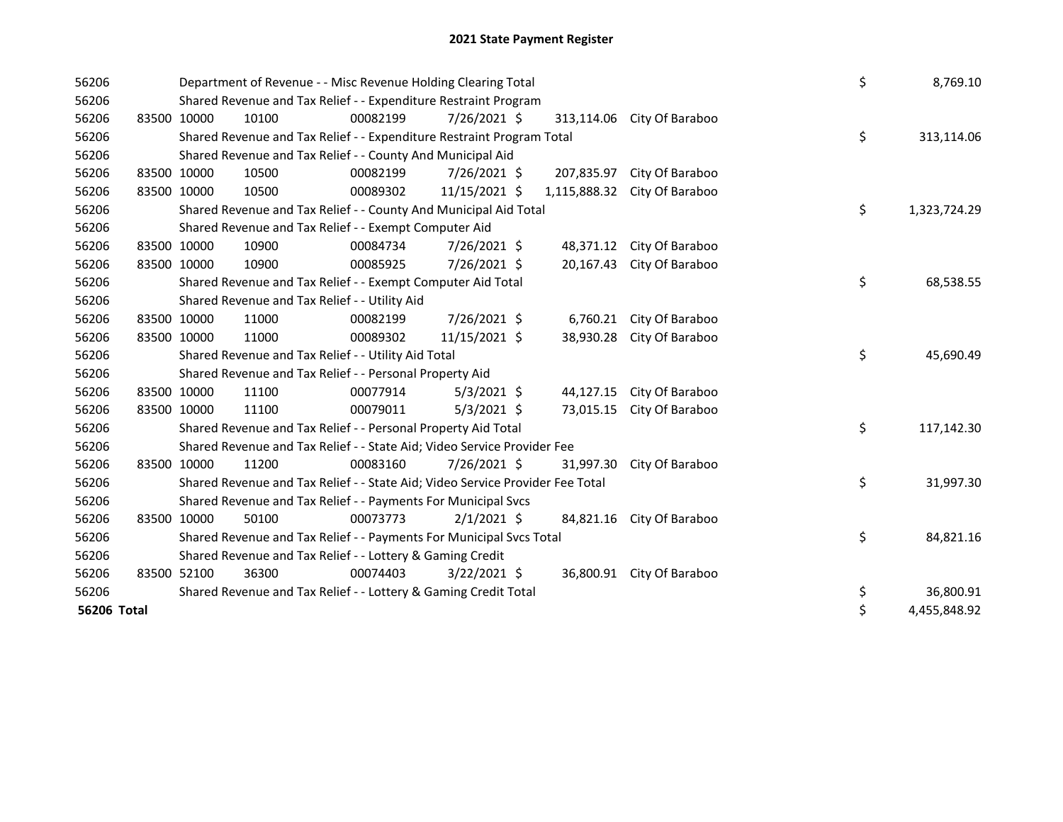| 56206       |             |       | Department of Revenue - - Misc Revenue Holding Clearing Total                 | \$       | 8,769.10      |              |                            |    |              |
|-------------|-------------|-------|-------------------------------------------------------------------------------|----------|---------------|--------------|----------------------------|----|--------------|
| 56206       |             |       | Shared Revenue and Tax Relief - - Expenditure Restraint Program               |          |               |              |                            |    |              |
| 56206       | 83500       | 10000 | 10100                                                                         | 00082199 | 7/26/2021 \$  |              | 313,114.06 City Of Baraboo |    |              |
| 56206       |             |       | Shared Revenue and Tax Relief - - Expenditure Restraint Program Total         |          |               |              |                            | \$ | 313,114.06   |
| 56206       |             |       | Shared Revenue and Tax Relief - - County And Municipal Aid                    |          |               |              |                            |    |              |
| 56206       | 83500 10000 |       | 10500                                                                         | 00082199 | 7/26/2021 \$  | 207,835.97   | City Of Baraboo            |    |              |
| 56206       | 83500 10000 |       | 10500                                                                         | 00089302 | 11/15/2021 \$ | 1,115,888.32 | City Of Baraboo            |    |              |
| 56206       |             |       | Shared Revenue and Tax Relief - - County And Municipal Aid Total              |          |               |              |                            | \$ | 1,323,724.29 |
| 56206       |             |       | Shared Revenue and Tax Relief - - Exempt Computer Aid                         |          |               |              |                            |    |              |
| 56206       | 83500 10000 |       | 10900                                                                         | 00084734 | 7/26/2021 \$  |              | 48,371.12 City Of Baraboo  |    |              |
| 56206       | 83500 10000 |       | 10900                                                                         | 00085925 | 7/26/2021 \$  | 20,167.43    | City Of Baraboo            |    |              |
| 56206       |             |       | Shared Revenue and Tax Relief - - Exempt Computer Aid Total                   |          |               |              |                            | \$ | 68,538.55    |
| 56206       |             |       | Shared Revenue and Tax Relief - - Utility Aid                                 |          |               |              |                            |    |              |
| 56206       | 83500 10000 |       | 11000                                                                         | 00082199 | 7/26/2021 \$  |              | 6,760.21 City Of Baraboo   |    |              |
| 56206       | 83500 10000 |       | 11000                                                                         | 00089302 | 11/15/2021 \$ | 38,930.28    | City Of Baraboo            |    |              |
| 56206       |             |       | Shared Revenue and Tax Relief - - Utility Aid Total                           |          |               |              |                            | \$ | 45,690.49    |
| 56206       |             |       | Shared Revenue and Tax Relief - - Personal Property Aid                       |          |               |              |                            |    |              |
| 56206       | 83500 10000 |       | 11100                                                                         | 00077914 | $5/3/2021$ \$ | 44,127.15    | City Of Baraboo            |    |              |
| 56206       | 83500 10000 |       | 11100                                                                         | 00079011 | $5/3/2021$ \$ | 73,015.15    | City Of Baraboo            |    |              |
| 56206       |             |       | Shared Revenue and Tax Relief - - Personal Property Aid Total                 |          |               |              |                            | \$ | 117,142.30   |
| 56206       |             |       | Shared Revenue and Tax Relief - - State Aid; Video Service Provider Fee       |          |               |              |                            |    |              |
| 56206       | 83500 10000 |       | 11200                                                                         | 00083160 | 7/26/2021 \$  | 31,997.30    | City Of Baraboo            |    |              |
| 56206       |             |       | Shared Revenue and Tax Relief - - State Aid; Video Service Provider Fee Total |          |               |              |                            | \$ | 31,997.30    |
| 56206       |             |       | Shared Revenue and Tax Relief - - Payments For Municipal Svcs                 |          |               |              |                            |    |              |
| 56206       | 83500 10000 |       | 50100                                                                         | 00073773 | $2/1/2021$ \$ | 84,821.16    | City Of Baraboo            |    |              |
| 56206       |             |       | Shared Revenue and Tax Relief - - Payments For Municipal Svcs Total           |          |               |              |                            | \$ | 84,821.16    |
| 56206       |             |       | Shared Revenue and Tax Relief - - Lottery & Gaming Credit                     |          |               |              |                            |    |              |
| 56206       | 83500 52100 |       | 36300                                                                         | 00074403 | 3/22/2021 \$  | 36,800.91    | City Of Baraboo            |    |              |
| 56206       |             |       | Shared Revenue and Tax Relief - - Lottery & Gaming Credit Total               |          |               |              |                            | \$ | 36,800.91    |
| 56206 Total |             |       |                                                                               |          |               |              |                            | \$ | 4,455,848.92 |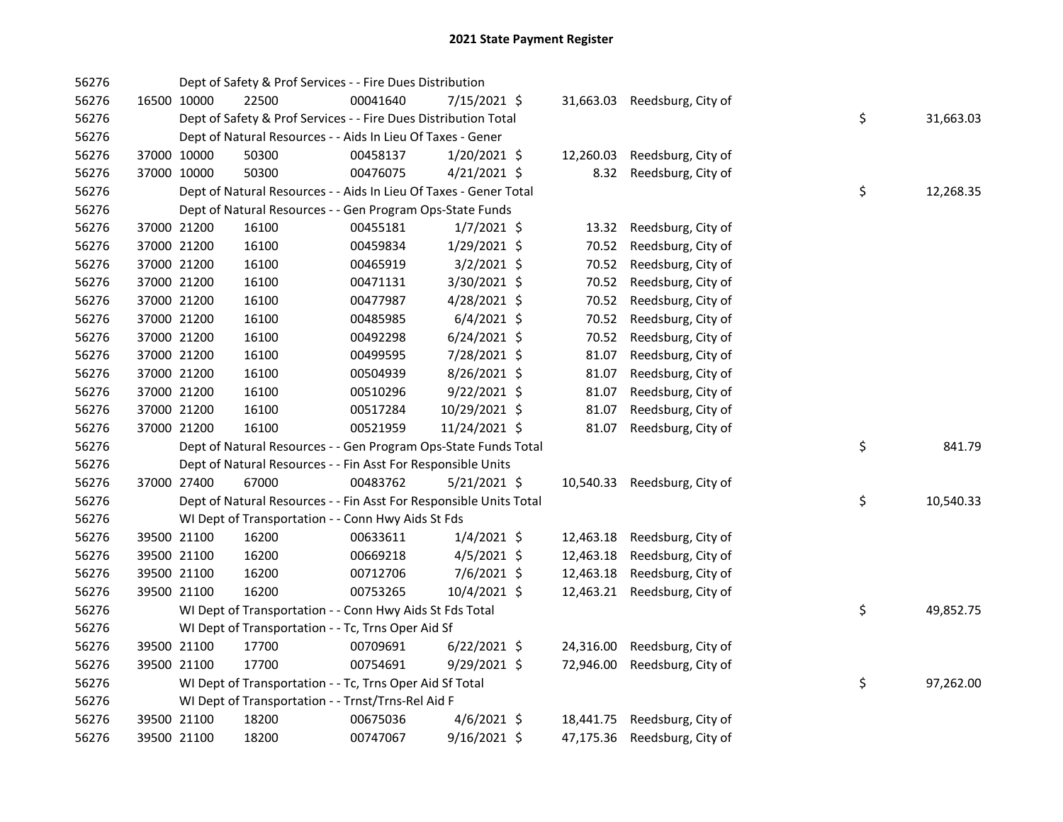| 56276 |             | Dept of Safety & Prof Services - - Fire Dues Distribution          |          |                |           |                              |    |           |
|-------|-------------|--------------------------------------------------------------------|----------|----------------|-----------|------------------------------|----|-----------|
| 56276 | 16500 10000 | 22500                                                              | 00041640 | 7/15/2021 \$   |           | 31,663.03 Reedsburg, City of |    |           |
| 56276 |             | Dept of Safety & Prof Services - - Fire Dues Distribution Total    |          |                |           |                              | \$ | 31,663.03 |
| 56276 |             | Dept of Natural Resources - - Aids In Lieu Of Taxes - Gener        |          |                |           |                              |    |           |
| 56276 | 37000 10000 | 50300                                                              | 00458137 | $1/20/2021$ \$ | 12,260.03 | Reedsburg, City of           |    |           |
| 56276 | 37000 10000 | 50300                                                              | 00476075 | $4/21/2021$ \$ | 8.32      | Reedsburg, City of           |    |           |
| 56276 |             | Dept of Natural Resources - - Aids In Lieu Of Taxes - Gener Total  |          |                |           |                              | \$ | 12,268.35 |
| 56276 |             | Dept of Natural Resources - - Gen Program Ops-State Funds          |          |                |           |                              |    |           |
| 56276 | 37000 21200 | 16100                                                              | 00455181 | $1/7/2021$ \$  | 13.32     | Reedsburg, City of           |    |           |
| 56276 | 37000 21200 | 16100                                                              | 00459834 | 1/29/2021 \$   | 70.52     | Reedsburg, City of           |    |           |
| 56276 | 37000 21200 | 16100                                                              | 00465919 | $3/2/2021$ \$  | 70.52     | Reedsburg, City of           |    |           |
| 56276 | 37000 21200 | 16100                                                              | 00471131 | 3/30/2021 \$   | 70.52     | Reedsburg, City of           |    |           |
| 56276 | 37000 21200 | 16100                                                              | 00477987 | 4/28/2021 \$   | 70.52     | Reedsburg, City of           |    |           |
| 56276 | 37000 21200 | 16100                                                              | 00485985 | $6/4/2021$ \$  | 70.52     | Reedsburg, City of           |    |           |
| 56276 | 37000 21200 | 16100                                                              | 00492298 | $6/24/2021$ \$ | 70.52     | Reedsburg, City of           |    |           |
| 56276 | 37000 21200 | 16100                                                              | 00499595 | 7/28/2021 \$   | 81.07     | Reedsburg, City of           |    |           |
| 56276 | 37000 21200 | 16100                                                              | 00504939 | 8/26/2021 \$   | 81.07     | Reedsburg, City of           |    |           |
| 56276 | 37000 21200 | 16100                                                              | 00510296 | $9/22/2021$ \$ | 81.07     | Reedsburg, City of           |    |           |
| 56276 | 37000 21200 | 16100                                                              | 00517284 | 10/29/2021 \$  | 81.07     | Reedsburg, City of           |    |           |
| 56276 | 37000 21200 | 16100                                                              | 00521959 | 11/24/2021 \$  | 81.07     | Reedsburg, City of           |    |           |
| 56276 |             | Dept of Natural Resources - - Gen Program Ops-State Funds Total    |          |                |           |                              | \$ | 841.79    |
| 56276 |             | Dept of Natural Resources - - Fin Asst For Responsible Units       |          |                |           |                              |    |           |
| 56276 | 37000 27400 | 67000                                                              | 00483762 | $5/21/2021$ \$ |           | 10,540.33 Reedsburg, City of |    |           |
| 56276 |             | Dept of Natural Resources - - Fin Asst For Responsible Units Total |          |                |           |                              | \$ | 10,540.33 |
| 56276 |             | WI Dept of Transportation - - Conn Hwy Aids St Fds                 |          |                |           |                              |    |           |
| 56276 | 39500 21100 | 16200                                                              | 00633611 | $1/4/2021$ \$  | 12,463.18 | Reedsburg, City of           |    |           |
| 56276 | 39500 21100 | 16200                                                              | 00669218 | 4/5/2021 \$    | 12,463.18 | Reedsburg, City of           |    |           |
| 56276 | 39500 21100 | 16200                                                              | 00712706 | $7/6/2021$ \$  | 12,463.18 | Reedsburg, City of           |    |           |
| 56276 | 39500 21100 | 16200                                                              | 00753265 | $10/4/2021$ \$ | 12,463.21 | Reedsburg, City of           |    |           |
| 56276 |             | WI Dept of Transportation - - Conn Hwy Aids St Fds Total           |          |                |           |                              | \$ | 49,852.75 |
| 56276 |             | WI Dept of Transportation - - Tc, Trns Oper Aid Sf                 |          |                |           |                              |    |           |
| 56276 | 39500 21100 | 17700                                                              | 00709691 | $6/22/2021$ \$ | 24,316.00 | Reedsburg, City of           |    |           |
| 56276 | 39500 21100 | 17700                                                              | 00754691 | $9/29/2021$ \$ | 72,946.00 | Reedsburg, City of           |    |           |
| 56276 |             | WI Dept of Transportation - - Tc, Trns Oper Aid Sf Total           |          |                |           |                              | \$ | 97,262.00 |
| 56276 |             | WI Dept of Transportation - - Trnst/Trns-Rel Aid F                 |          |                |           |                              |    |           |
| 56276 | 39500 21100 | 18200                                                              | 00675036 | $4/6/2021$ \$  | 18,441.75 | Reedsburg, City of           |    |           |
| 56276 | 39500 21100 | 18200                                                              | 00747067 | $9/16/2021$ \$ | 47,175.36 | Reedsburg, City of           |    |           |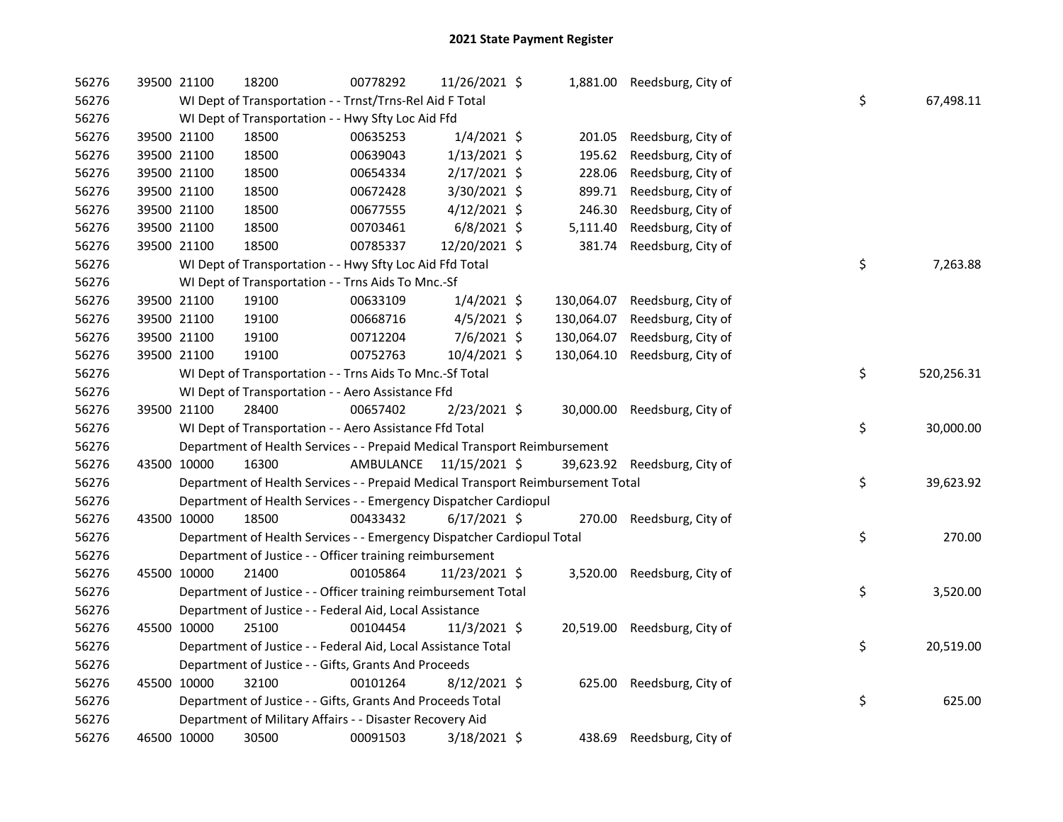| 56276 | 39500 21100 | 18200                                                                           | 00778292  | 11/26/2021 \$  |            | 1,881.00 Reedsburg, City of  |    |            |
|-------|-------------|---------------------------------------------------------------------------------|-----------|----------------|------------|------------------------------|----|------------|
| 56276 |             | WI Dept of Transportation - - Trnst/Trns-Rel Aid F Total                        |           |                |            |                              | \$ | 67,498.11  |
| 56276 |             | WI Dept of Transportation - - Hwy Sfty Loc Aid Ffd                              |           |                |            |                              |    |            |
| 56276 | 39500 21100 | 18500                                                                           | 00635253  | $1/4/2021$ \$  | 201.05     | Reedsburg, City of           |    |            |
| 56276 | 39500 21100 | 18500                                                                           | 00639043  | $1/13/2021$ \$ | 195.62     | Reedsburg, City of           |    |            |
| 56276 | 39500 21100 | 18500                                                                           | 00654334  | $2/17/2021$ \$ | 228.06     | Reedsburg, City of           |    |            |
| 56276 | 39500 21100 | 18500                                                                           | 00672428  | 3/30/2021 \$   | 899.71     | Reedsburg, City of           |    |            |
| 56276 | 39500 21100 | 18500                                                                           | 00677555  | $4/12/2021$ \$ | 246.30     | Reedsburg, City of           |    |            |
| 56276 | 39500 21100 | 18500                                                                           | 00703461  | $6/8/2021$ \$  | 5,111.40   | Reedsburg, City of           |    |            |
| 56276 | 39500 21100 | 18500                                                                           | 00785337  | 12/20/2021 \$  | 381.74     | Reedsburg, City of           |    |            |
| 56276 |             | WI Dept of Transportation - - Hwy Sfty Loc Aid Ffd Total                        |           |                |            |                              | \$ | 7,263.88   |
| 56276 |             | WI Dept of Transportation - - Trns Aids To Mnc.-Sf                              |           |                |            |                              |    |            |
| 56276 | 39500 21100 | 19100                                                                           | 00633109  | $1/4/2021$ \$  | 130,064.07 | Reedsburg, City of           |    |            |
| 56276 | 39500 21100 | 19100                                                                           | 00668716  | $4/5/2021$ \$  | 130,064.07 | Reedsburg, City of           |    |            |
| 56276 | 39500 21100 | 19100                                                                           | 00712204  | 7/6/2021 \$    | 130,064.07 | Reedsburg, City of           |    |            |
| 56276 | 39500 21100 | 19100                                                                           | 00752763  | 10/4/2021 \$   | 130,064.10 | Reedsburg, City of           |    |            |
| 56276 |             | WI Dept of Transportation - - Trns Aids To Mnc.-Sf Total                        |           |                |            |                              | \$ | 520,256.31 |
| 56276 |             | WI Dept of Transportation - - Aero Assistance Ffd                               |           |                |            |                              |    |            |
| 56276 | 39500 21100 | 28400                                                                           | 00657402  | 2/23/2021 \$   |            | 30,000.00 Reedsburg, City of |    |            |
| 56276 |             | WI Dept of Transportation - - Aero Assistance Ffd Total                         |           |                |            |                              | \$ | 30,000.00  |
| 56276 |             | Department of Health Services - - Prepaid Medical Transport Reimbursement       |           |                |            |                              |    |            |
| 56276 | 43500 10000 | 16300                                                                           | AMBULANCE | 11/15/2021 \$  |            | 39,623.92 Reedsburg, City of |    |            |
| 56276 |             | Department of Health Services - - Prepaid Medical Transport Reimbursement Total |           |                |            |                              | \$ | 39,623.92  |
| 56276 |             | Department of Health Services - - Emergency Dispatcher Cardiopul                |           |                |            |                              |    |            |
| 56276 | 43500 10000 | 18500                                                                           | 00433432  | $6/17/2021$ \$ |            | 270.00 Reedsburg, City of    |    |            |
| 56276 |             | Department of Health Services - - Emergency Dispatcher Cardiopul Total          |           |                |            |                              | \$ | 270.00     |
| 56276 |             | Department of Justice - - Officer training reimbursement                        |           |                |            |                              |    |            |
| 56276 | 45500 10000 | 21400                                                                           | 00105864  | 11/23/2021 \$  |            | 3,520.00 Reedsburg, City of  |    |            |
| 56276 |             | Department of Justice - - Officer training reimbursement Total                  |           |                |            |                              | \$ | 3,520.00   |
| 56276 |             | Department of Justice - - Federal Aid, Local Assistance                         |           |                |            |                              |    |            |
| 56276 | 45500 10000 | 25100                                                                           | 00104454  | 11/3/2021 \$   |            | 20,519.00 Reedsburg, City of |    |            |
| 56276 |             | Department of Justice - - Federal Aid, Local Assistance Total                   |           |                |            |                              | \$ | 20,519.00  |
| 56276 |             | Department of Justice - - Gifts, Grants And Proceeds                            |           |                |            |                              |    |            |
| 56276 | 45500 10000 | 32100                                                                           | 00101264  | 8/12/2021 \$   | 625.00     | Reedsburg, City of           |    |            |
| 56276 |             | Department of Justice - - Gifts, Grants And Proceeds Total                      |           |                |            |                              | \$ | 625.00     |
| 56276 |             | Department of Military Affairs - - Disaster Recovery Aid                        |           |                |            |                              |    |            |
| 56276 | 46500 10000 | 30500                                                                           | 00091503  | 3/18/2021 \$   | 438.69     | Reedsburg, City of           |    |            |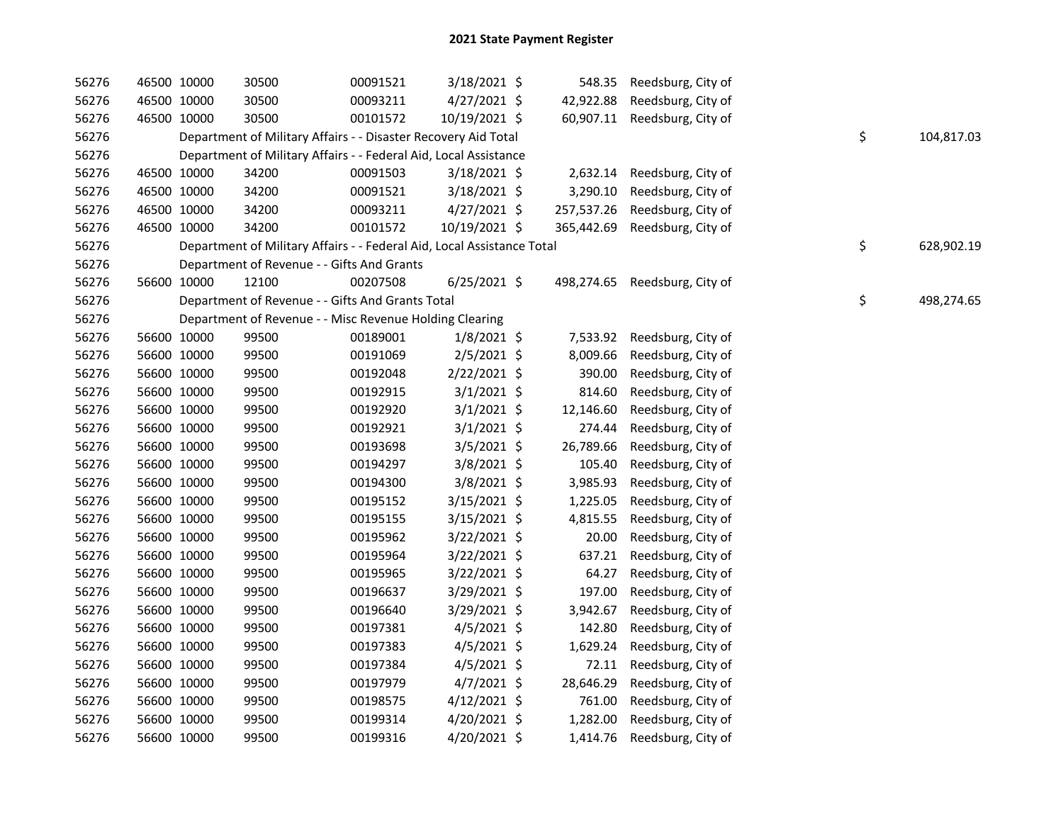| 56276 | 46500 10000 |             | 30500                                                                  | 00091521 | 3/18/2021 \$   |            | 548.35 Reedsburg, City of     |    |            |
|-------|-------------|-------------|------------------------------------------------------------------------|----------|----------------|------------|-------------------------------|----|------------|
| 56276 |             | 46500 10000 | 30500                                                                  | 00093211 | 4/27/2021 \$   | 42,922.88  | Reedsburg, City of            |    |            |
| 56276 | 46500 10000 |             | 30500                                                                  | 00101572 | 10/19/2021 \$  |            | 60,907.11 Reedsburg, City of  |    |            |
| 56276 |             |             | Department of Military Affairs - - Disaster Recovery Aid Total         |          |                |            |                               | \$ | 104,817.03 |
| 56276 |             |             | Department of Military Affairs - - Federal Aid, Local Assistance       |          |                |            |                               |    |            |
| 56276 |             | 46500 10000 | 34200                                                                  | 00091503 | $3/18/2021$ \$ | 2,632.14   | Reedsburg, City of            |    |            |
| 56276 |             | 46500 10000 | 34200                                                                  | 00091521 | $3/18/2021$ \$ | 3,290.10   | Reedsburg, City of            |    |            |
| 56276 | 46500 10000 |             | 34200                                                                  | 00093211 | $4/27/2021$ \$ | 257,537.26 | Reedsburg, City of            |    |            |
| 56276 | 46500 10000 |             | 34200                                                                  | 00101572 | 10/19/2021 \$  | 365,442.69 | Reedsburg, City of            |    |            |
| 56276 |             |             | Department of Military Affairs - - Federal Aid, Local Assistance Total |          |                |            |                               | \$ | 628,902.19 |
| 56276 |             |             | Department of Revenue - - Gifts And Grants                             |          |                |            |                               |    |            |
| 56276 |             | 56600 10000 | 12100                                                                  | 00207508 | $6/25/2021$ \$ |            | 498,274.65 Reedsburg, City of |    |            |
| 56276 |             |             | Department of Revenue - - Gifts And Grants Total                       |          |                |            |                               | \$ | 498,274.65 |
| 56276 |             |             | Department of Revenue - - Misc Revenue Holding Clearing                |          |                |            |                               |    |            |
| 56276 |             | 56600 10000 | 99500                                                                  | 00189001 | $1/8/2021$ \$  | 7,533.92   | Reedsburg, City of            |    |            |
| 56276 |             | 56600 10000 | 99500                                                                  | 00191069 | $2/5/2021$ \$  | 8,009.66   | Reedsburg, City of            |    |            |
| 56276 |             | 56600 10000 | 99500                                                                  | 00192048 | $2/22/2021$ \$ | 390.00     | Reedsburg, City of            |    |            |
| 56276 |             | 56600 10000 | 99500                                                                  | 00192915 | $3/1/2021$ \$  | 814.60     | Reedsburg, City of            |    |            |
| 56276 |             | 56600 10000 | 99500                                                                  | 00192920 | $3/1/2021$ \$  | 12,146.60  | Reedsburg, City of            |    |            |
| 56276 |             | 56600 10000 | 99500                                                                  | 00192921 | $3/1/2021$ \$  | 274.44     | Reedsburg, City of            |    |            |
| 56276 |             | 56600 10000 | 99500                                                                  | 00193698 | $3/5/2021$ \$  | 26,789.66  | Reedsburg, City of            |    |            |
| 56276 |             | 56600 10000 | 99500                                                                  | 00194297 | $3/8/2021$ \$  | 105.40     | Reedsburg, City of            |    |            |
| 56276 |             | 56600 10000 | 99500                                                                  | 00194300 | $3/8/2021$ \$  | 3,985.93   | Reedsburg, City of            |    |            |
| 56276 |             | 56600 10000 | 99500                                                                  | 00195152 | $3/15/2021$ \$ | 1,225.05   | Reedsburg, City of            |    |            |
| 56276 |             | 56600 10000 | 99500                                                                  | 00195155 | 3/15/2021 \$   | 4,815.55   | Reedsburg, City of            |    |            |
| 56276 |             | 56600 10000 | 99500                                                                  | 00195962 | 3/22/2021 \$   | 20.00      | Reedsburg, City of            |    |            |
| 56276 |             | 56600 10000 | 99500                                                                  | 00195964 | 3/22/2021 \$   | 637.21     | Reedsburg, City of            |    |            |
| 56276 |             | 56600 10000 | 99500                                                                  | 00195965 | 3/22/2021 \$   | 64.27      | Reedsburg, City of            |    |            |
| 56276 |             | 56600 10000 | 99500                                                                  | 00196637 | 3/29/2021 \$   | 197.00     | Reedsburg, City of            |    |            |
| 56276 |             | 56600 10000 | 99500                                                                  | 00196640 | 3/29/2021 \$   | 3,942.67   | Reedsburg, City of            |    |            |
| 56276 |             | 56600 10000 | 99500                                                                  | 00197381 | $4/5/2021$ \$  | 142.80     | Reedsburg, City of            |    |            |
| 56276 |             | 56600 10000 | 99500                                                                  | 00197383 | 4/5/2021 \$    | 1,629.24   | Reedsburg, City of            |    |            |
| 56276 |             | 56600 10000 | 99500                                                                  | 00197384 | 4/5/2021 \$    | 72.11      | Reedsburg, City of            |    |            |
| 56276 |             | 56600 10000 | 99500                                                                  | 00197979 | $4/7/2021$ \$  | 28,646.29  | Reedsburg, City of            |    |            |
| 56276 |             | 56600 10000 | 99500                                                                  | 00198575 | 4/12/2021 \$   | 761.00     | Reedsburg, City of            |    |            |
| 56276 |             | 56600 10000 | 99500                                                                  | 00199314 | 4/20/2021 \$   | 1,282.00   | Reedsburg, City of            |    |            |
| 56276 |             | 56600 10000 | 99500                                                                  | 00199316 | 4/20/2021 \$   | 1,414.76   | Reedsburg, City of            |    |            |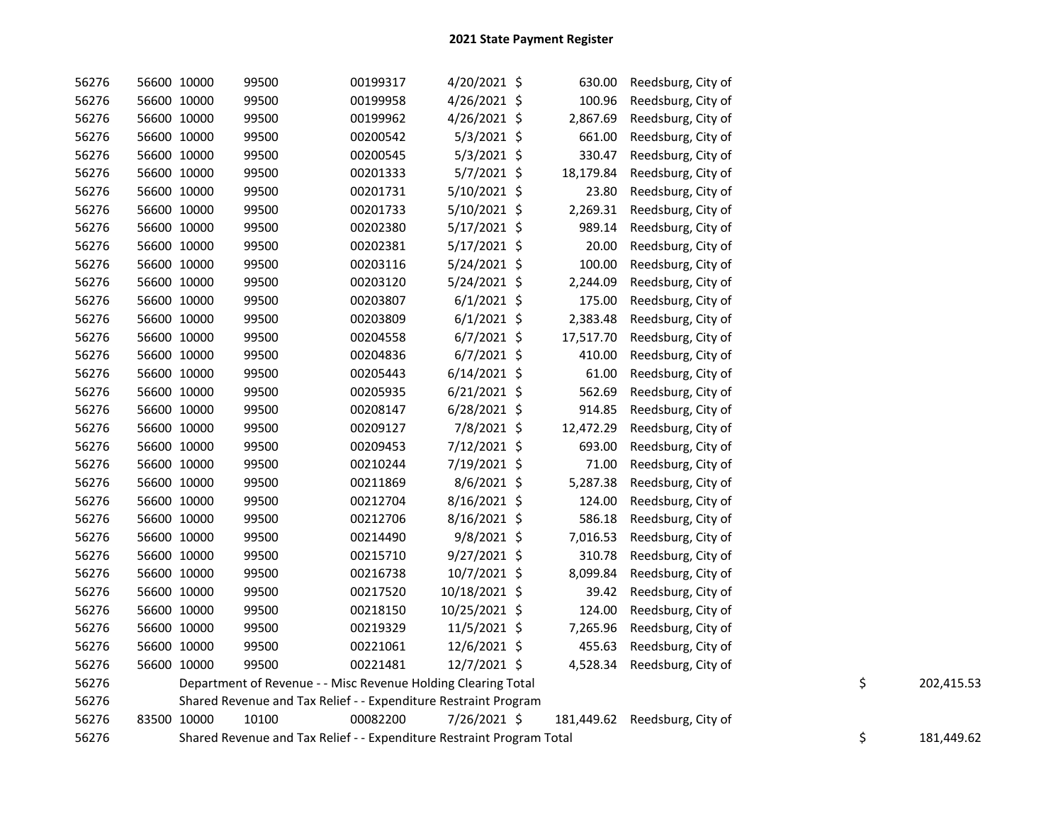| 56276 | 56600 10000 | 99500                                                                 | 00199317 | 4/20/2021 \$   | 630.00    | Reedsburg, City of            |    |            |
|-------|-------------|-----------------------------------------------------------------------|----------|----------------|-----------|-------------------------------|----|------------|
| 56276 | 56600 10000 | 99500                                                                 | 00199958 | 4/26/2021 \$   | 100.96    | Reedsburg, City of            |    |            |
| 56276 | 56600 10000 | 99500                                                                 | 00199962 | 4/26/2021 \$   | 2,867.69  | Reedsburg, City of            |    |            |
| 56276 | 56600 10000 | 99500                                                                 | 00200542 | $5/3/2021$ \$  | 661.00    | Reedsburg, City of            |    |            |
| 56276 | 56600 10000 | 99500                                                                 | 00200545 | $5/3/2021$ \$  | 330.47    | Reedsburg, City of            |    |            |
| 56276 | 56600 10000 | 99500                                                                 | 00201333 | $5/7/2021$ \$  | 18,179.84 | Reedsburg, City of            |    |            |
| 56276 | 56600 10000 | 99500                                                                 | 00201731 | 5/10/2021 \$   | 23.80     | Reedsburg, City of            |    |            |
| 56276 | 56600 10000 | 99500                                                                 | 00201733 | 5/10/2021 \$   | 2,269.31  | Reedsburg, City of            |    |            |
| 56276 | 56600 10000 | 99500                                                                 | 00202380 | 5/17/2021 \$   | 989.14    | Reedsburg, City of            |    |            |
| 56276 | 56600 10000 | 99500                                                                 | 00202381 | 5/17/2021 \$   | 20.00     | Reedsburg, City of            |    |            |
| 56276 | 56600 10000 | 99500                                                                 | 00203116 | 5/24/2021 \$   | 100.00    | Reedsburg, City of            |    |            |
| 56276 | 56600 10000 | 99500                                                                 | 00203120 | 5/24/2021 \$   | 2,244.09  | Reedsburg, City of            |    |            |
| 56276 | 56600 10000 | 99500                                                                 | 00203807 | $6/1/2021$ \$  | 175.00    | Reedsburg, City of            |    |            |
| 56276 | 56600 10000 | 99500                                                                 | 00203809 | $6/1/2021$ \$  | 2,383.48  | Reedsburg, City of            |    |            |
| 56276 | 56600 10000 | 99500                                                                 | 00204558 | $6/7/2021$ \$  | 17,517.70 | Reedsburg, City of            |    |            |
| 56276 | 56600 10000 | 99500                                                                 | 00204836 | $6/7/2021$ \$  | 410.00    | Reedsburg, City of            |    |            |
| 56276 | 56600 10000 | 99500                                                                 | 00205443 | $6/14/2021$ \$ | 61.00     | Reedsburg, City of            |    |            |
| 56276 | 56600 10000 | 99500                                                                 | 00205935 | $6/21/2021$ \$ | 562.69    | Reedsburg, City of            |    |            |
| 56276 | 56600 10000 | 99500                                                                 | 00208147 | $6/28/2021$ \$ | 914.85    | Reedsburg, City of            |    |            |
| 56276 | 56600 10000 | 99500                                                                 | 00209127 | 7/8/2021 \$    | 12,472.29 | Reedsburg, City of            |    |            |
| 56276 | 56600 10000 | 99500                                                                 | 00209453 | 7/12/2021 \$   | 693.00    | Reedsburg, City of            |    |            |
| 56276 | 56600 10000 | 99500                                                                 | 00210244 | 7/19/2021 \$   | 71.00     | Reedsburg, City of            |    |            |
| 56276 | 56600 10000 | 99500                                                                 | 00211869 | $8/6/2021$ \$  | 5,287.38  | Reedsburg, City of            |    |            |
| 56276 | 56600 10000 | 99500                                                                 | 00212704 | 8/16/2021 \$   | 124.00    | Reedsburg, City of            |    |            |
| 56276 | 56600 10000 | 99500                                                                 | 00212706 | 8/16/2021 \$   | 586.18    | Reedsburg, City of            |    |            |
| 56276 | 56600 10000 | 99500                                                                 | 00214490 | 9/8/2021 \$    | 7,016.53  | Reedsburg, City of            |    |            |
| 56276 | 56600 10000 | 99500                                                                 | 00215710 | $9/27/2021$ \$ | 310.78    | Reedsburg, City of            |    |            |
| 56276 | 56600 10000 | 99500                                                                 | 00216738 | 10/7/2021 \$   | 8,099.84  | Reedsburg, City of            |    |            |
| 56276 | 56600 10000 | 99500                                                                 | 00217520 | 10/18/2021 \$  | 39.42     | Reedsburg, City of            |    |            |
| 56276 | 56600 10000 | 99500                                                                 | 00218150 | 10/25/2021 \$  | 124.00    | Reedsburg, City of            |    |            |
| 56276 | 56600 10000 | 99500                                                                 | 00219329 | 11/5/2021 \$   | 7,265.96  | Reedsburg, City of            |    |            |
| 56276 | 56600 10000 | 99500                                                                 | 00221061 | 12/6/2021 \$   | 455.63    | Reedsburg, City of            |    |            |
| 56276 | 56600 10000 | 99500                                                                 | 00221481 | 12/7/2021 \$   | 4,528.34  | Reedsburg, City of            |    |            |
| 56276 |             | Department of Revenue - - Misc Revenue Holding Clearing Total         |          |                |           |                               | \$ | 202,415.53 |
| 56276 |             | Shared Revenue and Tax Relief - - Expenditure Restraint Program       |          |                |           |                               |    |            |
| 56276 | 83500 10000 | 10100                                                                 | 00082200 | 7/26/2021 \$   |           | 181,449.62 Reedsburg, City of |    |            |
| 56276 |             | Shared Revenue and Tax Relief - - Expenditure Restraint Program Total |          |                |           |                               | \$ | 181,449.62 |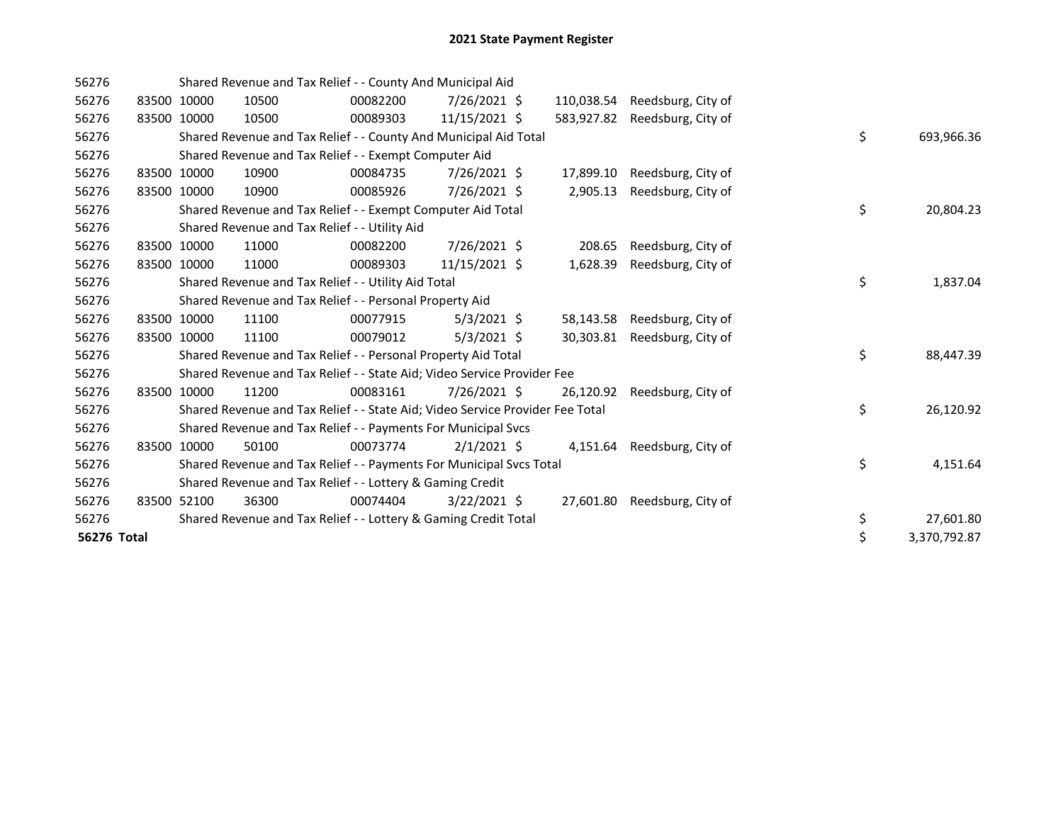| 56276       |             | Shared Revenue and Tax Relief - - County And Municipal Aid                    |          |                |            |                    |    |              |
|-------------|-------------|-------------------------------------------------------------------------------|----------|----------------|------------|--------------------|----|--------------|
| 56276       | 83500 10000 | 10500                                                                         | 00082200 | 7/26/2021 \$   | 110,038.54 | Reedsburg, City of |    |              |
| 56276       | 83500 10000 | 10500                                                                         | 00089303 | 11/15/2021 \$  | 583,927.82 | Reedsburg, City of |    |              |
| 56276       |             | Shared Revenue and Tax Relief - - County And Municipal Aid Total              |          |                |            |                    | \$ | 693,966.36   |
| 56276       |             | Shared Revenue and Tax Relief - - Exempt Computer Aid                         |          |                |            |                    |    |              |
| 56276       | 83500 10000 | 10900                                                                         | 00084735 | 7/26/2021 \$   | 17,899.10  | Reedsburg, City of |    |              |
| 56276       | 83500 10000 | 10900                                                                         | 00085926 | 7/26/2021 \$   | 2.905.13   | Reedsburg, City of |    |              |
| 56276       |             | Shared Revenue and Tax Relief - - Exempt Computer Aid Total                   |          |                |            |                    | \$ | 20,804.23    |
| 56276       |             | Shared Revenue and Tax Relief - - Utility Aid                                 |          |                |            |                    |    |              |
| 56276       | 83500 10000 | 11000                                                                         | 00082200 | 7/26/2021 \$   | 208.65     | Reedsburg, City of |    |              |
| 56276       | 83500 10000 | 11000                                                                         | 00089303 | 11/15/2021 \$  | 1,628.39   | Reedsburg, City of |    |              |
| 56276       |             | Shared Revenue and Tax Relief - - Utility Aid Total                           |          |                |            |                    | \$ | 1,837.04     |
| 56276       |             | Shared Revenue and Tax Relief - - Personal Property Aid                       |          |                |            |                    |    |              |
| 56276       | 83500 10000 | 11100                                                                         | 00077915 | $5/3/2021$ \$  | 58,143.58  | Reedsburg, City of |    |              |
| 56276       | 83500 10000 | 11100                                                                         | 00079012 | $5/3/2021$ \$  | 30.303.81  | Reedsburg, City of |    |              |
| 56276       |             | Shared Revenue and Tax Relief - - Personal Property Aid Total                 |          |                |            |                    | \$ | 88,447.39    |
| 56276       |             | Shared Revenue and Tax Relief - - State Aid; Video Service Provider Fee       |          |                |            |                    |    |              |
| 56276       | 83500 10000 | 11200                                                                         | 00083161 | 7/26/2021 \$   | 26,120.92  | Reedsburg, City of |    |              |
| 56276       |             | Shared Revenue and Tax Relief - - State Aid; Video Service Provider Fee Total |          |                |            |                    | \$ | 26,120.92    |
| 56276       |             | Shared Revenue and Tax Relief - - Payments For Municipal Svcs                 |          |                |            |                    |    |              |
| 56276       | 83500 10000 | 50100                                                                         | 00073774 | $2/1/2021$ \$  | 4,151.64   | Reedsburg, City of |    |              |
| 56276       |             | Shared Revenue and Tax Relief - - Payments For Municipal Svcs Total           |          |                |            |                    | \$ | 4,151.64     |
| 56276       |             | Shared Revenue and Tax Relief - - Lottery & Gaming Credit                     |          |                |            |                    |    |              |
| 56276       | 83500 52100 | 36300                                                                         | 00074404 | $3/22/2021$ \$ | 27,601.80  | Reedsburg, City of |    |              |
| 56276       |             | Shared Revenue and Tax Relief - - Lottery & Gaming Credit Total               |          |                |            |                    | \$ | 27,601.80    |
| 56276 Total |             |                                                                               |          |                |            |                    | \$ | 3,370,792.87 |